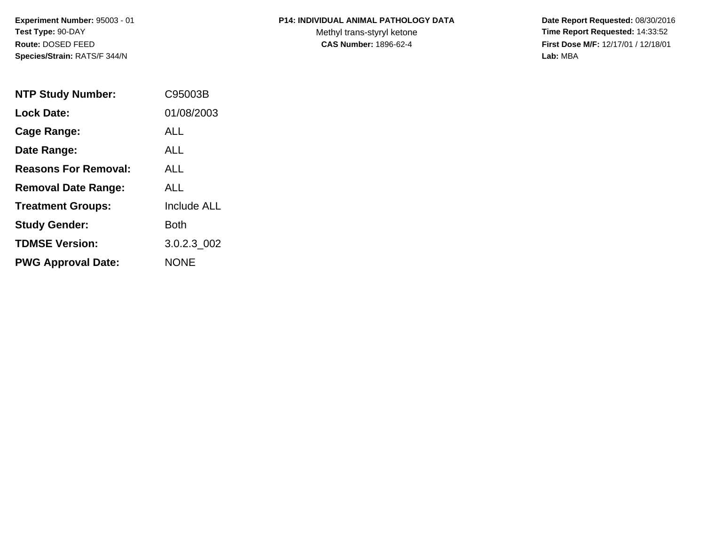**Experiment Number:** 95003 - 01**Test Type:** 90-DAY**Route:** DOSED FEED**Species/Strain:** RATS/F 344/N

## **P14: INDIVIDUAL ANIMAL PATHOLOGY DATA**

Methyl trans-styryl ketone<br>CAS Number: 1896-62-4

 **Date Report Requested:** 08/30/2016 **Time Report Requested:** 14:33:52 **First Dose M/F:** 12/17/01 / 12/18/01<br>Lab: MBA **Lab:** MBA

| <b>NTP Study Number:</b>    | C95003B            |
|-----------------------------|--------------------|
| <b>Lock Date:</b>           | 01/08/2003         |
| Cage Range:                 | <b>ALL</b>         |
| Date Range:                 | ALL.               |
| <b>Reasons For Removal:</b> | ALL.               |
| <b>Removal Date Range:</b>  | ALL                |
| <b>Treatment Groups:</b>    | <b>Include ALL</b> |
| <b>Study Gender:</b>        | <b>Both</b>        |
| <b>TDMSE Version:</b>       | 3.0.2.3 002        |
| <b>PWG Approval Date:</b>   | <b>NONE</b>        |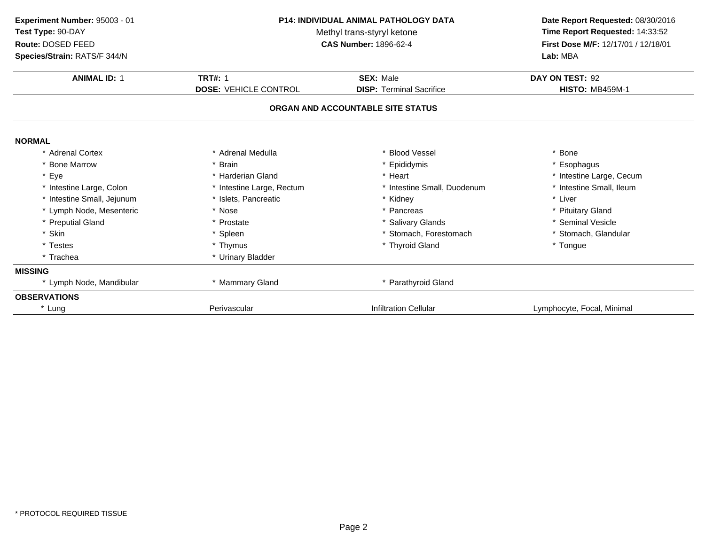| Experiment Number: 95003 - 01<br>Test Type: 90-DAY<br>Route: DOSED FEED<br>Species/Strain: RATS/F 344/N | <b>P14: INDIVIDUAL ANIMAL PATHOLOGY DATA</b><br>Methyl trans-styryl ketone<br><b>CAS Number: 1896-62-4</b> |                                                                      | Date Report Requested: 08/30/2016<br>Time Report Requested: 14:33:52<br>First Dose M/F: 12/17/01 / 12/18/01<br>Lab: MBA |  |
|---------------------------------------------------------------------------------------------------------|------------------------------------------------------------------------------------------------------------|----------------------------------------------------------------------|-------------------------------------------------------------------------------------------------------------------------|--|
| <b>ANIMAL ID: 1</b>                                                                                     | <b>TRT#: 1</b>                                                                                             | <b>SEX: Male</b>                                                     | DAY ON TEST: 92                                                                                                         |  |
|                                                                                                         | <b>DOSE: VEHICLE CONTROL</b>                                                                               | <b>DISP: Terminal Sacrifice</b><br>ORGAN AND ACCOUNTABLE SITE STATUS | <b>HISTO: MB459M-1</b>                                                                                                  |  |
| <b>NORMAL</b>                                                                                           |                                                                                                            |                                                                      |                                                                                                                         |  |
| * Adrenal Cortex                                                                                        | * Adrenal Medulla                                                                                          | * Blood Vessel                                                       | * Bone                                                                                                                  |  |
| * Bone Marrow                                                                                           | * Brain                                                                                                    | * Epididymis                                                         | * Esophagus                                                                                                             |  |
| * Eye                                                                                                   | * Harderian Gland                                                                                          | * Heart                                                              | * Intestine Large, Cecum                                                                                                |  |
| * Intestine Large, Colon                                                                                | * Intestine Large, Rectum                                                                                  | * Intestine Small, Duodenum                                          | * Intestine Small, Ileum                                                                                                |  |
| * Intestine Small, Jejunum                                                                              | * Islets, Pancreatic                                                                                       | * Kidney                                                             | * Liver                                                                                                                 |  |
| * Lymph Node, Mesenteric                                                                                | * Nose                                                                                                     | * Pancreas                                                           | * Pituitary Gland                                                                                                       |  |
| * Preputial Gland                                                                                       | * Prostate                                                                                                 | * Salivary Glands                                                    | * Seminal Vesicle                                                                                                       |  |
| * Skin                                                                                                  | * Spleen                                                                                                   | * Stomach, Forestomach                                               | * Stomach, Glandular                                                                                                    |  |
| * Testes                                                                                                | * Thymus                                                                                                   | * Thyroid Gland                                                      | * Tongue                                                                                                                |  |
| * Trachea                                                                                               | * Urinary Bladder                                                                                          |                                                                      |                                                                                                                         |  |
| <b>MISSING</b>                                                                                          |                                                                                                            |                                                                      |                                                                                                                         |  |
| * Lymph Node, Mandibular                                                                                | * Mammary Gland                                                                                            | * Parathyroid Gland                                                  |                                                                                                                         |  |
| <b>OBSERVATIONS</b>                                                                                     |                                                                                                            |                                                                      |                                                                                                                         |  |
| * Lung                                                                                                  | Perivascular                                                                                               | <b>Infiltration Cellular</b>                                         | Lymphocyte, Focal, Minimal                                                                                              |  |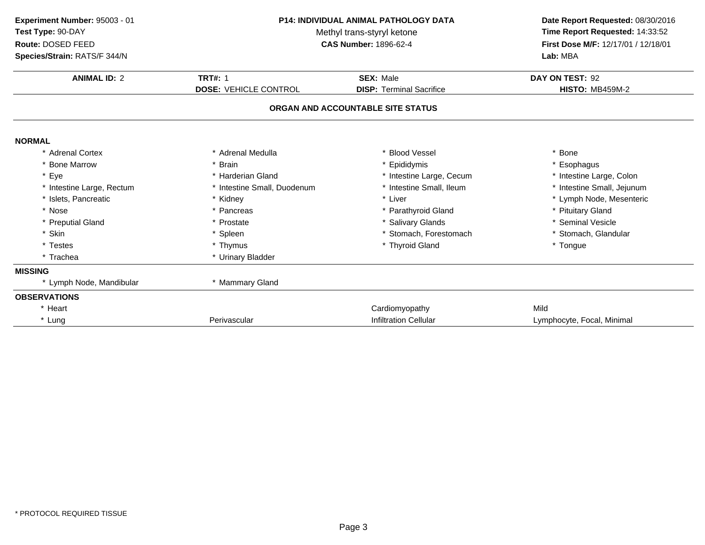| Experiment Number: 95003 - 01<br>Test Type: 90-DAY<br>Route: DOSED FEED<br>Species/Strain: RATS/F 344/N | <b>P14: INDIVIDUAL ANIMAL PATHOLOGY DATA</b><br>Methyl trans-styryl ketone<br><b>CAS Number: 1896-62-4</b> |                                   | Lab: MBA                   | Date Report Requested: 08/30/2016<br>Time Report Requested: 14:33:52<br>First Dose M/F: 12/17/01 / 12/18/01 |
|---------------------------------------------------------------------------------------------------------|------------------------------------------------------------------------------------------------------------|-----------------------------------|----------------------------|-------------------------------------------------------------------------------------------------------------|
| <b>ANIMAL ID: 2</b>                                                                                     | <b>TRT#: 1</b>                                                                                             | <b>SEX: Male</b>                  | DAY ON TEST: 92            |                                                                                                             |
|                                                                                                         | <b>DOSE: VEHICLE CONTROL</b>                                                                               | <b>DISP: Terminal Sacrifice</b>   | <b>HISTO: MB459M-2</b>     |                                                                                                             |
|                                                                                                         |                                                                                                            | ORGAN AND ACCOUNTABLE SITE STATUS |                            |                                                                                                             |
| <b>NORMAL</b>                                                                                           |                                                                                                            |                                   |                            |                                                                                                             |
| * Adrenal Cortex                                                                                        | * Adrenal Medulla                                                                                          | * Blood Vessel                    | * Bone                     |                                                                                                             |
| * Bone Marrow                                                                                           | * Brain                                                                                                    | * Epididymis                      | * Esophagus                |                                                                                                             |
| * Eye                                                                                                   | * Harderian Gland                                                                                          | * Intestine Large, Cecum          | * Intestine Large, Colon   |                                                                                                             |
| * Intestine Large, Rectum                                                                               | * Intestine Small, Duodenum                                                                                | * Intestine Small, Ileum          | * Intestine Small, Jejunum |                                                                                                             |
| * Islets. Pancreatic                                                                                    | * Kidney                                                                                                   | * Liver                           | * Lymph Node, Mesenteric   |                                                                                                             |
| * Nose                                                                                                  | * Pancreas                                                                                                 | * Parathyroid Gland               | * Pituitary Gland          |                                                                                                             |
| * Preputial Gland                                                                                       | * Prostate                                                                                                 | * Salivary Glands                 | * Seminal Vesicle          |                                                                                                             |
| * Skin                                                                                                  | * Spleen                                                                                                   | * Stomach, Forestomach            | * Stomach, Glandular       |                                                                                                             |
| * Testes                                                                                                | * Thymus                                                                                                   | * Thyroid Gland                   | * Tongue                   |                                                                                                             |
| * Trachea                                                                                               | * Urinary Bladder                                                                                          |                                   |                            |                                                                                                             |
| <b>MISSING</b>                                                                                          |                                                                                                            |                                   |                            |                                                                                                             |
| * Lymph Node, Mandibular                                                                                | * Mammary Gland                                                                                            |                                   |                            |                                                                                                             |
| <b>OBSERVATIONS</b>                                                                                     |                                                                                                            |                                   |                            |                                                                                                             |
| * Heart                                                                                                 |                                                                                                            | Cardiomyopathy                    | Mild                       |                                                                                                             |
| * Lung                                                                                                  | Perivascular                                                                                               | <b>Infiltration Cellular</b>      | Lymphocyte, Focal, Minimal |                                                                                                             |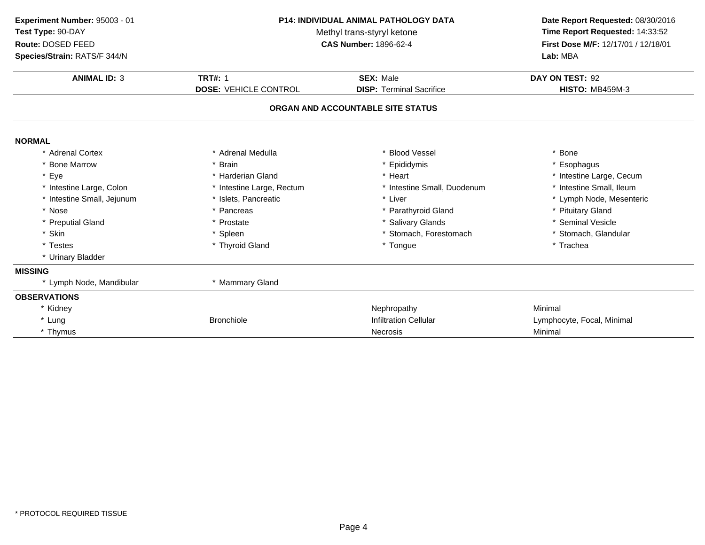| Experiment Number: 95003 - 01<br>Test Type: 90-DAY<br>Route: DOSED FEED<br>Species/Strain: RATS/F 344/N | <b>P14: INDIVIDUAL ANIMAL PATHOLOGY DATA</b><br>Methyl trans-styryl ketone<br><b>CAS Number: 1896-62-4</b> |                                   | Date Report Requested: 08/30/2016<br>Time Report Requested: 14:33:52<br>First Dose M/F: 12/17/01 / 12/18/01<br>Lab: MBA |
|---------------------------------------------------------------------------------------------------------|------------------------------------------------------------------------------------------------------------|-----------------------------------|-------------------------------------------------------------------------------------------------------------------------|
| <b>ANIMAL ID: 3</b>                                                                                     | <b>TRT#: 1</b>                                                                                             | <b>SEX: Male</b>                  | DAY ON TEST: 92                                                                                                         |
|                                                                                                         | <b>DOSE: VEHICLE CONTROL</b>                                                                               | <b>DISP: Terminal Sacrifice</b>   | <b>HISTO: MB459M-3</b>                                                                                                  |
|                                                                                                         |                                                                                                            | ORGAN AND ACCOUNTABLE SITE STATUS |                                                                                                                         |
| <b>NORMAL</b>                                                                                           |                                                                                                            |                                   |                                                                                                                         |
| * Adrenal Cortex                                                                                        | * Adrenal Medulla                                                                                          | * Blood Vessel                    | Bone                                                                                                                    |
| * Bone Marrow                                                                                           | * Brain                                                                                                    | * Epididymis                      | Esophagus                                                                                                               |
| * Eye                                                                                                   | * Harderian Gland                                                                                          | * Heart                           | * Intestine Large, Cecum                                                                                                |
| * Intestine Large, Colon                                                                                | * Intestine Large, Rectum                                                                                  | * Intestine Small, Duodenum       | * Intestine Small, Ileum                                                                                                |
| * Intestine Small, Jejunum                                                                              | * Islets, Pancreatic                                                                                       | * Liver                           | * Lymph Node, Mesenteric                                                                                                |
| * Nose                                                                                                  | * Pancreas                                                                                                 | * Parathyroid Gland               | * Pituitary Gland                                                                                                       |
| * Preputial Gland                                                                                       | * Prostate                                                                                                 | * Salivary Glands                 | * Seminal Vesicle                                                                                                       |
| * Skin                                                                                                  | * Spleen                                                                                                   | * Stomach, Forestomach            | * Stomach, Glandular                                                                                                    |
| * Testes                                                                                                | * Thyroid Gland                                                                                            | * Tongue                          | * Trachea                                                                                                               |
| * Urinary Bladder                                                                                       |                                                                                                            |                                   |                                                                                                                         |
| <b>MISSING</b>                                                                                          |                                                                                                            |                                   |                                                                                                                         |
| * Lymph Node, Mandibular                                                                                | * Mammary Gland                                                                                            |                                   |                                                                                                                         |
| <b>OBSERVATIONS</b>                                                                                     |                                                                                                            |                                   |                                                                                                                         |
| * Kidney                                                                                                |                                                                                                            | Nephropathy                       | Minimal                                                                                                                 |
| * Lung                                                                                                  | <b>Bronchiole</b>                                                                                          | <b>Infiltration Cellular</b>      | Lymphocyte, Focal, Minimal                                                                                              |
| * Thymus                                                                                                |                                                                                                            | <b>Necrosis</b>                   | Minimal                                                                                                                 |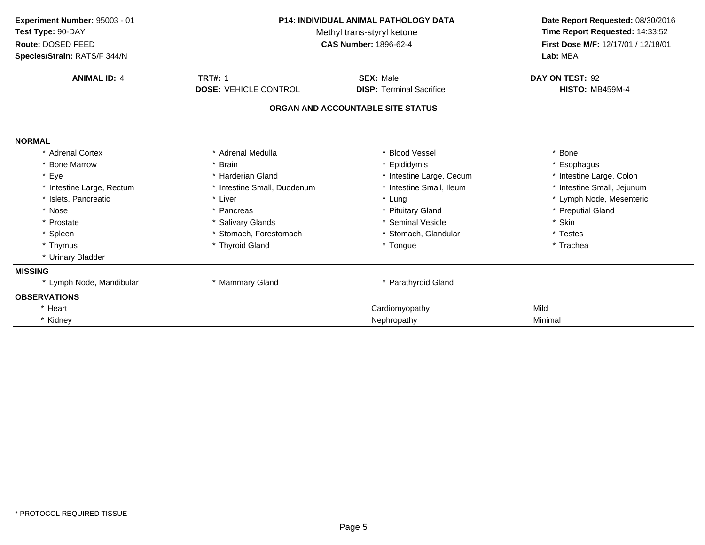| Experiment Number: 95003 - 01<br>Test Type: 90-DAY<br>Route: DOSED FEED<br>Species/Strain: RATS/F 344/N | <b>P14: INDIVIDUAL ANIMAL PATHOLOGY DATA</b><br>Methyl trans-styryl ketone<br><b>CAS Number: 1896-62-4</b> |                                   | Date Report Requested: 08/30/2016<br>Time Report Requested: 14:33:52<br>First Dose M/F: 12/17/01 / 12/18/01<br>Lab: MBA |
|---------------------------------------------------------------------------------------------------------|------------------------------------------------------------------------------------------------------------|-----------------------------------|-------------------------------------------------------------------------------------------------------------------------|
| <b>ANIMAL ID: 4</b>                                                                                     | <b>TRT#: 1</b>                                                                                             | <b>SEX: Male</b>                  | DAY ON TEST: 92                                                                                                         |
|                                                                                                         | <b>DOSE: VEHICLE CONTROL</b>                                                                               | <b>DISP: Terminal Sacrifice</b>   | <b>HISTO: MB459M-4</b>                                                                                                  |
|                                                                                                         |                                                                                                            | ORGAN AND ACCOUNTABLE SITE STATUS |                                                                                                                         |
| <b>NORMAL</b>                                                                                           |                                                                                                            |                                   |                                                                                                                         |
| * Adrenal Cortex                                                                                        | * Adrenal Medulla                                                                                          | * Blood Vessel                    | * Bone                                                                                                                  |
| * Bone Marrow                                                                                           | * Brain                                                                                                    | * Epididymis                      | * Esophagus                                                                                                             |
| * Eye                                                                                                   | * Harderian Gland                                                                                          | * Intestine Large, Cecum          | * Intestine Large, Colon                                                                                                |
| * Intestine Large, Rectum                                                                               | * Intestine Small, Duodenum                                                                                | * Intestine Small, Ileum          | * Intestine Small, Jejunum                                                                                              |
| * Islets, Pancreatic                                                                                    | * Liver                                                                                                    | * Lung                            | * Lymph Node, Mesenteric                                                                                                |
| * Nose                                                                                                  | * Pancreas                                                                                                 | * Pituitary Gland                 | * Preputial Gland                                                                                                       |
| * Prostate                                                                                              | * Salivary Glands                                                                                          | * Seminal Vesicle                 | * Skin                                                                                                                  |
| * Spleen                                                                                                | * Stomach, Forestomach                                                                                     | * Stomach, Glandular              | * Testes                                                                                                                |
| * Thymus                                                                                                | * Thyroid Gland                                                                                            | * Tongue                          | * Trachea                                                                                                               |
| * Urinary Bladder                                                                                       |                                                                                                            |                                   |                                                                                                                         |
| <b>MISSING</b>                                                                                          |                                                                                                            |                                   |                                                                                                                         |
| * Lymph Node, Mandibular                                                                                | * Mammary Gland                                                                                            | * Parathyroid Gland               |                                                                                                                         |
| <b>OBSERVATIONS</b>                                                                                     |                                                                                                            |                                   |                                                                                                                         |
| * Heart                                                                                                 |                                                                                                            | Cardiomyopathy                    | Mild                                                                                                                    |
| * Kidney                                                                                                |                                                                                                            | Nephropathy                       | Minimal                                                                                                                 |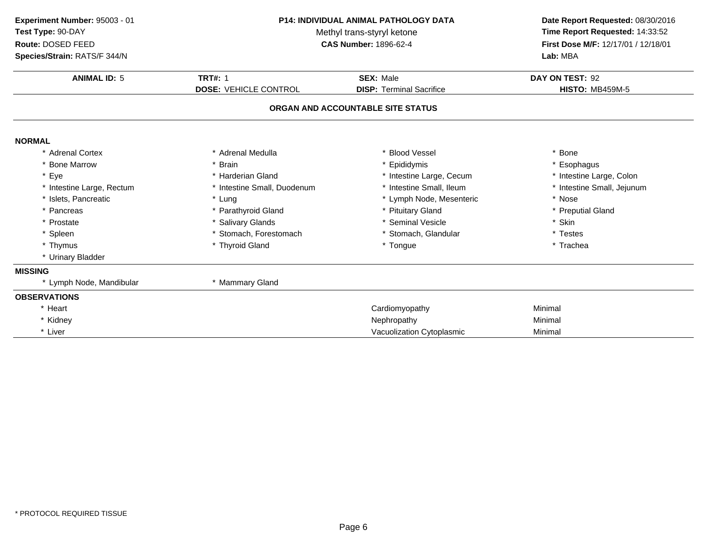| Experiment Number: 95003 - 01<br>Test Type: 90-DAY<br>Route: DOSED FEED<br>Species/Strain: RATS/F 344/N | P14: INDIVIDUAL ANIMAL PATHOLOGY DATA<br>Methyl trans-styryl ketone<br><b>CAS Number: 1896-62-4</b> |                                                     | Date Report Requested: 08/30/2016<br>Time Report Requested: 14:33:52<br>First Dose M/F: 12/17/01 / 12/18/01<br>Lab: MBA |
|---------------------------------------------------------------------------------------------------------|-----------------------------------------------------------------------------------------------------|-----------------------------------------------------|-------------------------------------------------------------------------------------------------------------------------|
| <b>ANIMAL ID: 5</b>                                                                                     | <b>TRT#: 1</b><br><b>DOSE: VEHICLE CONTROL</b>                                                      | <b>SEX: Male</b><br><b>DISP: Terminal Sacrifice</b> | DAY ON TEST: 92<br><b>HISTO: MB459M-5</b>                                                                               |
|                                                                                                         |                                                                                                     | ORGAN AND ACCOUNTABLE SITE STATUS                   |                                                                                                                         |
| <b>NORMAL</b>                                                                                           |                                                                                                     |                                                     |                                                                                                                         |
| * Adrenal Cortex                                                                                        | * Adrenal Medulla                                                                                   | <b>Blood Vessel</b>                                 | * Bone                                                                                                                  |
| <b>Bone Marrow</b>                                                                                      | * Brain                                                                                             | Epididymis                                          | * Esophagus                                                                                                             |
| * Eye                                                                                                   | * Harderian Gland                                                                                   | * Intestine Large, Cecum                            | * Intestine Large, Colon                                                                                                |
| * Intestine Large, Rectum                                                                               | * Intestine Small, Duodenum                                                                         | * Intestine Small, Ileum                            | * Intestine Small, Jejunum                                                                                              |
| * Islets, Pancreatic                                                                                    | * Lung                                                                                              | * Lymph Node, Mesenteric                            | * Nose                                                                                                                  |
| * Pancreas                                                                                              | * Parathyroid Gland                                                                                 | * Pituitary Gland                                   | * Preputial Gland                                                                                                       |
| * Prostate                                                                                              | * Salivary Glands                                                                                   | * Seminal Vesicle                                   | * Skin                                                                                                                  |
| * Spleen                                                                                                | * Stomach, Forestomach                                                                              | * Stomach, Glandular                                | * Testes                                                                                                                |
| * Thymus                                                                                                | * Thyroid Gland                                                                                     | * Tongue                                            | * Trachea                                                                                                               |
| * Urinary Bladder                                                                                       |                                                                                                     |                                                     |                                                                                                                         |
| <b>MISSING</b>                                                                                          |                                                                                                     |                                                     |                                                                                                                         |
| * Lymph Node, Mandibular                                                                                | * Mammary Gland                                                                                     |                                                     |                                                                                                                         |
| <b>OBSERVATIONS</b>                                                                                     |                                                                                                     |                                                     |                                                                                                                         |
| * Heart                                                                                                 |                                                                                                     | Cardiomyopathy                                      | Minimal                                                                                                                 |
| * Kidney                                                                                                |                                                                                                     | Nephropathy                                         | Minimal                                                                                                                 |
| * Liver                                                                                                 |                                                                                                     | Vacuolization Cytoplasmic                           | Minimal                                                                                                                 |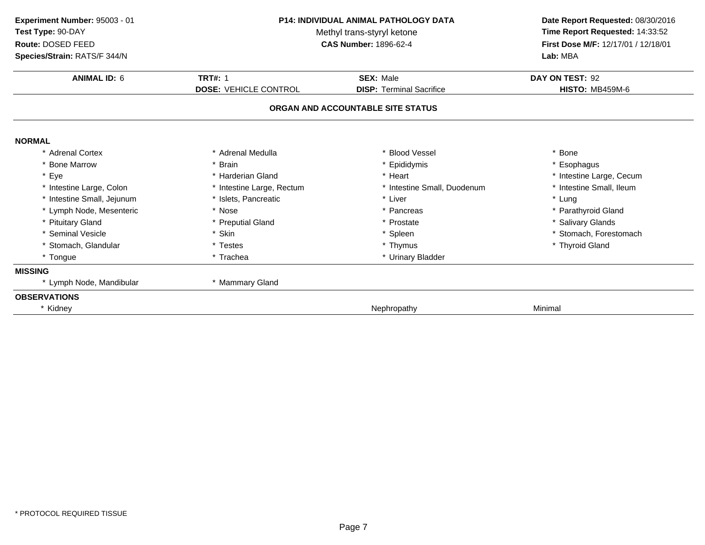| Experiment Number: 95003 - 01<br>Test Type: 90-DAY<br>Route: DOSED FEED<br>Species/Strain: RATS/F 344/N | <b>P14: INDIVIDUAL ANIMAL PATHOLOGY DATA</b><br>Methyl trans-styryl ketone<br><b>CAS Number: 1896-62-4</b> |                                   | Date Report Requested: 08/30/2016<br>Time Report Requested: 14:33:52<br>First Dose M/F: 12/17/01 / 12/18/01<br>Lab: MBA |  |
|---------------------------------------------------------------------------------------------------------|------------------------------------------------------------------------------------------------------------|-----------------------------------|-------------------------------------------------------------------------------------------------------------------------|--|
| <b>ANIMAL ID: 6</b>                                                                                     | <b>TRT#: 1</b>                                                                                             | <b>SEX: Male</b>                  | DAY ON TEST: 92                                                                                                         |  |
|                                                                                                         | <b>DOSE: VEHICLE CONTROL</b>                                                                               | <b>DISP:</b> Terminal Sacrifice   | <b>HISTO: MB459M-6</b>                                                                                                  |  |
|                                                                                                         |                                                                                                            | ORGAN AND ACCOUNTABLE SITE STATUS |                                                                                                                         |  |
| <b>NORMAL</b>                                                                                           |                                                                                                            |                                   |                                                                                                                         |  |
| * Adrenal Cortex                                                                                        | * Adrenal Medulla                                                                                          | <b>Blood Vessel</b>               | * Bone                                                                                                                  |  |
| * Bone Marrow                                                                                           | * Brain                                                                                                    | Epididymis                        | * Esophagus                                                                                                             |  |
| * Eye                                                                                                   | * Harderian Gland                                                                                          | * Heart                           | * Intestine Large, Cecum                                                                                                |  |
| * Intestine Large, Colon                                                                                | * Intestine Large, Rectum                                                                                  | * Intestine Small, Duodenum       | * Intestine Small, Ileum                                                                                                |  |
| * Intestine Small, Jejunum                                                                              | * Islets, Pancreatic                                                                                       | * Liver                           | * Lung                                                                                                                  |  |
| * Lymph Node, Mesenteric                                                                                | * Nose                                                                                                     | Pancreas                          | * Parathyroid Gland                                                                                                     |  |
| * Pituitary Gland                                                                                       | * Preputial Gland                                                                                          | * Prostate                        | * Salivary Glands                                                                                                       |  |
| * Seminal Vesicle                                                                                       | * Skin                                                                                                     | * Spleen                          | * Stomach, Forestomach                                                                                                  |  |
| * Stomach, Glandular                                                                                    | * Testes                                                                                                   | * Thymus                          | * Thyroid Gland                                                                                                         |  |
| * Tongue                                                                                                | * Trachea                                                                                                  | * Urinary Bladder                 |                                                                                                                         |  |
| <b>MISSING</b>                                                                                          |                                                                                                            |                                   |                                                                                                                         |  |
| * Lymph Node, Mandibular                                                                                | * Mammary Gland                                                                                            |                                   |                                                                                                                         |  |
| <b>OBSERVATIONS</b>                                                                                     |                                                                                                            |                                   |                                                                                                                         |  |
| * Kidney                                                                                                |                                                                                                            | Nephropathy                       | Minimal                                                                                                                 |  |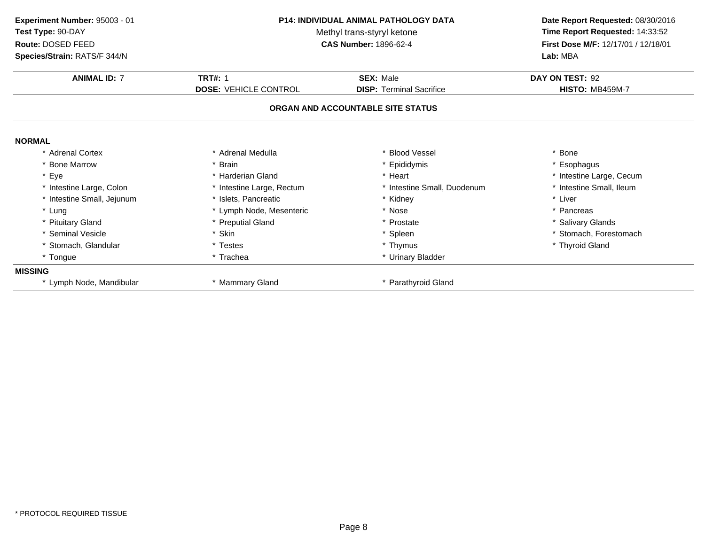| Experiment Number: 95003 - 01<br>Test Type: 90-DAY | <b>P14: INDIVIDUAL ANIMAL PATHOLOGY DATA</b><br>Methyl trans-styryl ketone<br><b>CAS Number: 1896-62-4</b> |                                   | Date Report Requested: 08/30/2016<br>Time Report Requested: 14:33:52 |  |
|----------------------------------------------------|------------------------------------------------------------------------------------------------------------|-----------------------------------|----------------------------------------------------------------------|--|
| Route: DOSED FEED<br>Species/Strain: RATS/F 344/N  |                                                                                                            |                                   | First Dose M/F: 12/17/01 / 12/18/01<br>Lab: MBA                      |  |
| <b>ANIMAL ID: 7</b>                                | <b>TRT#: 1</b>                                                                                             | <b>SEX: Male</b>                  | DAY ON TEST: 92                                                      |  |
|                                                    | <b>DOSE: VEHICLE CONTROL</b>                                                                               | <b>DISP: Terminal Sacrifice</b>   | <b>HISTO: MB459M-7</b>                                               |  |
|                                                    |                                                                                                            | ORGAN AND ACCOUNTABLE SITE STATUS |                                                                      |  |
| <b>NORMAL</b>                                      |                                                                                                            |                                   |                                                                      |  |
| * Adrenal Cortex                                   | * Adrenal Medulla                                                                                          | * Blood Vessel                    | * Bone                                                               |  |
| * Bone Marrow                                      | * Brain                                                                                                    | * Epididymis                      | * Esophagus                                                          |  |
| * Eye                                              | * Harderian Gland                                                                                          | * Heart                           | * Intestine Large, Cecum                                             |  |
| * Intestine Large, Colon                           | * Intestine Large, Rectum                                                                                  | * Intestine Small, Duodenum       | * Intestine Small, Ileum                                             |  |
| * Intestine Small, Jejunum                         | * Islets. Pancreatic                                                                                       | * Kidney                          | * Liver                                                              |  |
| * Lung                                             | * Lymph Node, Mesenteric                                                                                   | * Nose                            | * Pancreas                                                           |  |
| * Pituitary Gland                                  | * Preputial Gland                                                                                          | * Prostate                        | * Salivary Glands                                                    |  |
| * Seminal Vesicle                                  | * Skin                                                                                                     | * Spleen                          | * Stomach, Forestomach                                               |  |
| * Stomach, Glandular                               | * Testes                                                                                                   | * Thymus                          | * Thyroid Gland                                                      |  |
| * Tongue                                           | * Trachea                                                                                                  | * Urinary Bladder                 |                                                                      |  |
| <b>MISSING</b>                                     |                                                                                                            |                                   |                                                                      |  |
| * Lymph Node, Mandibular                           | * Mammary Gland                                                                                            | * Parathyroid Gland               |                                                                      |  |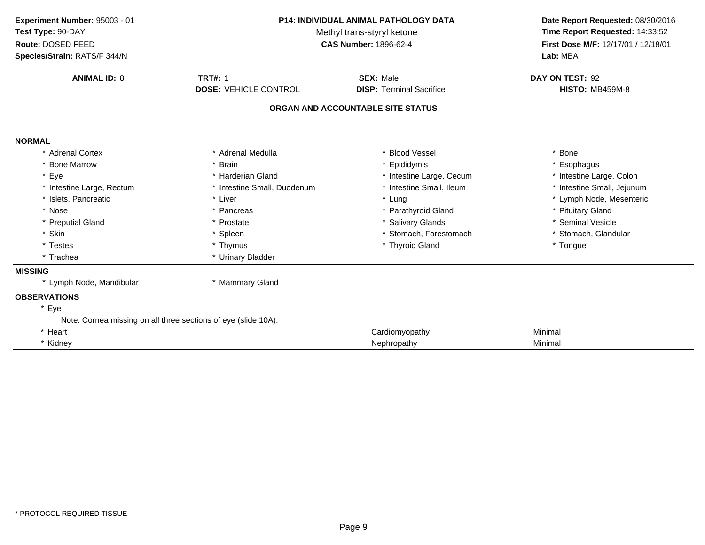| Experiment Number: 95003 - 01<br><b>P14: INDIVIDUAL ANIMAL PATHOLOGY DATA</b><br>Test Type: 90-DAY<br>Methyl trans-styryl ketone<br>Route: DOSED FEED<br><b>CAS Number: 1896-62-4</b> |                                                                | Date Report Requested: 08/30/2016<br>Time Report Requested: 14:33:52<br>First Dose M/F: 12/17/01 / 12/18/01 |                            |
|---------------------------------------------------------------------------------------------------------------------------------------------------------------------------------------|----------------------------------------------------------------|-------------------------------------------------------------------------------------------------------------|----------------------------|
| Species/Strain: RATS/F 344/N                                                                                                                                                          |                                                                |                                                                                                             | Lab: MBA                   |
| <b>ANIMAL ID: 8</b>                                                                                                                                                                   | <b>TRT#: 1</b>                                                 | <b>SEX: Male</b>                                                                                            | DAY ON TEST: 92            |
|                                                                                                                                                                                       | <b>DOSE: VEHICLE CONTROL</b>                                   | <b>DISP: Terminal Sacrifice</b>                                                                             | <b>HISTO: MB459M-8</b>     |
|                                                                                                                                                                                       |                                                                | ORGAN AND ACCOUNTABLE SITE STATUS                                                                           |                            |
| <b>NORMAL</b>                                                                                                                                                                         |                                                                |                                                                                                             |                            |
| * Adrenal Cortex                                                                                                                                                                      | * Adrenal Medulla                                              | <b>Blood Vessel</b>                                                                                         | * Bone                     |
| * Bone Marrow                                                                                                                                                                         | <b>Brain</b>                                                   | Epididymis                                                                                                  | * Esophagus                |
| * Eye                                                                                                                                                                                 | * Harderian Gland                                              | * Intestine Large, Cecum                                                                                    | * Intestine Large, Colon   |
| * Intestine Large, Rectum                                                                                                                                                             | * Intestine Small, Duodenum                                    | * Intestine Small, Ileum                                                                                    | * Intestine Small, Jejunum |
| * Islets, Pancreatic                                                                                                                                                                  | * Liver                                                        | * Lung                                                                                                      | * Lymph Node, Mesenteric   |
| * Nose                                                                                                                                                                                | * Pancreas                                                     | * Parathyroid Gland                                                                                         | * Pituitary Gland          |
| * Preputial Gland                                                                                                                                                                     | * Prostate                                                     | * Salivary Glands                                                                                           | * Seminal Vesicle          |
| * Skin                                                                                                                                                                                | * Spleen                                                       | * Stomach, Forestomach                                                                                      | * Stomach, Glandular       |
| * Testes                                                                                                                                                                              | * Thymus                                                       | * Thyroid Gland                                                                                             | * Tongue                   |
| * Trachea                                                                                                                                                                             | * Urinary Bladder                                              |                                                                                                             |                            |
| <b>MISSING</b>                                                                                                                                                                        |                                                                |                                                                                                             |                            |
| * Lymph Node, Mandibular                                                                                                                                                              | * Mammary Gland                                                |                                                                                                             |                            |
| <b>OBSERVATIONS</b>                                                                                                                                                                   |                                                                |                                                                                                             |                            |
| * Eye                                                                                                                                                                                 |                                                                |                                                                                                             |                            |
|                                                                                                                                                                                       | Note: Cornea missing on all three sections of eye (slide 10A). |                                                                                                             |                            |
| * Heart                                                                                                                                                                               |                                                                | Cardiomyopathy                                                                                              | Minimal                    |
| * Kidney                                                                                                                                                                              |                                                                | Nephropathy                                                                                                 | Minimal                    |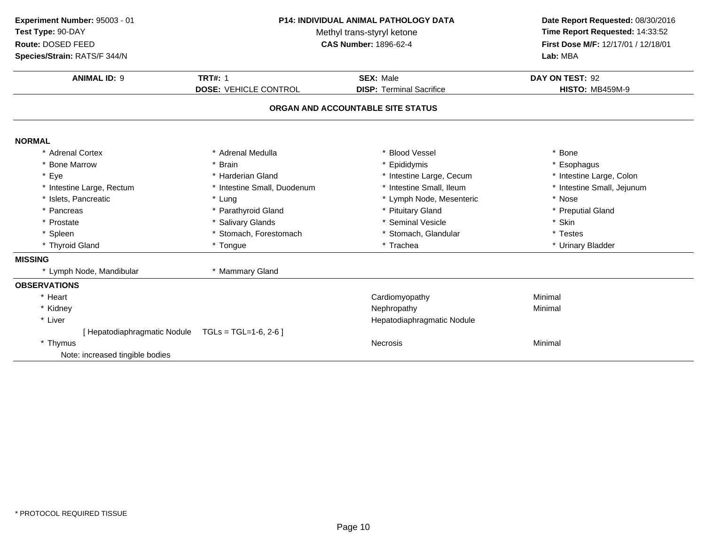| Experiment Number: 95003 - 01<br>Test Type: 90-DAY<br>Route: DOSED FEED<br>Species/Strain: RATS/F 344/N | P14: INDIVIDUAL ANIMAL PATHOLOGY DATA<br>Methyl trans-styryl ketone<br><b>CAS Number: 1896-62-4</b> |                                                     | Date Report Requested: 08/30/2016<br>Time Report Requested: 14:33:52<br>First Dose M/F: 12/17/01 / 12/18/01<br>Lab: MBA |
|---------------------------------------------------------------------------------------------------------|-----------------------------------------------------------------------------------------------------|-----------------------------------------------------|-------------------------------------------------------------------------------------------------------------------------|
| <b>ANIMAL ID: 9</b>                                                                                     | <b>TRT#: 1</b><br><b>DOSE: VEHICLE CONTROL</b>                                                      | <b>SEX: Male</b><br><b>DISP: Terminal Sacrifice</b> | DAY ON TEST: 92<br><b>HISTO: MB459M-9</b>                                                                               |
|                                                                                                         |                                                                                                     | ORGAN AND ACCOUNTABLE SITE STATUS                   |                                                                                                                         |
| <b>NORMAL</b>                                                                                           |                                                                                                     |                                                     |                                                                                                                         |
| * Adrenal Cortex                                                                                        | * Adrenal Medulla                                                                                   | <b>Blood Vessel</b>                                 | * Bone                                                                                                                  |
| * Bone Marrow                                                                                           | * Brain                                                                                             | Epididymis                                          | * Esophagus                                                                                                             |
| * Eye                                                                                                   | * Harderian Gland                                                                                   | * Intestine Large, Cecum                            | * Intestine Large, Colon                                                                                                |
| * Intestine Large, Rectum                                                                               | * Intestine Small, Duodenum                                                                         | * Intestine Small, Ileum                            | * Intestine Small, Jejunum                                                                                              |
| * Islets, Pancreatic                                                                                    | * Lung                                                                                              | * Lymph Node, Mesenteric                            | * Nose                                                                                                                  |
| * Pancreas                                                                                              | * Parathyroid Gland                                                                                 | * Pituitary Gland                                   | * Preputial Gland                                                                                                       |
| * Prostate                                                                                              | * Salivary Glands                                                                                   | * Seminal Vesicle                                   | * Skin                                                                                                                  |
| * Spleen                                                                                                | * Stomach, Forestomach                                                                              | * Stomach, Glandular                                | * Testes                                                                                                                |
| * Thyroid Gland                                                                                         | * Tongue                                                                                            | * Trachea                                           | * Urinary Bladder                                                                                                       |
| <b>MISSING</b>                                                                                          |                                                                                                     |                                                     |                                                                                                                         |
| * Lymph Node, Mandibular                                                                                | * Mammary Gland                                                                                     |                                                     |                                                                                                                         |
| <b>OBSERVATIONS</b>                                                                                     |                                                                                                     |                                                     |                                                                                                                         |
| * Heart                                                                                                 |                                                                                                     | Cardiomyopathy                                      | Minimal                                                                                                                 |
| * Kidney                                                                                                |                                                                                                     | Nephropathy                                         | Minimal                                                                                                                 |
| * Liver                                                                                                 |                                                                                                     | Hepatodiaphragmatic Nodule                          |                                                                                                                         |
| [ Hepatodiaphragmatic Nodule                                                                            | $TGLs = TGL=1-6, 2-6$                                                                               |                                                     |                                                                                                                         |
| * Thymus                                                                                                |                                                                                                     | <b>Necrosis</b>                                     | Minimal                                                                                                                 |
| Note: increased tingible bodies                                                                         |                                                                                                     |                                                     |                                                                                                                         |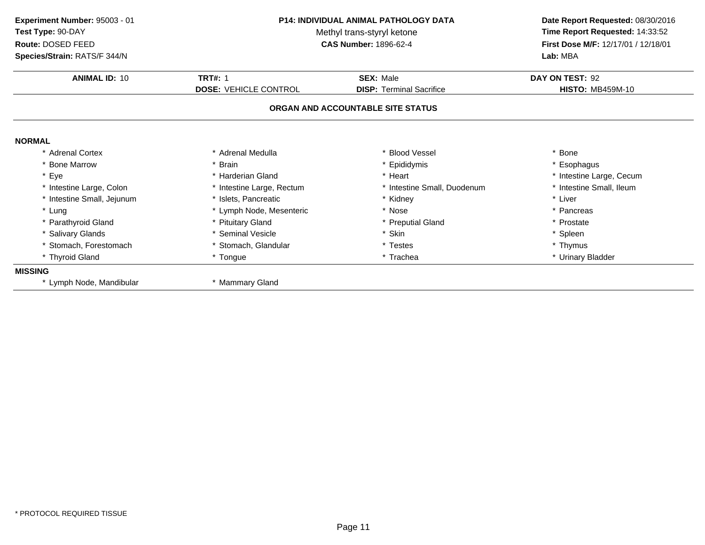| Experiment Number: 95003 - 01<br>Test Type: 90-DAY<br>Route: DOSED FEED<br>Species/Strain: RATS/F 344/N | <b>P14: INDIVIDUAL ANIMAL PATHOLOGY DATA</b><br>Methyl trans-styryl ketone<br><b>CAS Number: 1896-62-4</b> |                                   | Date Report Requested: 08/30/2016<br>Time Report Requested: 14:33:52<br>First Dose M/F: 12/17/01 / 12/18/01<br>Lab: MBA |
|---------------------------------------------------------------------------------------------------------|------------------------------------------------------------------------------------------------------------|-----------------------------------|-------------------------------------------------------------------------------------------------------------------------|
| <b>ANIMAL ID: 10</b>                                                                                    | <b>TRT#: 1</b>                                                                                             | <b>SEX: Male</b>                  | DAY ON TEST: 92                                                                                                         |
|                                                                                                         | <b>DOSE: VEHICLE CONTROL</b>                                                                               | <b>DISP: Terminal Sacrifice</b>   | <b>HISTO: MB459M-10</b>                                                                                                 |
|                                                                                                         |                                                                                                            | ORGAN AND ACCOUNTABLE SITE STATUS |                                                                                                                         |
| <b>NORMAL</b>                                                                                           |                                                                                                            |                                   |                                                                                                                         |
| * Adrenal Cortex                                                                                        | * Adrenal Medulla                                                                                          | <b>Blood Vessel</b>               | * Bone                                                                                                                  |
| * Bone Marrow                                                                                           | <b>Brain</b>                                                                                               | * Epididymis                      | * Esophagus                                                                                                             |
| * Eye                                                                                                   | * Harderian Gland                                                                                          | * Heart                           | * Intestine Large, Cecum                                                                                                |
| * Intestine Large, Colon                                                                                | * Intestine Large, Rectum                                                                                  | * Intestine Small, Duodenum       | * Intestine Small, Ileum                                                                                                |
| * Intestine Small, Jejunum                                                                              | * Islets, Pancreatic                                                                                       | * Kidney                          | * Liver                                                                                                                 |
| * Lung                                                                                                  | * Lymph Node, Mesenteric                                                                                   | * Nose                            | * Pancreas                                                                                                              |
| * Parathyroid Gland                                                                                     | * Pituitary Gland                                                                                          | * Preputial Gland                 | * Prostate                                                                                                              |
| * Salivary Glands                                                                                       | * Seminal Vesicle                                                                                          | * Skin                            | * Spleen                                                                                                                |
| * Stomach, Forestomach                                                                                  | * Stomach, Glandular                                                                                       | * Testes                          | * Thymus                                                                                                                |
| * Thyroid Gland                                                                                         | * Tongue                                                                                                   | * Trachea                         | * Urinary Bladder                                                                                                       |
| <b>MISSING</b>                                                                                          |                                                                                                            |                                   |                                                                                                                         |
| * Lymph Node, Mandibular                                                                                | * Mammary Gland                                                                                            |                                   |                                                                                                                         |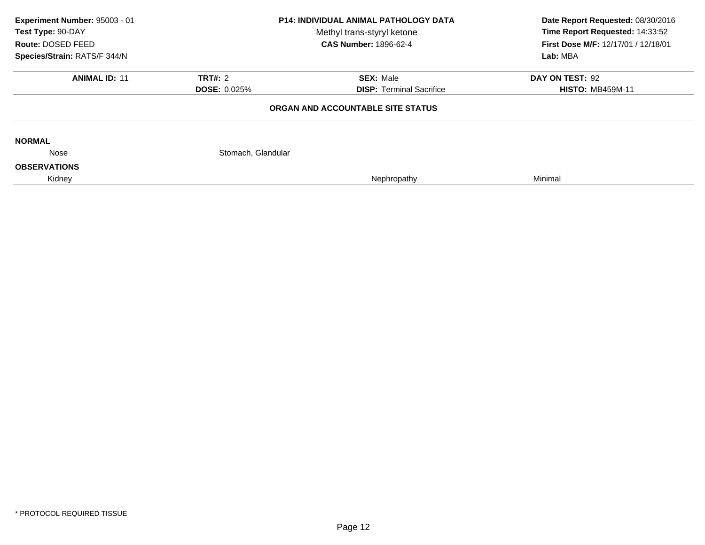| Experiment Number: 95003 - 01<br>Test Type: 90-DAY<br>Route: DOSED FEED | <b>P14: INDIVIDUAL ANIMAL PATHOLOGY DATA</b><br>Methyl trans-styryl ketone<br><b>CAS Number: 1896-62-4</b> |                                   | Date Report Requested: 08/30/2016<br>Time Report Requested: 14:33:52<br><b>First Dose M/F: 12/17/01 / 12/18/01</b> |  |
|-------------------------------------------------------------------------|------------------------------------------------------------------------------------------------------------|-----------------------------------|--------------------------------------------------------------------------------------------------------------------|--|
| Species/Strain: RATS/F 344/N                                            |                                                                                                            |                                   | Lab: MBA                                                                                                           |  |
| <b>ANIMAL ID: 11</b>                                                    | <b>TRT#: 2</b>                                                                                             | <b>SEX: Male</b>                  | DAY ON TEST: 92                                                                                                    |  |
|                                                                         | <b>DOSE: 0.025%</b>                                                                                        | <b>DISP: Terminal Sacrifice</b>   | <b>HISTO: MB459M-11</b>                                                                                            |  |
|                                                                         |                                                                                                            | ORGAN AND ACCOUNTABLE SITE STATUS |                                                                                                                    |  |
| <b>NORMAL</b>                                                           |                                                                                                            |                                   |                                                                                                                    |  |
| Nose                                                                    | Stomach, Glandular                                                                                         |                                   |                                                                                                                    |  |
| <b>OBSERVATIONS</b>                                                     |                                                                                                            |                                   |                                                                                                                    |  |
| Kidney                                                                  |                                                                                                            | Nephropathy                       | Minimal                                                                                                            |  |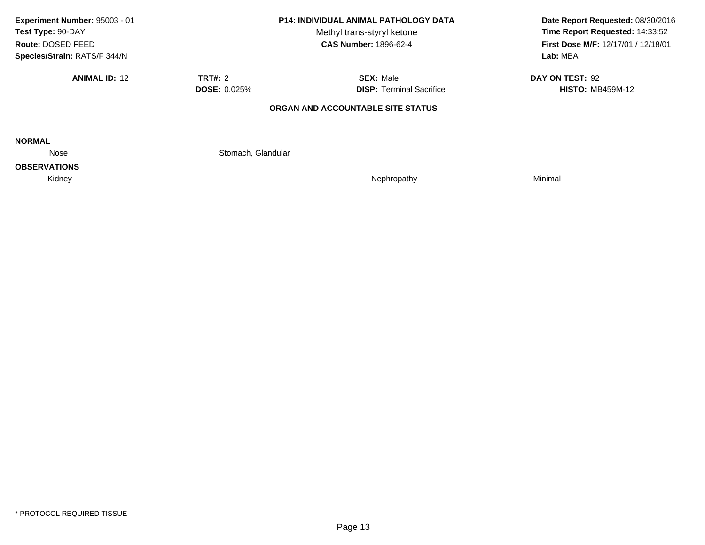| Experiment Number: 95003 - 01<br>Test Type: 90-DAY<br>Route: DOSED FEED | <b>P14: INDIVIDUAL ANIMAL PATHOLOGY DATA</b><br>Methyl trans-styryl ketone<br><b>CAS Number: 1896-62-4</b> |                                   | Date Report Requested: 08/30/2016<br>Time Report Requested: 14:33:52<br>First Dose M/F: 12/17/01 / 12/18/01 |  |
|-------------------------------------------------------------------------|------------------------------------------------------------------------------------------------------------|-----------------------------------|-------------------------------------------------------------------------------------------------------------|--|
| Species/Strain: RATS/F 344/N                                            |                                                                                                            |                                   | Lab: MBA                                                                                                    |  |
| <b>ANIMAL ID: 12</b>                                                    | <b>TRT#: 2</b>                                                                                             | <b>SEX: Male</b>                  | DAY ON TEST: 92                                                                                             |  |
|                                                                         | <b>DOSE: 0.025%</b>                                                                                        | <b>DISP: Terminal Sacrifice</b>   | <b>HISTO: MB459M-12</b>                                                                                     |  |
|                                                                         |                                                                                                            | ORGAN AND ACCOUNTABLE SITE STATUS |                                                                                                             |  |
| <b>NORMAL</b>                                                           |                                                                                                            |                                   |                                                                                                             |  |
| Nose                                                                    | Stomach, Glandular                                                                                         |                                   |                                                                                                             |  |
| <b>OBSERVATIONS</b>                                                     |                                                                                                            |                                   |                                                                                                             |  |
| Kidney                                                                  |                                                                                                            | Nephropathy                       | Minimal                                                                                                     |  |
|                                                                         |                                                                                                            |                                   |                                                                                                             |  |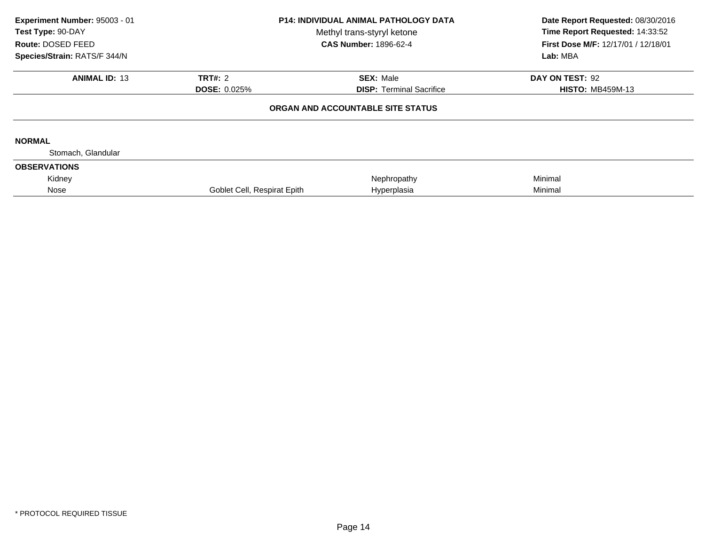| Experiment Number: 95003 - 01<br>Test Type: 90-DAY<br>Route: DOSED FEED<br>Species/Strain: RATS/F 344/N | <b>P14: INDIVIDUAL ANIMAL PATHOLOGY DATA</b><br>Methyl trans-styryl ketone<br><b>CAS Number: 1896-62-4</b> |                                   | Date Report Requested: 08/30/2016<br>Time Report Requested: 14:33:52<br><b>First Dose M/F: 12/17/01 / 12/18/01</b><br>Lab: MBA |  |
|---------------------------------------------------------------------------------------------------------|------------------------------------------------------------------------------------------------------------|-----------------------------------|--------------------------------------------------------------------------------------------------------------------------------|--|
| <b>ANIMAL ID: 13</b>                                                                                    | <b>TRT#: 2</b>                                                                                             | <b>SEX: Male</b>                  | DAY ON TEST: 92                                                                                                                |  |
|                                                                                                         | <b>DOSE: 0.025%</b>                                                                                        | <b>DISP: Terminal Sacrifice</b>   | <b>HISTO: MB459M-13</b>                                                                                                        |  |
|                                                                                                         |                                                                                                            | ORGAN AND ACCOUNTABLE SITE STATUS |                                                                                                                                |  |
| <b>NORMAL</b>                                                                                           |                                                                                                            |                                   |                                                                                                                                |  |
| Stomach, Glandular                                                                                      |                                                                                                            |                                   |                                                                                                                                |  |
| <b>OBSERVATIONS</b>                                                                                     |                                                                                                            |                                   |                                                                                                                                |  |
| Kidney                                                                                                  |                                                                                                            | Nephropathy                       | Minimal                                                                                                                        |  |
| Nose                                                                                                    | Goblet Cell, Respirat Epith                                                                                | Hyperplasia                       | Minimal                                                                                                                        |  |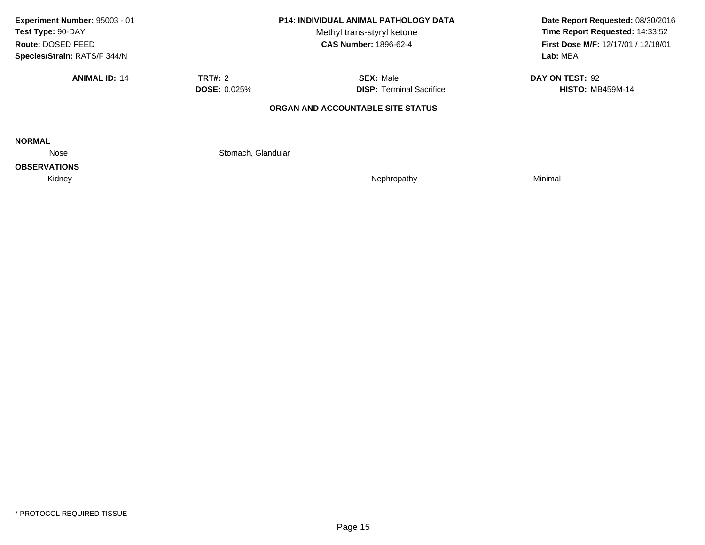| Experiment Number: 95003 - 01<br><b>P14: INDIVIDUAL ANIMAL PATHOLOGY DATA</b><br>Test Type: 90-DAY<br>Methyl trans-styryl ketone<br>Route: DOSED FEED<br><b>CAS Number: 1896-62-4</b> |                     | Date Report Requested: 08/30/2016<br>Time Report Requested: 14:33:52<br>First Dose M/F: 12/17/01 / 12/18/01 |                         |
|---------------------------------------------------------------------------------------------------------------------------------------------------------------------------------------|---------------------|-------------------------------------------------------------------------------------------------------------|-------------------------|
| Species/Strain: RATS/F 344/N                                                                                                                                                          |                     |                                                                                                             | Lab: MBA                |
| <b>ANIMAL ID: 14</b>                                                                                                                                                                  | <b>TRT#: 2</b>      | <b>SEX: Male</b>                                                                                            | DAY ON TEST: 92         |
|                                                                                                                                                                                       | <b>DOSE: 0.025%</b> | <b>DISP: Terminal Sacrifice</b>                                                                             | <b>HISTO: MB459M-14</b> |
|                                                                                                                                                                                       |                     | ORGAN AND ACCOUNTABLE SITE STATUS                                                                           |                         |
| <b>NORMAL</b>                                                                                                                                                                         |                     |                                                                                                             |                         |
| Nose                                                                                                                                                                                  | Stomach, Glandular  |                                                                                                             |                         |
| <b>OBSERVATIONS</b>                                                                                                                                                                   |                     |                                                                                                             |                         |
| Kidney                                                                                                                                                                                |                     | Nephropathy                                                                                                 | Minimal                 |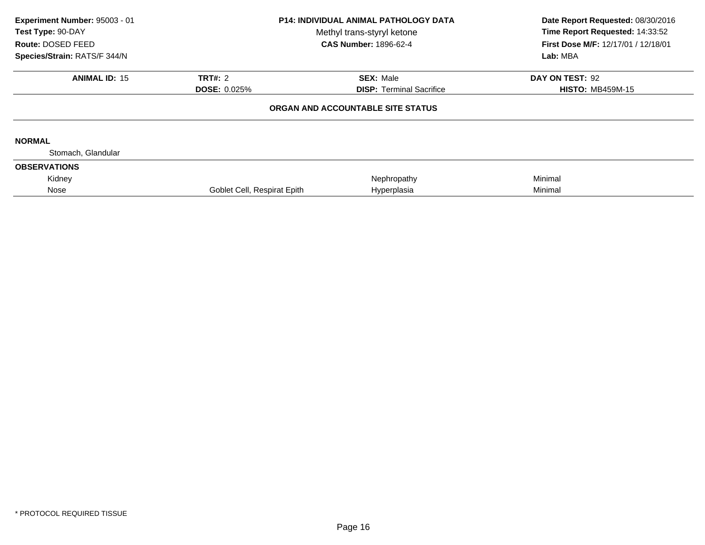| Experiment Number: 95003 - 01<br>Test Type: 90-DAY<br>Route: DOSED FEED<br>Species/Strain: RATS/F 344/N | <b>P14: INDIVIDUAL ANIMAL PATHOLOGY DATA</b><br>Methyl trans-styryl ketone<br><b>CAS Number: 1896-62-4</b> |                                   | Date Report Requested: 08/30/2016<br>Time Report Requested: 14:33:52<br>First Dose M/F: 12/17/01 / 12/18/01<br>Lab: MBA |  |
|---------------------------------------------------------------------------------------------------------|------------------------------------------------------------------------------------------------------------|-----------------------------------|-------------------------------------------------------------------------------------------------------------------------|--|
| <b>ANIMAL ID: 15</b>                                                                                    | <b>TRT#: 2</b>                                                                                             | <b>SEX: Male</b>                  | DAY ON TEST: 92                                                                                                         |  |
|                                                                                                         | <b>DOSE: 0.025%</b>                                                                                        | <b>DISP:</b> Terminal Sacrifice   | <b>HISTO: MB459M-15</b>                                                                                                 |  |
|                                                                                                         |                                                                                                            | ORGAN AND ACCOUNTABLE SITE STATUS |                                                                                                                         |  |
| <b>NORMAL</b>                                                                                           |                                                                                                            |                                   |                                                                                                                         |  |
| Stomach, Glandular                                                                                      |                                                                                                            |                                   |                                                                                                                         |  |
| <b>OBSERVATIONS</b>                                                                                     |                                                                                                            |                                   |                                                                                                                         |  |
| Kidney                                                                                                  |                                                                                                            | Nephropathy                       | Minimal                                                                                                                 |  |
| Nose                                                                                                    | Goblet Cell, Respirat Epith                                                                                | Hyperplasia                       | Minimal                                                                                                                 |  |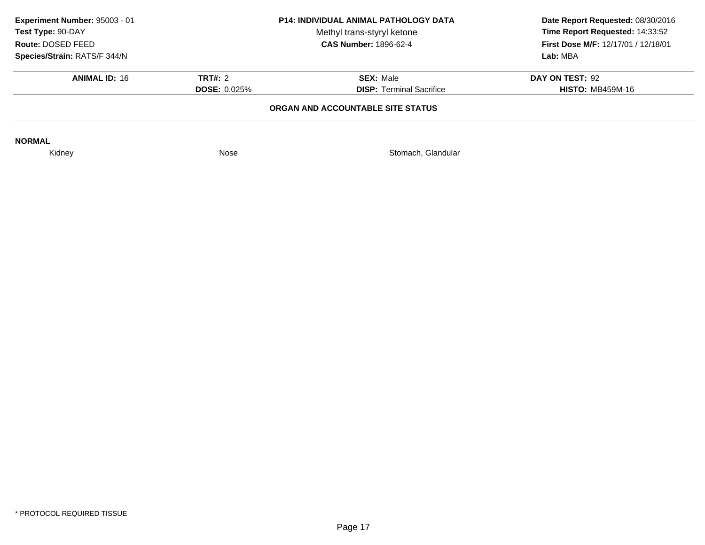| Experiment Number: 95003 - 01<br>Test Type: 90-DAY<br>Route: DOSED FEED |                     | <b>P14: INDIVIDUAL ANIMAL PATHOLOGY DATA</b><br>Methyl trans-styryl ketone<br><b>CAS Number: 1896-62-4</b> | Date Report Requested: 08/30/2016<br>Time Report Requested: 14:33:52<br><b>First Dose M/F: 12/17/01 / 12/18/01</b> |
|-------------------------------------------------------------------------|---------------------|------------------------------------------------------------------------------------------------------------|--------------------------------------------------------------------------------------------------------------------|
| Species/Strain: RATS/F 344/N                                            |                     |                                                                                                            | Lab: MBA                                                                                                           |
| <b>ANIMAL ID: 16</b>                                                    | <b>TRT#: 2</b>      | <b>SEX: Male</b>                                                                                           | DAY ON TEST: 92                                                                                                    |
|                                                                         | <b>DOSE: 0.025%</b> | <b>DISP: Terminal Sacrifice</b>                                                                            | <b>HISTO: MB459M-16</b>                                                                                            |
|                                                                         |                     | ORGAN AND ACCOUNTABLE SITE STATUS                                                                          |                                                                                                                    |
| <b>NORMAL</b>                                                           |                     |                                                                                                            |                                                                                                                    |
| Kidney                                                                  | Nose                | Stomach, Glandular                                                                                         |                                                                                                                    |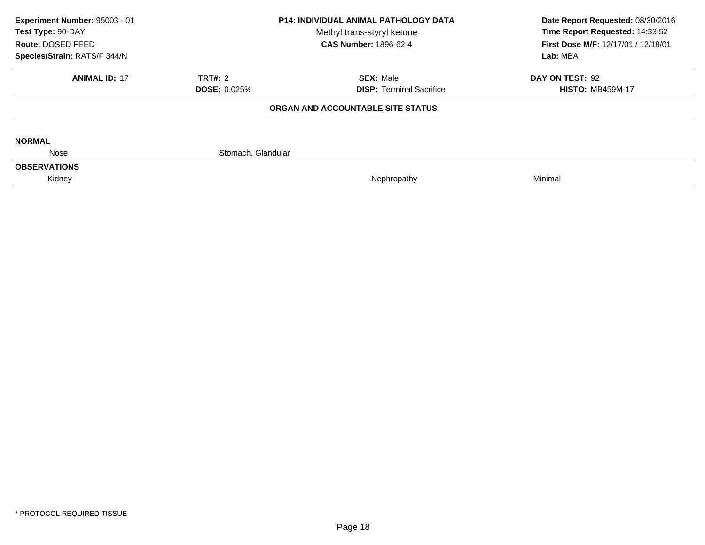| Experiment Number: 95003 - 01<br>Test Type: 90-DAY<br>Route: DOSED FEED | <b>P14: INDIVIDUAL ANIMAL PATHOLOGY DATA</b><br>Methyl trans-styryl ketone<br><b>CAS Number: 1896-62-4</b> |                                   | Date Report Requested: 08/30/2016<br>Time Report Requested: 14:33:52<br>First Dose M/F: 12/17/01 / 12/18/01 |  |
|-------------------------------------------------------------------------|------------------------------------------------------------------------------------------------------------|-----------------------------------|-------------------------------------------------------------------------------------------------------------|--|
| Species/Strain: RATS/F 344/N                                            |                                                                                                            |                                   | Lab: MBA                                                                                                    |  |
| <b>ANIMAL ID: 17</b>                                                    | <b>TRT#: 2</b>                                                                                             | <b>SEX: Male</b>                  | DAY ON TEST: 92                                                                                             |  |
|                                                                         | <b>DOSE: 0.025%</b>                                                                                        | <b>DISP: Terminal Sacrifice</b>   | <b>HISTO: MB459M-17</b>                                                                                     |  |
|                                                                         |                                                                                                            | ORGAN AND ACCOUNTABLE SITE STATUS |                                                                                                             |  |
| <b>NORMAL</b>                                                           |                                                                                                            |                                   |                                                                                                             |  |
| Nose                                                                    | Stomach, Glandular                                                                                         |                                   |                                                                                                             |  |
| <b>OBSERVATIONS</b>                                                     |                                                                                                            |                                   |                                                                                                             |  |
| Kidney                                                                  |                                                                                                            | Nephropathy                       | Minimal                                                                                                     |  |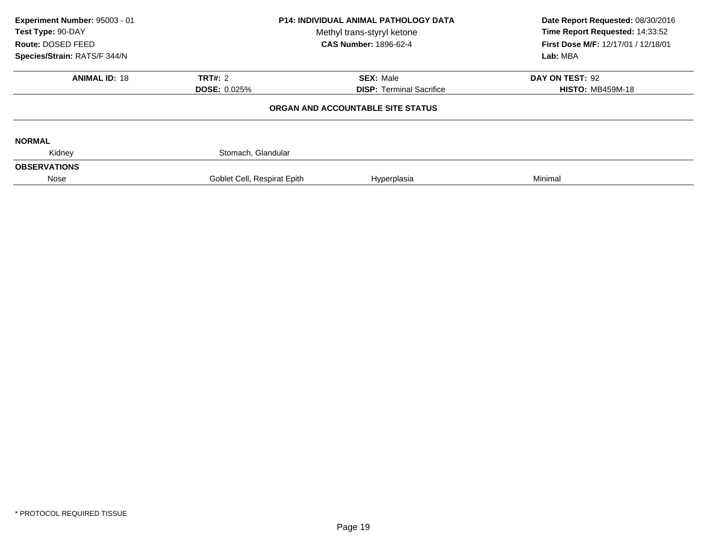| Experiment Number: 95003 - 01<br>Test Type: 90-DAY<br>Route: DOSED FEED<br>Species/Strain: RATS/F 344/N | <b>P14: INDIVIDUAL ANIMAL PATHOLOGY DATA</b><br>Methyl trans-styryl ketone<br><b>CAS Number: 1896-62-4</b> |                                   | Date Report Requested: 08/30/2016<br>Time Report Requested: 14:33:52<br>First Dose M/F: 12/17/01 / 12/18/01<br>Lab: MBA |  |
|---------------------------------------------------------------------------------------------------------|------------------------------------------------------------------------------------------------------------|-----------------------------------|-------------------------------------------------------------------------------------------------------------------------|--|
| <b>ANIMAL ID: 18</b>                                                                                    | TRT#: $2$                                                                                                  | <b>SEX: Male</b>                  | DAY ON TEST: 92                                                                                                         |  |
|                                                                                                         | <b>DOSE: 0.025%</b>                                                                                        | <b>DISP:</b> Terminal Sacrifice   | <b>HISTO: MB459M-18</b>                                                                                                 |  |
|                                                                                                         |                                                                                                            | ORGAN AND ACCOUNTABLE SITE STATUS |                                                                                                                         |  |
| <b>NORMAL</b>                                                                                           |                                                                                                            |                                   |                                                                                                                         |  |
| Kidney                                                                                                  | Stomach, Glandular                                                                                         |                                   |                                                                                                                         |  |
| <b>OBSERVATIONS</b>                                                                                     |                                                                                                            |                                   |                                                                                                                         |  |
| Nose                                                                                                    | Goblet Cell, Respirat Epith                                                                                | Hyperplasia                       | Minimal                                                                                                                 |  |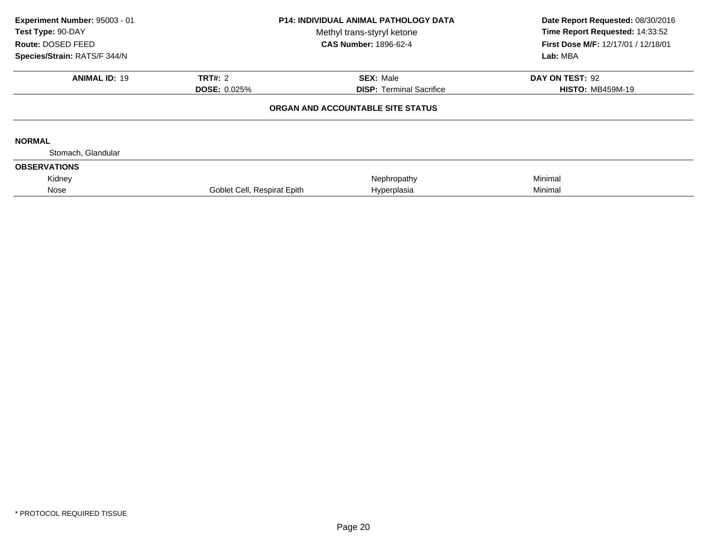| Experiment Number: 95003 - 01<br>Test Type: 90-DAY<br>Route: DOSED FEED<br>Species/Strain: RATS/F 344/N | <b>P14: INDIVIDUAL ANIMAL PATHOLOGY DATA</b><br>Methyl trans-styryl ketone<br><b>CAS Number: 1896-62-4</b> |                                   | Date Report Requested: 08/30/2016<br>Time Report Requested: 14:33:52<br>First Dose M/F: 12/17/01 / 12/18/01<br>Lab: MBA |  |
|---------------------------------------------------------------------------------------------------------|------------------------------------------------------------------------------------------------------------|-----------------------------------|-------------------------------------------------------------------------------------------------------------------------|--|
| <b>ANIMAL ID: 19</b>                                                                                    | <b>TRT#: 2</b>                                                                                             | <b>SEX: Male</b>                  | DAY ON TEST: 92                                                                                                         |  |
|                                                                                                         | <b>DOSE: 0.025%</b>                                                                                        | <b>DISP:</b> Terminal Sacrifice   | <b>HISTO: MB459M-19</b>                                                                                                 |  |
|                                                                                                         |                                                                                                            | ORGAN AND ACCOUNTABLE SITE STATUS |                                                                                                                         |  |
| <b>NORMAL</b>                                                                                           |                                                                                                            |                                   |                                                                                                                         |  |
| Stomach, Glandular                                                                                      |                                                                                                            |                                   |                                                                                                                         |  |
| <b>OBSERVATIONS</b>                                                                                     |                                                                                                            |                                   |                                                                                                                         |  |
| Kidney                                                                                                  |                                                                                                            | Nephropathy                       | Minimal                                                                                                                 |  |
| Nose                                                                                                    | Goblet Cell, Respirat Epith                                                                                | Hyperplasia                       | Minimal                                                                                                                 |  |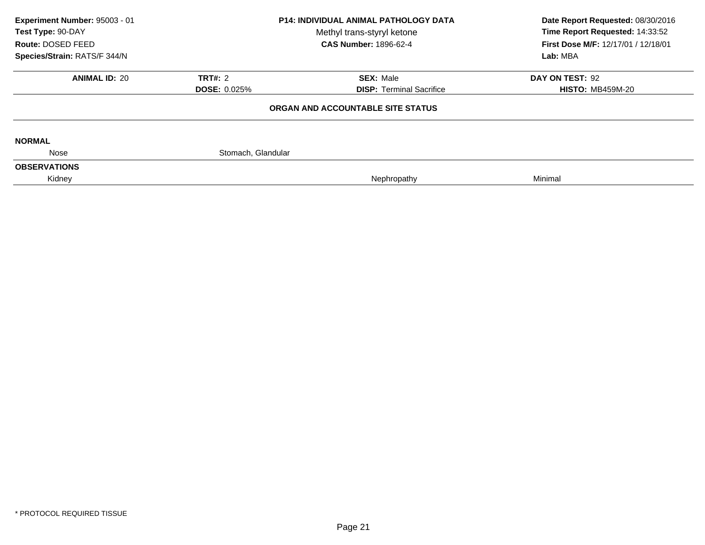| Lab: MBA                |  |
|-------------------------|--|
| DAY ON TEST: 92         |  |
| <b>HISTO: MB459M-20</b> |  |
|                         |  |
|                         |  |
|                         |  |
|                         |  |
|                         |  |
|                         |  |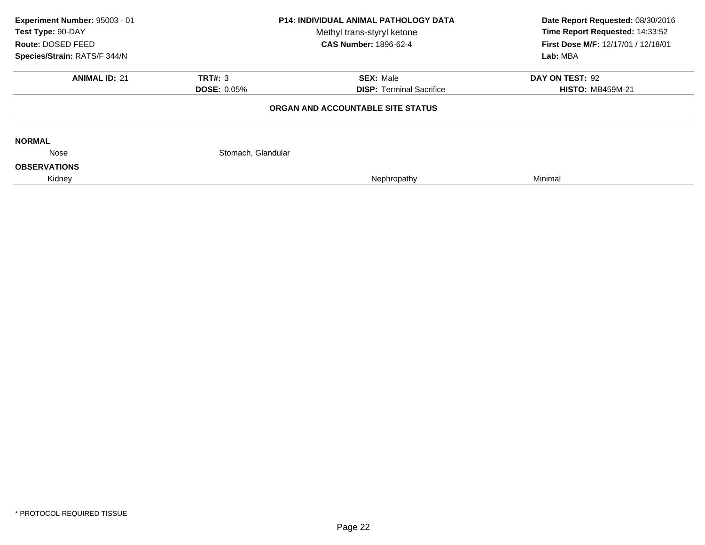| Experiment Number: 95003 - 01<br>Test Type: 90-DAY<br>Route: DOSED FEED |                    | <b>P14: INDIVIDUAL ANIMAL PATHOLOGY DATA</b><br>Methyl trans-styryl ketone<br><b>CAS Number: 1896-62-4</b> | Date Report Requested: 08/30/2016<br>Time Report Requested: 14:33:52<br>First Dose M/F: 12/17/01 / 12/18/01 |  |
|-------------------------------------------------------------------------|--------------------|------------------------------------------------------------------------------------------------------------|-------------------------------------------------------------------------------------------------------------|--|
| Species/Strain: RATS/F 344/N                                            |                    |                                                                                                            | Lab: MBA                                                                                                    |  |
| <b>ANIMAL ID: 21</b>                                                    | <b>TRT#: 3</b>     | <b>SEX: Male</b>                                                                                           | DAY ON TEST: 92                                                                                             |  |
|                                                                         | <b>DOSE: 0.05%</b> | <b>DISP: Terminal Sacrifice</b>                                                                            | <b>HISTO: MB459M-21</b>                                                                                     |  |
|                                                                         |                    | ORGAN AND ACCOUNTABLE SITE STATUS                                                                          |                                                                                                             |  |
| <b>NORMAL</b>                                                           |                    |                                                                                                            |                                                                                                             |  |
| Nose                                                                    | Stomach, Glandular |                                                                                                            |                                                                                                             |  |
| <b>OBSERVATIONS</b>                                                     |                    |                                                                                                            |                                                                                                             |  |
| Kidney                                                                  |                    | Nephropathy                                                                                                | Minimal                                                                                                     |  |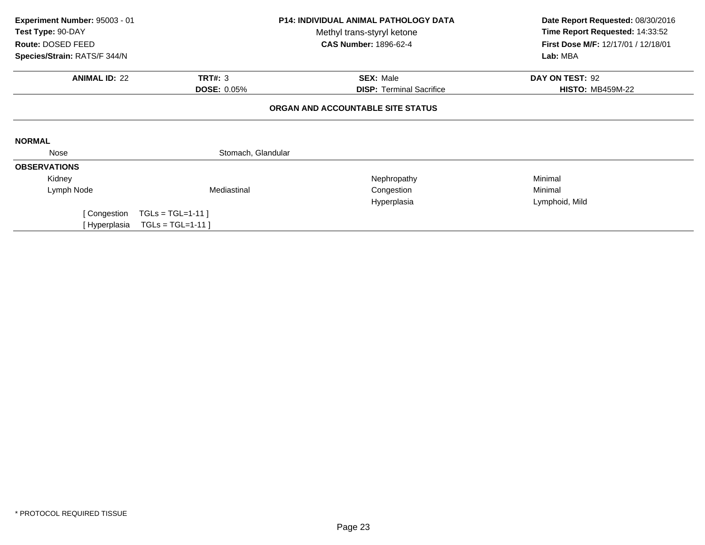| Experiment Number: 95003 - 01<br>Test Type: 90-DAY | <b>P14: INDIVIDUAL ANIMAL PATHOLOGY DATA</b><br>Methyl trans-styryl ketone<br>Route: DOSED FEED<br><b>CAS Number: 1896-62-4</b> |                                   | Date Report Requested: 08/30/2016<br>Time Report Requested: 14:33:52<br>First Dose M/F: 12/17/01 / 12/18/01<br>Lab: MBA |  |
|----------------------------------------------------|---------------------------------------------------------------------------------------------------------------------------------|-----------------------------------|-------------------------------------------------------------------------------------------------------------------------|--|
| Species/Strain: RATS/F 344/N                       |                                                                                                                                 |                                   |                                                                                                                         |  |
| <b>ANIMAL ID: 22</b>                               | <b>TRT#: 3</b>                                                                                                                  | <b>SEX: Male</b>                  | DAY ON TEST: 92                                                                                                         |  |
|                                                    | <b>DOSE: 0.05%</b>                                                                                                              | <b>DISP: Terminal Sacrifice</b>   | <b>HISTO: MB459M-22</b>                                                                                                 |  |
|                                                    |                                                                                                                                 | ORGAN AND ACCOUNTABLE SITE STATUS |                                                                                                                         |  |
| <b>NORMAL</b>                                      |                                                                                                                                 |                                   |                                                                                                                         |  |
| Nose                                               | Stomach, Glandular                                                                                                              |                                   |                                                                                                                         |  |
| <b>OBSERVATIONS</b>                                |                                                                                                                                 |                                   |                                                                                                                         |  |
| Kidney                                             |                                                                                                                                 | Nephropathy                       | Minimal                                                                                                                 |  |
| Lymph Node                                         | Mediastinal                                                                                                                     | Congestion                        | Minimal                                                                                                                 |  |
|                                                    |                                                                                                                                 | Hyperplasia                       | Lymphoid, Mild                                                                                                          |  |
| [Congestion                                        | $TGLs = TGL=1-11$ ]                                                                                                             |                                   |                                                                                                                         |  |
| [ Hyperplasia                                      | $TGLs = TGL=1-11$                                                                                                               |                                   |                                                                                                                         |  |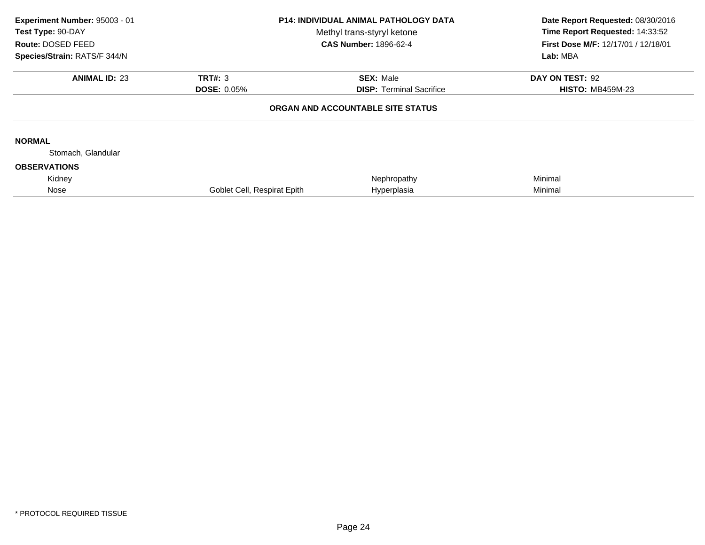| Experiment Number: 95003 - 01<br>Test Type: 90-DAY<br>Route: DOSED FEED<br>Species/Strain: RATS/F 344/N | <b>P14: INDIVIDUAL ANIMAL PATHOLOGY DATA</b><br>Methyl trans-styryl ketone<br><b>CAS Number: 1896-62-4</b> |                                   | Date Report Requested: 08/30/2016<br>Time Report Requested: 14:33:52<br>First Dose M/F: 12/17/01 / 12/18/01<br>Lab: MBA |  |
|---------------------------------------------------------------------------------------------------------|------------------------------------------------------------------------------------------------------------|-----------------------------------|-------------------------------------------------------------------------------------------------------------------------|--|
| <b>ANIMAL ID: 23</b>                                                                                    | TRT#: 3                                                                                                    | <b>SEX: Male</b>                  | DAY ON TEST: 92                                                                                                         |  |
|                                                                                                         | <b>DOSE: 0.05%</b>                                                                                         | <b>DISP: Terminal Sacrifice</b>   | <b>HISTO: MB459M-23</b>                                                                                                 |  |
|                                                                                                         |                                                                                                            | ORGAN AND ACCOUNTABLE SITE STATUS |                                                                                                                         |  |
| <b>NORMAL</b>                                                                                           |                                                                                                            |                                   |                                                                                                                         |  |
| Stomach, Glandular                                                                                      |                                                                                                            |                                   |                                                                                                                         |  |
| <b>OBSERVATIONS</b>                                                                                     |                                                                                                            |                                   |                                                                                                                         |  |
| Kidney                                                                                                  |                                                                                                            | Nephropathy                       | Minimal                                                                                                                 |  |
| Nose                                                                                                    | Goblet Cell, Respirat Epith                                                                                | Hyperplasia                       | Minimal                                                                                                                 |  |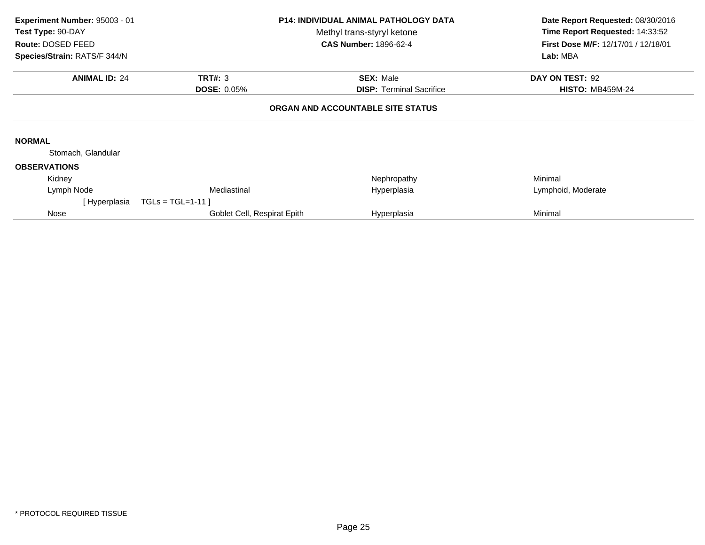| Experiment Number: 95003 - 01<br><b>Test Type: 90-DAY</b><br>Route: DOSED FEED<br>Species/Strain: RATS/F 344/N |                                      | <b>P14: INDIVIDUAL ANIMAL PATHOLOGY DATA</b><br>Methyl trans-styryl ketone<br><b>CAS Number: 1896-62-4</b> | Date Report Requested: 08/30/2016<br>Time Report Requested: 14:33:52<br>First Dose M/F: 12/17/01 / 12/18/01<br>Lab: MBA |
|----------------------------------------------------------------------------------------------------------------|--------------------------------------|------------------------------------------------------------------------------------------------------------|-------------------------------------------------------------------------------------------------------------------------|
| <b>ANIMAL ID: 24</b>                                                                                           | <b>TRT#: 3</b><br><b>DOSE: 0.05%</b> | <b>SEX: Male</b><br><b>DISP: Terminal Sacrifice</b>                                                        | DAY ON TEST: 92<br><b>HISTO: MB459M-24</b>                                                                              |
|                                                                                                                |                                      | ORGAN AND ACCOUNTABLE SITE STATUS                                                                          |                                                                                                                         |
| <b>NORMAL</b>                                                                                                  |                                      |                                                                                                            |                                                                                                                         |
| Stomach, Glandular                                                                                             |                                      |                                                                                                            |                                                                                                                         |
| <b>OBSERVATIONS</b>                                                                                            |                                      |                                                                                                            |                                                                                                                         |
| Kidney                                                                                                         |                                      | Nephropathy                                                                                                | Minimal                                                                                                                 |
| Lymph Node                                                                                                     | Mediastinal                          | Hyperplasia                                                                                                | Lymphoid, Moderate                                                                                                      |
| [ Hyperplasia                                                                                                  | $TGLs = TGL=1-11$                    |                                                                                                            |                                                                                                                         |
| Nose                                                                                                           | Goblet Cell, Respirat Epith          | Hyperplasia                                                                                                | Minimal                                                                                                                 |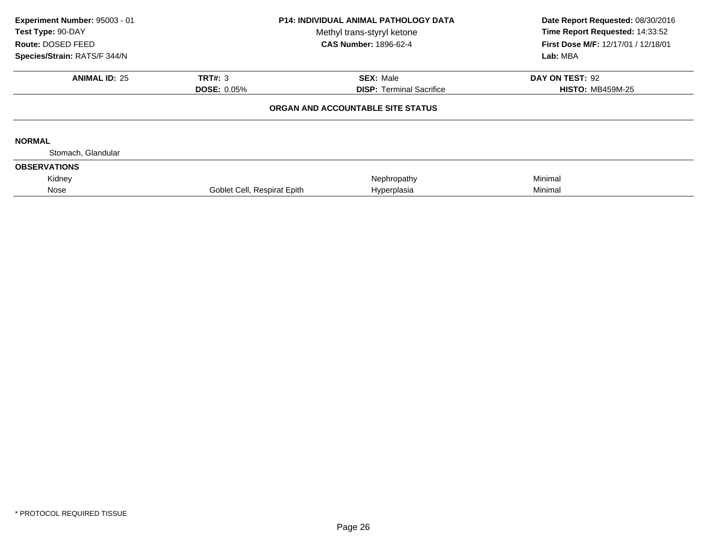| Experiment Number: 95003 - 01<br>Test Type: 90-DAY<br>Route: DOSED FEED<br>Species/Strain: RATS/F 344/N | <b>P14: INDIVIDUAL ANIMAL PATHOLOGY DATA</b><br>Methyl trans-styryl ketone<br><b>CAS Number: 1896-62-4</b> |                                   | Date Report Requested: 08/30/2016<br>Time Report Requested: 14:33:52<br>First Dose M/F: 12/17/01 / 12/18/01<br>Lab: MBA |  |
|---------------------------------------------------------------------------------------------------------|------------------------------------------------------------------------------------------------------------|-----------------------------------|-------------------------------------------------------------------------------------------------------------------------|--|
| <b>ANIMAL ID: 25</b>                                                                                    | <b>TRT#: 3</b>                                                                                             | <b>SEX: Male</b>                  | DAY ON TEST: 92                                                                                                         |  |
|                                                                                                         | <b>DOSE: 0.05%</b>                                                                                         | <b>DISP:</b> Terminal Sacrifice   | <b>HISTO: MB459M-25</b>                                                                                                 |  |
|                                                                                                         |                                                                                                            | ORGAN AND ACCOUNTABLE SITE STATUS |                                                                                                                         |  |
| <b>NORMAL</b>                                                                                           |                                                                                                            |                                   |                                                                                                                         |  |
| Stomach, Glandular                                                                                      |                                                                                                            |                                   |                                                                                                                         |  |
| <b>OBSERVATIONS</b>                                                                                     |                                                                                                            |                                   |                                                                                                                         |  |
| Kidney                                                                                                  |                                                                                                            | Nephropathy                       | Minimal                                                                                                                 |  |
| Nose                                                                                                    | Goblet Cell, Respirat Epith                                                                                | Hyperplasia                       | Minimal                                                                                                                 |  |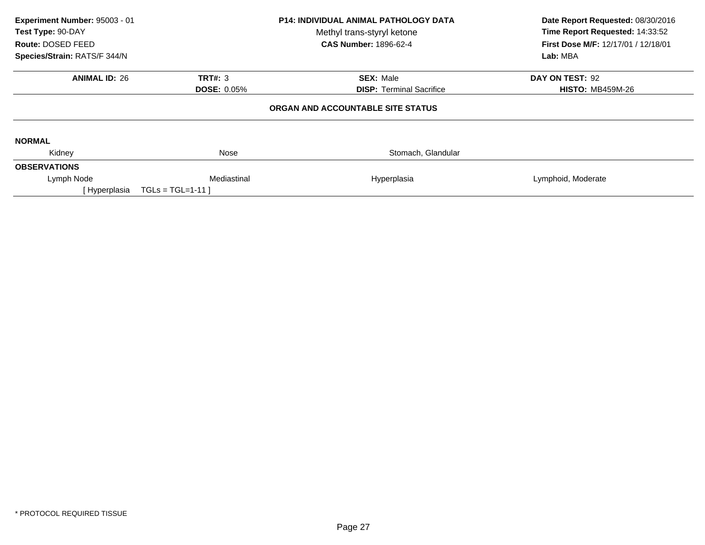| Experiment Number: 95003 - 01<br>Test Type: 90-DAY<br>Route: DOSED FEED<br>Species/Strain: RATS/F 344/N |                    | <b>P14: INDIVIDUAL ANIMAL PATHOLOGY DATA</b><br>Methyl trans-styryl ketone<br><b>CAS Number: 1896-62-4</b> | Date Report Requested: 08/30/2016<br>Time Report Requested: 14:33:52<br>First Dose M/F: 12/17/01 / 12/18/01<br>Lab: MBA |  |
|---------------------------------------------------------------------------------------------------------|--------------------|------------------------------------------------------------------------------------------------------------|-------------------------------------------------------------------------------------------------------------------------|--|
| <b>ANIMAL ID: 26</b>                                                                                    | TRT#: 3            | <b>SEX: Male</b>                                                                                           | DAY ON TEST: 92                                                                                                         |  |
|                                                                                                         | <b>DOSE: 0.05%</b> | <b>DISP:</b> Terminal Sacrifice                                                                            | <b>HISTO: MB459M-26</b>                                                                                                 |  |
|                                                                                                         |                    | ORGAN AND ACCOUNTABLE SITE STATUS                                                                          |                                                                                                                         |  |
| <b>NORMAL</b>                                                                                           |                    |                                                                                                            |                                                                                                                         |  |
| Kidney                                                                                                  | Nose               | Stomach, Glandular                                                                                         |                                                                                                                         |  |
| <b>OBSERVATIONS</b>                                                                                     |                    |                                                                                                            |                                                                                                                         |  |
| Lymph Node                                                                                              | Mediastinal        | Hyperplasia                                                                                                | Lymphoid, Moderate                                                                                                      |  |
| [ Hyperplasia                                                                                           | $TGLs = TGL=1-11$  |                                                                                                            |                                                                                                                         |  |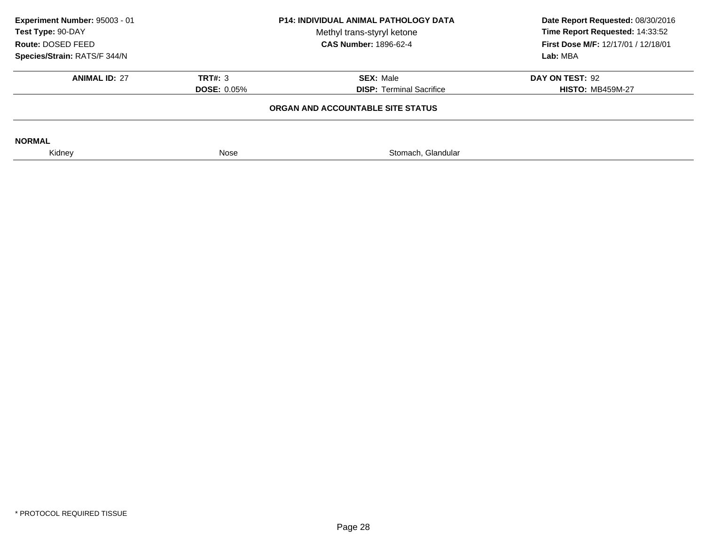| Experiment Number: 95003 - 01<br>Test Type: 90-DAY<br>Route: DOSED FEED |                    | <b>P14: INDIVIDUAL ANIMAL PATHOLOGY DATA</b><br>Methyl trans-styryl ketone<br><b>CAS Number: 1896-62-4</b> | Date Report Requested: 08/30/2016<br>Time Report Requested: 14:33:52<br><b>First Dose M/F: 12/17/01 / 12/18/01</b> |
|-------------------------------------------------------------------------|--------------------|------------------------------------------------------------------------------------------------------------|--------------------------------------------------------------------------------------------------------------------|
| Species/Strain: RATS/F 344/N                                            |                    |                                                                                                            | Lab: MBA                                                                                                           |
| <b>ANIMAL ID: 27</b>                                                    | TRT#: 3            | <b>SEX: Male</b>                                                                                           | DAY ON TEST: 92                                                                                                    |
|                                                                         | <b>DOSE: 0.05%</b> | <b>DISP: Terminal Sacrifice</b>                                                                            | <b>HISTO: MB459M-27</b>                                                                                            |
|                                                                         |                    | ORGAN AND ACCOUNTABLE SITE STATUS                                                                          |                                                                                                                    |
| <b>NORMAL</b>                                                           |                    |                                                                                                            |                                                                                                                    |
| Kidney                                                                  | Nose               | Stomach, Glandular                                                                                         |                                                                                                                    |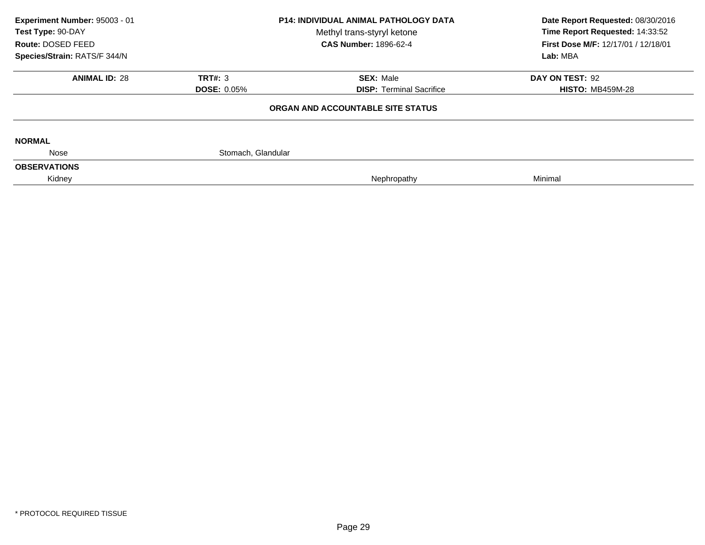|                    | <b>CAS Number: 1896-62-4</b>         | Lab: MBA                          |
|--------------------|--------------------------------------|-----------------------------------|
|                    |                                      |                                   |
|                    | <b>SEX: Male</b>                     | DAY ON TEST: 92                   |
|                    | <b>DISP: Terminal Sacrifice</b>      | <b>HISTO: MB459M-28</b>           |
|                    |                                      |                                   |
|                    |                                      |                                   |
| Stomach, Glandular |                                      |                                   |
|                    |                                      |                                   |
|                    | Nephropathy                          | Minimal                           |
|                    | <b>TRT#: 3</b><br><b>DOSE: 0.05%</b> | ORGAN AND ACCOUNTABLE SITE STATUS |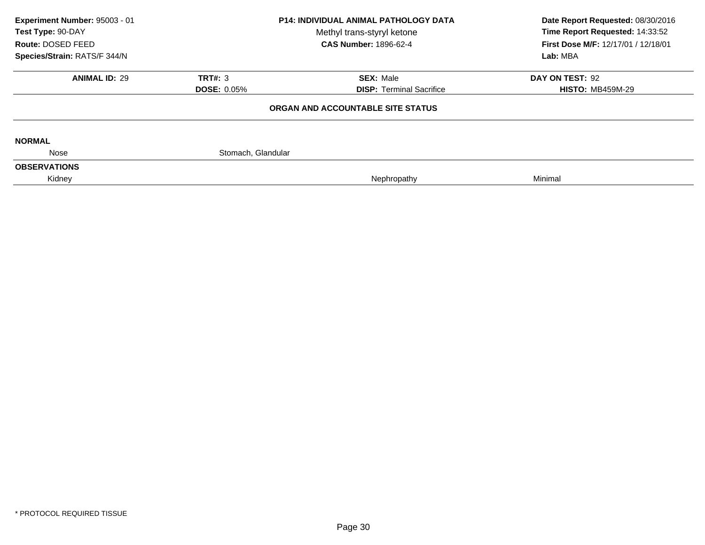| Experiment Number: 95003 - 01<br>Test Type: 90-DAY |                    | <b>P14: INDIVIDUAL ANIMAL PATHOLOGY DATA</b><br>Methyl trans-styryl ketone | Date Report Requested: 08/30/2016<br>Time Report Requested: 14:33:52<br>First Dose M/F: 12/17/01 / 12/18/01 |  |
|----------------------------------------------------|--------------------|----------------------------------------------------------------------------|-------------------------------------------------------------------------------------------------------------|--|
| Route: DOSED FEED                                  |                    | <b>CAS Number: 1896-62-4</b>                                               |                                                                                                             |  |
| Species/Strain: RATS/F 344/N                       |                    |                                                                            | Lab: MBA                                                                                                    |  |
| <b>ANIMAL ID: 29</b>                               | <b>TRT#: 3</b>     | <b>SEX: Male</b>                                                           | DAY ON TEST: 92                                                                                             |  |
|                                                    | <b>DOSE: 0.05%</b> | <b>DISP: Terminal Sacrifice</b>                                            | <b>HISTO: MB459M-29</b>                                                                                     |  |
|                                                    |                    | ORGAN AND ACCOUNTABLE SITE STATUS                                          |                                                                                                             |  |
| <b>NORMAL</b>                                      |                    |                                                                            |                                                                                                             |  |
| Nose                                               | Stomach, Glandular |                                                                            |                                                                                                             |  |
| <b>OBSERVATIONS</b>                                |                    |                                                                            |                                                                                                             |  |
| Kidney                                             |                    | Nephropathy                                                                | Minimal                                                                                                     |  |
|                                                    |                    |                                                                            |                                                                                                             |  |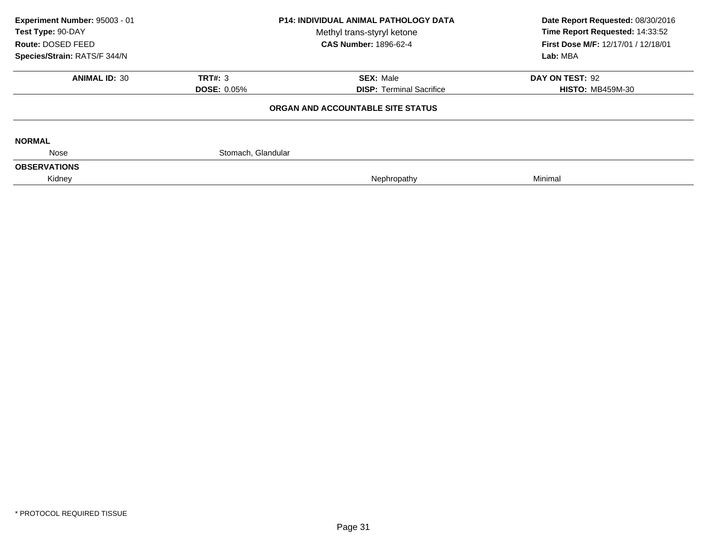| Experiment Number: 95003 - 01<br>Test Type: 90-DAY |                    | <b>P14: INDIVIDUAL ANIMAL PATHOLOGY DATA</b><br>Methyl trans-styryl ketone | Date Report Requested: 08/30/2016<br>Time Report Requested: 14:33:52<br>First Dose M/F: 12/17/01 / 12/18/01 |  |
|----------------------------------------------------|--------------------|----------------------------------------------------------------------------|-------------------------------------------------------------------------------------------------------------|--|
| Route: DOSED FEED                                  |                    | <b>CAS Number: 1896-62-4</b>                                               |                                                                                                             |  |
| Species/Strain: RATS/F 344/N                       |                    |                                                                            | Lab: MBA                                                                                                    |  |
| <b>ANIMAL ID: 30</b>                               | <b>TRT#: 3</b>     | <b>SEX: Male</b>                                                           | DAY ON TEST: 92                                                                                             |  |
|                                                    | <b>DOSE: 0.05%</b> | <b>DISP: Terminal Sacrifice</b>                                            | <b>HISTO: MB459M-30</b>                                                                                     |  |
|                                                    |                    | ORGAN AND ACCOUNTABLE SITE STATUS                                          |                                                                                                             |  |
| <b>NORMAL</b>                                      |                    |                                                                            |                                                                                                             |  |
| Nose                                               | Stomach, Glandular |                                                                            |                                                                                                             |  |
| <b>OBSERVATIONS</b>                                |                    |                                                                            |                                                                                                             |  |
| Kidney                                             |                    | Nephropathy                                                                | Minimal                                                                                                     |  |
|                                                    |                    |                                                                            |                                                                                                             |  |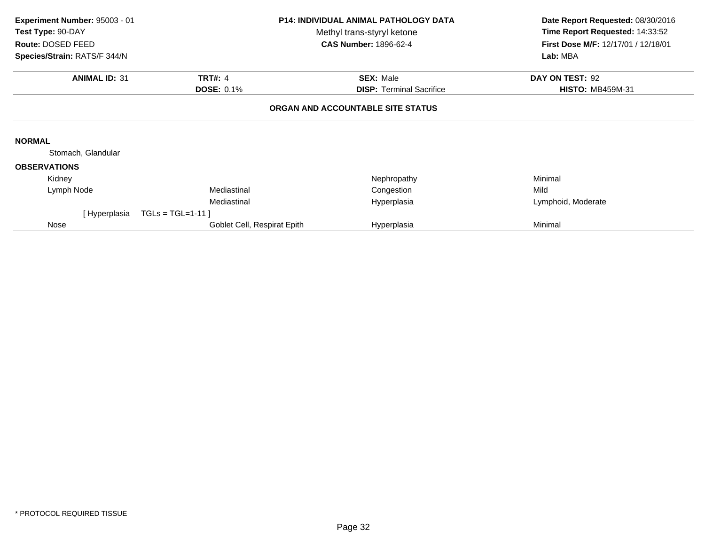| Experiment Number: 95003 - 01<br>Test Type: 90-DAY<br>Route: DOSED FEED<br>Species/Strain: RATS/F 344/N |                             | <b>P14: INDIVIDUAL ANIMAL PATHOLOGY DATA</b><br>Methyl trans-styryl ketone<br><b>CAS Number: 1896-62-4</b> | Date Report Requested: 08/30/2016<br>Time Report Requested: 14:33:52<br>First Dose M/F: 12/17/01 / 12/18/01<br>Lab: MBA |
|---------------------------------------------------------------------------------------------------------|-----------------------------|------------------------------------------------------------------------------------------------------------|-------------------------------------------------------------------------------------------------------------------------|
|                                                                                                         |                             |                                                                                                            |                                                                                                                         |
| <b>ANIMAL ID: 31</b>                                                                                    | <b>TRT#: 4</b>              | <b>SEX: Male</b>                                                                                           | DAY ON TEST: 92                                                                                                         |
|                                                                                                         | <b>DOSE: 0.1%</b>           | <b>DISP:</b> Terminal Sacrifice                                                                            | <b>HISTO: MB459M-31</b>                                                                                                 |
|                                                                                                         |                             | ORGAN AND ACCOUNTABLE SITE STATUS                                                                          |                                                                                                                         |
| <b>NORMAL</b>                                                                                           |                             |                                                                                                            |                                                                                                                         |
| Stomach, Glandular                                                                                      |                             |                                                                                                            |                                                                                                                         |
| <b>OBSERVATIONS</b>                                                                                     |                             |                                                                                                            |                                                                                                                         |
| Kidney                                                                                                  |                             | Nephropathy                                                                                                | Minimal                                                                                                                 |
| Lymph Node                                                                                              | Mediastinal                 | Congestion                                                                                                 | Mild                                                                                                                    |
|                                                                                                         | Mediastinal                 | Hyperplasia                                                                                                | Lymphoid, Moderate                                                                                                      |
| [Hyperplasia                                                                                            | $TGLs = TGL=1-11$           |                                                                                                            |                                                                                                                         |
| Nose                                                                                                    | Goblet Cell, Respirat Epith | Hyperplasia                                                                                                | Minimal                                                                                                                 |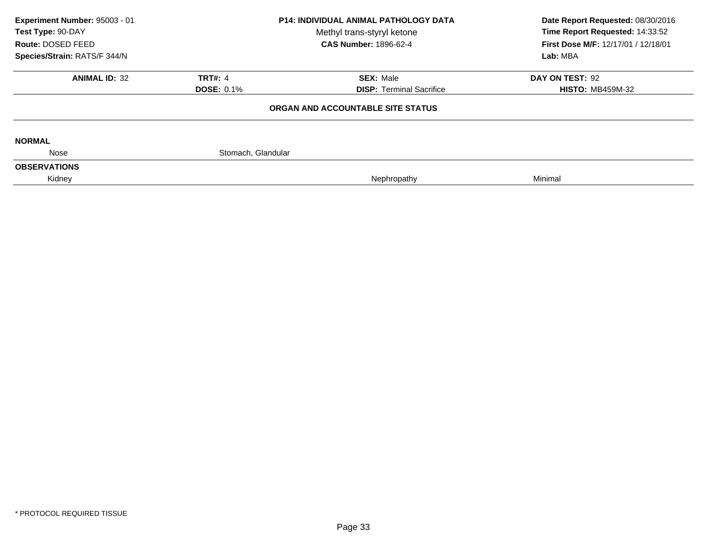| Experiment Number: 95003 - 01 |                    | <b>P14: INDIVIDUAL ANIMAL PATHOLOGY DATA</b> | Date Report Requested: 08/30/2016<br>Time Report Requested: 14:33:52 |  |
|-------------------------------|--------------------|----------------------------------------------|----------------------------------------------------------------------|--|
| Test Type: 90-DAY             |                    | Methyl trans-styryl ketone                   |                                                                      |  |
| Route: DOSED FEED             |                    | <b>CAS Number: 1896-62-4</b>                 | First Dose M/F: 12/17/01 / 12/18/01                                  |  |
| Species/Strain: RATS/F 344/N  |                    |                                              | Lab: MBA                                                             |  |
| <b>ANIMAL ID: 32</b>          | <b>TRT#: 4</b>     | <b>SEX: Male</b>                             | DAY ON TEST: 92                                                      |  |
|                               | <b>DOSE: 0.1%</b>  | <b>DISP:</b> Terminal Sacrifice              | <b>HISTO: MB459M-32</b>                                              |  |
|                               |                    | ORGAN AND ACCOUNTABLE SITE STATUS            |                                                                      |  |
| <b>NORMAL</b>                 |                    |                                              |                                                                      |  |
| Nose                          | Stomach, Glandular |                                              |                                                                      |  |
| <b>OBSERVATIONS</b>           |                    |                                              |                                                                      |  |
| Kidney                        |                    | Nephropathy                                  | Minimal                                                              |  |
|                               |                    |                                              |                                                                      |  |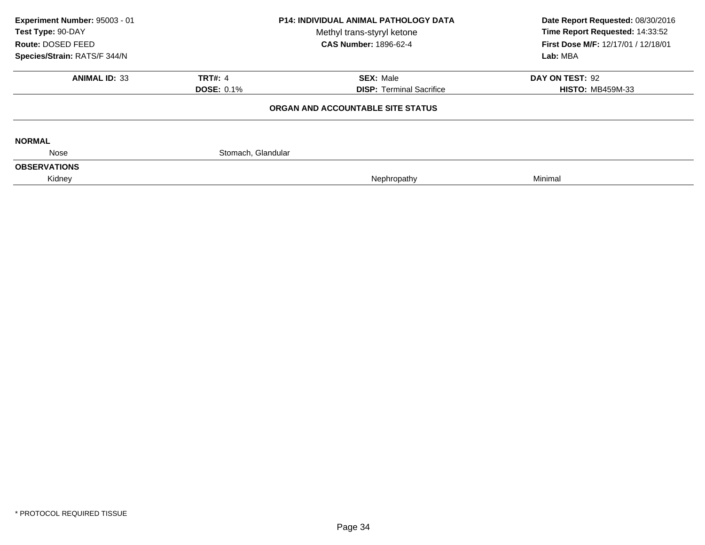| Experiment Number: 95003 - 01 |                    | <b>P14: INDIVIDUAL ANIMAL PATHOLOGY DATA</b> | Date Report Requested: 08/30/2016<br>Time Report Requested: 14:33:52 |  |
|-------------------------------|--------------------|----------------------------------------------|----------------------------------------------------------------------|--|
| Test Type: 90-DAY             |                    | Methyl trans-styryl ketone                   |                                                                      |  |
| Route: DOSED FEED             |                    | <b>CAS Number: 1896-62-4</b>                 | First Dose M/F: 12/17/01 / 12/18/01                                  |  |
| Species/Strain: RATS/F 344/N  |                    |                                              | Lab: MBA                                                             |  |
| <b>ANIMAL ID: 33</b>          | <b>TRT#: 4</b>     | <b>SEX: Male</b>                             | DAY ON TEST: 92                                                      |  |
|                               | <b>DOSE: 0.1%</b>  | <b>DISP:</b> Terminal Sacrifice              | <b>HISTO: MB459M-33</b>                                              |  |
|                               |                    | ORGAN AND ACCOUNTABLE SITE STATUS            |                                                                      |  |
| <b>NORMAL</b>                 |                    |                                              |                                                                      |  |
| Nose                          | Stomach, Glandular |                                              |                                                                      |  |
| <b>OBSERVATIONS</b>           |                    |                                              |                                                                      |  |
| Kidney                        |                    | Nephropathy                                  | Minimal                                                              |  |
|                               |                    |                                              |                                                                      |  |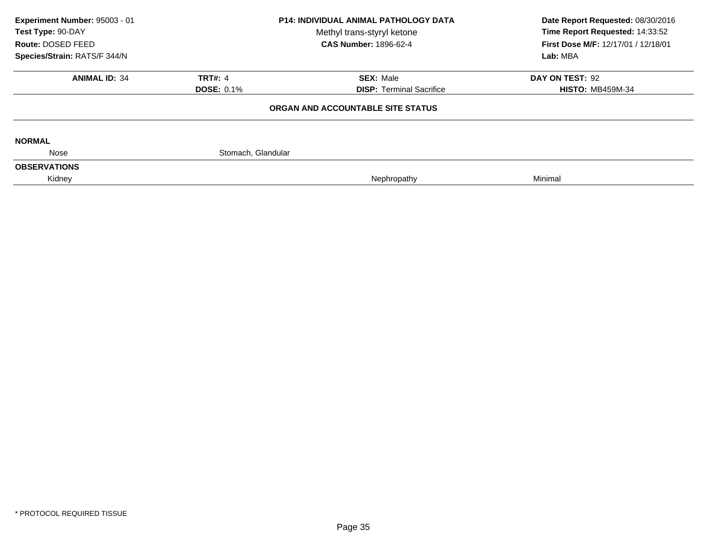| Experiment Number: 95003 - 01 |                    | <b>P14: INDIVIDUAL ANIMAL PATHOLOGY DATA</b> | Date Report Requested: 08/30/2016<br>Time Report Requested: 14:33:52 |  |
|-------------------------------|--------------------|----------------------------------------------|----------------------------------------------------------------------|--|
| Test Type: 90-DAY             |                    | Methyl trans-styryl ketone                   |                                                                      |  |
| Route: DOSED FEED             |                    | <b>CAS Number: 1896-62-4</b>                 | First Dose M/F: 12/17/01 / 12/18/01                                  |  |
| Species/Strain: RATS/F 344/N  |                    |                                              | Lab: MBA                                                             |  |
| <b>ANIMAL ID: 34</b>          | <b>TRT#: 4</b>     | <b>SEX: Male</b>                             | DAY ON TEST: 92                                                      |  |
|                               | <b>DOSE: 0.1%</b>  | <b>DISP: Terminal Sacrifice</b>              | <b>HISTO: MB459M-34</b>                                              |  |
|                               |                    | ORGAN AND ACCOUNTABLE SITE STATUS            |                                                                      |  |
| <b>NORMAL</b>                 |                    |                                              |                                                                      |  |
| Nose                          | Stomach, Glandular |                                              |                                                                      |  |
| <b>OBSERVATIONS</b>           |                    |                                              |                                                                      |  |
| Kidney                        |                    | Nephropathy                                  | Minimal                                                              |  |
|                               |                    |                                              |                                                                      |  |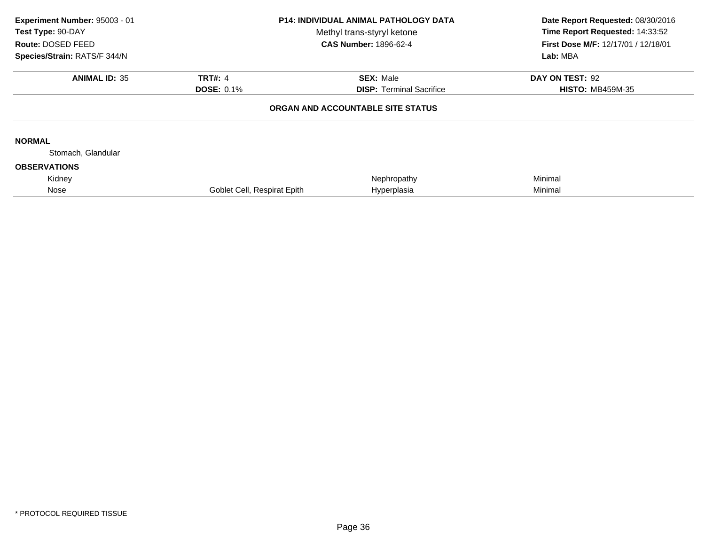| Experiment Number: 95003 - 01<br>Test Type: 90-DAY<br>Route: DOSED FEED<br>Species/Strain: RATS/F 344/N | <b>P14: INDIVIDUAL ANIMAL PATHOLOGY DATA</b><br>Methyl trans-styryl ketone<br><b>CAS Number: 1896-62-4</b> |                                                                      | Date Report Requested: 08/30/2016<br>Time Report Requested: 14:33:52<br>First Dose M/F: 12/17/01 / 12/18/01<br>Lab: MBA |  |
|---------------------------------------------------------------------------------------------------------|------------------------------------------------------------------------------------------------------------|----------------------------------------------------------------------|-------------------------------------------------------------------------------------------------------------------------|--|
| <b>ANIMAL ID: 35</b>                                                                                    | <b>TRT#: 4</b>                                                                                             | <b>SEX: Male</b>                                                     | DAY ON TEST: 92                                                                                                         |  |
|                                                                                                         | <b>DOSE: 0.1%</b>                                                                                          | <b>DISP: Terminal Sacrifice</b><br>ORGAN AND ACCOUNTABLE SITE STATUS | <b>HISTO: MB459M-35</b>                                                                                                 |  |
|                                                                                                         |                                                                                                            |                                                                      |                                                                                                                         |  |
| <b>NORMAL</b><br>Stomach, Glandular                                                                     |                                                                                                            |                                                                      |                                                                                                                         |  |
| <b>OBSERVATIONS</b>                                                                                     |                                                                                                            |                                                                      |                                                                                                                         |  |
| Kidney                                                                                                  |                                                                                                            | Nephropathy                                                          | Minimal                                                                                                                 |  |
| Nose                                                                                                    | Goblet Cell, Respirat Epith                                                                                | Hyperplasia                                                          | Minimal                                                                                                                 |  |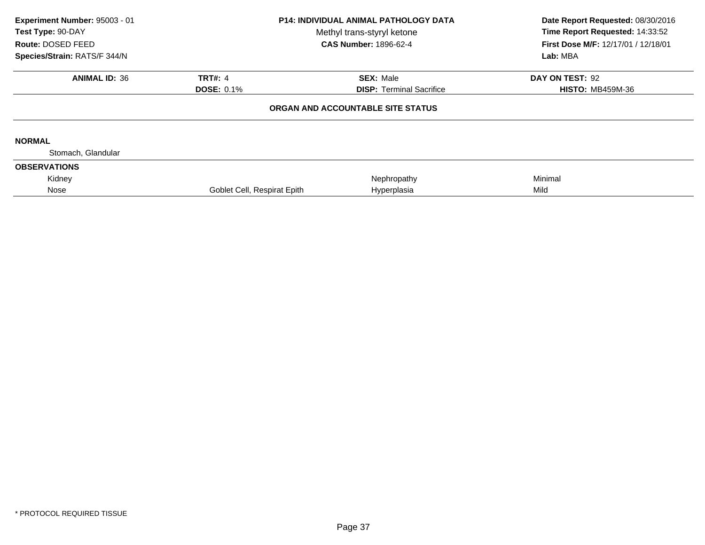| Experiment Number: 95003 - 01<br>Test Type: 90-DAY<br>Route: DOSED FEED<br>Species/Strain: RATS/F 344/N | <b>P14: INDIVIDUAL ANIMAL PATHOLOGY DATA</b><br>Methyl trans-styryl ketone<br><b>CAS Number: 1896-62-4</b> |                                   | Date Report Requested: 08/30/2016<br>Time Report Requested: 14:33:52<br>First Dose M/F: 12/17/01 / 12/18/01<br>Lab: MBA |
|---------------------------------------------------------------------------------------------------------|------------------------------------------------------------------------------------------------------------|-----------------------------------|-------------------------------------------------------------------------------------------------------------------------|
|                                                                                                         |                                                                                                            |                                   |                                                                                                                         |
| <b>ANIMAL ID: 36</b>                                                                                    | <b>TRT#: 4</b>                                                                                             | <b>SEX: Male</b>                  | DAY ON TEST: 92                                                                                                         |
|                                                                                                         | <b>DOSE: 0.1%</b>                                                                                          | <b>DISP: Terminal Sacrifice</b>   | <b>HISTO: MB459M-36</b>                                                                                                 |
|                                                                                                         |                                                                                                            | ORGAN AND ACCOUNTABLE SITE STATUS |                                                                                                                         |
| <b>NORMAL</b>                                                                                           |                                                                                                            |                                   |                                                                                                                         |
| Stomach, Glandular                                                                                      |                                                                                                            |                                   |                                                                                                                         |
| <b>OBSERVATIONS</b>                                                                                     |                                                                                                            |                                   |                                                                                                                         |
| Kidney                                                                                                  |                                                                                                            | Nephropathy                       | Minimal                                                                                                                 |
| Nose                                                                                                    | Goblet Cell, Respirat Epith                                                                                | Hyperplasia                       | Mild                                                                                                                    |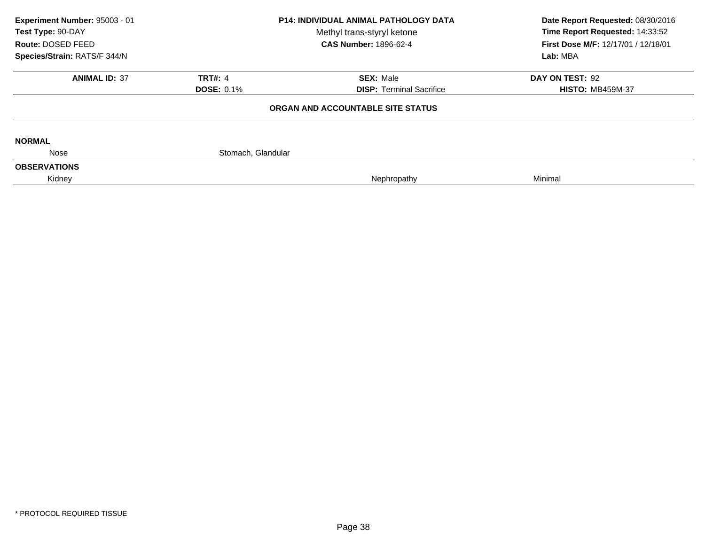| Experiment Number: 95003 - 01 |                              | <b>P14: INDIVIDUAL ANIMAL PATHOLOGY DATA</b> | Date Report Requested: 08/30/2016   |  |
|-------------------------------|------------------------------|----------------------------------------------|-------------------------------------|--|
| Test Type: 90-DAY             |                              | Methyl trans-styryl ketone                   | Time Report Requested: 14:33:52     |  |
| Route: DOSED FEED             | <b>CAS Number: 1896-62-4</b> |                                              | First Dose M/F: 12/17/01 / 12/18/01 |  |
| Species/Strain: RATS/F 344/N  |                              |                                              | Lab: MBA                            |  |
| <b>ANIMAL ID: 37</b>          | <b>TRT#: 4</b>               | <b>SEX: Male</b>                             | DAY ON TEST: 92                     |  |
|                               | <b>DOSE: 0.1%</b>            | <b>DISP:</b> Terminal Sacrifice              | <b>HISTO: MB459M-37</b>             |  |
|                               |                              | ORGAN AND ACCOUNTABLE SITE STATUS            |                                     |  |
| <b>NORMAL</b>                 |                              |                                              |                                     |  |
| Nose                          | Stomach, Glandular           |                                              |                                     |  |
| <b>OBSERVATIONS</b>           |                              |                                              |                                     |  |
| Kidney                        |                              | Nephropathy                                  | Minimal                             |  |
|                               |                              |                                              |                                     |  |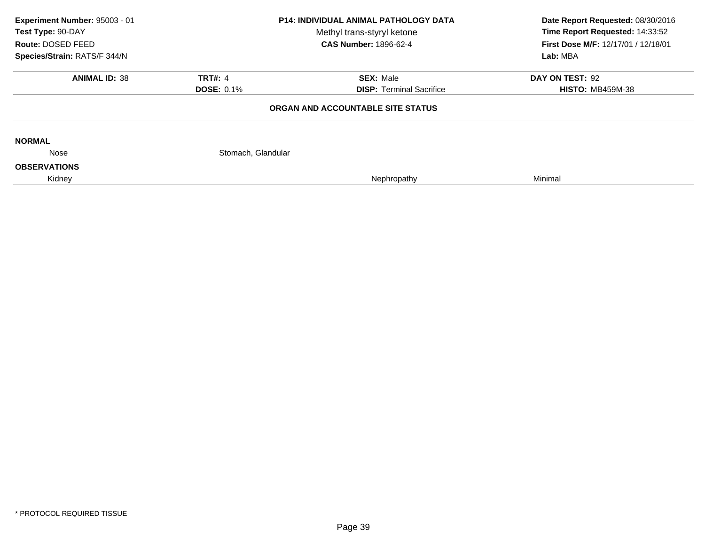| Experiment Number: 95003 - 01 |                    | <b>P14: INDIVIDUAL ANIMAL PATHOLOGY DATA</b> | Date Report Requested: 08/30/2016   |  |
|-------------------------------|--------------------|----------------------------------------------|-------------------------------------|--|
| Test Type: 90-DAY             |                    | Methyl trans-styryl ketone                   | Time Report Requested: 14:33:52     |  |
| Route: DOSED FEED             |                    | <b>CAS Number: 1896-62-4</b>                 | First Dose M/F: 12/17/01 / 12/18/01 |  |
| Species/Strain: RATS/F 344/N  |                    |                                              | Lab: MBA                            |  |
| <b>ANIMAL ID: 38</b>          | <b>TRT#: 4</b>     | <b>SEX: Male</b>                             | DAY ON TEST: 92                     |  |
|                               | <b>DOSE: 0.1%</b>  | <b>DISP:</b> Terminal Sacrifice              | <b>HISTO: MB459M-38</b>             |  |
|                               |                    | ORGAN AND ACCOUNTABLE SITE STATUS            |                                     |  |
| <b>NORMAL</b>                 |                    |                                              |                                     |  |
| Nose                          | Stomach, Glandular |                                              |                                     |  |
| <b>OBSERVATIONS</b>           |                    |                                              |                                     |  |
| Kidney                        |                    | Nephropathy                                  | Minimal                             |  |
|                               |                    |                                              |                                     |  |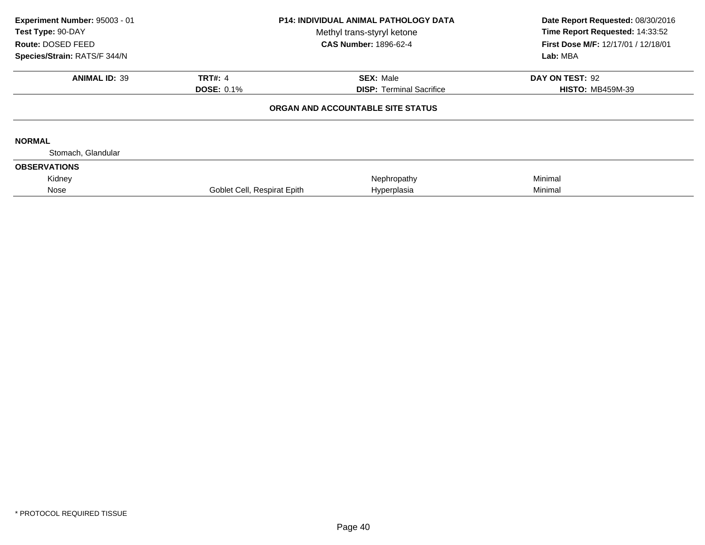| Experiment Number: 95003 - 01<br>Test Type: 90-DAY<br>Route: DOSED FEED<br>Species/Strain: RATS/F 344/N | <b>P14: INDIVIDUAL ANIMAL PATHOLOGY DATA</b><br>Methyl trans-styryl ketone<br><b>CAS Number: 1896-62-4</b> |                                                     | Date Report Requested: 08/30/2016<br>Time Report Requested: 14:33:52<br>First Dose M/F: 12/17/01 / 12/18/01<br>Lab: MBA |
|---------------------------------------------------------------------------------------------------------|------------------------------------------------------------------------------------------------------------|-----------------------------------------------------|-------------------------------------------------------------------------------------------------------------------------|
| <b>ANIMAL ID: 39</b>                                                                                    | <b>TRT#: 4</b><br><b>DOSE: 0.1%</b>                                                                        | <b>SEX: Male</b><br><b>DISP: Terminal Sacrifice</b> | DAY ON TEST: 92<br><b>HISTO: MB459M-39</b>                                                                              |
|                                                                                                         |                                                                                                            | ORGAN AND ACCOUNTABLE SITE STATUS                   |                                                                                                                         |
| <b>NORMAL</b>                                                                                           |                                                                                                            |                                                     |                                                                                                                         |
| Stomach, Glandular                                                                                      |                                                                                                            |                                                     |                                                                                                                         |
| <b>OBSERVATIONS</b>                                                                                     |                                                                                                            |                                                     |                                                                                                                         |
| Kidney                                                                                                  |                                                                                                            | Nephropathy                                         | Minimal                                                                                                                 |
| Nose                                                                                                    | Goblet Cell, Respirat Epith                                                                                | Hyperplasia                                         | Minimal                                                                                                                 |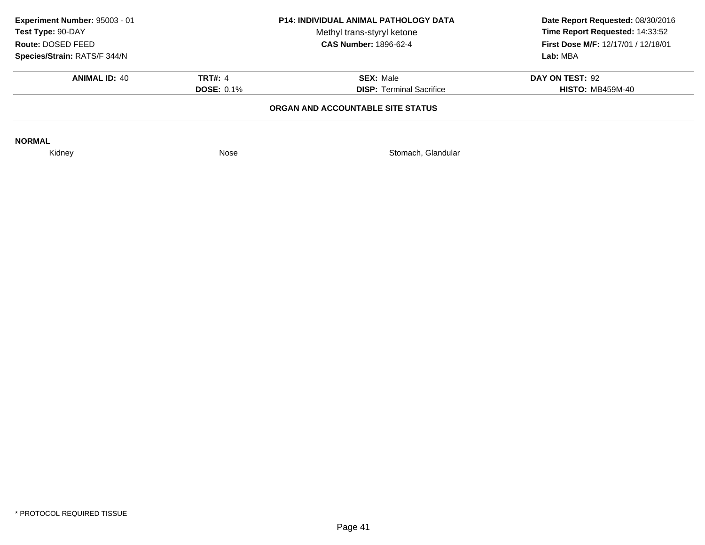| Experiment Number: 95003 - 01<br>Test Type: 90-DAY<br>Route: DOSED FEED<br>Species/Strain: RATS/F 344/N | <b>P14: INDIVIDUAL ANIMAL PATHOLOGY DATA</b><br>Methyl trans-styryl ketone<br><b>CAS Number: 1896-62-4</b> |                                                     | Date Report Requested: 08/30/2016<br>Time Report Requested: 14:33:52<br>First Dose M/F: 12/17/01 / 12/18/01<br>Lab: MBA |
|---------------------------------------------------------------------------------------------------------|------------------------------------------------------------------------------------------------------------|-----------------------------------------------------|-------------------------------------------------------------------------------------------------------------------------|
| <b>ANIMAL ID: 40</b>                                                                                    | <b>TRT#: 4</b><br><b>DOSE: 0.1%</b>                                                                        | <b>SEX: Male</b><br><b>DISP: Terminal Sacrifice</b> | DAY ON TEST: 92<br><b>HISTO: MB459M-40</b>                                                                              |
|                                                                                                         |                                                                                                            | ORGAN AND ACCOUNTABLE SITE STATUS                   |                                                                                                                         |
| <b>NORMAL</b>                                                                                           |                                                                                                            |                                                     |                                                                                                                         |
| Kidney                                                                                                  | Nose                                                                                                       | Stomach, Glandular                                  |                                                                                                                         |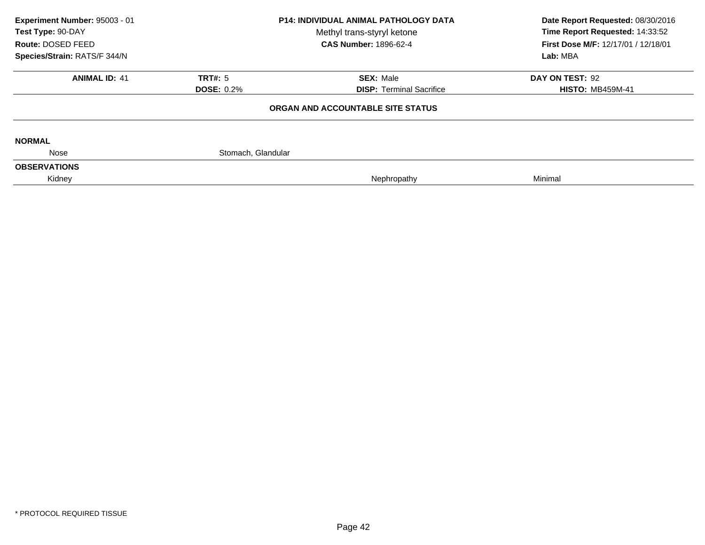| Experiment Number: 95003 - 01 |                              | <b>P14: INDIVIDUAL ANIMAL PATHOLOGY DATA</b> | Date Report Requested: 08/30/2016   |  |
|-------------------------------|------------------------------|----------------------------------------------|-------------------------------------|--|
| Test Type: 90-DAY             |                              | Methyl trans-styryl ketone                   | Time Report Requested: 14:33:52     |  |
| Route: DOSED FEED             | <b>CAS Number: 1896-62-4</b> |                                              | First Dose M/F: 12/17/01 / 12/18/01 |  |
| Species/Strain: RATS/F 344/N  |                              |                                              | Lab: MBA                            |  |
| <b>ANIMAL ID: 41</b>          | <b>TRT#: 5</b>               | <b>SEX: Male</b>                             | DAY ON TEST: 92                     |  |
|                               | <b>DOSE: 0.2%</b>            | <b>DISP: Terminal Sacrifice</b>              | <b>HISTO: MB459M-41</b>             |  |
|                               |                              | ORGAN AND ACCOUNTABLE SITE STATUS            |                                     |  |
| <b>NORMAL</b>                 |                              |                                              |                                     |  |
| Nose                          | Stomach, Glandular           |                                              |                                     |  |
| <b>OBSERVATIONS</b>           |                              |                                              |                                     |  |
| Kidney                        |                              | Nephropathy                                  | Minimal                             |  |
|                               |                              |                                              |                                     |  |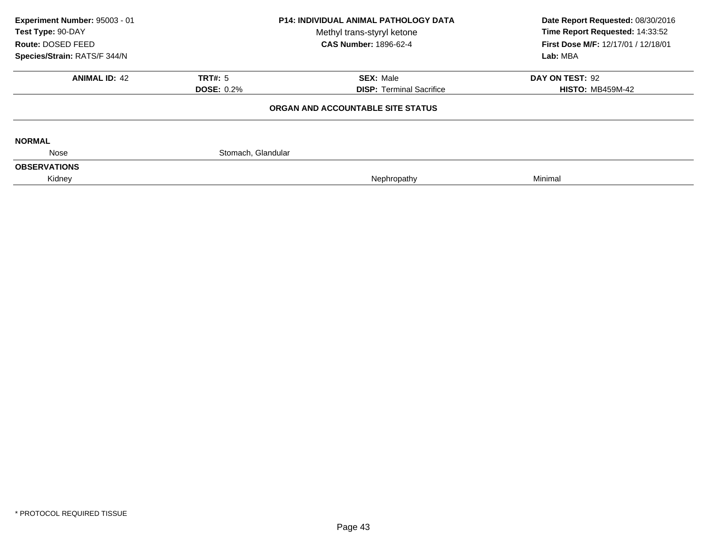| Experiment Number: 95003 - 01 |                    | <b>P14: INDIVIDUAL ANIMAL PATHOLOGY DATA</b> | Date Report Requested: 08/30/2016   |  |
|-------------------------------|--------------------|----------------------------------------------|-------------------------------------|--|
| Test Type: 90-DAY             |                    | Methyl trans-styryl ketone                   | Time Report Requested: 14:33:52     |  |
| Route: DOSED FEED             |                    | <b>CAS Number: 1896-62-4</b>                 | First Dose M/F: 12/17/01 / 12/18/01 |  |
| Species/Strain: RATS/F 344/N  |                    |                                              | Lab: MBA                            |  |
| <b>ANIMAL ID: 42</b>          | <b>TRT#: 5</b>     | <b>SEX: Male</b>                             | DAY ON TEST: 92                     |  |
|                               | <b>DOSE: 0.2%</b>  | <b>DISP:</b> Terminal Sacrifice              | <b>HISTO: MB459M-42</b>             |  |
|                               |                    | ORGAN AND ACCOUNTABLE SITE STATUS            |                                     |  |
| <b>NORMAL</b>                 |                    |                                              |                                     |  |
| Nose                          | Stomach, Glandular |                                              |                                     |  |
| <b>OBSERVATIONS</b>           |                    |                                              |                                     |  |
| Kidney                        |                    | Nephropathy                                  | Minimal                             |  |
|                               |                    |                                              |                                     |  |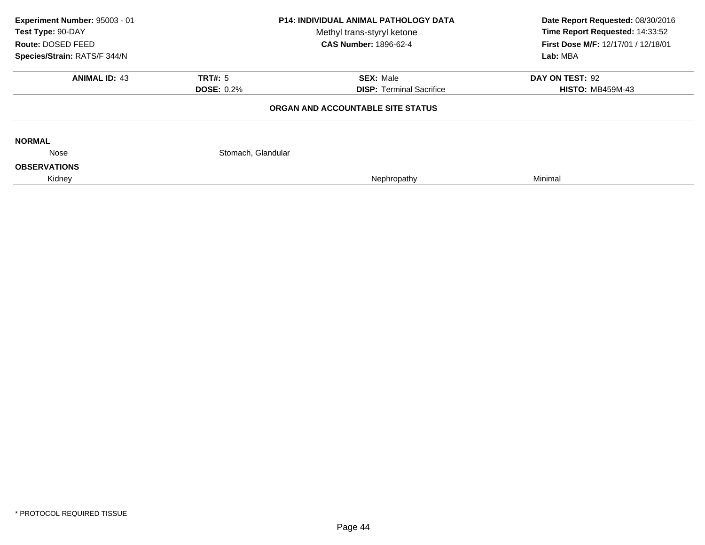| Experiment Number: 95003 - 01 |                              | <b>P14: INDIVIDUAL ANIMAL PATHOLOGY DATA</b> | Date Report Requested: 08/30/2016   |  |
|-------------------------------|------------------------------|----------------------------------------------|-------------------------------------|--|
| Test Type: 90-DAY             |                              | Methyl trans-styryl ketone                   | Time Report Requested: 14:33:52     |  |
| Route: DOSED FEED             | <b>CAS Number: 1896-62-4</b> |                                              | First Dose M/F: 12/17/01 / 12/18/01 |  |
| Species/Strain: RATS/F 344/N  |                              |                                              | Lab: MBA                            |  |
| <b>ANIMAL ID: 43</b>          | <b>TRT#: 5</b>               | <b>SEX: Male</b>                             | DAY ON TEST: 92                     |  |
|                               | <b>DOSE: 0.2%</b>            | <b>DISP: Terminal Sacrifice</b>              | <b>HISTO: MB459M-43</b>             |  |
|                               |                              | ORGAN AND ACCOUNTABLE SITE STATUS            |                                     |  |
| <b>NORMAL</b>                 |                              |                                              |                                     |  |
| Nose                          | Stomach, Glandular           |                                              |                                     |  |
| <b>OBSERVATIONS</b>           |                              |                                              |                                     |  |
| Kidney                        |                              | Nephropathy                                  | Minimal                             |  |
|                               |                              |                                              |                                     |  |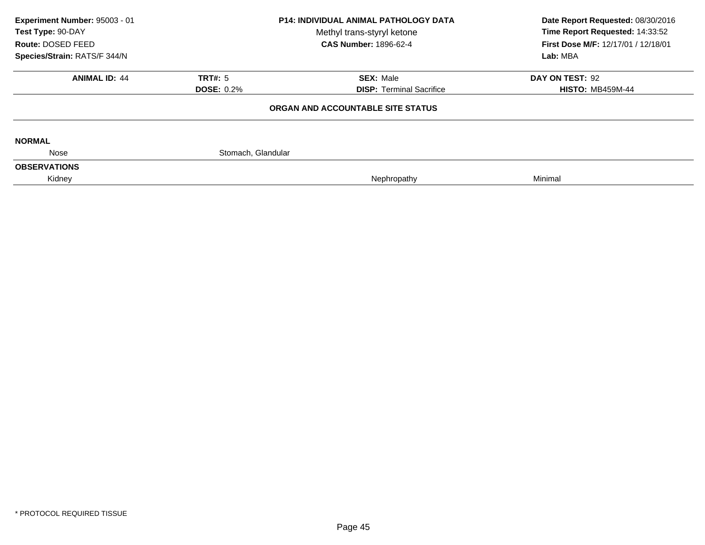| Experiment Number: 95003 - 01 |                              | <b>P14: INDIVIDUAL ANIMAL PATHOLOGY DATA</b> | Date Report Requested: 08/30/2016   |  |
|-------------------------------|------------------------------|----------------------------------------------|-------------------------------------|--|
| Test Type: 90-DAY             |                              | Methyl trans-styryl ketone                   | Time Report Requested: 14:33:52     |  |
| Route: DOSED FEED             | <b>CAS Number: 1896-62-4</b> |                                              | First Dose M/F: 12/17/01 / 12/18/01 |  |
| Species/Strain: RATS/F 344/N  |                              |                                              | Lab: MBA                            |  |
| <b>ANIMAL ID: 44</b>          | <b>TRT#: 5</b>               | <b>SEX: Male</b>                             | DAY ON TEST: 92                     |  |
|                               | <b>DOSE: 0.2%</b>            | <b>DISP: Terminal Sacrifice</b>              | <b>HISTO: MB459M-44</b>             |  |
|                               |                              | ORGAN AND ACCOUNTABLE SITE STATUS            |                                     |  |
| <b>NORMAL</b>                 |                              |                                              |                                     |  |
| Nose                          | Stomach, Glandular           |                                              |                                     |  |
| <b>OBSERVATIONS</b>           |                              |                                              |                                     |  |
| Kidney                        |                              | Nephropathy                                  | Minimal                             |  |
|                               |                              |                                              |                                     |  |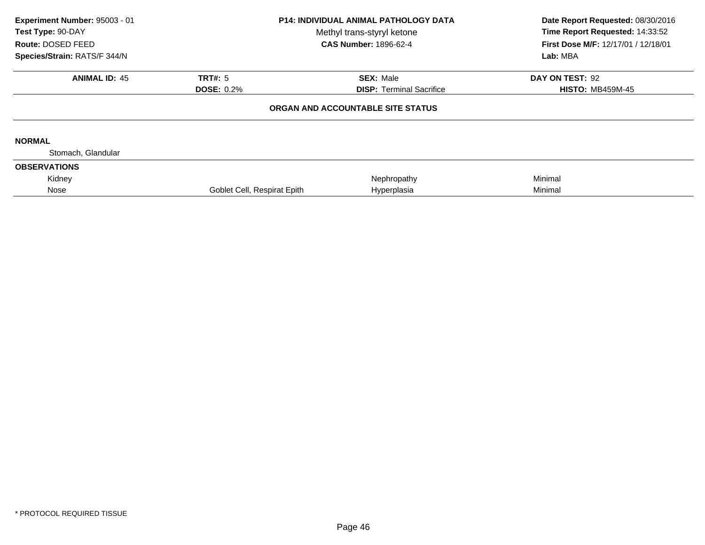| Experiment Number: 95003 - 01<br>Test Type: 90-DAY<br>Route: DOSED FEED<br>Species/Strain: RATS/F 344/N | <b>P14: INDIVIDUAL ANIMAL PATHOLOGY DATA</b><br>Methyl trans-styryl ketone<br><b>CAS Number: 1896-62-4</b> |                                   | Date Report Requested: 08/30/2016<br>Time Report Requested: 14:33:52<br>First Dose M/F: 12/17/01 / 12/18/01<br>Lab: MBA |
|---------------------------------------------------------------------------------------------------------|------------------------------------------------------------------------------------------------------------|-----------------------------------|-------------------------------------------------------------------------------------------------------------------------|
| <b>ANIMAL ID: 45</b>                                                                                    | TRT#: 5                                                                                                    | <b>SEX: Male</b>                  | DAY ON TEST: 92                                                                                                         |
|                                                                                                         | <b>DOSE: 0.2%</b>                                                                                          | <b>DISP:</b> Terminal Sacrifice   | <b>HISTO: MB459M-45</b>                                                                                                 |
|                                                                                                         |                                                                                                            | ORGAN AND ACCOUNTABLE SITE STATUS |                                                                                                                         |
| <b>NORMAL</b>                                                                                           |                                                                                                            |                                   |                                                                                                                         |
| Stomach, Glandular                                                                                      |                                                                                                            |                                   |                                                                                                                         |
| <b>OBSERVATIONS</b>                                                                                     |                                                                                                            |                                   |                                                                                                                         |
| Kidney                                                                                                  |                                                                                                            | Nephropathy                       | Minimal                                                                                                                 |
| Nose                                                                                                    | Goblet Cell, Respirat Epith                                                                                | Hyperplasia                       | Minimal                                                                                                                 |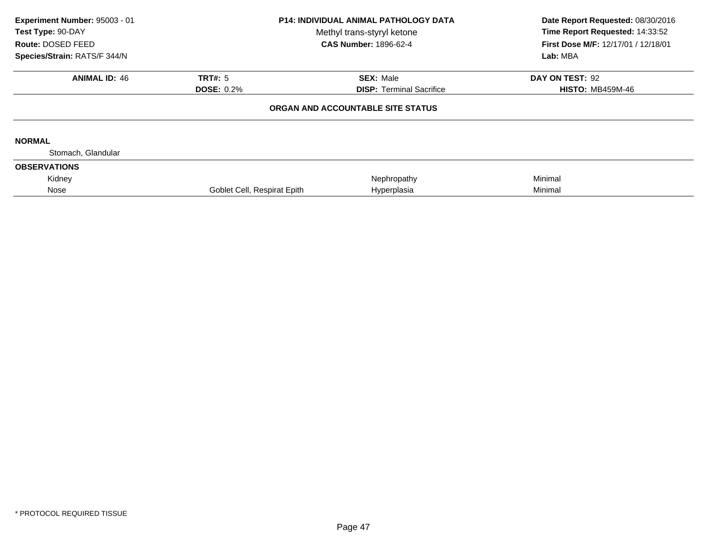| Experiment Number: 95003 - 01<br>Test Type: 90-DAY<br>Route: DOSED FEED<br>Species/Strain: RATS/F 344/N | <b>P14: INDIVIDUAL ANIMAL PATHOLOGY DATA</b><br>Methyl trans-styryl ketone<br><b>CAS Number: 1896-62-4</b> |                                   | Date Report Requested: 08/30/2016<br>Time Report Requested: 14:33:52<br>First Dose M/F: 12/17/01 / 12/18/01<br>Lab: MBA |
|---------------------------------------------------------------------------------------------------------|------------------------------------------------------------------------------------------------------------|-----------------------------------|-------------------------------------------------------------------------------------------------------------------------|
| <b>ANIMAL ID: 46</b>                                                                                    | TRT#: 5                                                                                                    | <b>SEX: Male</b>                  | DAY ON TEST: 92                                                                                                         |
|                                                                                                         | <b>DOSE: 0.2%</b>                                                                                          | <b>DISP:</b> Terminal Sacrifice   | <b>HISTO: MB459M-46</b>                                                                                                 |
|                                                                                                         |                                                                                                            | ORGAN AND ACCOUNTABLE SITE STATUS |                                                                                                                         |
| <b>NORMAL</b>                                                                                           |                                                                                                            |                                   |                                                                                                                         |
| Stomach, Glandular                                                                                      |                                                                                                            |                                   |                                                                                                                         |
| <b>OBSERVATIONS</b>                                                                                     |                                                                                                            |                                   |                                                                                                                         |
| Kidney                                                                                                  |                                                                                                            | Nephropathy                       | Minimal                                                                                                                 |
| Nose                                                                                                    | Goblet Cell, Respirat Epith                                                                                | Hyperplasia                       | Minimal                                                                                                                 |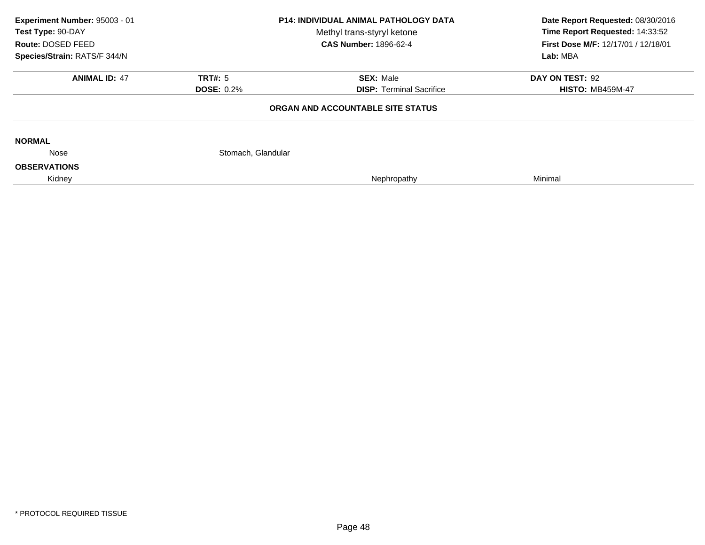| Experiment Number: 95003 - 01 |                              | <b>P14: INDIVIDUAL ANIMAL PATHOLOGY DATA</b> | Date Report Requested: 08/30/2016   |  |
|-------------------------------|------------------------------|----------------------------------------------|-------------------------------------|--|
| Test Type: 90-DAY             |                              | Methyl trans-styryl ketone                   | Time Report Requested: 14:33:52     |  |
| Route: DOSED FEED             | <b>CAS Number: 1896-62-4</b> |                                              | First Dose M/F: 12/17/01 / 12/18/01 |  |
| Species/Strain: RATS/F 344/N  |                              |                                              | Lab: MBA                            |  |
| <b>ANIMAL ID: 47</b>          | <b>TRT#: 5</b>               | <b>SEX: Male</b>                             | DAY ON TEST: 92                     |  |
|                               | <b>DOSE: 0.2%</b>            | <b>DISP: Terminal Sacrifice</b>              | <b>HISTO: MB459M-47</b>             |  |
|                               |                              | ORGAN AND ACCOUNTABLE SITE STATUS            |                                     |  |
| <b>NORMAL</b>                 |                              |                                              |                                     |  |
| Nose                          | Stomach, Glandular           |                                              |                                     |  |
| <b>OBSERVATIONS</b>           |                              |                                              |                                     |  |
| Kidney                        |                              | Nephropathy                                  | Minimal                             |  |
|                               |                              |                                              |                                     |  |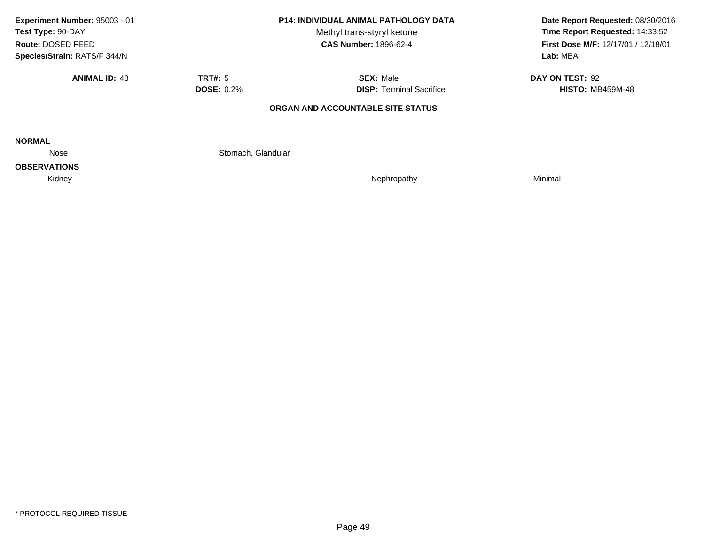| Experiment Number: 95003 - 01 |                    | <b>P14: INDIVIDUAL ANIMAL PATHOLOGY DATA</b> | Date Report Requested: 08/30/2016   |  |
|-------------------------------|--------------------|----------------------------------------------|-------------------------------------|--|
| Test Type: 90-DAY             |                    | Methyl trans-styryl ketone                   | Time Report Requested: 14:33:52     |  |
| Route: DOSED FEED             |                    | <b>CAS Number: 1896-62-4</b>                 | First Dose M/F: 12/17/01 / 12/18/01 |  |
| Species/Strain: RATS/F 344/N  |                    |                                              | Lab: MBA                            |  |
| <b>ANIMAL ID: 48</b>          | <b>TRT#: 5</b>     | <b>SEX: Male</b>                             | DAY ON TEST: 92                     |  |
|                               | <b>DOSE: 0.2%</b>  | <b>DISP: Terminal Sacrifice</b>              | <b>HISTO: MB459M-48</b>             |  |
|                               |                    | ORGAN AND ACCOUNTABLE SITE STATUS            |                                     |  |
| <b>NORMAL</b>                 |                    |                                              |                                     |  |
| Nose                          | Stomach, Glandular |                                              |                                     |  |
| <b>OBSERVATIONS</b>           |                    |                                              |                                     |  |
| Kidney                        |                    | Nephropathy                                  | Minimal                             |  |
|                               |                    |                                              |                                     |  |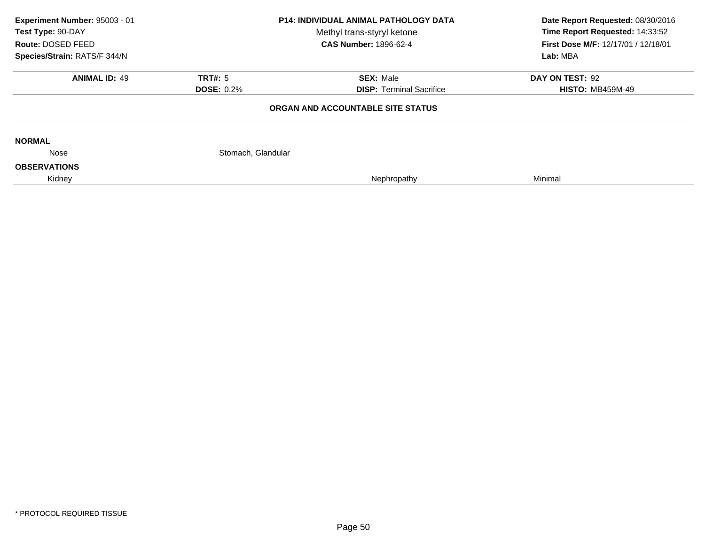| Experiment Number: 95003 - 01 |                    | <b>P14: INDIVIDUAL ANIMAL PATHOLOGY DATA</b> | Date Report Requested: 08/30/2016   |
|-------------------------------|--------------------|----------------------------------------------|-------------------------------------|
| Test Type: 90-DAY             |                    | Methyl trans-styryl ketone                   | Time Report Requested: 14:33:52     |
| Route: DOSED FEED             |                    | <b>CAS Number: 1896-62-4</b>                 | First Dose M/F: 12/17/01 / 12/18/01 |
| Species/Strain: RATS/F 344/N  |                    |                                              | Lab: MBA                            |
| <b>ANIMAL ID: 49</b>          | <b>TRT#: 5</b>     | <b>SEX: Male</b>                             | DAY ON TEST: 92                     |
|                               | <b>DOSE: 0.2%</b>  | <b>DISP: Terminal Sacrifice</b>              | <b>HISTO: MB459M-49</b>             |
|                               |                    | ORGAN AND ACCOUNTABLE SITE STATUS            |                                     |
| <b>NORMAL</b>                 |                    |                                              |                                     |
| Nose                          | Stomach, Glandular |                                              |                                     |
| <b>OBSERVATIONS</b>           |                    |                                              |                                     |
| Kidney                        |                    | Nephropathy                                  | Minimal                             |
|                               |                    |                                              |                                     |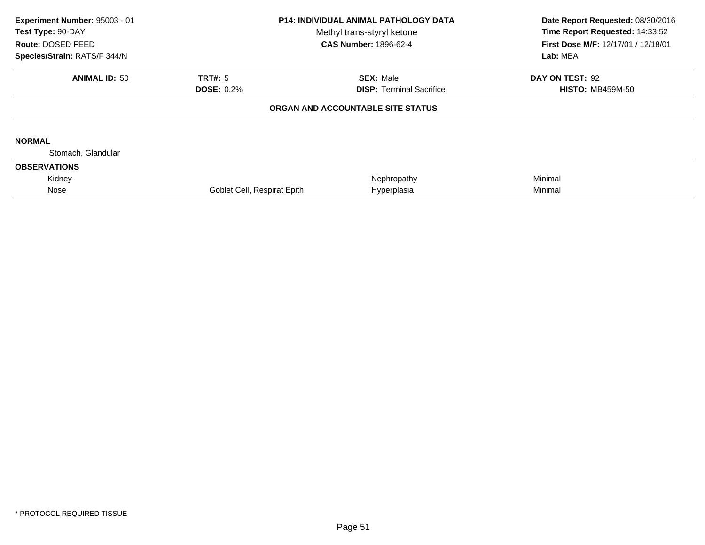| Experiment Number: 95003 - 01<br>Test Type: 90-DAY<br>Route: DOSED FEED<br>Species/Strain: RATS/F 344/N |                             | <b>P14: INDIVIDUAL ANIMAL PATHOLOGY DATA</b><br>Methyl trans-styryl ketone<br><b>CAS Number: 1896-62-4</b> | Date Report Requested: 08/30/2016<br>Time Report Requested: 14:33:52<br>First Dose M/F: 12/17/01 / 12/18/01<br>Lab: MBA |
|---------------------------------------------------------------------------------------------------------|-----------------------------|------------------------------------------------------------------------------------------------------------|-------------------------------------------------------------------------------------------------------------------------|
| <b>ANIMAL ID: 50</b>                                                                                    | TRT#: 5                     | <b>SEX: Male</b>                                                                                           | DAY ON TEST: 92                                                                                                         |
|                                                                                                         | <b>DOSE: 0.2%</b>           | <b>DISP:</b> Terminal Sacrifice                                                                            | <b>HISTO: MB459M-50</b>                                                                                                 |
|                                                                                                         |                             | ORGAN AND ACCOUNTABLE SITE STATUS                                                                          |                                                                                                                         |
| <b>NORMAL</b>                                                                                           |                             |                                                                                                            |                                                                                                                         |
| Stomach, Glandular                                                                                      |                             |                                                                                                            |                                                                                                                         |
| <b>OBSERVATIONS</b>                                                                                     |                             |                                                                                                            |                                                                                                                         |
| Kidney                                                                                                  |                             | Nephropathy                                                                                                | Minimal                                                                                                                 |
| Nose                                                                                                    | Goblet Cell, Respirat Epith | Hyperplasia                                                                                                | Minimal                                                                                                                 |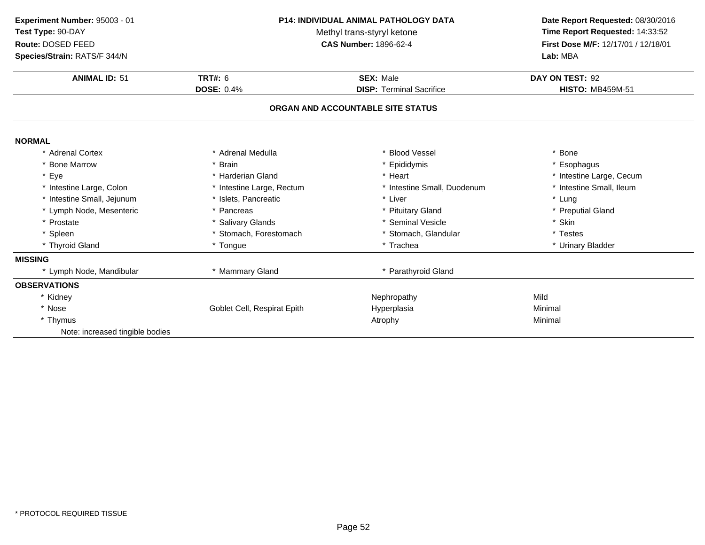| Experiment Number: 95003 - 01<br>Test Type: 90-DAY<br>Route: DOSED FEED<br>Species/Strain: RATS/F 344/N | P14: INDIVIDUAL ANIMAL PATHOLOGY DATA<br>Methyl trans-styryl ketone<br><b>CAS Number: 1896-62-4</b> |                                   | Date Report Requested: 08/30/2016<br>Time Report Requested: 14:33:52<br>First Dose M/F: 12/17/01 / 12/18/01<br>Lab: MBA |  |
|---------------------------------------------------------------------------------------------------------|-----------------------------------------------------------------------------------------------------|-----------------------------------|-------------------------------------------------------------------------------------------------------------------------|--|
| <b>ANIMAL ID: 51</b>                                                                                    | <b>TRT#: 6</b><br><b>SEX: Male</b>                                                                  |                                   | DAY ON TEST: 92                                                                                                         |  |
|                                                                                                         | <b>DOSE: 0.4%</b>                                                                                   | <b>DISP: Terminal Sacrifice</b>   | <b>HISTO: MB459M-51</b>                                                                                                 |  |
|                                                                                                         |                                                                                                     | ORGAN AND ACCOUNTABLE SITE STATUS |                                                                                                                         |  |
| <b>NORMAL</b>                                                                                           |                                                                                                     |                                   |                                                                                                                         |  |
| * Adrenal Cortex                                                                                        | * Adrenal Medulla                                                                                   | * Blood Vessel                    | * Bone                                                                                                                  |  |
| * Bone Marrow                                                                                           | * Brain                                                                                             | * Epididymis                      | * Esophagus                                                                                                             |  |
| * Eye                                                                                                   | * Harderian Gland                                                                                   | * Heart                           | * Intestine Large, Cecum                                                                                                |  |
| * Intestine Large, Colon                                                                                | * Intestine Large, Rectum                                                                           | * Intestine Small, Duodenum       | * Intestine Small, Ileum                                                                                                |  |
| * Intestine Small, Jejunum                                                                              | * Islets, Pancreatic                                                                                | * Liver                           | * Lung                                                                                                                  |  |
| * Lymph Node, Mesenteric                                                                                | * Pancreas                                                                                          | * Pituitary Gland                 | * Preputial Gland                                                                                                       |  |
| * Prostate                                                                                              | * Salivary Glands                                                                                   | * Seminal Vesicle                 | * Skin                                                                                                                  |  |
| * Spleen                                                                                                | * Stomach, Forestomach                                                                              | * Stomach, Glandular              | * Testes                                                                                                                |  |
| * Thyroid Gland                                                                                         | * Tongue                                                                                            | * Trachea                         | * Urinary Bladder                                                                                                       |  |
| <b>MISSING</b>                                                                                          |                                                                                                     |                                   |                                                                                                                         |  |
| * Lymph Node, Mandibular                                                                                | * Mammary Gland                                                                                     | * Parathyroid Gland               |                                                                                                                         |  |
| <b>OBSERVATIONS</b>                                                                                     |                                                                                                     |                                   |                                                                                                                         |  |
| * Kidney                                                                                                |                                                                                                     | Nephropathy                       | Mild                                                                                                                    |  |
| * Nose                                                                                                  | Goblet Cell, Respirat Epith                                                                         | Hyperplasia                       | Minimal                                                                                                                 |  |
| * Thymus                                                                                                |                                                                                                     | Atrophy                           | Minimal                                                                                                                 |  |
| Note: increased tingible bodies                                                                         |                                                                                                     |                                   |                                                                                                                         |  |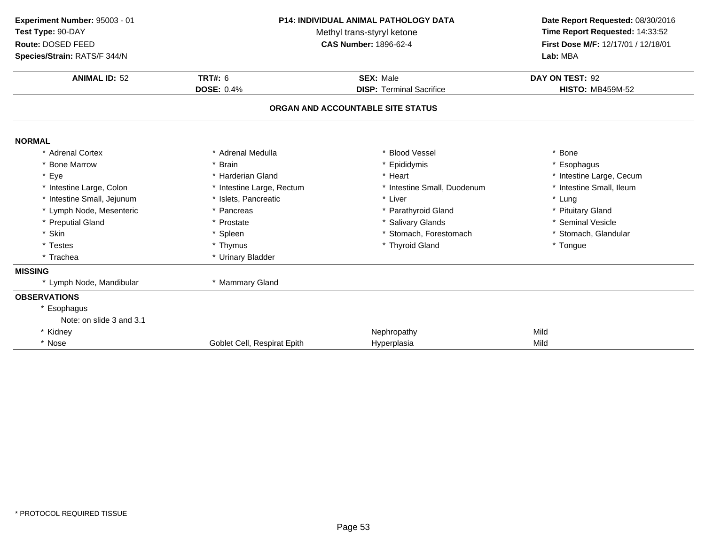| Experiment Number: 95003 - 01<br>Test Type: 90-DAY<br>Route: DOSED FEED<br>Species/Strain: RATS/F 344/N<br><b>ANIMAL ID: 52</b> | <b>P14: INDIVIDUAL ANIMAL PATHOLOGY DATA</b><br>Methyl trans-styryl ketone<br><b>CAS Number: 1896-62-4</b><br>TRT#: 6<br><b>SEX: Male</b> |                                   | Date Report Requested: 08/30/2016<br>Time Report Requested: 14:33:52<br>First Dose M/F: 12/17/01 / 12/18/01<br>Lab: MBA<br>DAY ON TEST: 92 |
|---------------------------------------------------------------------------------------------------------------------------------|-------------------------------------------------------------------------------------------------------------------------------------------|-----------------------------------|--------------------------------------------------------------------------------------------------------------------------------------------|
|                                                                                                                                 | <b>DOSE: 0.4%</b>                                                                                                                         | <b>DISP: Terminal Sacrifice</b>   | <b>HISTO: MB459M-52</b>                                                                                                                    |
|                                                                                                                                 |                                                                                                                                           | ORGAN AND ACCOUNTABLE SITE STATUS |                                                                                                                                            |
| <b>NORMAL</b>                                                                                                                   |                                                                                                                                           |                                   |                                                                                                                                            |
| * Adrenal Cortex                                                                                                                | * Adrenal Medulla                                                                                                                         | <b>Blood Vessel</b>               | * Bone                                                                                                                                     |
| * Bone Marrow                                                                                                                   | <b>Brain</b>                                                                                                                              | Epididymis                        | * Esophagus                                                                                                                                |
| * Eye                                                                                                                           | * Harderian Gland                                                                                                                         | * Heart                           | * Intestine Large, Cecum                                                                                                                   |
| * Intestine Large, Colon                                                                                                        | * Intestine Large, Rectum                                                                                                                 | * Intestine Small, Duodenum       | * Intestine Small, Ileum                                                                                                                   |
| * Intestine Small, Jejunum                                                                                                      | * Islets, Pancreatic                                                                                                                      | * Liver                           | * Lung                                                                                                                                     |
| * Lymph Node, Mesenteric                                                                                                        | Pancreas                                                                                                                                  | * Parathyroid Gland               | * Pituitary Gland                                                                                                                          |
| * Preputial Gland                                                                                                               | * Prostate                                                                                                                                | * Salivary Glands                 | * Seminal Vesicle                                                                                                                          |
| * Skin                                                                                                                          | * Spleen                                                                                                                                  | * Stomach, Forestomach            | * Stomach, Glandular                                                                                                                       |
| * Testes                                                                                                                        | * Thymus                                                                                                                                  | * Thyroid Gland                   | * Tongue                                                                                                                                   |
| * Trachea                                                                                                                       | * Urinary Bladder                                                                                                                         |                                   |                                                                                                                                            |
| <b>MISSING</b>                                                                                                                  |                                                                                                                                           |                                   |                                                                                                                                            |
| * Lymph Node, Mandibular                                                                                                        | * Mammary Gland                                                                                                                           |                                   |                                                                                                                                            |
| <b>OBSERVATIONS</b>                                                                                                             |                                                                                                                                           |                                   |                                                                                                                                            |
| * Esophagus                                                                                                                     |                                                                                                                                           |                                   |                                                                                                                                            |
| Note: on slide 3 and 3.1                                                                                                        |                                                                                                                                           |                                   |                                                                                                                                            |
| * Kidney                                                                                                                        |                                                                                                                                           | Nephropathy                       | Mild                                                                                                                                       |
| * Nose                                                                                                                          | Goblet Cell, Respirat Epith                                                                                                               | Hyperplasia                       | Mild                                                                                                                                       |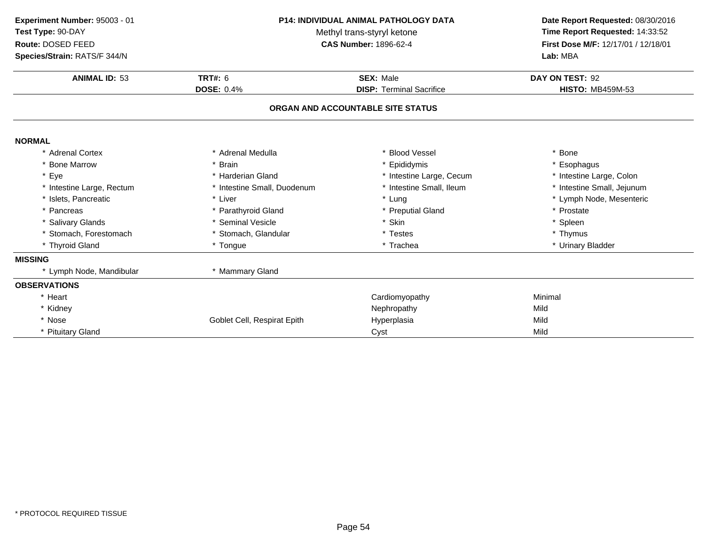| Experiment Number: 95003 - 01<br>Test Type: 90-DAY<br>Route: DOSED FEED<br>Species/Strain: RATS/F 344/N<br><b>ANIMAL ID: 53</b> | <b>P14: INDIVIDUAL ANIMAL PATHOLOGY DATA</b><br>Methyl trans-styryl ketone<br><b>CAS Number: 1896-62-4</b> |                                   | Date Report Requested: 08/30/2016<br>Time Report Requested: 14:33:52<br>First Dose M/F: 12/17/01 / 12/18/01<br>Lab: MBA<br>DAY ON TEST: 92 |
|---------------------------------------------------------------------------------------------------------------------------------|------------------------------------------------------------------------------------------------------------|-----------------------------------|--------------------------------------------------------------------------------------------------------------------------------------------|
|                                                                                                                                 | <b>TRT#: 6</b><br><b>SEX: Male</b><br><b>DOSE: 0.4%</b><br><b>DISP: Terminal Sacrifice</b>                 |                                   | <b>HISTO: MB459M-53</b>                                                                                                                    |
|                                                                                                                                 |                                                                                                            | ORGAN AND ACCOUNTABLE SITE STATUS |                                                                                                                                            |
| <b>NORMAL</b>                                                                                                                   |                                                                                                            |                                   |                                                                                                                                            |
| * Adrenal Cortex                                                                                                                | * Adrenal Medulla                                                                                          | * Blood Vessel                    | * Bone                                                                                                                                     |
| * Bone Marrow                                                                                                                   | * Brain                                                                                                    | * Epididymis                      | * Esophagus                                                                                                                                |
| * Eye                                                                                                                           | * Harderian Gland                                                                                          | * Intestine Large, Cecum          | * Intestine Large, Colon                                                                                                                   |
| * Intestine Large, Rectum                                                                                                       | * Intestine Small, Duodenum                                                                                | * Intestine Small, Ileum          | * Intestine Small, Jejunum                                                                                                                 |
| * Islets. Pancreatic                                                                                                            | * Liver                                                                                                    | * Lung                            | * Lymph Node, Mesenteric                                                                                                                   |
| * Pancreas                                                                                                                      | * Parathyroid Gland                                                                                        | * Preputial Gland                 | * Prostate                                                                                                                                 |
| * Salivary Glands                                                                                                               | * Seminal Vesicle                                                                                          | * Skin                            | * Spleen                                                                                                                                   |
| * Stomach, Forestomach                                                                                                          | * Stomach, Glandular                                                                                       | * Testes                          | * Thymus                                                                                                                                   |
| * Thyroid Gland                                                                                                                 | * Tongue                                                                                                   | * Trachea                         | * Urinary Bladder                                                                                                                          |
| <b>MISSING</b>                                                                                                                  |                                                                                                            |                                   |                                                                                                                                            |
| * Lymph Node, Mandibular                                                                                                        | * Mammary Gland                                                                                            |                                   |                                                                                                                                            |
| <b>OBSERVATIONS</b>                                                                                                             |                                                                                                            |                                   |                                                                                                                                            |
| * Heart                                                                                                                         |                                                                                                            | Cardiomyopathy                    | Minimal                                                                                                                                    |
| * Kidney                                                                                                                        |                                                                                                            | Nephropathy                       | Mild                                                                                                                                       |
| * Nose                                                                                                                          | Goblet Cell, Respirat Epith                                                                                | Hyperplasia                       | Mild                                                                                                                                       |
| * Pituitary Gland                                                                                                               |                                                                                                            | Cyst                              | Mild                                                                                                                                       |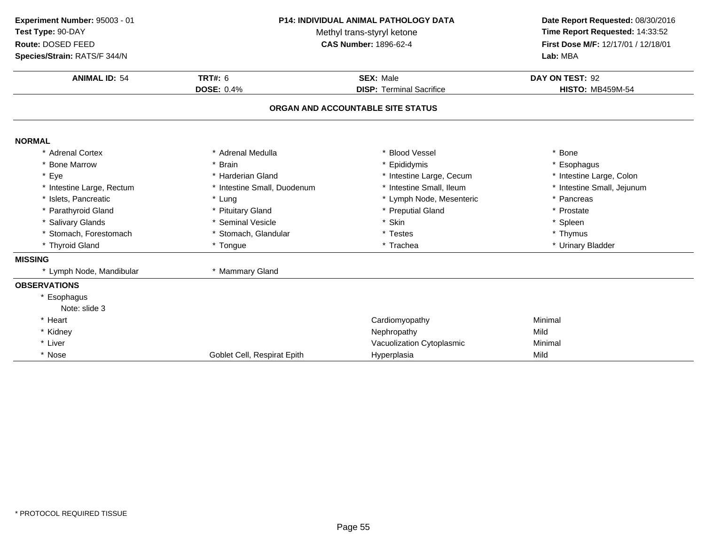| Experiment Number: 95003 - 01<br>Test Type: 90-DAY<br>Route: DOSED FEED<br>Species/Strain: RATS/F 344/N | <b>P14: INDIVIDUAL ANIMAL PATHOLOGY DATA</b><br>Methyl trans-styryl ketone<br><b>CAS Number: 1896-62-4</b> |                                   | Date Report Requested: 08/30/2016<br>Time Report Requested: 14:33:52<br>First Dose M/F: 12/17/01 / 12/18/01<br>Lab: MBA |
|---------------------------------------------------------------------------------------------------------|------------------------------------------------------------------------------------------------------------|-----------------------------------|-------------------------------------------------------------------------------------------------------------------------|
| <b>ANIMAL ID: 54</b>                                                                                    | <b>TRT#: 6</b>                                                                                             | <b>SEX: Male</b>                  | DAY ON TEST: 92                                                                                                         |
|                                                                                                         | <b>DOSE: 0.4%</b>                                                                                          | <b>DISP: Terminal Sacrifice</b>   | <b>HISTO: MB459M-54</b>                                                                                                 |
|                                                                                                         |                                                                                                            | ORGAN AND ACCOUNTABLE SITE STATUS |                                                                                                                         |
| <b>NORMAL</b>                                                                                           |                                                                                                            |                                   |                                                                                                                         |
| * Adrenal Cortex                                                                                        | * Adrenal Medulla                                                                                          | <b>Blood Vessel</b>               | * Bone                                                                                                                  |
| * Bone Marrow                                                                                           | * Brain                                                                                                    | * Epididymis                      | * Esophagus                                                                                                             |
| * Eye                                                                                                   | * Harderian Gland                                                                                          | * Intestine Large, Cecum          | * Intestine Large, Colon                                                                                                |
| * Intestine Large, Rectum                                                                               | * Intestine Small, Duodenum                                                                                | * Intestine Small, Ileum          | * Intestine Small, Jejunum                                                                                              |
| * Islets, Pancreatic                                                                                    | * Lung                                                                                                     | * Lymph Node, Mesenteric          | * Pancreas                                                                                                              |
| * Parathyroid Gland                                                                                     | * Pituitary Gland                                                                                          | * Preputial Gland                 | * Prostate                                                                                                              |
| * Salivary Glands                                                                                       | * Seminal Vesicle                                                                                          | * Skin                            | * Spleen                                                                                                                |
| * Stomach, Forestomach                                                                                  | * Stomach, Glandular                                                                                       | * Testes                          | * Thymus                                                                                                                |
| * Thyroid Gland                                                                                         | * Tongue                                                                                                   | * Trachea                         | * Urinary Bladder                                                                                                       |
| <b>MISSING</b>                                                                                          |                                                                                                            |                                   |                                                                                                                         |
| * Lymph Node, Mandibular                                                                                | * Mammary Gland                                                                                            |                                   |                                                                                                                         |
| <b>OBSERVATIONS</b>                                                                                     |                                                                                                            |                                   |                                                                                                                         |
| Esophagus                                                                                               |                                                                                                            |                                   |                                                                                                                         |
| Note: slide 3                                                                                           |                                                                                                            |                                   |                                                                                                                         |
| * Heart                                                                                                 |                                                                                                            | Cardiomyopathy                    | Minimal                                                                                                                 |
| * Kidney                                                                                                |                                                                                                            | Nephropathy                       | Mild                                                                                                                    |
| * Liver                                                                                                 |                                                                                                            | Vacuolization Cytoplasmic         | Minimal                                                                                                                 |
| * Nose                                                                                                  | Goblet Cell, Respirat Epith                                                                                | Hyperplasia                       | Mild                                                                                                                    |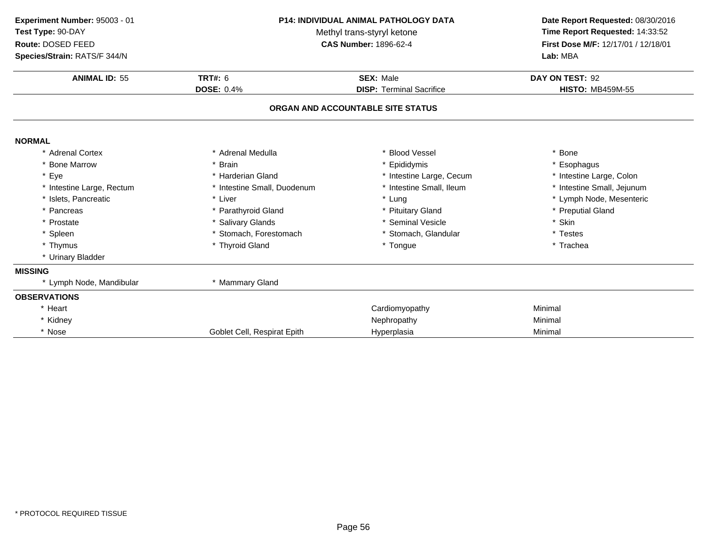| Experiment Number: 95003 - 01 | <b>P14: INDIVIDUAL ANIMAL PATHOLOGY DATA</b> |                                   | Date Report Requested: 08/30/2016   |  |
|-------------------------------|----------------------------------------------|-----------------------------------|-------------------------------------|--|
| Test Type: 90-DAY             | Methyl trans-styryl ketone                   | Time Report Requested: 14:33:52   |                                     |  |
| Route: DOSED FEED             |                                              | <b>CAS Number: 1896-62-4</b>      | First Dose M/F: 12/17/01 / 12/18/01 |  |
| Species/Strain: RATS/F 344/N  |                                              |                                   | Lab: MBA                            |  |
| <b>ANIMAL ID: 55</b>          | TRT#: 6                                      | <b>SEX: Male</b>                  | DAY ON TEST: 92                     |  |
|                               | <b>DOSE: 0.4%</b>                            | <b>DISP: Terminal Sacrifice</b>   | <b>HISTO: MB459M-55</b>             |  |
|                               |                                              | ORGAN AND ACCOUNTABLE SITE STATUS |                                     |  |
| <b>NORMAL</b>                 |                                              |                                   |                                     |  |
| * Adrenal Cortex              | * Adrenal Medulla                            | * Blood Vessel                    | * Bone                              |  |
| * Bone Marrow                 | * Brain                                      | Epididymis                        | * Esophagus                         |  |
| * Eye                         | * Harderian Gland                            | * Intestine Large, Cecum          | * Intestine Large, Colon            |  |
| * Intestine Large, Rectum     | * Intestine Small, Duodenum                  | Intestine Small, Ileum            | * Intestine Small, Jejunum          |  |
| * Islets, Pancreatic          | * Liver                                      | * Lung                            | * Lymph Node, Mesenteric            |  |
| * Pancreas                    | * Parathyroid Gland                          | * Pituitary Gland                 | * Preputial Gland                   |  |
| * Prostate                    | * Salivary Glands                            | <b>Seminal Vesicle</b>            | * Skin                              |  |
| * Spleen                      | * Stomach, Forestomach                       | * Stomach, Glandular              | * Testes                            |  |
| * Thymus                      | * Thyroid Gland                              | * Tongue                          | * Trachea                           |  |
| * Urinary Bladder             |                                              |                                   |                                     |  |
| <b>MISSING</b>                |                                              |                                   |                                     |  |
| * Lymph Node, Mandibular      | * Mammary Gland                              |                                   |                                     |  |
| <b>OBSERVATIONS</b>           |                                              |                                   |                                     |  |
| * Heart                       |                                              | Cardiomyopathy                    | Minimal                             |  |
| * Kidney                      |                                              | Nephropathy                       | Minimal                             |  |
| * Nose                        | Goblet Cell, Respirat Epith                  | Hyperplasia                       | Minimal                             |  |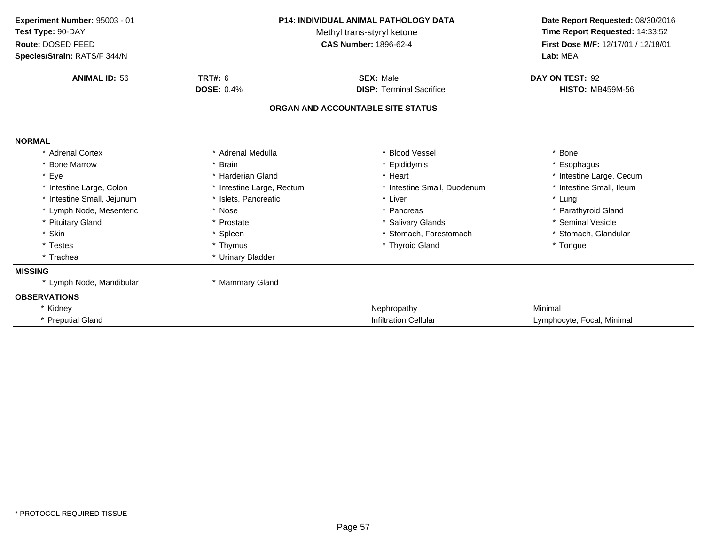| Experiment Number: 95003 - 01<br>Test Type: 90-DAY<br>Route: DOSED FEED<br>Species/Strain: RATS/F 344/N | <b>P14: INDIVIDUAL ANIMAL PATHOLOGY DATA</b><br>Methyl trans-styryl ketone<br><b>CAS Number: 1896-62-4</b> |                                   | Date Report Requested: 08/30/2016<br>Time Report Requested: 14:33:52<br>First Dose M/F: 12/17/01 / 12/18/01<br>Lab: MBA |  |
|---------------------------------------------------------------------------------------------------------|------------------------------------------------------------------------------------------------------------|-----------------------------------|-------------------------------------------------------------------------------------------------------------------------|--|
| <b>ANIMAL ID: 56</b>                                                                                    | <b>TRT#: 6</b>                                                                                             | <b>SEX: Male</b>                  | DAY ON TEST: 92                                                                                                         |  |
|                                                                                                         | <b>DOSE: 0.4%</b>                                                                                          | <b>DISP: Terminal Sacrifice</b>   | <b>HISTO: MB459M-56</b>                                                                                                 |  |
|                                                                                                         |                                                                                                            | ORGAN AND ACCOUNTABLE SITE STATUS |                                                                                                                         |  |
| <b>NORMAL</b>                                                                                           |                                                                                                            |                                   |                                                                                                                         |  |
| * Adrenal Cortex                                                                                        | * Adrenal Medulla                                                                                          | * Blood Vessel                    | * Bone                                                                                                                  |  |
| <b>Bone Marrow</b>                                                                                      | * Brain                                                                                                    | Epididymis                        | Esophagus                                                                                                               |  |
| * Eye                                                                                                   | * Harderian Gland                                                                                          | * Heart                           | * Intestine Large, Cecum                                                                                                |  |
| * Intestine Large, Colon                                                                                | * Intestine Large, Rectum                                                                                  | * Intestine Small, Duodenum       | * Intestine Small, Ileum                                                                                                |  |
| * Intestine Small, Jejunum                                                                              | * Islets, Pancreatic                                                                                       | * Liver                           | * Lung                                                                                                                  |  |
| * Lymph Node, Mesenteric                                                                                | * Nose                                                                                                     | * Pancreas                        | * Parathyroid Gland                                                                                                     |  |
| * Pituitary Gland                                                                                       | * Prostate                                                                                                 | * Salivary Glands                 | * Seminal Vesicle                                                                                                       |  |
| * Skin                                                                                                  | * Spleen                                                                                                   | * Stomach, Forestomach            | * Stomach, Glandular                                                                                                    |  |
| * Testes                                                                                                | * Thymus                                                                                                   | * Thyroid Gland                   | * Tongue                                                                                                                |  |
| * Trachea                                                                                               | * Urinary Bladder                                                                                          |                                   |                                                                                                                         |  |
| <b>MISSING</b>                                                                                          |                                                                                                            |                                   |                                                                                                                         |  |
| * Lymph Node, Mandibular                                                                                | * Mammary Gland                                                                                            |                                   |                                                                                                                         |  |
| <b>OBSERVATIONS</b>                                                                                     |                                                                                                            |                                   |                                                                                                                         |  |
| * Kidney                                                                                                |                                                                                                            | Nephropathy                       | Minimal                                                                                                                 |  |
| * Preputial Gland                                                                                       |                                                                                                            | <b>Infiltration Cellular</b>      | Lymphocyte, Focal, Minimal                                                                                              |  |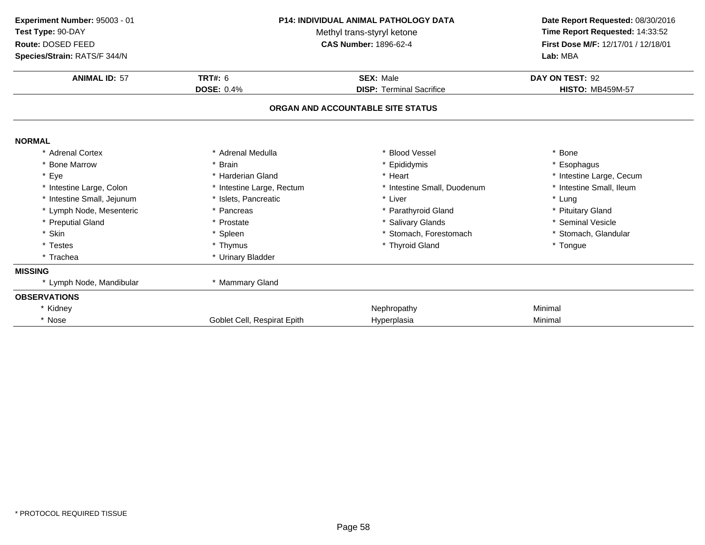| Experiment Number: 95003 - 01<br>Test Type: 90-DAY<br>Route: DOSED FEED<br>Species/Strain: RATS/F 344/N | <b>P14: INDIVIDUAL ANIMAL PATHOLOGY DATA</b><br>Methyl trans-styryl ketone<br><b>CAS Number: 1896-62-4</b> |                                   | Date Report Requested: 08/30/2016<br>Time Report Requested: 14:33:52<br>First Dose M/F: 12/17/01 / 12/18/01<br>Lab: MBA |  |
|---------------------------------------------------------------------------------------------------------|------------------------------------------------------------------------------------------------------------|-----------------------------------|-------------------------------------------------------------------------------------------------------------------------|--|
| <b>ANIMAL ID: 57</b>                                                                                    | <b>TRT#: 6</b>                                                                                             | <b>SEX: Male</b>                  | DAY ON TEST: 92                                                                                                         |  |
|                                                                                                         | <b>DOSE: 0.4%</b>                                                                                          | <b>DISP: Terminal Sacrifice</b>   | <b>HISTO: MB459M-57</b>                                                                                                 |  |
|                                                                                                         |                                                                                                            | ORGAN AND ACCOUNTABLE SITE STATUS |                                                                                                                         |  |
| <b>NORMAL</b>                                                                                           |                                                                                                            |                                   |                                                                                                                         |  |
| * Adrenal Cortex                                                                                        | * Adrenal Medulla                                                                                          | * Blood Vessel                    | * Bone                                                                                                                  |  |
| * Bone Marrow                                                                                           | * Brain                                                                                                    | Epididymis                        | * Esophagus                                                                                                             |  |
| * Eye                                                                                                   | * Harderian Gland                                                                                          | * Heart                           | * Intestine Large, Cecum                                                                                                |  |
| * Intestine Large, Colon                                                                                | * Intestine Large, Rectum                                                                                  | * Intestine Small, Duodenum       | * Intestine Small, Ileum                                                                                                |  |
| * Intestine Small, Jejunum                                                                              | * Islets, Pancreatic                                                                                       | * Liver                           | * Lung                                                                                                                  |  |
| * Lymph Node, Mesenteric                                                                                | * Pancreas                                                                                                 | * Parathyroid Gland               | * Pituitary Gland                                                                                                       |  |
| * Preputial Gland                                                                                       | * Prostate                                                                                                 | * Salivary Glands                 | * Seminal Vesicle                                                                                                       |  |
| * Skin                                                                                                  | * Spleen                                                                                                   | * Stomach, Forestomach            | * Stomach, Glandular                                                                                                    |  |
| * Testes                                                                                                | * Thymus                                                                                                   | * Thyroid Gland                   | * Tongue                                                                                                                |  |
| * Trachea                                                                                               | * Urinary Bladder                                                                                          |                                   |                                                                                                                         |  |
| <b>MISSING</b>                                                                                          |                                                                                                            |                                   |                                                                                                                         |  |
| * Lymph Node, Mandibular                                                                                | * Mammary Gland                                                                                            |                                   |                                                                                                                         |  |
| <b>OBSERVATIONS</b>                                                                                     |                                                                                                            |                                   |                                                                                                                         |  |
| * Kidney                                                                                                |                                                                                                            | Nephropathy                       | Minimal                                                                                                                 |  |
| * Nose                                                                                                  | Goblet Cell, Respirat Epith                                                                                | Hyperplasia                       | Minimal                                                                                                                 |  |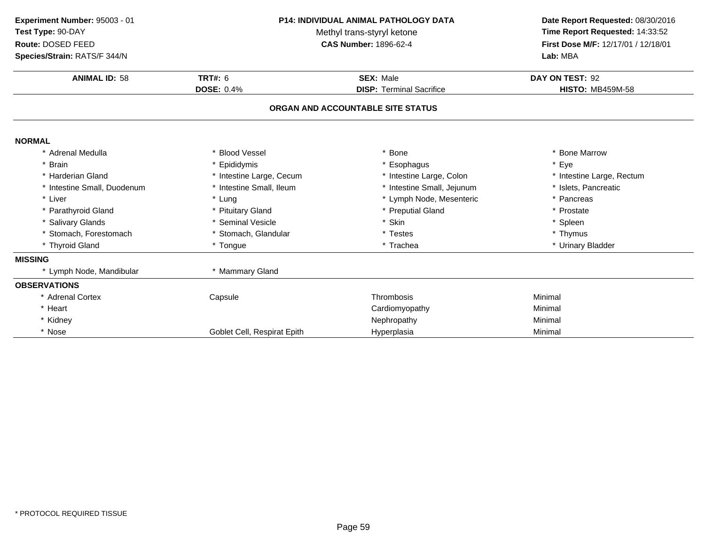| Experiment Number: 95003 - 01<br>Test Type: 90-DAY<br>Route: DOSED FEED<br>Species/Strain: RATS/F 344/N | P14: INDIVIDUAL ANIMAL PATHOLOGY DATA<br>Methyl trans-styryl ketone<br><b>CAS Number: 1896-62-4</b> |                                   | Date Report Requested: 08/30/2016<br>Time Report Requested: 14:33:52<br>First Dose M/F: 12/17/01 / 12/18/01<br>Lab: MBA |  |
|---------------------------------------------------------------------------------------------------------|-----------------------------------------------------------------------------------------------------|-----------------------------------|-------------------------------------------------------------------------------------------------------------------------|--|
| <b>ANIMAL ID: 58</b>                                                                                    | <b>TRT#: 6</b>                                                                                      | <b>SEX: Male</b>                  | DAY ON TEST: 92                                                                                                         |  |
|                                                                                                         | <b>DOSE: 0.4%</b>                                                                                   | <b>DISP: Terminal Sacrifice</b>   | <b>HISTO: MB459M-58</b>                                                                                                 |  |
|                                                                                                         |                                                                                                     | ORGAN AND ACCOUNTABLE SITE STATUS |                                                                                                                         |  |
| <b>NORMAL</b>                                                                                           |                                                                                                     |                                   |                                                                                                                         |  |
| * Adrenal Medulla                                                                                       | <b>Blood Vessel</b>                                                                                 | <b>Bone</b>                       | * Bone Marrow                                                                                                           |  |
| * Brain                                                                                                 | Epididymis                                                                                          | * Esophagus                       | * Eye                                                                                                                   |  |
| * Harderian Gland                                                                                       | * Intestine Large, Cecum                                                                            | * Intestine Large, Colon          | * Intestine Large, Rectum                                                                                               |  |
| * Intestine Small, Duodenum                                                                             | Intestine Small, Ileum                                                                              | * Intestine Small, Jejunum        | * Islets, Pancreatic                                                                                                    |  |
| * Liver                                                                                                 | * Lung                                                                                              | * Lymph Node, Mesenteric          | * Pancreas                                                                                                              |  |
| * Parathyroid Gland                                                                                     | * Pituitary Gland                                                                                   | * Preputial Gland                 | * Prostate                                                                                                              |  |
| * Salivary Glands                                                                                       | * Seminal Vesicle                                                                                   | * Skin                            | * Spleen                                                                                                                |  |
| * Stomach, Forestomach                                                                                  | * Stomach, Glandular                                                                                | * Testes                          | * Thymus                                                                                                                |  |
| * Thyroid Gland                                                                                         | * Tongue                                                                                            | * Trachea                         | * Urinary Bladder                                                                                                       |  |
| <b>MISSING</b>                                                                                          |                                                                                                     |                                   |                                                                                                                         |  |
| * Lymph Node, Mandibular                                                                                | * Mammary Gland                                                                                     |                                   |                                                                                                                         |  |
| <b>OBSERVATIONS</b>                                                                                     |                                                                                                     |                                   |                                                                                                                         |  |
| * Adrenal Cortex                                                                                        | Capsule                                                                                             | Thrombosis                        | Minimal                                                                                                                 |  |
| * Heart                                                                                                 |                                                                                                     | Cardiomyopathy                    | Minimal                                                                                                                 |  |
| * Kidney                                                                                                |                                                                                                     | Nephropathy                       | Minimal                                                                                                                 |  |
| * Nose                                                                                                  | Goblet Cell, Respirat Epith                                                                         | Hyperplasia                       | Minimal                                                                                                                 |  |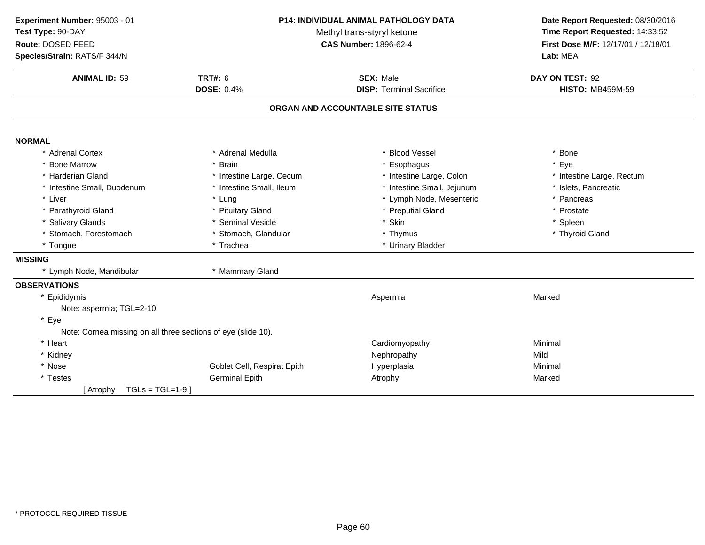| Experiment Number: 95003 - 01<br>Test Type: 90-DAY<br>Route: DOSED FEED<br>Species/Strain: RATS/F 344/N | P14: INDIVIDUAL ANIMAL PATHOLOGY DATA<br>Methyl trans-styryl ketone<br><b>CAS Number: 1896-62-4</b> |                                   | Date Report Requested: 08/30/2016<br>Time Report Requested: 14:33:52<br>First Dose M/F: 12/17/01 / 12/18/01<br>Lab: MBA |
|---------------------------------------------------------------------------------------------------------|-----------------------------------------------------------------------------------------------------|-----------------------------------|-------------------------------------------------------------------------------------------------------------------------|
| <b>ANIMAL ID: 59</b>                                                                                    | <b>TRT#: 6</b><br><b>SEX: Male</b><br><b>DOSE: 0.4%</b><br><b>DISP: Terminal Sacrifice</b>          |                                   | DAY ON TEST: 92<br><b>HISTO: MB459M-59</b>                                                                              |
|                                                                                                         |                                                                                                     | ORGAN AND ACCOUNTABLE SITE STATUS |                                                                                                                         |
| <b>NORMAL</b>                                                                                           |                                                                                                     |                                   |                                                                                                                         |
| * Adrenal Cortex                                                                                        | * Adrenal Medulla                                                                                   | * Blood Vessel                    | * Bone                                                                                                                  |
| <b>Bone Marrow</b>                                                                                      | <b>Brain</b>                                                                                        | * Esophagus                       | * Eye                                                                                                                   |
| * Harderian Gland                                                                                       | * Intestine Large, Cecum                                                                            | * Intestine Large, Colon          | * Intestine Large, Rectum                                                                                               |
| * Intestine Small, Duodenum                                                                             | * Intestine Small, Ileum                                                                            | * Intestine Small, Jejunum        | * Islets, Pancreatic                                                                                                    |
| * Liver                                                                                                 | * Lung                                                                                              | * Lymph Node, Mesenteric          | * Pancreas                                                                                                              |
| * Parathyroid Gland                                                                                     | * Pituitary Gland                                                                                   | * Preputial Gland                 | * Prostate                                                                                                              |
| * Salivary Glands                                                                                       | * Seminal Vesicle                                                                                   | * Skin                            | * Spleen                                                                                                                |
| * Stomach, Forestomach                                                                                  | * Stomach, Glandular                                                                                | * Thymus                          | * Thyroid Gland                                                                                                         |
| * Tongue                                                                                                | * Trachea                                                                                           | * Urinary Bladder                 |                                                                                                                         |
| <b>MISSING</b>                                                                                          |                                                                                                     |                                   |                                                                                                                         |
| * Lymph Node, Mandibular                                                                                | * Mammary Gland                                                                                     |                                   |                                                                                                                         |
| <b>OBSERVATIONS</b>                                                                                     |                                                                                                     |                                   |                                                                                                                         |
| * Epididymis                                                                                            |                                                                                                     | Aspermia                          | Marked                                                                                                                  |
| Note: aspermia; TGL=2-10                                                                                |                                                                                                     |                                   |                                                                                                                         |
| * Eye                                                                                                   |                                                                                                     |                                   |                                                                                                                         |
| Note: Cornea missing on all three sections of eye (slide 10).                                           |                                                                                                     |                                   |                                                                                                                         |
| * Heart                                                                                                 |                                                                                                     | Cardiomyopathy                    | Minimal                                                                                                                 |
| * Kidney                                                                                                |                                                                                                     | Nephropathy                       | Mild                                                                                                                    |
| * Nose                                                                                                  | Goblet Cell, Respirat Epith                                                                         | Hyperplasia                       | Minimal                                                                                                                 |
| * Testes                                                                                                | <b>Germinal Epith</b>                                                                               | Atrophy                           | Marked                                                                                                                  |
| $TGLs = TGL=1-9$<br>[ Atrophy                                                                           |                                                                                                     |                                   |                                                                                                                         |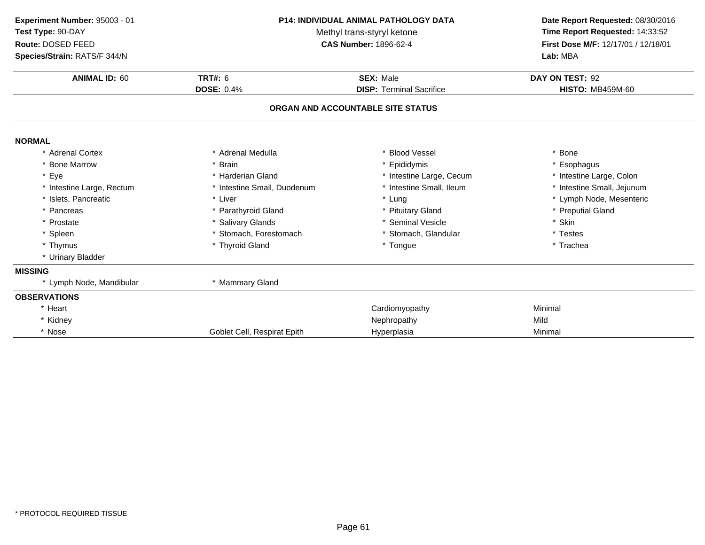| Experiment Number: 95003 - 01<br>Test Type: 90-DAY<br>Route: DOSED FEED<br>Species/Strain: RATS/F 344/N | <b>P14: INDIVIDUAL ANIMAL PATHOLOGY DATA</b><br>Methyl trans-styryl ketone<br><b>CAS Number: 1896-62-4</b> |                                   | Date Report Requested: 08/30/2016<br>Time Report Requested: 14:33:52<br>First Dose M/F: 12/17/01 / 12/18/01<br>Lab: MBA |
|---------------------------------------------------------------------------------------------------------|------------------------------------------------------------------------------------------------------------|-----------------------------------|-------------------------------------------------------------------------------------------------------------------------|
| <b>ANIMAL ID: 60</b>                                                                                    | <b>TRT#: 6</b>                                                                                             | <b>SEX: Male</b>                  | DAY ON TEST: 92                                                                                                         |
|                                                                                                         | <b>DOSE: 0.4%</b>                                                                                          | <b>DISP: Terminal Sacrifice</b>   | <b>HISTO: MB459M-60</b>                                                                                                 |
|                                                                                                         |                                                                                                            | ORGAN AND ACCOUNTABLE SITE STATUS |                                                                                                                         |
| <b>NORMAL</b>                                                                                           |                                                                                                            |                                   |                                                                                                                         |
| * Adrenal Cortex                                                                                        | * Adrenal Medulla                                                                                          | <b>Blood Vessel</b>               | * Bone                                                                                                                  |
| * Bone Marrow                                                                                           | * Brain                                                                                                    | Epididymis                        | * Esophagus                                                                                                             |
| * Eye                                                                                                   | * Harderian Gland                                                                                          | * Intestine Large, Cecum          | * Intestine Large, Colon                                                                                                |
| * Intestine Large, Rectum                                                                               | * Intestine Small, Duodenum                                                                                | Intestine Small, Ileum            | * Intestine Small, Jejunum                                                                                              |
| * Islets, Pancreatic                                                                                    | * Liver                                                                                                    | * Lung                            | * Lymph Node, Mesenteric                                                                                                |
| * Pancreas                                                                                              | * Parathyroid Gland                                                                                        | * Pituitary Gland                 | * Preputial Gland                                                                                                       |
| * Prostate                                                                                              | * Salivary Glands                                                                                          | * Seminal Vesicle                 | * Skin                                                                                                                  |
| * Spleen                                                                                                | * Stomach, Forestomach                                                                                     | * Stomach, Glandular              | * Testes                                                                                                                |
| * Thymus                                                                                                | * Thyroid Gland                                                                                            | * Tongue                          | * Trachea                                                                                                               |
| * Urinary Bladder                                                                                       |                                                                                                            |                                   |                                                                                                                         |
| <b>MISSING</b>                                                                                          |                                                                                                            |                                   |                                                                                                                         |
| * Lymph Node, Mandibular                                                                                | * Mammary Gland                                                                                            |                                   |                                                                                                                         |
| <b>OBSERVATIONS</b>                                                                                     |                                                                                                            |                                   |                                                                                                                         |
| * Heart                                                                                                 |                                                                                                            | Cardiomyopathy                    | Minimal                                                                                                                 |
| * Kidney                                                                                                |                                                                                                            | Nephropathy                       | Mild                                                                                                                    |
| * Nose                                                                                                  | Goblet Cell, Respirat Epith                                                                                | Hyperplasia                       | Minimal                                                                                                                 |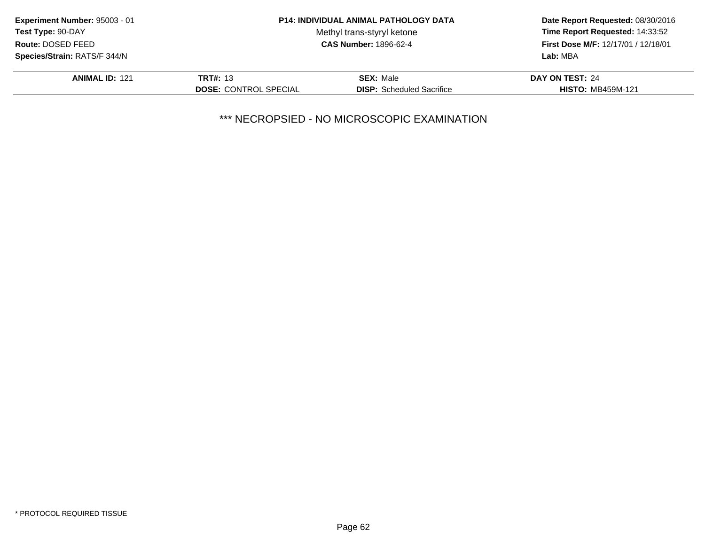| Experiment Number: 95003 - 01 |                              | <b>P14: INDIVIDUAL ANIMAL PATHOLOGY DATA</b> | Date Report Requested: 08/30/2016<br>Time Report Requested: 14:33:52<br>First Dose M/F: 12/17/01 / 12/18/01 |
|-------------------------------|------------------------------|----------------------------------------------|-------------------------------------------------------------------------------------------------------------|
| <b>Test Type: 90-DAY</b>      |                              | Methyl trans-styryl ketone                   |                                                                                                             |
| Route: DOSED FEED             |                              | <b>CAS Number: 1896-62-4</b>                 |                                                                                                             |
| Species/Strain: RATS/F 344/N  |                              |                                              | Lab: MBA                                                                                                    |
| <b>ANIMAL ID: 121</b>         | <b>TRT#: 13</b>              | <b>SEX: Male</b>                             | DAY ON TEST: 24                                                                                             |
|                               | <b>DOSE: CONTROL SPECIAL</b> | <b>DISP:</b> Scheduled Sacrifice             | <b>HISTO: MB459M-121</b>                                                                                    |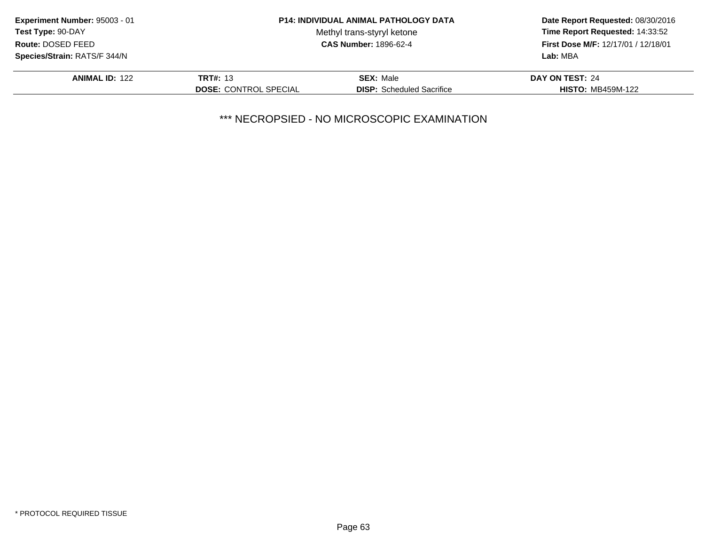| Experiment Number: 95003 - 01       |                              | <b>P14: INDIVIDUAL ANIMAL PATHOLOGY DATA</b> | Date Report Requested: 08/30/2016<br>Time Report Requested: 14:33:52<br>First Dose M/F: 12/17/01 / 12/18/01 |
|-------------------------------------|------------------------------|----------------------------------------------|-------------------------------------------------------------------------------------------------------------|
| Test Type: 90-DAY                   |                              | Methyl trans-styryl ketone                   |                                                                                                             |
| Route: DOSED FEED                   |                              | <b>CAS Number: 1896-62-4</b>                 |                                                                                                             |
| <b>Species/Strain: RATS/F 344/N</b> |                              |                                              | Lab: MBA                                                                                                    |
| <b>ANIMAL ID: 122</b>               | <b>TRT#: 13</b>              | <b>SEX: Male</b>                             | DAY ON TEST: 24                                                                                             |
|                                     | <b>DOSE: CONTROL SPECIAL</b> | <b>DISP:</b> Scheduled Sacrifice             | <b>HISTO: MB459M-122</b>                                                                                    |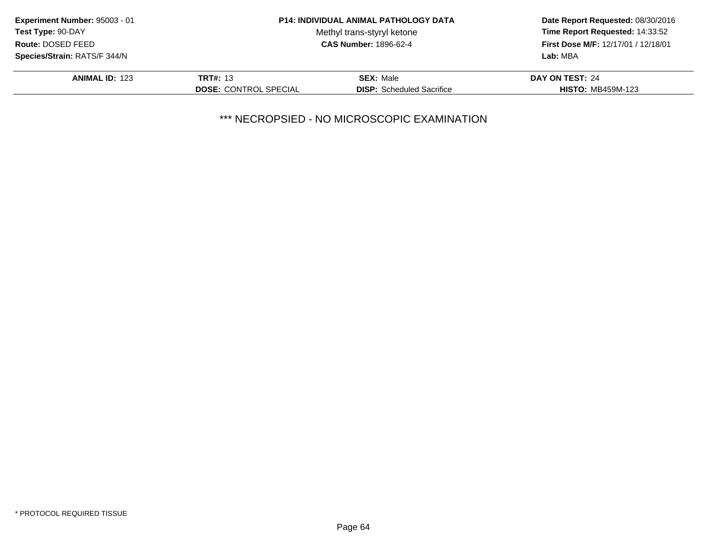| Experiment Number: 95003 - 01       |                              | <b>P14: INDIVIDUAL ANIMAL PATHOLOGY DATA</b> | Date Report Requested: 08/30/2016<br>Time Report Requested: 14:33:52<br>First Dose M/F: 12/17/01 / 12/18/01 |
|-------------------------------------|------------------------------|----------------------------------------------|-------------------------------------------------------------------------------------------------------------|
| <b>Test Type: 90-DAY</b>            |                              | Methyl trans-styryl ketone                   |                                                                                                             |
| Route: DOSED FEED                   |                              | <b>CAS Number: 1896-62-4</b>                 |                                                                                                             |
| <b>Species/Strain: RATS/F 344/N</b> |                              |                                              | Lab: MBA                                                                                                    |
| <b>ANIMAL ID: 123</b>               | <b>TRT#: 13</b>              | <b>SEX: Male</b>                             | DAY ON TEST: 24                                                                                             |
|                                     | <b>DOSE: CONTROL SPECIAL</b> | <b>DISP:</b> Scheduled Sacrifice             | <b>HISTO: MB459M-123</b>                                                                                    |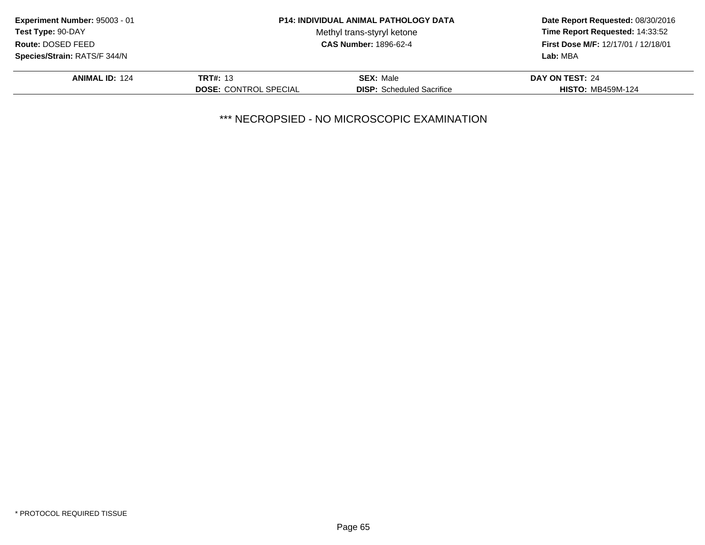| Experiment Number: 95003 - 01       |                              | <b>P14: INDIVIDUAL ANIMAL PATHOLOGY DATA</b> | Date Report Requested: 08/30/2016<br>Time Report Requested: 14:33:52<br>First Dose M/F: 12/17/01 / 12/18/01 |
|-------------------------------------|------------------------------|----------------------------------------------|-------------------------------------------------------------------------------------------------------------|
| <b>Test Type: 90-DAY</b>            |                              | Methyl trans-styryl ketone                   |                                                                                                             |
| Route: DOSED FEED                   |                              | <b>CAS Number: 1896-62-4</b>                 |                                                                                                             |
| <b>Species/Strain: RATS/F 344/N</b> |                              |                                              | Lab: MBA                                                                                                    |
| <b>ANIMAL ID: 124</b>               | <b>TRT#: 13</b>              | <b>SEX: Male</b>                             | DAY ON TEST: 24                                                                                             |
|                                     | <b>DOSE: CONTROL SPECIAL</b> | <b>DISP:</b> Scheduled Sacrifice             | <b>HISTO: MB459M-124</b>                                                                                    |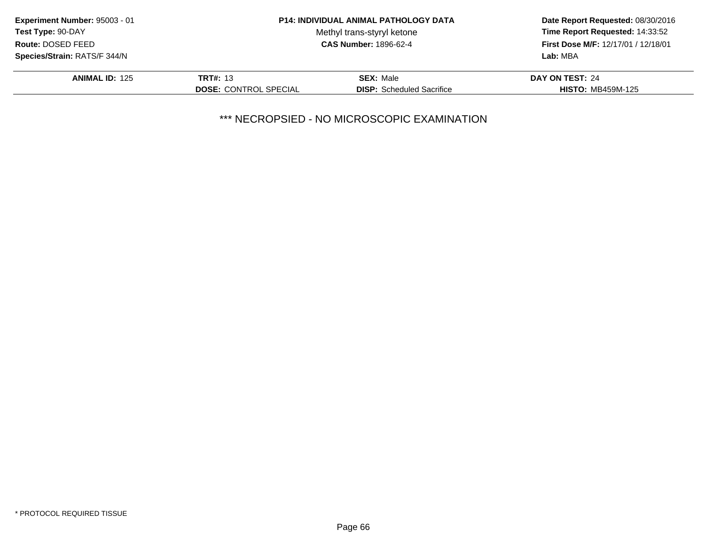| Experiment Number: 95003 - 01       |                              | <b>P14: INDIVIDUAL ANIMAL PATHOLOGY DATA</b> | Date Report Requested: 08/30/2016<br>Time Report Requested: 14:33:52<br>First Dose M/F: 12/17/01 / 12/18/01 |
|-------------------------------------|------------------------------|----------------------------------------------|-------------------------------------------------------------------------------------------------------------|
| Test Type: 90-DAY                   |                              | Methyl trans-styryl ketone                   |                                                                                                             |
| Route: DOSED FEED                   |                              | <b>CAS Number: 1896-62-4</b>                 |                                                                                                             |
| <b>Species/Strain: RATS/F 344/N</b> |                              |                                              | Lab: MBA                                                                                                    |
| <b>ANIMAL ID: 125</b>               | <b>TRT#: 13</b>              | <b>SEX: Male</b>                             | DAY ON TEST: 24                                                                                             |
|                                     | <b>DOSE: CONTROL SPECIAL</b> | <b>DISP:</b> Scheduled Sacrifice             | <b>HISTO: MB459M-125</b>                                                                                    |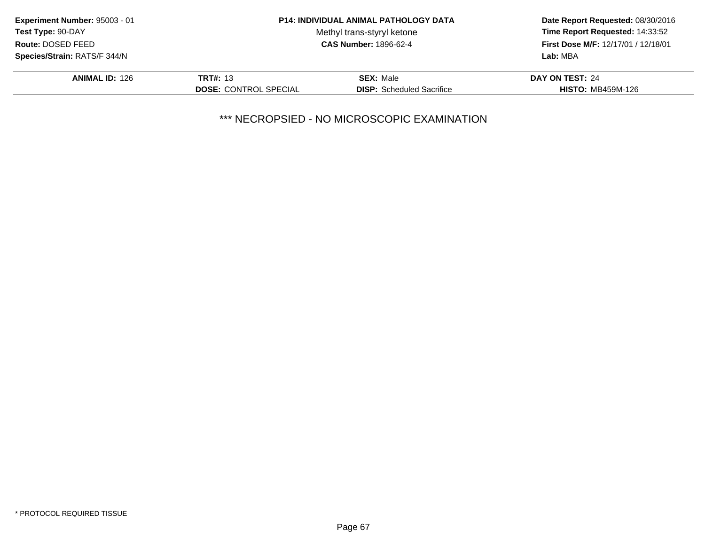| Experiment Number: 95003 - 01       |                              | <b>P14: INDIVIDUAL ANIMAL PATHOLOGY DATA</b> | Date Report Requested: 08/30/2016<br>Time Report Requested: 14:33:52<br>First Dose M/F: 12/17/01 / 12/18/01 |
|-------------------------------------|------------------------------|----------------------------------------------|-------------------------------------------------------------------------------------------------------------|
| Test Type: 90-DAY                   |                              | Methyl trans-styryl ketone                   |                                                                                                             |
| Route: DOSED FEED                   |                              | <b>CAS Number: 1896-62-4</b>                 |                                                                                                             |
| <b>Species/Strain: RATS/F 344/N</b> |                              |                                              | Lab: MBA                                                                                                    |
| <b>ANIMAL ID: 126</b>               | <b>TRT#: 13</b>              | <b>SEX: Male</b>                             | DAY ON TEST: 24                                                                                             |
|                                     | <b>DOSE: CONTROL SPECIAL</b> | <b>DISP:</b> Scheduled Sacrifice             | <b>HISTO: MB459M-126</b>                                                                                    |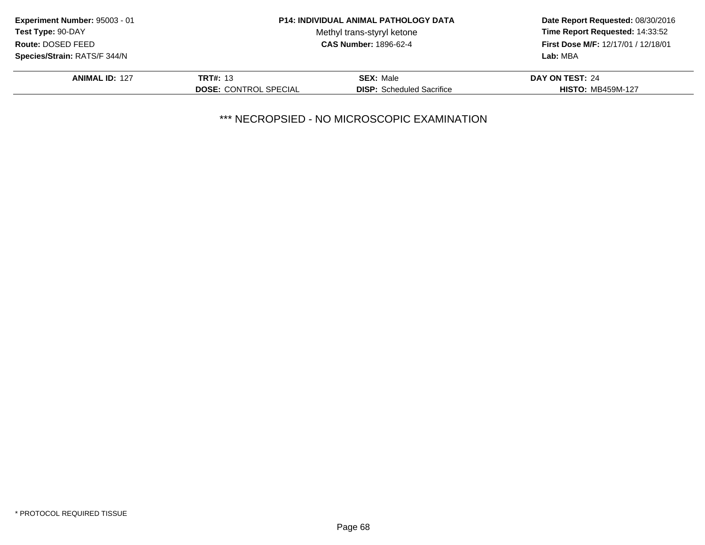| Experiment Number: 95003 - 01       |                              | <b>P14: INDIVIDUAL ANIMAL PATHOLOGY DATA</b> | Date Report Requested: 08/30/2016<br>Time Report Requested: 14:33:52<br>First Dose M/F: 12/17/01 / 12/18/01 |
|-------------------------------------|------------------------------|----------------------------------------------|-------------------------------------------------------------------------------------------------------------|
| <b>Test Type: 90-DAY</b>            |                              | Methyl trans-styryl ketone                   |                                                                                                             |
| Route: DOSED FEED                   |                              | <b>CAS Number: 1896-62-4</b>                 |                                                                                                             |
| <b>Species/Strain: RATS/F 344/N</b> |                              |                                              | Lab: MBA                                                                                                    |
| <b>ANIMAL ID: 127</b>               | <b>TRT#: 13</b>              | <b>SEX: Male</b>                             | DAY ON TEST: 24                                                                                             |
|                                     | <b>DOSE: CONTROL SPECIAL</b> | <b>DISP:</b> Scheduled Sacrifice             | <b>HISTO: MB459M-127</b>                                                                                    |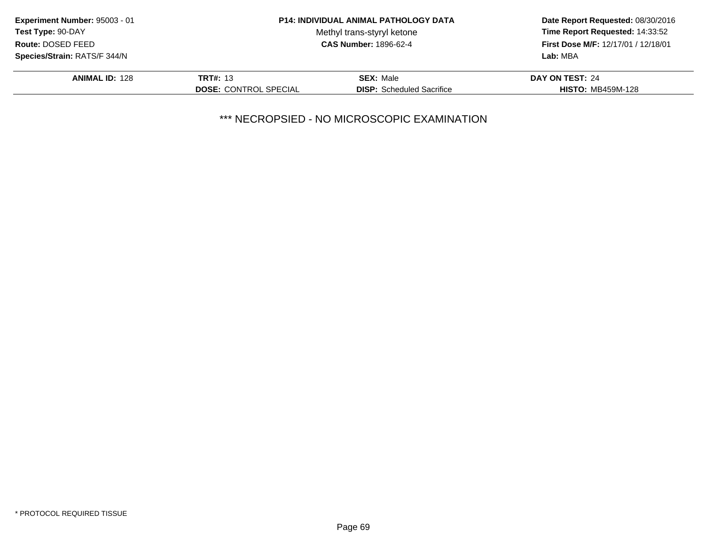| Experiment Number: 95003 - 01       |                              | <b>P14: INDIVIDUAL ANIMAL PATHOLOGY DATA</b> | Date Report Requested: 08/30/2016<br>Time Report Requested: 14:33:52<br>First Dose M/F: 12/17/01 / 12/18/01 |
|-------------------------------------|------------------------------|----------------------------------------------|-------------------------------------------------------------------------------------------------------------|
| Test Type: 90-DAY                   |                              | Methyl trans-styryl ketone                   |                                                                                                             |
| Route: DOSED FEED                   |                              | <b>CAS Number: 1896-62-4</b>                 |                                                                                                             |
| <b>Species/Strain: RATS/F 344/N</b> |                              |                                              | Lab: MBA                                                                                                    |
| <b>ANIMAL ID: 128</b>               | <b>TRT#: 13</b>              | <b>SEX: Male</b>                             | DAY ON TEST: 24                                                                                             |
|                                     | <b>DOSE: CONTROL SPECIAL</b> | <b>DISP:</b> Scheduled Sacrifice             | <b>HISTO: MB459M-128</b>                                                                                    |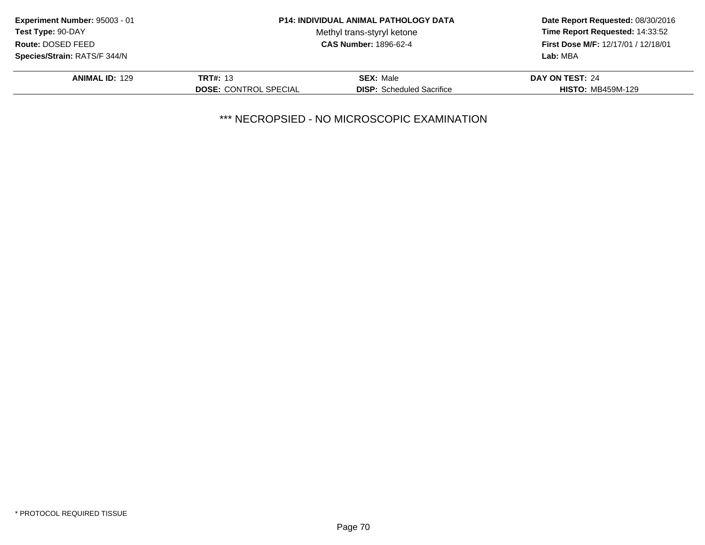| Experiment Number: 95003 - 01       |                              | <b>P14: INDIVIDUAL ANIMAL PATHOLOGY DATA</b> | Date Report Requested: 08/30/2016<br>Time Report Requested: 14:33:52<br>First Dose M/F: 12/17/01 / 12/18/01 |
|-------------------------------------|------------------------------|----------------------------------------------|-------------------------------------------------------------------------------------------------------------|
| Test Type: 90-DAY                   |                              | Methyl trans-styryl ketone                   |                                                                                                             |
| Route: DOSED FEED                   |                              | <b>CAS Number: 1896-62-4</b>                 |                                                                                                             |
| <b>Species/Strain: RATS/F 344/N</b> |                              |                                              | Lab: MBA                                                                                                    |
| <b>ANIMAL ID: 129</b>               | <b>TRT#: 13</b>              | <b>SEX: Male</b>                             | DAY ON TEST: 24                                                                                             |
|                                     | <b>DOSE: CONTROL SPECIAL</b> | <b>DISP:</b> Scheduled Sacrifice             | <b>HISTO: MB459M-129</b>                                                                                    |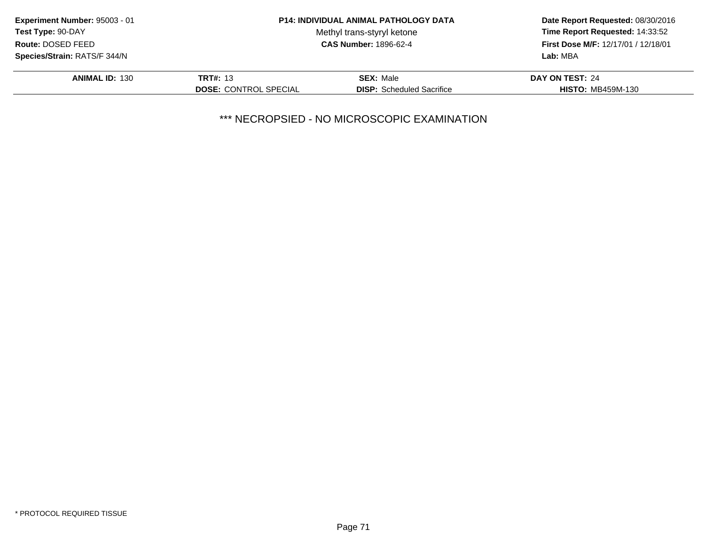| Experiment Number: 95003 - 01       |                              | <b>P14: INDIVIDUAL ANIMAL PATHOLOGY DATA</b> | Date Report Requested: 08/30/2016<br>Time Report Requested: 14:33:52<br>First Dose M/F: 12/17/01 / 12/18/01 |
|-------------------------------------|------------------------------|----------------------------------------------|-------------------------------------------------------------------------------------------------------------|
| Test Type: 90-DAY                   |                              | Methyl trans-styryl ketone                   |                                                                                                             |
| Route: DOSED FEED                   |                              | <b>CAS Number: 1896-62-4</b>                 |                                                                                                             |
| <b>Species/Strain: RATS/F 344/N</b> |                              |                                              | Lab: MBA                                                                                                    |
| <b>ANIMAL ID: 130</b>               | <b>TRT#: 13</b>              | <b>SEX: Male</b>                             | DAY ON TEST: 24                                                                                             |
|                                     | <b>DOSE: CONTROL SPECIAL</b> | <b>DISP:</b> Scheduled Sacrifice             | <b>HISTO: MB459M-130</b>                                                                                    |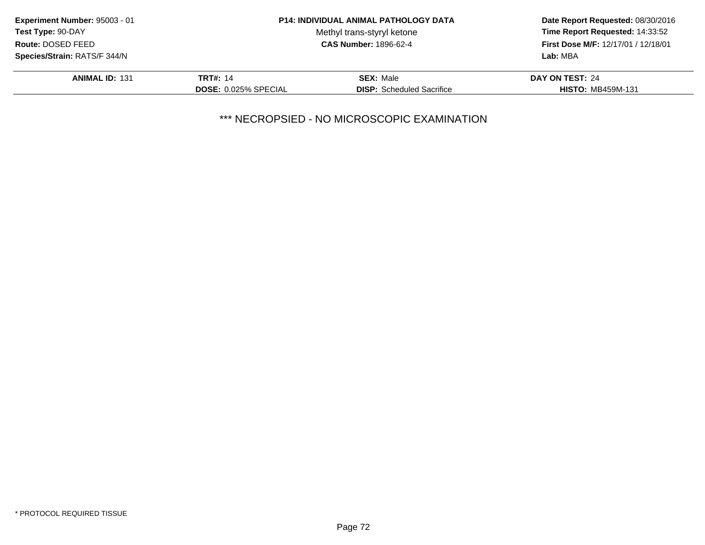| Experiment Number: 95003 - 01       |                             | <b>P14: INDIVIDUAL ANIMAL PATHOLOGY DATA</b> | Date Report Requested: 08/30/2016                                      |
|-------------------------------------|-----------------------------|----------------------------------------------|------------------------------------------------------------------------|
| Test Type: 90-DAY                   |                             | Methyl trans-styryl ketone                   | Time Report Requested: 14:33:52<br>First Dose M/F: 12/17/01 / 12/18/01 |
| Route: DOSED FEED                   |                             | <b>CAS Number: 1896-62-4</b>                 |                                                                        |
| <b>Species/Strain: RATS/F 344/N</b> |                             |                                              | Lab: MBA                                                               |
| <b>ANIMAL ID: 131</b>               | <b>TRT#: 14</b>             | <b>SEX: Male</b>                             | DAY ON TEST: 24                                                        |
|                                     | <b>DOSE: 0.025% SPECIAL</b> | <b>DISP:</b> Scheduled Sacrifice             | <b>HISTO: MB459M-131</b>                                               |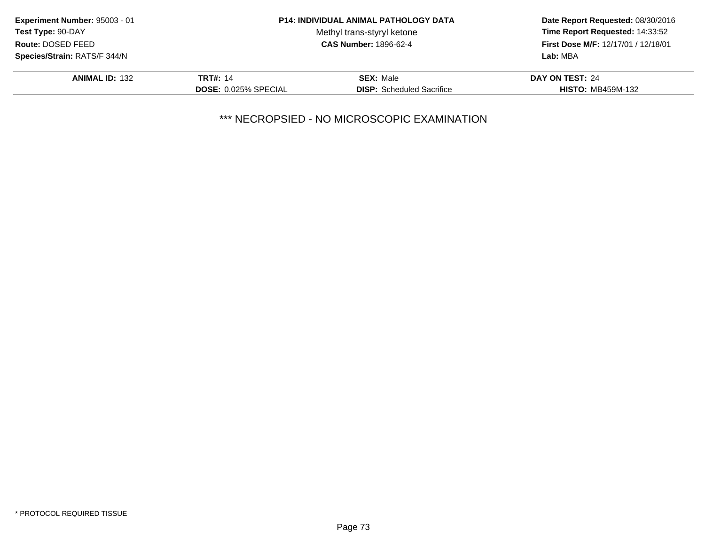| Experiment Number: 95003 - 01       |                             | <b>P14: INDIVIDUAL ANIMAL PATHOLOGY DATA</b> | Date Report Requested: 08/30/2016<br>Time Report Requested: 14:33:52<br>First Dose M/F: 12/17/01 / 12/18/01 |
|-------------------------------------|-----------------------------|----------------------------------------------|-------------------------------------------------------------------------------------------------------------|
| Test Type: 90-DAY                   |                             | Methyl trans-styryl ketone                   |                                                                                                             |
| Route: DOSED FEED                   |                             | <b>CAS Number: 1896-62-4</b>                 |                                                                                                             |
| <b>Species/Strain: RATS/F 344/N</b> |                             |                                              | Lab: MBA                                                                                                    |
| <b>ANIMAL ID: 132</b>               | <b>TRT#: 14</b>             | <b>SEX: Male</b>                             | DAY ON TEST: 24                                                                                             |
|                                     | <b>DOSE: 0.025% SPECIAL</b> | <b>DISP:</b> Scheduled Sacrifice             | <b>HISTO: MB459M-132</b>                                                                                    |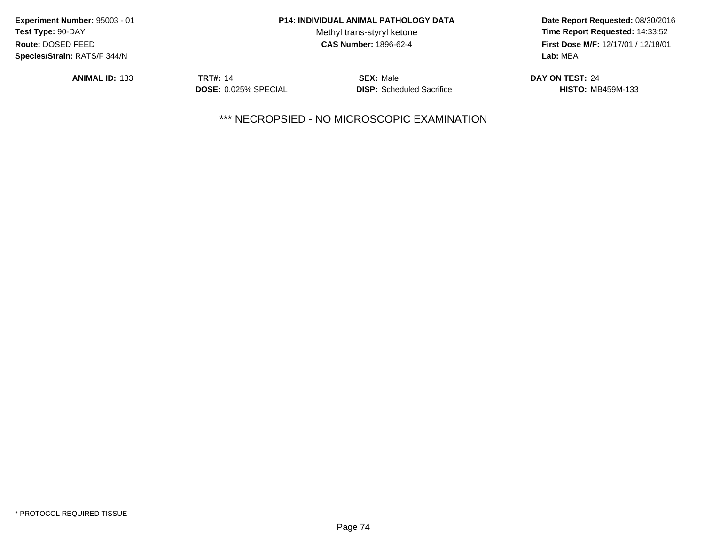| Experiment Number: 95003 - 01 |                             | <b>P14: INDIVIDUAL ANIMAL PATHOLOGY DATA</b> | Date Report Requested: 08/30/2016                                                  |  |
|-------------------------------|-----------------------------|----------------------------------------------|------------------------------------------------------------------------------------|--|
| <b>Test Type: 90-DAY</b>      |                             | Methyl trans-styryl ketone                   | Time Report Requested: 14:33:52<br>First Dose M/F: 12/17/01 / 12/18/01<br>Lab: MBA |  |
| Route: DOSED FEED             |                             | <b>CAS Number: 1896-62-4</b>                 |                                                                                    |  |
| Species/Strain: RATS/F 344/N  |                             |                                              |                                                                                    |  |
| <b>ANIMAL ID: 133</b>         | <b>TRT#: 14</b>             | <b>SEX: Male</b>                             | DAY ON TEST: 24                                                                    |  |
|                               | <b>DOSE: 0.025% SPECIAL</b> | <b>DISP:</b> Scheduled Sacrifice             | <b>HISTO: MB459M-133</b>                                                           |  |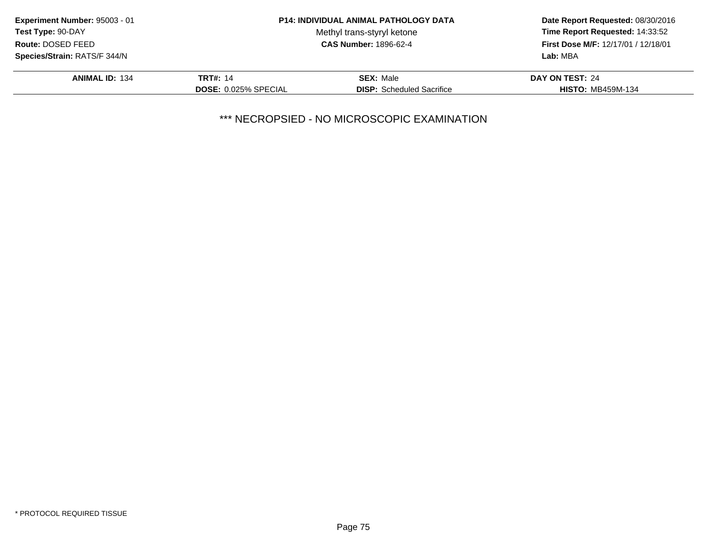| Experiment Number: 95003 - 01 |                             | <b>P14: INDIVIDUAL ANIMAL PATHOLOGY DATA</b> | Date Report Requested: 08/30/2016<br>Time Report Requested: 14:33:52<br>First Dose M/F: 12/17/01 / 12/18/01<br>Lab: MBA |
|-------------------------------|-----------------------------|----------------------------------------------|-------------------------------------------------------------------------------------------------------------------------|
| <b>Test Type: 90-DAY</b>      |                             | Methyl trans-styryl ketone                   |                                                                                                                         |
| Route: DOSED FEED             |                             | <b>CAS Number: 1896-62-4</b>                 |                                                                                                                         |
| Species/Strain: RATS/F 344/N  |                             |                                              |                                                                                                                         |
| <b>ANIMAL ID: 134</b>         | <b>TRT#: 14</b>             | <b>SEX: Male</b>                             | DAY ON TEST: 24                                                                                                         |
|                               | <b>DOSE: 0.025% SPECIAL</b> | <b>DISP:</b> Scheduled Sacrifice             | <b>HISTO: MB459M-134</b>                                                                                                |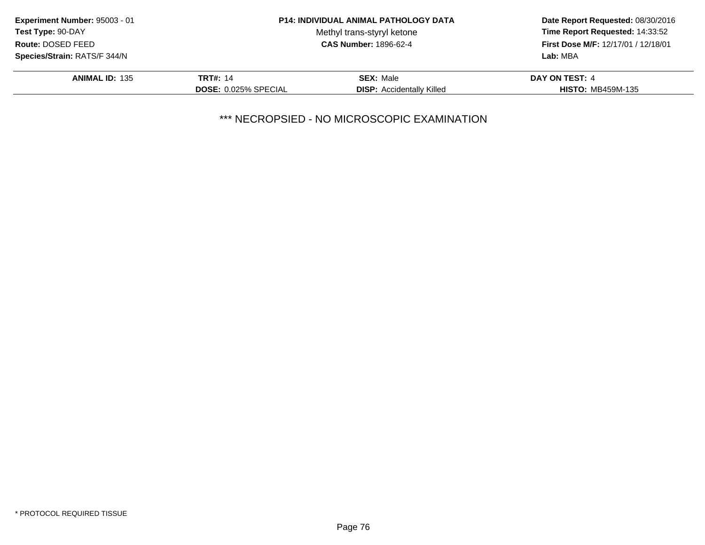| Experiment Number: 95003 - 01                     |                             | <b>P14: INDIVIDUAL ANIMAL PATHOLOGY DATA</b> | Date Report Requested: 08/30/2016<br>Time Report Requested: 14:33:52 |
|---------------------------------------------------|-----------------------------|----------------------------------------------|----------------------------------------------------------------------|
| Test Type: 90-DAY                                 |                             | Methyl trans-styryl ketone                   |                                                                      |
| <b>CAS Number: 1896-62-4</b><br>Route: DOSED FEED |                             |                                              | <b>First Dose M/F: 12/17/01 / 12/18/01</b>                           |
| Species/Strain: RATS/F 344/N                      |                             |                                              | Lab: MBA                                                             |
| <b>ANIMAL ID: 135</b>                             | <b>TRT#: 14</b>             | <b>SEX: Male</b>                             | DAY ON TEST: 4                                                       |
|                                                   | <b>DOSE: 0.025% SPECIAL</b> | <b>DISP:</b> Accidentally Killed             | <b>HISTO: MB459M-135</b>                                             |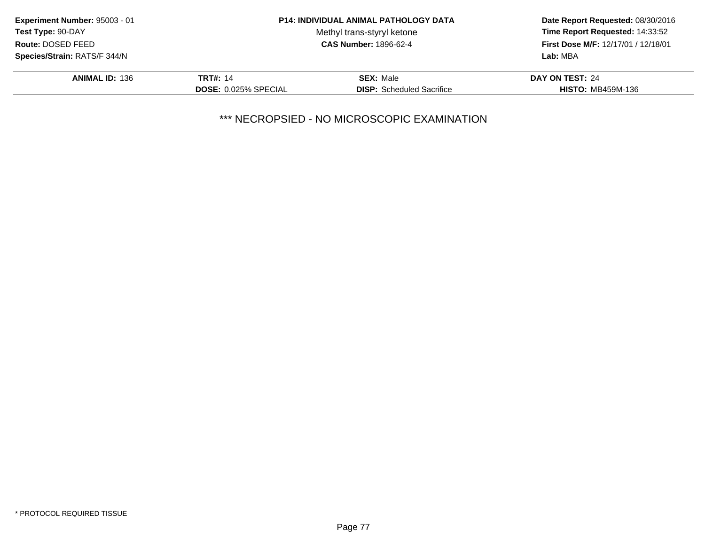| Experiment Number: 95003 - 01 |                             | <b>P14: INDIVIDUAL ANIMAL PATHOLOGY DATA</b> | Date Report Requested: 08/30/2016                                             |  |
|-------------------------------|-----------------------------|----------------------------------------------|-------------------------------------------------------------------------------|--|
| Test Type: 90-DAY             |                             | Methyl trans-styryl ketone                   | Time Report Requested: 14:33:52<br><b>First Dose M/F: 12/17/01 / 12/18/01</b> |  |
| Route: DOSED FEED             |                             | <b>CAS Number: 1896-62-4</b>                 |                                                                               |  |
| Species/Strain: RATS/F 344/N  |                             |                                              | Lab: MBA                                                                      |  |
| <b>ANIMAL ID: 136</b>         | <b>TRT#: 14</b>             | <b>SEX: Male</b>                             | DAY ON TEST: 24                                                               |  |
|                               | <b>DOSE: 0.025% SPECIAL</b> | <b>DISP:</b> Scheduled Sacrifice             | <b>HISTO: MB459M-136</b>                                                      |  |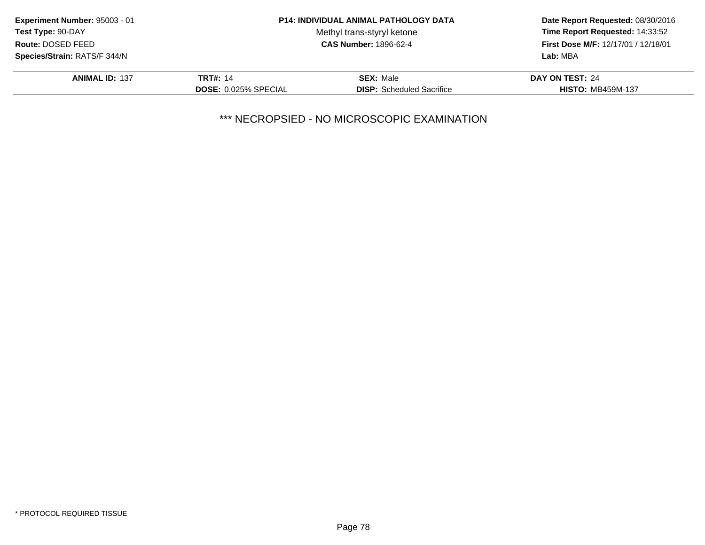| Experiment Number: 95003 - 01       |                             | <b>P14: INDIVIDUAL ANIMAL PATHOLOGY DATA</b> | Date Report Requested: 08/30/2016<br>Time Report Requested: 14:33:52<br>First Dose M/F: 12/17/01 / 12/18/01 |
|-------------------------------------|-----------------------------|----------------------------------------------|-------------------------------------------------------------------------------------------------------------|
| <b>Test Type: 90-DAY</b>            |                             | Methyl trans-styryl ketone                   |                                                                                                             |
| Route: DOSED FEED                   |                             | <b>CAS Number: 1896-62-4</b>                 |                                                                                                             |
| <b>Species/Strain: RATS/F 344/N</b> |                             |                                              | Lab: MBA                                                                                                    |
| <b>ANIMAL ID: 137</b>               | <b>TRT#: 14</b>             | <b>SEX: Male</b>                             | DAY ON TEST: 24                                                                                             |
|                                     | <b>DOSE: 0.025% SPECIAL</b> | <b>DISP:</b> Scheduled Sacrifice             | <b>HISTO: MB459M-137</b>                                                                                    |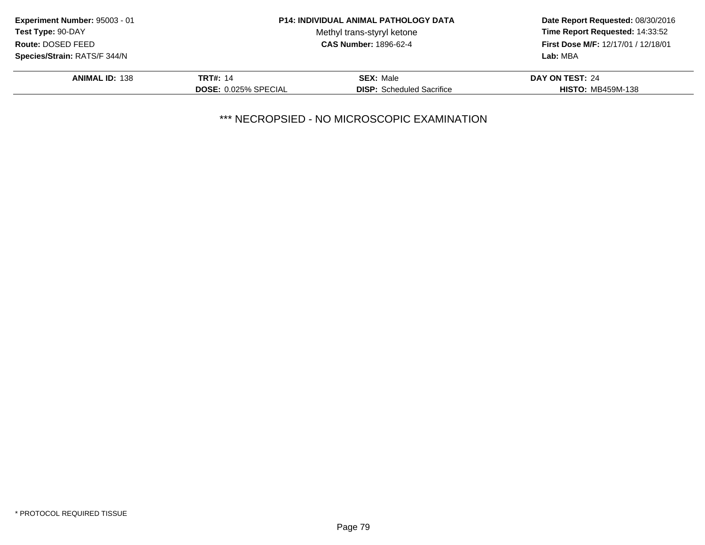| Experiment Number: 95003 - 01 |                             | <b>P14: INDIVIDUAL ANIMAL PATHOLOGY DATA</b> | Date Report Requested: 08/30/2016                                      |  |
|-------------------------------|-----------------------------|----------------------------------------------|------------------------------------------------------------------------|--|
| <b>Test Type: 90-DAY</b>      |                             | Methyl trans-styryl ketone                   | Time Report Requested: 14:33:52<br>First Dose M/F: 12/17/01 / 12/18/01 |  |
| Route: DOSED FEED             |                             | <b>CAS Number: 1896-62-4</b>                 |                                                                        |  |
| Species/Strain: RATS/F 344/N  |                             |                                              | Lab: MBA                                                               |  |
| <b>ANIMAL ID: 138</b>         | <b>TRT#: 14</b>             | <b>SEX: Male</b>                             | DAY ON TEST: 24                                                        |  |
|                               | <b>DOSE: 0.025% SPECIAL</b> | <b>DISP:</b> Scheduled Sacrifice             | <b>HISTO: MB459M-138</b>                                               |  |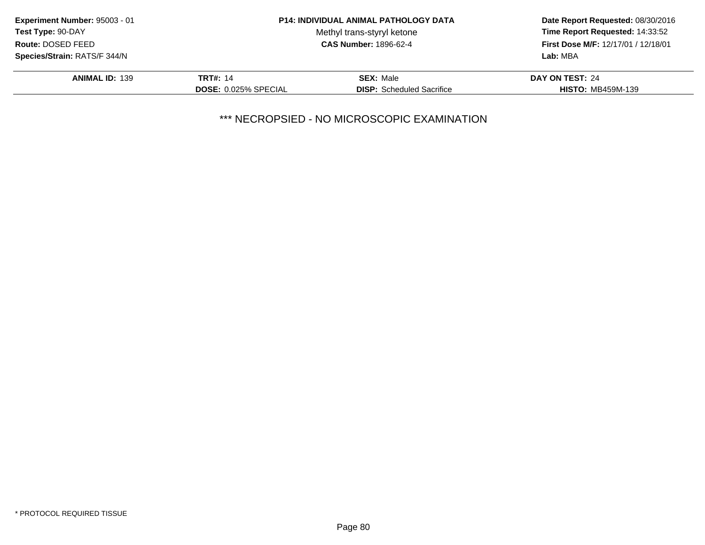| Experiment Number: 95003 - 01 |                             | <b>P14: INDIVIDUAL ANIMAL PATHOLOGY DATA</b> | Date Report Requested: 08/30/2016<br>Time Report Requested: 14:33:52 |
|-------------------------------|-----------------------------|----------------------------------------------|----------------------------------------------------------------------|
| Test Type: 90-DAY             |                             | Methyl trans-styryl ketone                   |                                                                      |
| Route: DOSED FEED             |                             | <b>CAS Number: 1896-62-4</b>                 | First Dose M/F: 12/17/01 / 12/18/01                                  |
| Species/Strain: RATS/F 344/N  |                             |                                              | Lab: MBA                                                             |
| <b>ANIMAL ID: 139</b>         | <b>TRT#: 14</b>             | <b>SEX: Male</b>                             | DAY ON TEST: 24                                                      |
|                               | <b>DOSE: 0.025% SPECIAL</b> | <b>DISP:</b> Scheduled Sacrifice             | <b>HISTO: MB459M-139</b>                                             |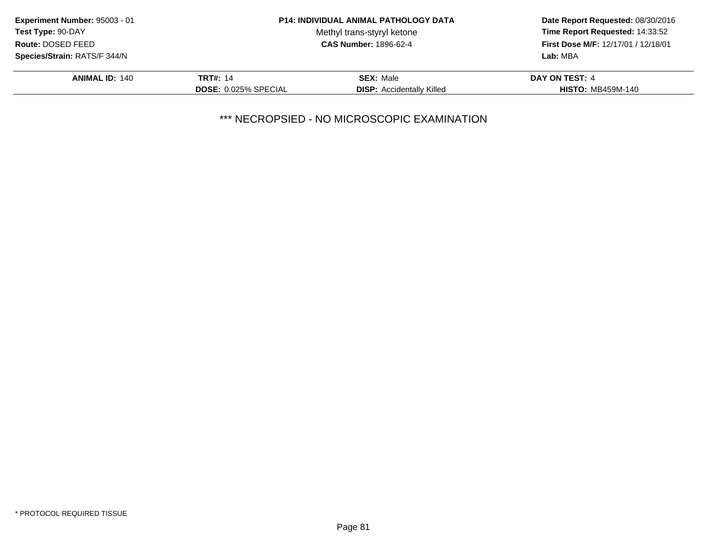| Experiment Number: 95003 - 01 |                             | <b>P14: INDIVIDUAL ANIMAL PATHOLOGY DATA</b> | Date Report Requested: 08/30/2016<br>Time Report Requested: 14:33:52<br><b>First Dose M/F: 12/17/01 / 12/18/01</b><br>Lab: MBA |
|-------------------------------|-----------------------------|----------------------------------------------|--------------------------------------------------------------------------------------------------------------------------------|
| <b>Test Type: 90-DAY</b>      |                             | Methyl trans-styryl ketone                   |                                                                                                                                |
| Route: DOSED FEED             |                             | <b>CAS Number: 1896-62-4</b>                 |                                                                                                                                |
| Species/Strain: RATS/F 344/N  |                             |                                              |                                                                                                                                |
| <b>ANIMAL ID: 140</b>         | <b>TRT#: 14</b>             | <b>SEX: Male</b>                             | DAY ON TEST: 4                                                                                                                 |
|                               | <b>DOSE: 0.025% SPECIAL</b> | <b>DISP:</b> Accidentally Killed             | <b>HISTO: MB459M-140</b>                                                                                                       |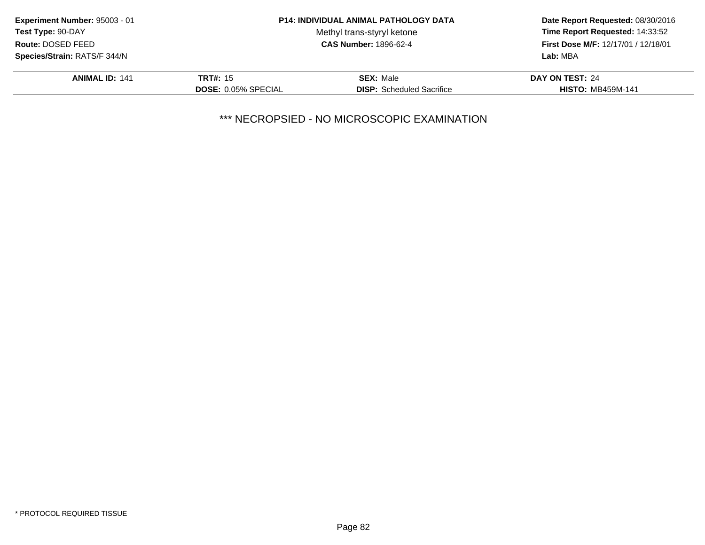| Experiment Number: 95003 - 01 |                            | <b>P14: INDIVIDUAL ANIMAL PATHOLOGY DATA</b> | Date Report Requested: 08/30/2016                                      |  |
|-------------------------------|----------------------------|----------------------------------------------|------------------------------------------------------------------------|--|
| Test Type: 90-DAY             |                            | Methyl trans-styryl ketone                   | Time Report Requested: 14:33:52<br>First Dose M/F: 12/17/01 / 12/18/01 |  |
| Route: DOSED FEED             |                            | <b>CAS Number: 1896-62-4</b>                 |                                                                        |  |
| Species/Strain: RATS/F 344/N  |                            |                                              | Lab: MBA                                                               |  |
| <b>ANIMAL ID: 141</b>         | <b>TRT#: 15</b>            | <b>SEX: Male</b>                             | DAY ON TEST: 24                                                        |  |
|                               | <b>DOSE: 0.05% SPECIAL</b> | <b>DISP:</b> Scheduled Sacrifice             | <b>HISTO: MB459M-141</b>                                               |  |
|                               |                            |                                              |                                                                        |  |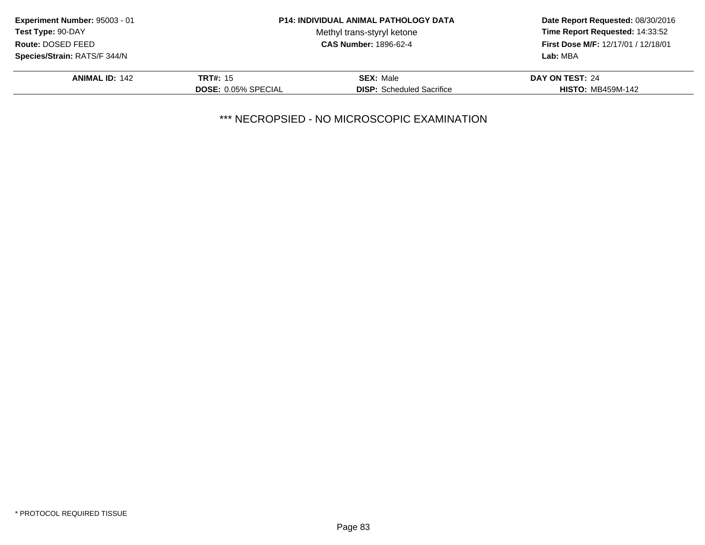|                            |                                  | Date Report Requested: 08/30/2016                                                  |  |
|----------------------------|----------------------------------|------------------------------------------------------------------------------------|--|
|                            | Methyl trans-styryl ketone       | Time Report Requested: 14:33:52<br>First Dose M/F: 12/17/01 / 12/18/01<br>Lab: MBA |  |
|                            | <b>CAS Number: 1896-62-4</b>     |                                                                                    |  |
|                            |                                  |                                                                                    |  |
| <b>TRT#: 15</b>            | <b>SEX: Male</b>                 | DAY ON TEST: 24                                                                    |  |
| <b>DOSE: 0.05% SPECIAL</b> | <b>DISP:</b> Scheduled Sacrifice | <b>HISTO: MB459M-142</b>                                                           |  |
|                            |                                  | <b>P14: INDIVIDUAL ANIMAL PATHOLOGY DATA</b>                                       |  |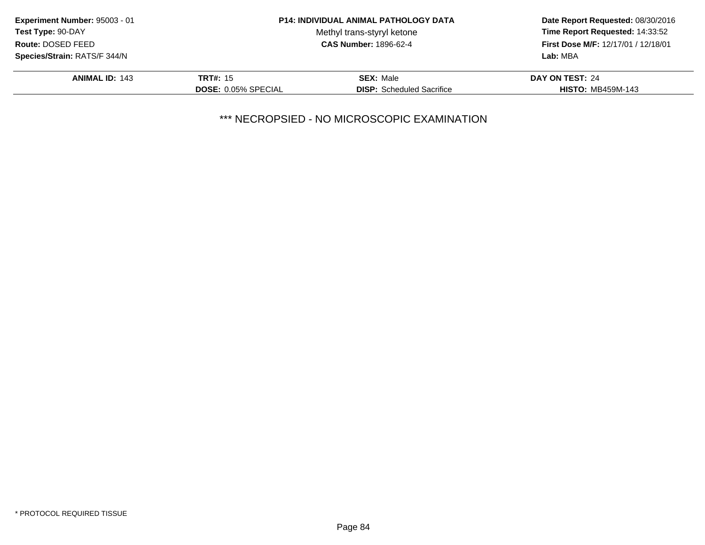| Experiment Number: 95003 - 01 |                            | <b>P14: INDIVIDUAL ANIMAL PATHOLOGY DATA</b> | Date Report Requested: 08/30/2016                                                  |  |
|-------------------------------|----------------------------|----------------------------------------------|------------------------------------------------------------------------------------|--|
| Test Type: 90-DAY             |                            | Methyl trans-styryl ketone                   | Time Report Requested: 14:33:52<br>First Dose M/F: 12/17/01 / 12/18/01<br>Lab: MBA |  |
| Route: DOSED FEED             |                            | <b>CAS Number: 1896-62-4</b>                 |                                                                                    |  |
| Species/Strain: RATS/F 344/N  |                            |                                              |                                                                                    |  |
| <b>ANIMAL ID: 143</b>         | <b>TRT#: 15</b>            | <b>SEX: Male</b>                             | DAY ON TEST: 24                                                                    |  |
|                               | <b>DOSE: 0.05% SPECIAL</b> | <b>DISP:</b> Scheduled Sacrifice             | <b>HISTO: MB459M-143</b>                                                           |  |
|                               |                            |                                              |                                                                                    |  |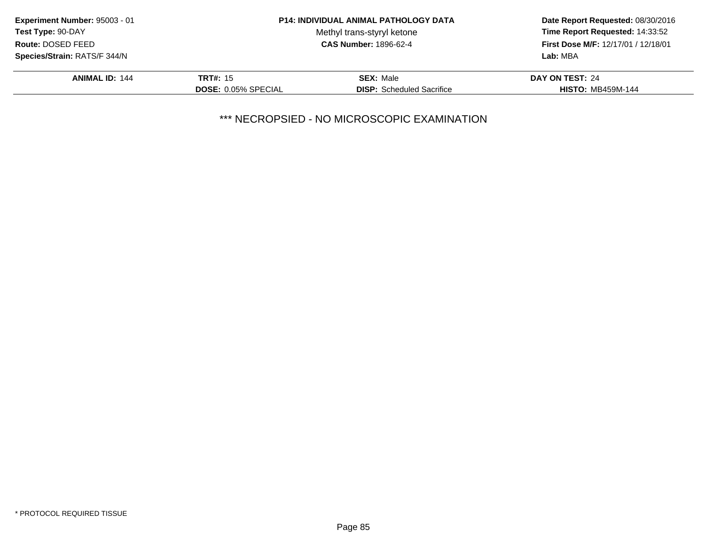| Experiment Number: 95003 - 01 |                            | <b>P14: INDIVIDUAL ANIMAL PATHOLOGY DATA</b> | Date Report Requested: 08/30/2016<br>Time Report Requested: 14:33:52<br>First Dose M/F: 12/17/01 / 12/18/01<br>Lab: MBA |
|-------------------------------|----------------------------|----------------------------------------------|-------------------------------------------------------------------------------------------------------------------------|
| Test Type: 90-DAY             |                            | Methyl trans-styryl ketone                   |                                                                                                                         |
| Route: DOSED FEED             |                            | <b>CAS Number: 1896-62-4</b>                 |                                                                                                                         |
| Species/Strain: RATS/F 344/N  |                            |                                              |                                                                                                                         |
| <b>ANIMAL ID: 144</b>         | <b>TRT#: 15</b>            | <b>SEX: Male</b>                             | DAY ON TEST: 24                                                                                                         |
|                               | <b>DOSE: 0.05% SPECIAL</b> | <b>DISP:</b> Scheduled Sacrifice             | <b>HISTO: MB459M-144</b>                                                                                                |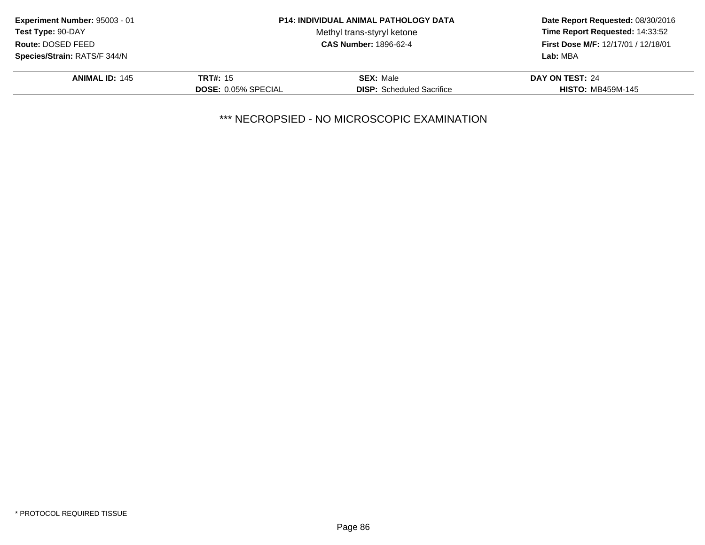| Experiment Number: 95003 - 01 |                            | <b>P14: INDIVIDUAL ANIMAL PATHOLOGY DATA</b> | Date Report Requested: 08/30/2016<br>Time Report Requested: 14:33:52<br>First Dose M/F: 12/17/01 / 12/18/01<br>Lab: MBA |
|-------------------------------|----------------------------|----------------------------------------------|-------------------------------------------------------------------------------------------------------------------------|
| Test Type: 90-DAY             |                            | Methyl trans-styryl ketone                   |                                                                                                                         |
| Route: DOSED FEED             |                            | <b>CAS Number: 1896-62-4</b>                 |                                                                                                                         |
| Species/Strain: RATS/F 344/N  |                            |                                              |                                                                                                                         |
| <b>ANIMAL ID: 145</b>         | <b>TRT#: 15</b>            | <b>SEX: Male</b>                             | DAY ON TEST: 24                                                                                                         |
|                               | <b>DOSE: 0.05% SPECIAL</b> | <b>DISP:</b> Scheduled Sacrifice             | <b>HISTO: MB459M-145</b>                                                                                                |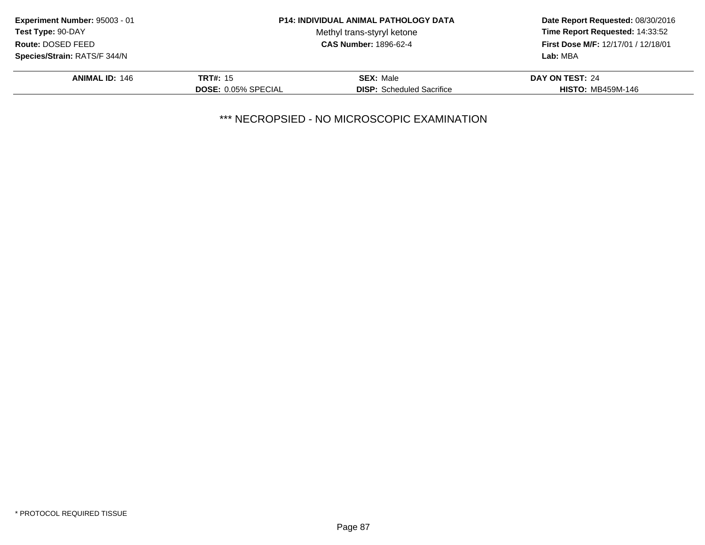| Experiment Number: 95003 - 01 |                            | <b>P14: INDIVIDUAL ANIMAL PATHOLOGY DATA</b> | Date Report Requested: 08/30/2016<br>Time Report Requested: 14:33:52<br>First Dose M/F: 12/17/01 / 12/18/01<br>Lab: MBA |
|-------------------------------|----------------------------|----------------------------------------------|-------------------------------------------------------------------------------------------------------------------------|
| Test Type: 90-DAY             |                            | Methyl trans-styryl ketone                   |                                                                                                                         |
| Route: DOSED FEED             |                            | <b>CAS Number: 1896-62-4</b>                 |                                                                                                                         |
| Species/Strain: RATS/F 344/N  |                            |                                              |                                                                                                                         |
| <b>ANIMAL ID: 146</b>         | <b>TRT#: 15</b>            | <b>SEX: Male</b>                             | DAY ON TEST: 24                                                                                                         |
|                               | <b>DOSE: 0.05% SPECIAL</b> | <b>DISP:</b> Scheduled Sacrifice             | <b>HISTO: MB459M-146</b>                                                                                                |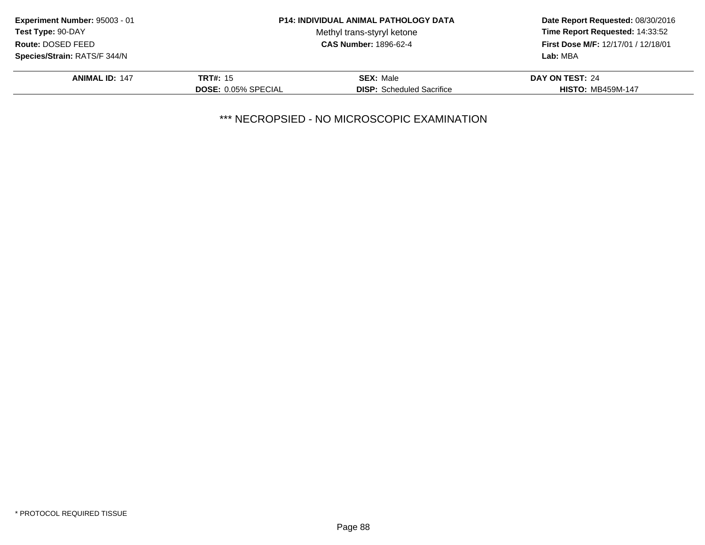| Experiment Number: 95003 - 01 |                            | <b>P14: INDIVIDUAL ANIMAL PATHOLOGY DATA</b> | Date Report Requested: 08/30/2016<br>Time Report Requested: 14:33:52<br>First Dose M/F: 12/17/01 / 12/18/01<br>Lab: MBA |
|-------------------------------|----------------------------|----------------------------------------------|-------------------------------------------------------------------------------------------------------------------------|
| Test Type: 90-DAY             |                            | Methyl trans-styryl ketone                   |                                                                                                                         |
| Route: DOSED FEED             |                            | <b>CAS Number: 1896-62-4</b>                 |                                                                                                                         |
| Species/Strain: RATS/F 344/N  |                            |                                              |                                                                                                                         |
| <b>ANIMAL ID: 147</b>         | <b>TRT#: 15</b>            | <b>SEX: Male</b>                             | DAY ON TEST: 24                                                                                                         |
|                               | <b>DOSE: 0.05% SPECIAL</b> | <b>DISP:</b> Scheduled Sacrifice             | <b>HISTO: MB459M-147</b>                                                                                                |
|                               |                            |                                              |                                                                                                                         |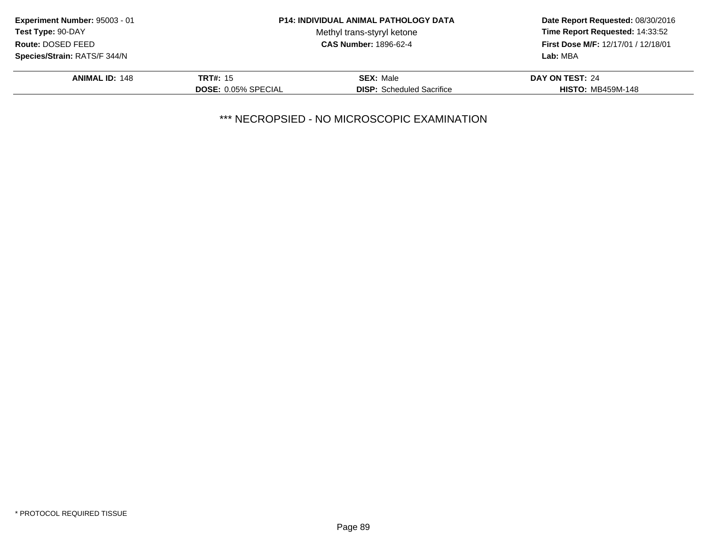| Experiment Number: 95003 - 01       |                            | <b>P14: INDIVIDUAL ANIMAL PATHOLOGY DATA</b> | Date Report Requested: 08/30/2016<br>Time Report Requested: 14:33:52<br>First Dose M/F: 12/17/01 / 12/18/01<br>Lab: MBA |
|-------------------------------------|----------------------------|----------------------------------------------|-------------------------------------------------------------------------------------------------------------------------|
| Test Type: 90-DAY                   |                            | Methyl trans-styryl ketone                   |                                                                                                                         |
| Route: DOSED FEED                   |                            | <b>CAS Number: 1896-62-4</b>                 |                                                                                                                         |
| <b>Species/Strain: RATS/F 344/N</b> |                            |                                              |                                                                                                                         |
| <b>ANIMAL ID: 148</b>               | <b>TRT#: 15</b>            | <b>SEX: Male</b>                             | DAY ON TEST: 24                                                                                                         |
|                                     | <b>DOSE: 0.05% SPECIAL</b> | <b>DISP:</b> Scheduled Sacrifice             | <b>HISTO: MB459M-148</b>                                                                                                |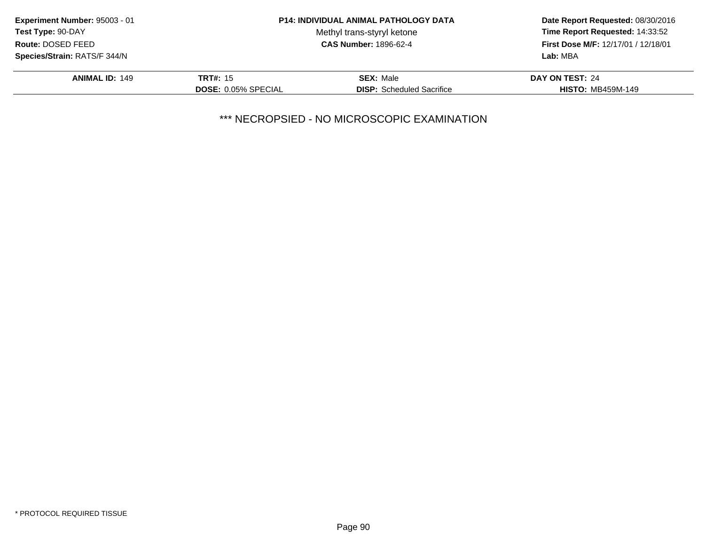| Experiment Number: 95003 - 01 |                            | <b>P14: INDIVIDUAL ANIMAL PATHOLOGY DATA</b> | Date Report Requested: 08/30/2016<br>Time Report Requested: 14:33:52<br>First Dose M/F: 12/17/01 / 12/18/01<br>Lab: MBA |
|-------------------------------|----------------------------|----------------------------------------------|-------------------------------------------------------------------------------------------------------------------------|
| Test Type: 90-DAY             |                            | Methyl trans-styryl ketone                   |                                                                                                                         |
| Route: DOSED FEED             |                            | <b>CAS Number: 1896-62-4</b>                 |                                                                                                                         |
| Species/Strain: RATS/F 344/N  |                            |                                              |                                                                                                                         |
| <b>ANIMAL ID: 149</b>         | <b>TRT#: 15</b>            | <b>SEX: Male</b>                             | DAY ON TEST: 24                                                                                                         |
|                               | <b>DOSE: 0.05% SPECIAL</b> | <b>DISP:</b> Scheduled Sacrifice             | <b>HISTO: MB459M-149</b>                                                                                                |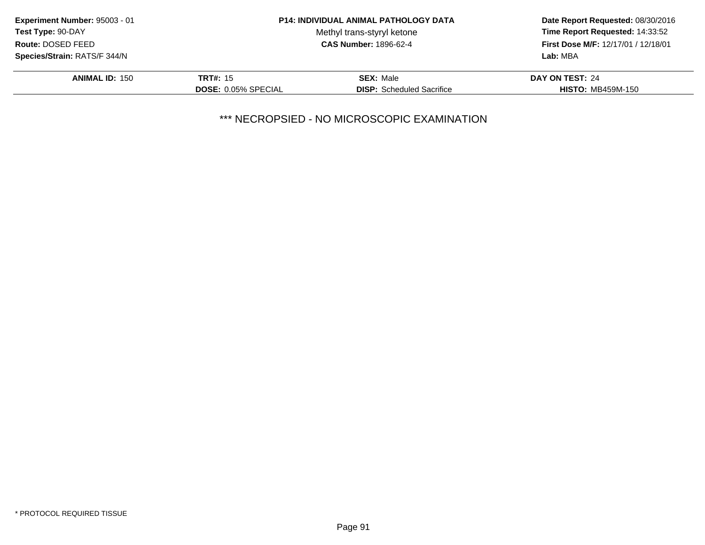| Experiment Number: 95003 - 01 |                            | <b>P14: INDIVIDUAL ANIMAL PATHOLOGY DATA</b> | Date Report Requested: 08/30/2016<br>Time Report Requested: 14:33:52<br>First Dose M/F: 12/17/01 / 12/18/01<br>Lab: MBA |
|-------------------------------|----------------------------|----------------------------------------------|-------------------------------------------------------------------------------------------------------------------------|
| Test Type: 90-DAY             |                            | Methyl trans-styryl ketone                   |                                                                                                                         |
| Route: DOSED FEED             |                            | <b>CAS Number: 1896-62-4</b>                 |                                                                                                                         |
| Species/Strain: RATS/F 344/N  |                            |                                              |                                                                                                                         |
| <b>ANIMAL ID: 150</b>         | <b>TRT#: 15</b>            | <b>SEX: Male</b>                             | DAY ON TEST: 24                                                                                                         |
|                               | <b>DOSE: 0.05% SPECIAL</b> | <b>DISP:</b> Scheduled Sacrifice             | <b>HISTO: MB459M-150</b>                                                                                                |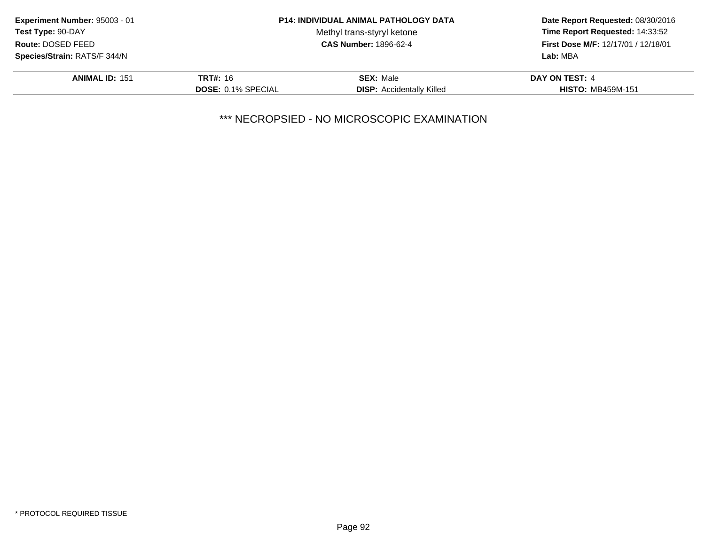| Experiment Number: 95003 - 01       |                           | <b>P14: INDIVIDUAL ANIMAL PATHOLOGY DATA</b> | Date Report Requested: 08/30/2016<br>Time Report Requested: 14:33:52<br>First Dose M/F: 12/17/01 / 12/18/01 |
|-------------------------------------|---------------------------|----------------------------------------------|-------------------------------------------------------------------------------------------------------------|
| <b>Test Type: 90-DAY</b>            |                           | Methyl trans-styryl ketone                   |                                                                                                             |
| Route: DOSED FEED                   |                           | <b>CAS Number: 1896-62-4</b>                 |                                                                                                             |
| <b>Species/Strain: RATS/F 344/N</b> |                           |                                              | Lab: MBA                                                                                                    |
| <b>ANIMAL ID: 151</b>               | <b>TRT#: 16</b>           | <b>SEX: Male</b>                             | DAY ON TEST: 4                                                                                              |
|                                     | <b>DOSE: 0.1% SPECIAL</b> | <b>DISP:</b> Accidentally Killed             | <b>HISTO: MB459M-151</b>                                                                                    |
|                                     |                           |                                              |                                                                                                             |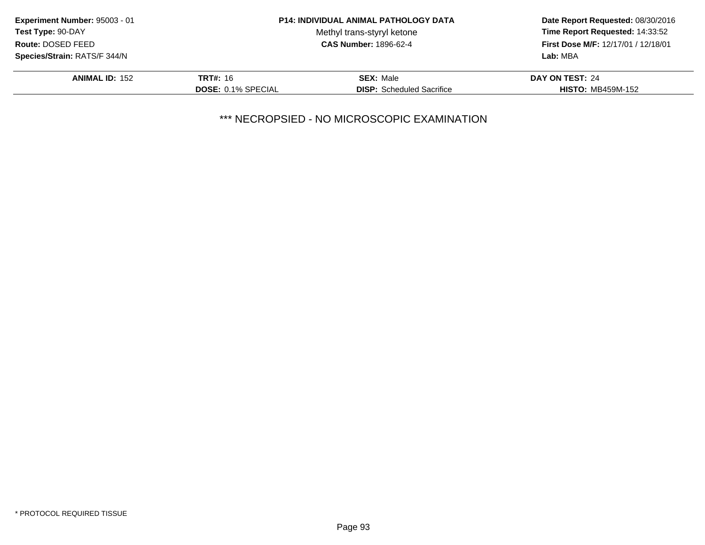| Experiment Number: 95003 - 01       |                           | <b>P14: INDIVIDUAL ANIMAL PATHOLOGY DATA</b> | Date Report Requested: 08/30/2016<br>Time Report Requested: 14:33:52<br>First Dose M/F: 12/17/01 / 12/18/01 |
|-------------------------------------|---------------------------|----------------------------------------------|-------------------------------------------------------------------------------------------------------------|
| Test Type: 90-DAY                   |                           | Methyl trans-styryl ketone                   |                                                                                                             |
| Route: DOSED FEED                   |                           | <b>CAS Number: 1896-62-4</b>                 |                                                                                                             |
| <b>Species/Strain: RATS/F 344/N</b> |                           |                                              | Lab: MBA                                                                                                    |
| <b>ANIMAL ID: 152</b>               | <b>TRT#: 16</b>           | <b>SEX: Male</b>                             | DAY ON TEST: 24                                                                                             |
|                                     | <b>DOSE: 0.1% SPECIAL</b> | <b>DISP:</b> Scheduled Sacrifice             | <b>HISTO: MB459M-152</b>                                                                                    |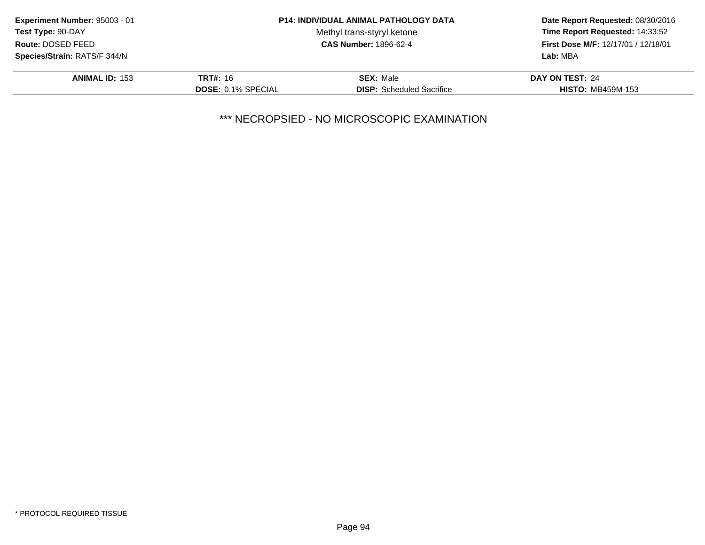| Experiment Number: 95003 - 01 |                           | <b>P14: INDIVIDUAL ANIMAL PATHOLOGY DATA</b> | Date Report Requested: 08/30/2016<br>Time Report Requested: 14:33:52<br>First Dose M/F: 12/17/01 / 12/18/01<br>Lab: MBA |
|-------------------------------|---------------------------|----------------------------------------------|-------------------------------------------------------------------------------------------------------------------------|
| Test Type: 90-DAY             |                           | Methyl trans-styryl ketone                   |                                                                                                                         |
| Route: DOSED FEED             |                           | <b>CAS Number: 1896-62-4</b>                 |                                                                                                                         |
| Species/Strain: RATS/F 344/N  |                           |                                              |                                                                                                                         |
| <b>ANIMAL ID: 153</b>         | <b>TRT#:</b> 16           | <b>SEX: Male</b>                             | DAY ON TEST: 24                                                                                                         |
|                               | <b>DOSE: 0.1% SPECIAL</b> | <b>DISP:</b> Scheduled Sacrifice             | <b>HISTO: MB459M-153</b>                                                                                                |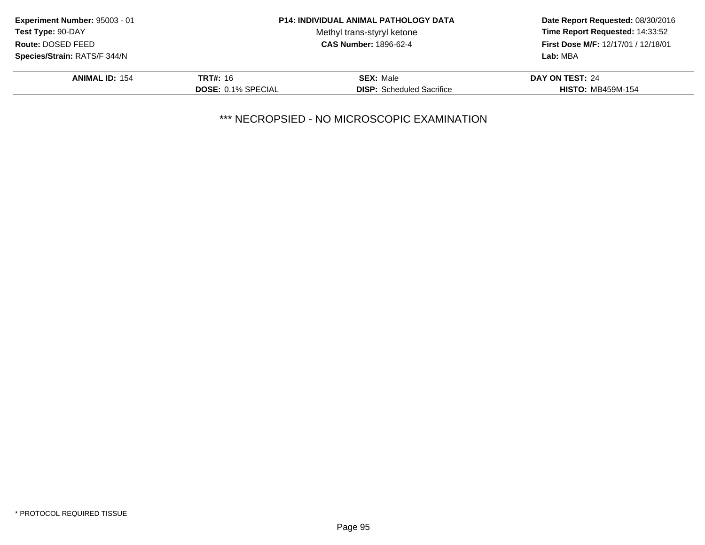|                           |                                  | Date Report Requested: 08/30/2016<br>Time Report Requested: 14:33:52<br>First Dose M/F: 12/17/01 / 12/18/01<br>Lab: MBA |
|---------------------------|----------------------------------|-------------------------------------------------------------------------------------------------------------------------|
|                           | Methyl trans-styryl ketone       |                                                                                                                         |
|                           | <b>CAS Number: 1896-62-4</b>     |                                                                                                                         |
|                           |                                  |                                                                                                                         |
| <b>TRT#: 16</b>           | <b>SEX: Male</b>                 | DAY ON TEST: 24                                                                                                         |
| <b>DOSE: 0.1% SPECIAL</b> | <b>DISP:</b> Scheduled Sacrifice | <b>HISTO: MB459M-154</b>                                                                                                |
|                           |                                  | <b>P14: INDIVIDUAL ANIMAL PATHOLOGY DATA</b>                                                                            |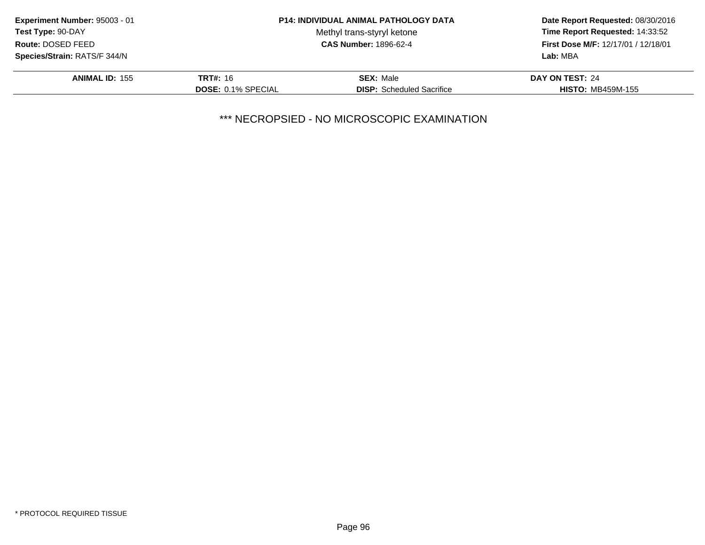| Experiment Number: 95003 - 01 |                           | <b>P14: INDIVIDUAL ANIMAL PATHOLOGY DATA</b> | Date Report Requested: 08/30/2016<br>Time Report Requested: 14:33:52<br>First Dose M/F: 12/17/01 / 12/18/01<br>Lab: MBA |
|-------------------------------|---------------------------|----------------------------------------------|-------------------------------------------------------------------------------------------------------------------------|
| <b>Test Type: 90-DAY</b>      |                           | Methyl trans-styryl ketone                   |                                                                                                                         |
| Route: DOSED FEED             |                           | <b>CAS Number: 1896-62-4</b>                 |                                                                                                                         |
| Species/Strain: RATS/F 344/N  |                           |                                              |                                                                                                                         |
| <b>ANIMAL ID: 155</b>         | <b>TRT#:</b> 16           | <b>SEX: Male</b>                             | DAY ON TEST: 24                                                                                                         |
|                               | <b>DOSE: 0.1% SPECIAL</b> | <b>DISP:</b> Scheduled Sacrifice             | <b>HISTO: MB459M-155</b>                                                                                                |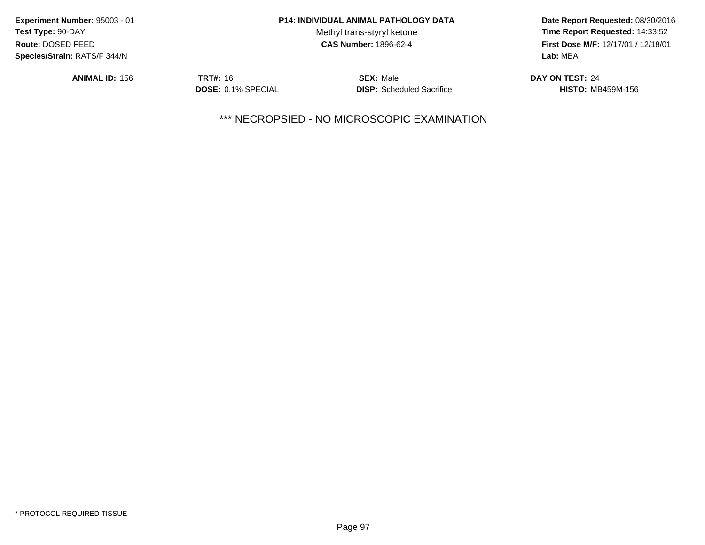| Experiment Number: 95003 - 01       |                           | <b>P14: INDIVIDUAL ANIMAL PATHOLOGY DATA</b> | Date Report Requested: 08/30/2016<br>Time Report Requested: 14:33:52<br>First Dose M/F: 12/17/01 / 12/18/01 |
|-------------------------------------|---------------------------|----------------------------------------------|-------------------------------------------------------------------------------------------------------------|
| Test Type: 90-DAY                   |                           | Methyl trans-styryl ketone                   |                                                                                                             |
| Route: DOSED FEED                   |                           | <b>CAS Number: 1896-62-4</b>                 |                                                                                                             |
| <b>Species/Strain: RATS/F 344/N</b> |                           |                                              | Lab: MBA                                                                                                    |
| <b>ANIMAL ID: 156</b>               | <b>TRT#:</b> 16           | <b>SEX: Male</b>                             | DAY ON TEST: 24                                                                                             |
|                                     | <b>DOSE: 0.1% SPECIAL</b> | <b>DISP:</b> Scheduled Sacrifice             | <b>HISTO: MB459M-156</b>                                                                                    |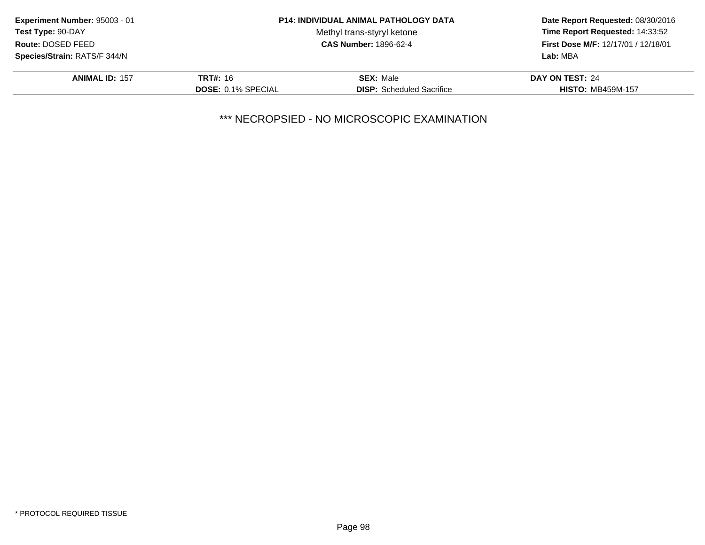| <b>P14: INDIVIDUAL ANIMAL PATHOLOGY DATA</b> | Date Report Requested: 08/30/2016            |
|----------------------------------------------|----------------------------------------------|
| Methyl trans-styryl ketone                   | Time Report Requested: 14:33:52              |
| <b>CAS Number: 1896-62-4</b>                 | First Dose M/F: 12/17/01 / 12/18/01          |
|                                              | Lab: MBA                                     |
| <b>SEX: Male</b>                             | DAY ON TEST: 24                              |
| <b>DISP:</b> Scheduled Sacrifice             | <b>HISTO: MB459M-157</b>                     |
|                                              | <b>TRT#: 16</b><br><b>DOSE: 0.1% SPECIAL</b> |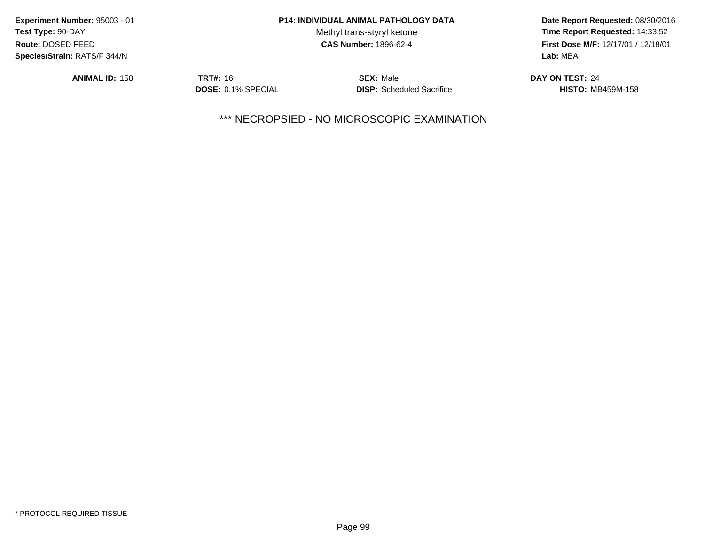| Experiment Number: 95003 - 01 |                           | <b>P14: INDIVIDUAL ANIMAL PATHOLOGY DATA</b> | Date Report Requested: 08/30/2016                                      |
|-------------------------------|---------------------------|----------------------------------------------|------------------------------------------------------------------------|
| <b>Test Type: 90-DAY</b>      |                           | Methyl trans-styryl ketone                   | Time Report Requested: 14:33:52<br>First Dose M/F: 12/17/01 / 12/18/01 |
| Route: DOSED FEED             |                           | <b>CAS Number: 1896-62-4</b>                 |                                                                        |
| Species/Strain: RATS/F 344/N  |                           |                                              | Lab: MBA                                                               |
| <b>ANIMAL ID: 158</b>         | <b>TRT#:</b> 16           | <b>SEX: Male</b>                             | DAY ON TEST: 24                                                        |
|                               | <b>DOSE: 0.1% SPECIAL</b> | <b>DISP:</b> Scheduled Sacrifice             | <b>HISTO: MB459M-158</b>                                               |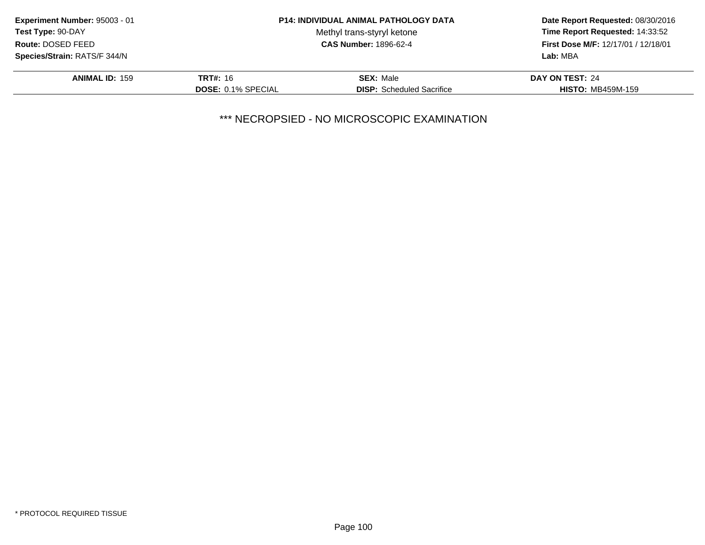| Experiment Number: 95003 - 01 |                           | <b>P14: INDIVIDUAL ANIMAL PATHOLOGY DATA</b> | Date Report Requested: 08/30/2016<br>Time Report Requested: 14:33:52<br>First Dose M/F: 12/17/01 / 12/18/01 |
|-------------------------------|---------------------------|----------------------------------------------|-------------------------------------------------------------------------------------------------------------|
| Test Type: 90-DAY             |                           | Methyl trans-styryl ketone                   |                                                                                                             |
| Route: DOSED FEED             |                           | <b>CAS Number: 1896-62-4</b>                 |                                                                                                             |
| Species/Strain: RATS/F 344/N  |                           |                                              | Lab: MBA                                                                                                    |
| <b>ANIMAL ID: 159</b>         | <b>TRT#:</b> 16           | <b>SEX: Male</b>                             | DAY ON TEST: 24                                                                                             |
|                               | <b>DOSE: 0.1% SPECIAL</b> | <b>DISP:</b> Scheduled Sacrifice             | <b>HISTO: MB459M-159</b>                                                                                    |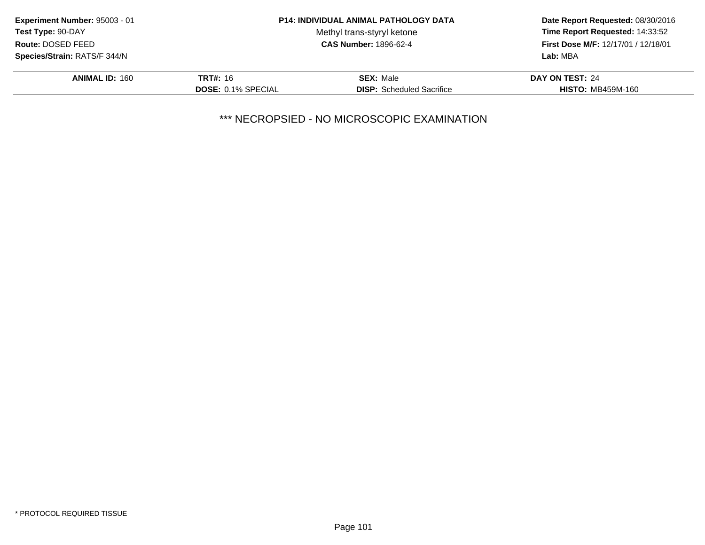| Experiment Number: 95003 - 01       |                           | <b>P14: INDIVIDUAL ANIMAL PATHOLOGY DATA</b> | Date Report Requested: 08/30/2016                                             |
|-------------------------------------|---------------------------|----------------------------------------------|-------------------------------------------------------------------------------|
| <b>Test Type: 90-DAY</b>            |                           | Methyl trans-styryl ketone                   | Time Report Requested: 14:33:52<br><b>First Dose M/F: 12/17/01 / 12/18/01</b> |
| Route: DOSED FEED                   |                           | <b>CAS Number: 1896-62-4</b>                 |                                                                               |
| <b>Species/Strain: RATS/F 344/N</b> |                           |                                              | Lab: MBA                                                                      |
| <b>ANIMAL ID: 160</b>               | <b>TRT#: 16</b>           | <b>SEX: Male</b>                             | DAY ON TEST: 24                                                               |
|                                     | <b>DOSE: 0.1% SPECIAL</b> | <b>DISP:</b> Scheduled Sacrifice             | <b>HISTO: MB459M-160</b>                                                      |
|                                     |                           |                                              |                                                                               |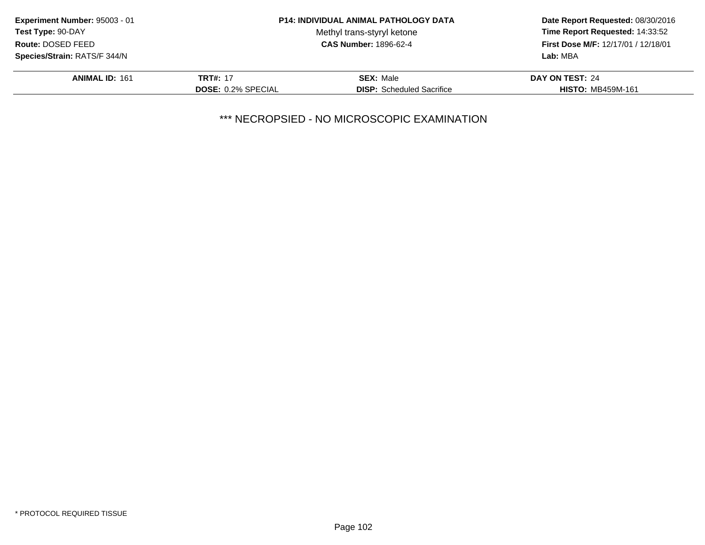| Experiment Number: 95003 - 01       |                           | <b>P14: INDIVIDUAL ANIMAL PATHOLOGY DATA</b> | Date Report Requested: 08/30/2016<br>Time Report Requested: 14:33:52<br><b>First Dose M/F: 12/17/01 / 12/18/01</b> |
|-------------------------------------|---------------------------|----------------------------------------------|--------------------------------------------------------------------------------------------------------------------|
| Test Type: 90-DAY                   |                           | Methyl trans-styryl ketone                   |                                                                                                                    |
| Route: DOSED FEED                   |                           | <b>CAS Number: 1896-62-4</b>                 |                                                                                                                    |
| <b>Species/Strain: RATS/F 344/N</b> |                           |                                              | Lab: MBA                                                                                                           |
| <b>ANIMAL ID: 161</b>               | <b>TRT#: 17</b>           | <b>SEX: Male</b>                             | DAY ON TEST: 24                                                                                                    |
|                                     | <b>DOSE: 0.2% SPECIAL</b> | <b>DISP:</b> Scheduled Sacrifice             | <b>HISTO: MB459M-161</b>                                                                                           |
|                                     |                           |                                              |                                                                                                                    |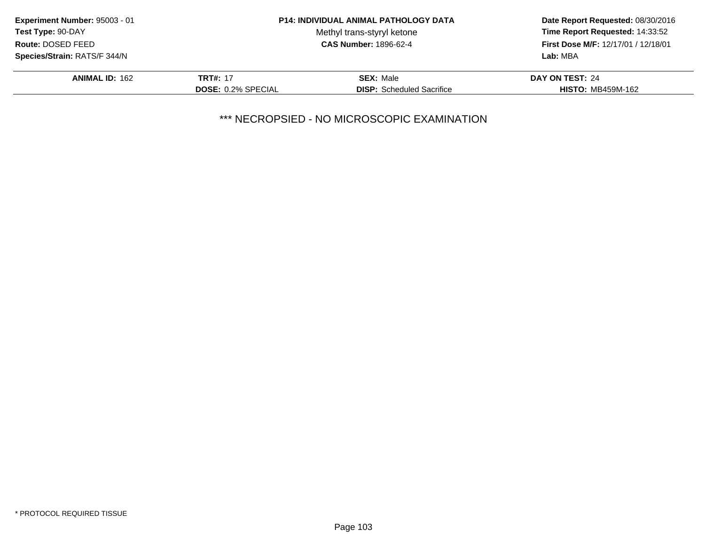| Experiment Number: 95003 - 01 |                           | <b>P14: INDIVIDUAL ANIMAL PATHOLOGY DATA</b> | Date Report Requested: 08/30/2016<br>Time Report Requested: 14:33:52<br>First Dose M/F: 12/17/01 / 12/18/01 |
|-------------------------------|---------------------------|----------------------------------------------|-------------------------------------------------------------------------------------------------------------|
| Test Type: 90-DAY             |                           | Methyl trans-styryl ketone                   |                                                                                                             |
| Route: DOSED FEED             |                           | <b>CAS Number: 1896-62-4</b>                 |                                                                                                             |
| Species/Strain: RATS/F 344/N  |                           |                                              | Lab: MBA                                                                                                    |
| <b>ANIMAL ID: 162</b>         | <b>TRT#: 17</b>           | <b>SEX: Male</b>                             | DAY ON TEST: 24                                                                                             |
|                               | <b>DOSE: 0.2% SPECIAL</b> | <b>DISP:</b> Scheduled Sacrifice             | <b>HISTO: MB459M-162</b>                                                                                    |
|                               |                           |                                              |                                                                                                             |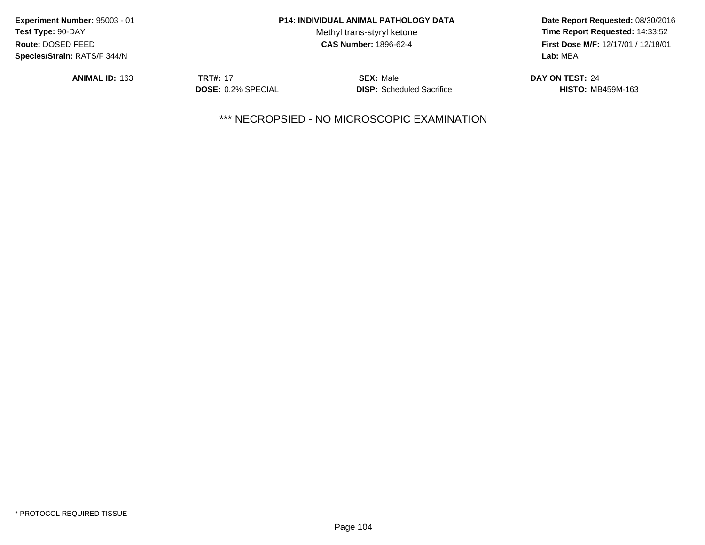| Experiment Number: 95003 - 01 |                           | <b>P14: INDIVIDUAL ANIMAL PATHOLOGY DATA</b> | Date Report Requested: 08/30/2016<br>Time Report Requested: 14:33:52<br>First Dose M/F: 12/17/01 / 12/18/01 |
|-------------------------------|---------------------------|----------------------------------------------|-------------------------------------------------------------------------------------------------------------|
| Test Type: 90-DAY             |                           | Methyl trans-styryl ketone                   |                                                                                                             |
| Route: DOSED FEED             |                           | <b>CAS Number: 1896-62-4</b>                 |                                                                                                             |
| Species/Strain: RATS/F 344/N  |                           |                                              | Lab: MBA                                                                                                    |
| <b>ANIMAL ID: 163</b>         | <b>TRT#: 17</b>           | <b>SEX: Male</b>                             | DAY ON TEST: 24                                                                                             |
|                               | <b>DOSE: 0.2% SPECIAL</b> | <b>DISP:</b> Scheduled Sacrifice             | <b>HISTO: MB459M-163</b>                                                                                    |
|                               |                           |                                              |                                                                                                             |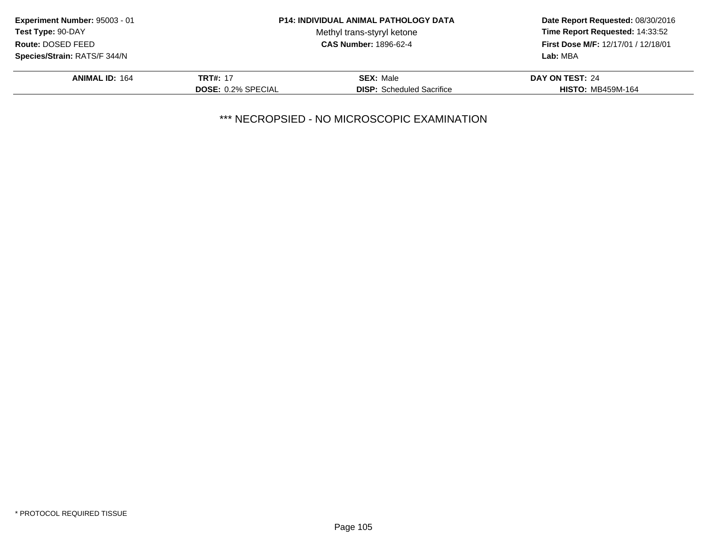| Experiment Number: 95003 - 01 |                           | <b>P14: INDIVIDUAL ANIMAL PATHOLOGY DATA</b> | Date Report Requested: 08/30/2016                                      |
|-------------------------------|---------------------------|----------------------------------------------|------------------------------------------------------------------------|
| Test Type: 90-DAY             |                           | Methyl trans-styryl ketone                   | Time Report Requested: 14:33:52<br>First Dose M/F: 12/17/01 / 12/18/01 |
| Route: DOSED FEED             |                           | <b>CAS Number: 1896-62-4</b>                 |                                                                        |
| Species/Strain: RATS/F 344/N  |                           |                                              | Lab: MBA                                                               |
| <b>ANIMAL ID: 164</b>         | <b>TRT#: 17</b>           | <b>SEX: Male</b>                             | DAY ON TEST: 24                                                        |
|                               | <b>DOSE: 0.2% SPECIAL</b> | <b>DISP:</b> Scheduled Sacrifice             | <b>HISTO: MB459M-164</b>                                               |
|                               |                           |                                              |                                                                        |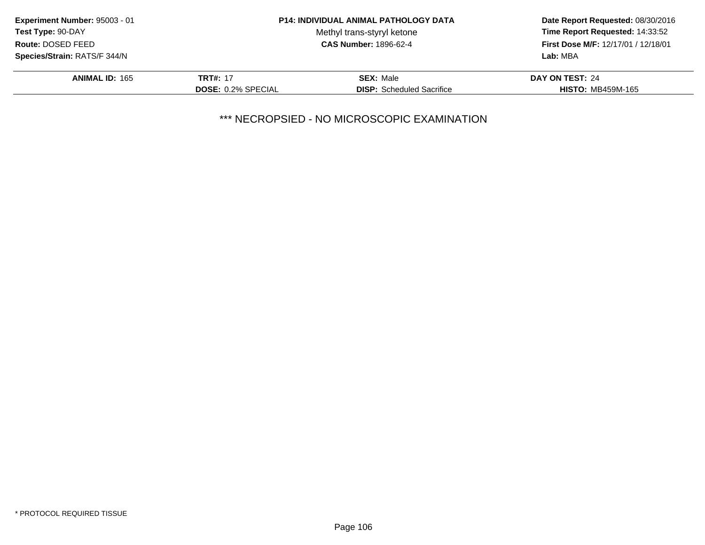|                           |                                  | Date Report Requested: 08/30/2016<br>Time Report Requested: 14:33:52<br>First Dose M/F: 12/17/01 / 12/18/01 |
|---------------------------|----------------------------------|-------------------------------------------------------------------------------------------------------------|
|                           | Methyl trans-styryl ketone       |                                                                                                             |
|                           | <b>CAS Number: 1896-62-4</b>     |                                                                                                             |
|                           |                                  | Lab: MBA                                                                                                    |
| <b>TRT#: 17</b>           | <b>SEX: Male</b>                 | DAY ON TEST: 24                                                                                             |
| <b>DOSE: 0.2% SPECIAL</b> | <b>DISP:</b> Scheduled Sacrifice | <b>HISTO: MB459M-165</b>                                                                                    |
|                           |                                  | <b>P14: INDIVIDUAL ANIMAL PATHOLOGY DATA</b>                                                                |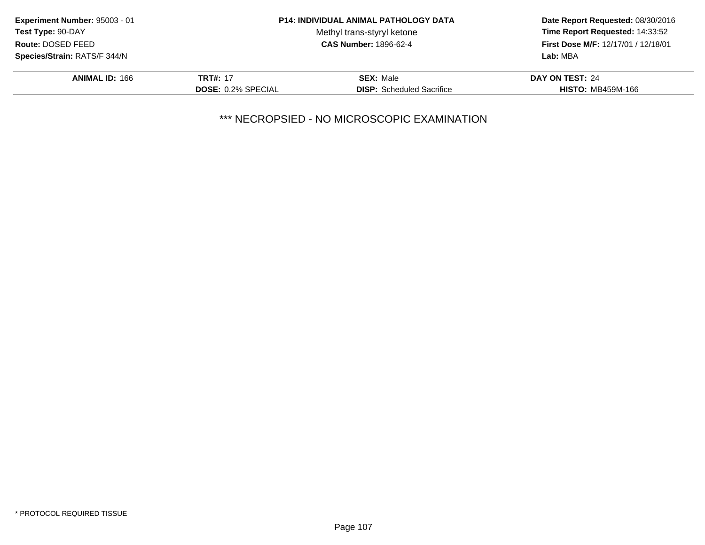| Experiment Number: 95003 - 01 |                           | <b>P14: INDIVIDUAL ANIMAL PATHOLOGY DATA</b> | Date Report Requested: 08/30/2016<br>Time Report Requested: 14:33:52<br>First Dose M/F: 12/17/01 / 12/18/01 |
|-------------------------------|---------------------------|----------------------------------------------|-------------------------------------------------------------------------------------------------------------|
| Test Type: 90-DAY             |                           | Methyl trans-styryl ketone                   |                                                                                                             |
| Route: DOSED FEED             |                           | <b>CAS Number: 1896-62-4</b>                 |                                                                                                             |
| Species/Strain: RATS/F 344/N  |                           |                                              | Lab: MBA                                                                                                    |
| <b>ANIMAL ID: 166</b>         | <b>TRT#: 17</b>           | <b>SEX: Male</b>                             | DAY ON TEST: 24                                                                                             |
|                               | <b>DOSE: 0.2% SPECIAL</b> | <b>DISP:</b> Scheduled Sacrifice             | <b>HISTO: MB459M-166</b>                                                                                    |
|                               |                           |                                              |                                                                                                             |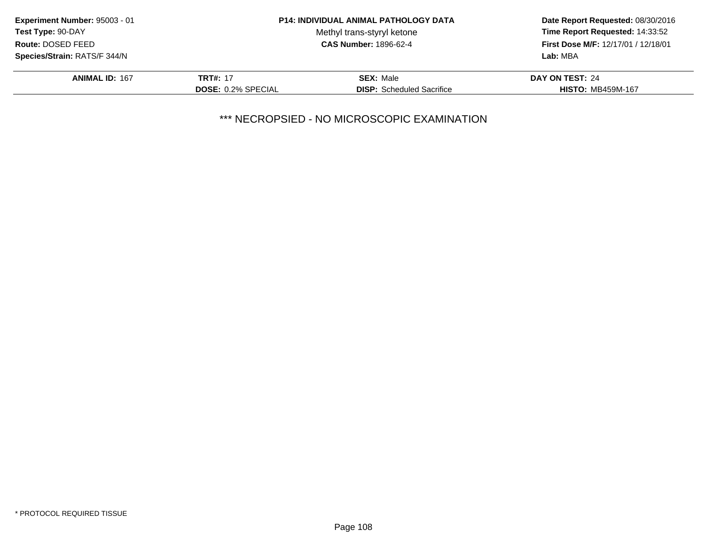|                           |                                  | Date Report Requested: 08/30/2016                                      |
|---------------------------|----------------------------------|------------------------------------------------------------------------|
|                           | Methyl trans-styryl ketone       | Time Report Requested: 14:33:52<br>First Dose M/F: 12/17/01 / 12/18/01 |
|                           | <b>CAS Number: 1896-62-4</b>     |                                                                        |
|                           |                                  | Lab: MBA                                                               |
| <b>TRT#: 17</b>           | <b>SEX: Male</b>                 | DAY ON TEST: 24                                                        |
| <b>DOSE: 0.2% SPECIAL</b> | <b>DISP:</b> Scheduled Sacrifice | <b>HISTO: MB459M-167</b>                                               |
|                           |                                  | <b>P14: INDIVIDUAL ANIMAL PATHOLOGY DATA</b>                           |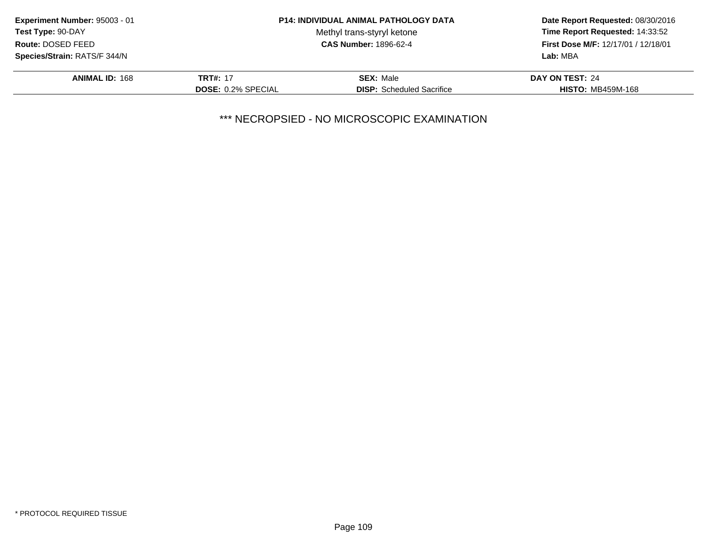|                           |                                  | Date Report Requested: 08/30/2016<br>Time Report Requested: 14:33:52<br>First Dose M/F: 12/17/01 / 12/18/01 |
|---------------------------|----------------------------------|-------------------------------------------------------------------------------------------------------------|
|                           | Methyl trans-styryl ketone       |                                                                                                             |
|                           | <b>CAS Number: 1896-62-4</b>     |                                                                                                             |
|                           |                                  | Lab: MBA                                                                                                    |
| <b>TRT#: 17</b>           | <b>SEX: Male</b>                 | DAY ON TEST: 24                                                                                             |
| <b>DOSE: 0.2% SPECIAL</b> | <b>DISP:</b> Scheduled Sacrifice | <b>HISTO: MB459M-168</b>                                                                                    |
|                           |                                  | <b>P14: INDIVIDUAL ANIMAL PATHOLOGY DATA</b>                                                                |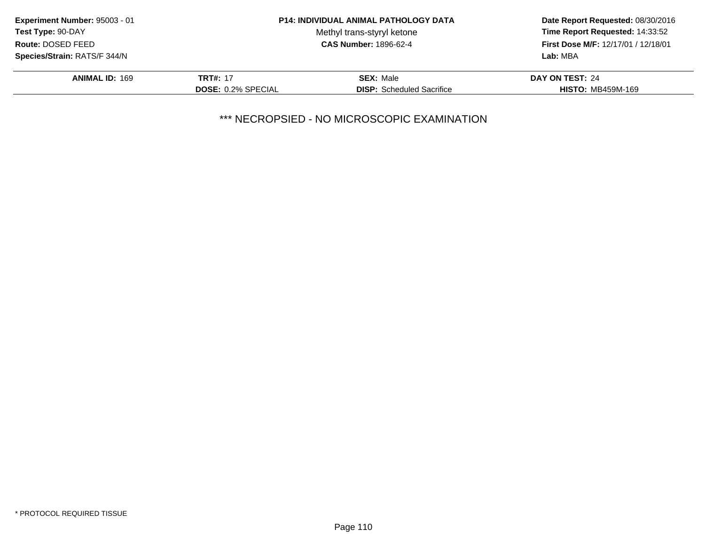|                           |                                  | Date Report Requested: 08/30/2016                                      |
|---------------------------|----------------------------------|------------------------------------------------------------------------|
|                           | Methyl trans-styryl ketone       | Time Report Requested: 14:33:52<br>First Dose M/F: 12/17/01 / 12/18/01 |
|                           | <b>CAS Number: 1896-62-4</b>     |                                                                        |
|                           |                                  | Lab: MBA                                                               |
| <b>TRT#: 17</b>           | <b>SEX: Male</b>                 | DAY ON TEST: 24                                                        |
| <b>DOSE: 0.2% SPECIAL</b> | <b>DISP:</b> Scheduled Sacrifice | <b>HISTO: MB459M-169</b>                                               |
|                           |                                  | <b>P14: INDIVIDUAL ANIMAL PATHOLOGY DATA</b>                           |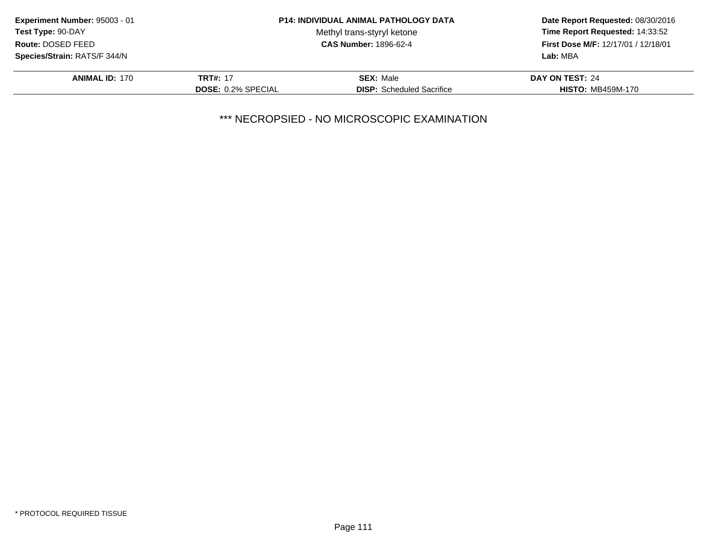| Experiment Number: 95003 - 01                     | <b>P14: INDIVIDUAL ANIMAL PATHOLOGY DATA</b> |                                  | Date Report Requested: 08/30/2016          |
|---------------------------------------------------|----------------------------------------------|----------------------------------|--------------------------------------------|
| Test Type: 90-DAY                                 |                                              | Methyl trans-styryl ketone       | Time Report Requested: 14:33:52            |
| <b>CAS Number: 1896-62-4</b><br>Route: DOSED FEED |                                              |                                  | <b>First Dose M/F: 12/17/01 / 12/18/01</b> |
| <b>Species/Strain: RATS/F 344/N</b>               |                                              |                                  | Lab: MBA                                   |
| <b>ANIMAL ID: 170</b>                             | <b>TRT#: 17</b>                              | <b>SEX: Male</b>                 | DAY ON TEST: 24                            |
|                                                   | <b>DOSE: 0.2% SPECIAL</b>                    | <b>DISP:</b> Scheduled Sacrifice | <b>HISTO: MB459M-170</b>                   |
|                                                   |                                              |                                  |                                            |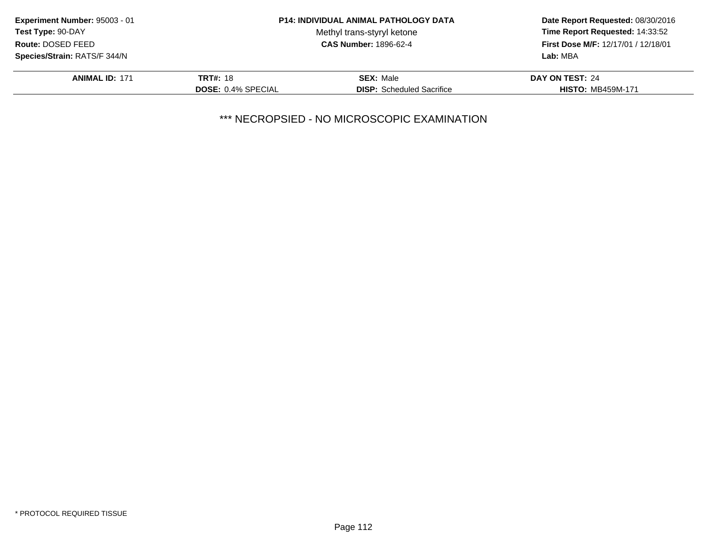| Experiment Number: 95003 - 01       |                           | <b>P14: INDIVIDUAL ANIMAL PATHOLOGY DATA</b> | Date Report Requested: 08/30/2016<br>Time Report Requested: 14:33:52<br><b>First Dose M/F: 12/17/01 / 12/18/01</b> |
|-------------------------------------|---------------------------|----------------------------------------------|--------------------------------------------------------------------------------------------------------------------|
| Test Type: 90-DAY                   |                           | Methyl trans-styryl ketone                   |                                                                                                                    |
| Route: DOSED FEED                   |                           | <b>CAS Number: 1896-62-4</b>                 |                                                                                                                    |
| <b>Species/Strain: RATS/F 344/N</b> |                           |                                              | Lab: MBA                                                                                                           |
| <b>ANIMAL ID: 171</b>               | <b>TRT#: 18</b>           | <b>SEX: Male</b>                             | DAY ON TEST: 24                                                                                                    |
|                                     | <b>DOSE: 0.4% SPECIAL</b> | <b>DISP:</b> Scheduled Sacrifice             | <b>HISTO: MB459M-171</b>                                                                                           |
|                                     |                           |                                              |                                                                                                                    |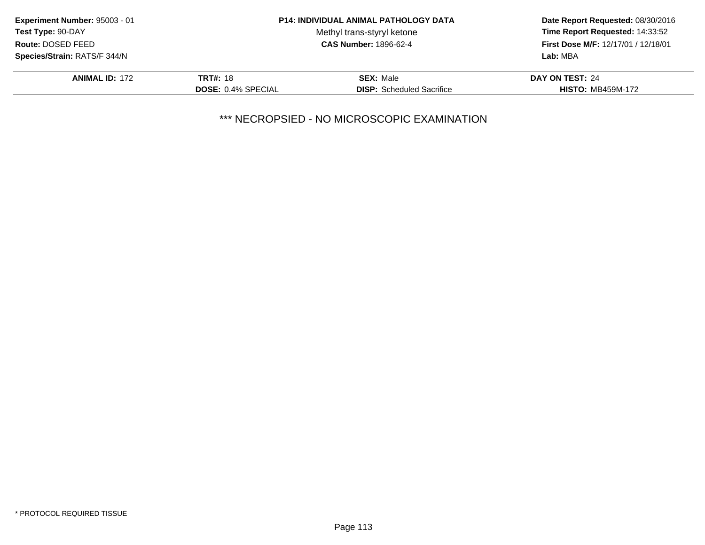|                           |                                  | Date Report Requested: 08/30/2016<br>Time Report Requested: 14:33:52<br>First Dose M/F: 12/17/01 / 12/18/01 |
|---------------------------|----------------------------------|-------------------------------------------------------------------------------------------------------------|
|                           | Methyl trans-styryl ketone       |                                                                                                             |
|                           | <b>CAS Number: 1896-62-4</b>     |                                                                                                             |
|                           |                                  | Lab: MBA                                                                                                    |
| <b>TRT#: 18</b>           | <b>SEX: Male</b>                 | DAY ON TEST: 24                                                                                             |
| <b>DOSE: 0.4% SPECIAL</b> | <b>DISP:</b> Scheduled Sacrifice | <b>HISTO: MB459M-172</b>                                                                                    |
|                           |                                  | <b>P14: INDIVIDUAL ANIMAL PATHOLOGY DATA</b>                                                                |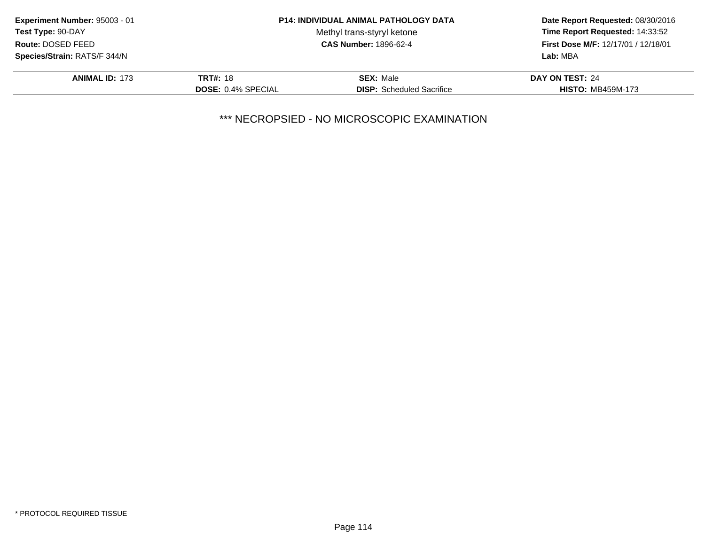|                           |                                  | Date Report Requested: 08/30/2016<br>Time Report Requested: 14:33:52<br>First Dose M/F: 12/17/01 / 12/18/01 |
|---------------------------|----------------------------------|-------------------------------------------------------------------------------------------------------------|
|                           | Methyl trans-styryl ketone       |                                                                                                             |
|                           | <b>CAS Number: 1896-62-4</b>     |                                                                                                             |
|                           |                                  | Lab: MBA                                                                                                    |
| <b>TRT#: 18</b>           | <b>SEX: Male</b>                 | DAY ON TEST: 24                                                                                             |
| <b>DOSE: 0.4% SPECIAL</b> | <b>DISP:</b> Scheduled Sacrifice | <b>HISTO: MB459M-173</b>                                                                                    |
|                           |                                  | <b>P14: INDIVIDUAL ANIMAL PATHOLOGY DATA</b>                                                                |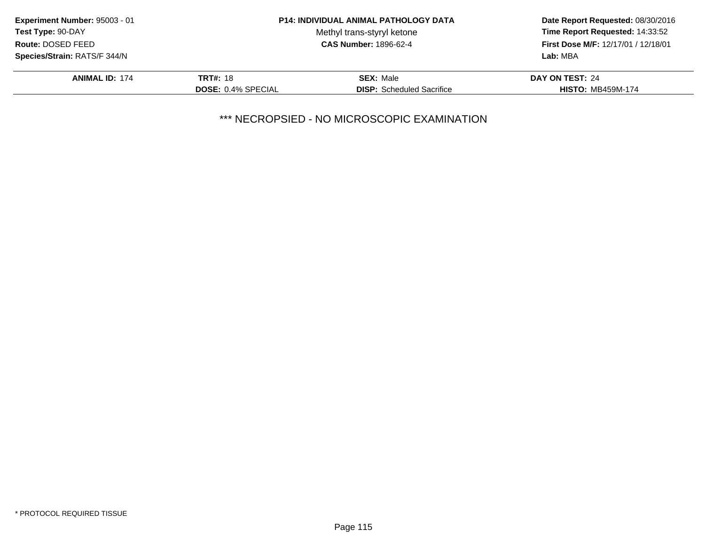| Experiment Number: 95003 - 01 |                           | <b>P14: INDIVIDUAL ANIMAL PATHOLOGY DATA</b> | Date Report Requested: 08/30/2016<br>Time Report Requested: 14:33:52 |
|-------------------------------|---------------------------|----------------------------------------------|----------------------------------------------------------------------|
| Test Type: 90-DAY             |                           | Methyl trans-styryl ketone                   |                                                                      |
| Route: DOSED FEED             |                           | <b>CAS Number: 1896-62-4</b>                 | First Dose M/F: 12/17/01 / 12/18/01                                  |
| Species/Strain: RATS/F 344/N  |                           |                                              | Lab: MBA                                                             |
| <b>ANIMAL ID: 174</b>         | <b>TRT#: 18</b>           | <b>SEX: Male</b>                             | DAY ON TEST: 24                                                      |
|                               | <b>DOSE: 0.4% SPECIAL</b> | <b>DISP:</b> Scheduled Sacrifice             | <b>HISTO: MB459M-174</b>                                             |
|                               |                           |                                              |                                                                      |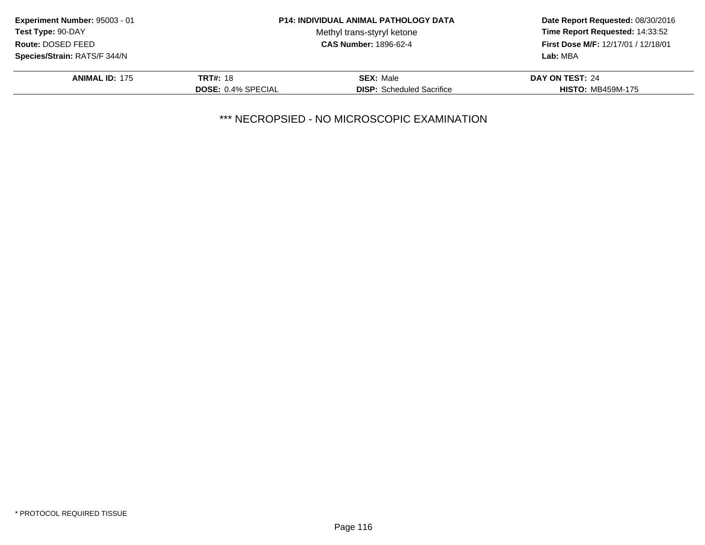| Time Report Requested: 14:33:52     |
|-------------------------------------|
| First Dose M/F: 12/17/01 / 12/18/01 |
|                                     |
|                                     |
| <b>HISTO: MB459M-175</b>            |
|                                     |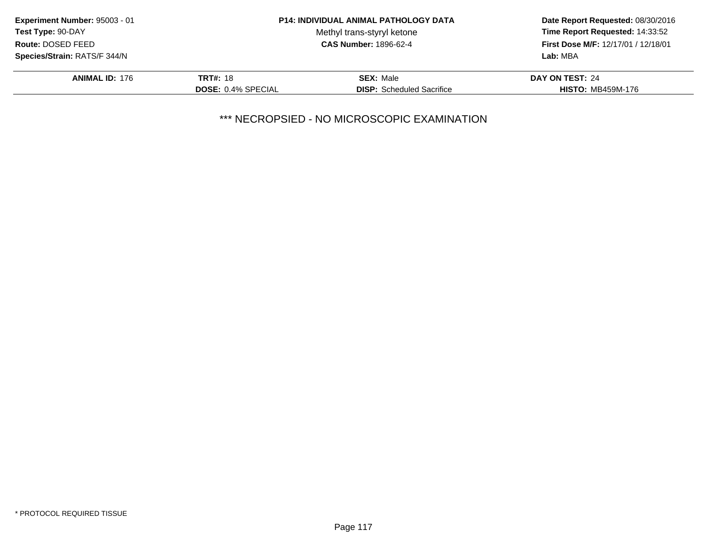| Experiment Number: 95003 - 01 |                           | <b>P14: INDIVIDUAL ANIMAL PATHOLOGY DATA</b> | Date Report Requested: 08/30/2016<br>Time Report Requested: 14:33:52<br>First Dose M/F: 12/17/01 / 12/18/01 |
|-------------------------------|---------------------------|----------------------------------------------|-------------------------------------------------------------------------------------------------------------|
| Test Type: 90-DAY             |                           | Methyl trans-styryl ketone                   |                                                                                                             |
| Route: DOSED FEED             |                           | <b>CAS Number: 1896-62-4</b>                 |                                                                                                             |
| Species/Strain: RATS/F 344/N  |                           |                                              | Lab: MBA                                                                                                    |
| <b>ANIMAL ID: 176</b>         | <b>TRT#: 18</b>           | <b>SEX: Male</b>                             | DAY ON TEST: 24                                                                                             |
|                               | <b>DOSE: 0.4% SPECIAL</b> | <b>DISP:</b> Scheduled Sacrifice             | <b>HISTO: MB459M-176</b>                                                                                    |
|                               |                           |                                              |                                                                                                             |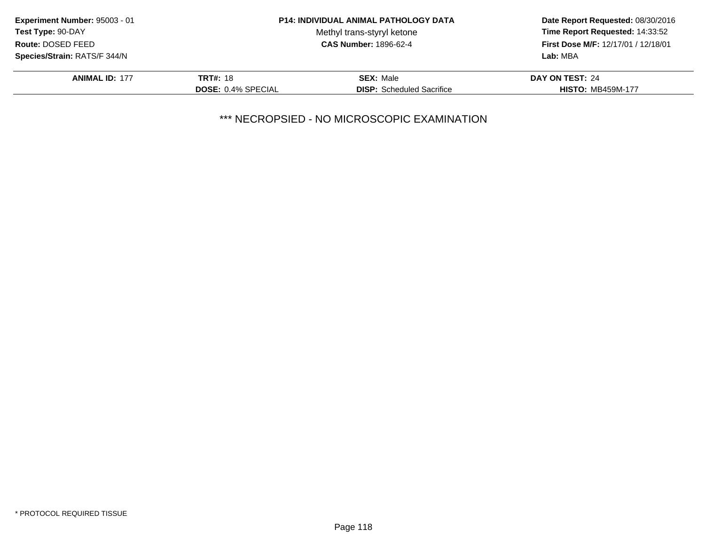| Experiment Number: 95003 - 01                     | <b>P14: INDIVIDUAL ANIMAL PATHOLOGY DATA</b> |                                            | Date Report Requested: 08/30/2016 |
|---------------------------------------------------|----------------------------------------------|--------------------------------------------|-----------------------------------|
| Test Type: 90-DAY                                 |                                              | Methyl trans-styryl ketone                 | Time Report Requested: 14:33:52   |
| <b>CAS Number: 1896-62-4</b><br>Route: DOSED FEED |                                              | <b>First Dose M/F: 12/17/01 / 12/18/01</b> |                                   |
| <b>Species/Strain: RATS/F 344/N</b>               |                                              |                                            | Lab: MBA                          |
| <b>ANIMAL ID: 177</b>                             | <b>TRT#: 18</b>                              | <b>SEX: Male</b>                           | DAY ON TEST: 24                   |
|                                                   | <b>DOSE: 0.4% SPECIAL</b>                    | <b>DISP:</b> Scheduled Sacrifice           | <b>HISTO: MB459M-177</b>          |
|                                                   |                                              |                                            |                                   |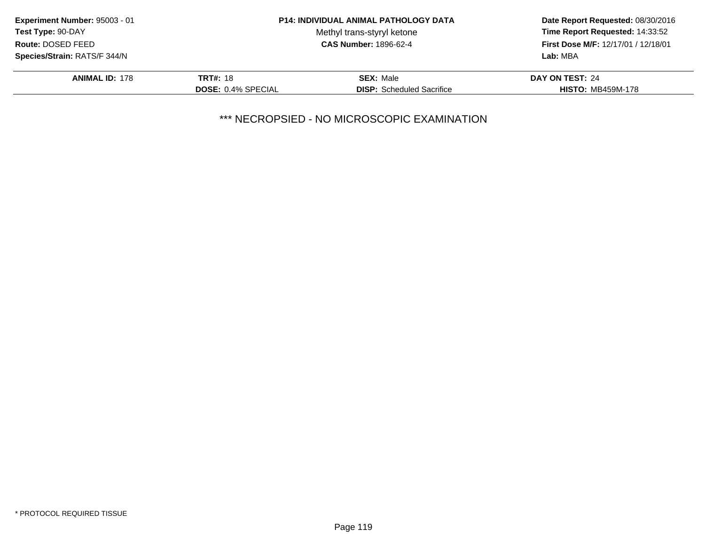| Time Report Requested: 14:33:52<br>First Dose M/F: 12/17/01 / 12/18/01 |
|------------------------------------------------------------------------|
|                                                                        |
| DAY ON TEST: 24                                                        |
| <b>HISTO: MB459M-178</b>                                               |
|                                                                        |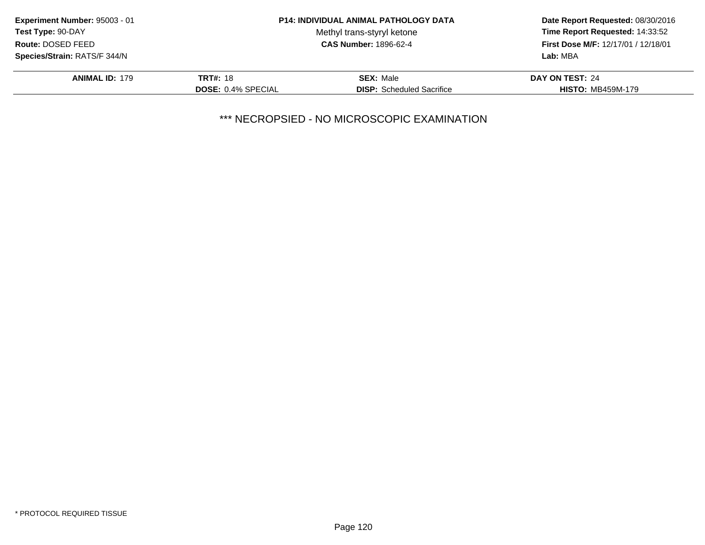| Experiment Number: 95003 - 01 |                           | <b>P14: INDIVIDUAL ANIMAL PATHOLOGY DATA</b> | Date Report Requested: 08/30/2016                                      |
|-------------------------------|---------------------------|----------------------------------------------|------------------------------------------------------------------------|
| Test Type: 90-DAY             |                           | Methyl trans-styryl ketone                   | Time Report Requested: 14:33:52<br>First Dose M/F: 12/17/01 / 12/18/01 |
| Route: DOSED FEED             |                           | <b>CAS Number: 1896-62-4</b>                 |                                                                        |
| Species/Strain: RATS/F 344/N  |                           |                                              | Lab: MBA                                                               |
| <b>ANIMAL ID: 179</b>         | <b>TRT#: 18</b>           | <b>SEX: Male</b>                             | DAY ON TEST: 24                                                        |
|                               | <b>DOSE: 0.4% SPECIAL</b> | <b>DISP:</b> Scheduled Sacrifice             | <b>HISTO: MB459M-179</b>                                               |
|                               |                           |                                              |                                                                        |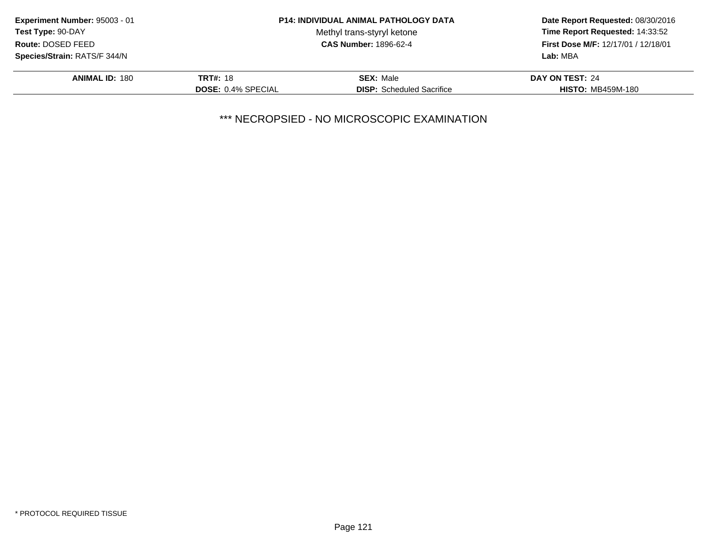|                                                                                   |                                  | Date Report Requested: 08/30/2016            |  |
|-----------------------------------------------------------------------------------|----------------------------------|----------------------------------------------|--|
|                                                                                   | Methyl trans-styryl ketone       | Time Report Requested: 14:33:52              |  |
| <b>CAS Number: 1896-62-4</b><br>Route: DOSED FEED<br>Species/Strain: RATS/F 344/N |                                  | First Dose M/F: 12/17/01 / 12/18/01          |  |
|                                                                                   |                                  | Lab: MBA                                     |  |
| <b>TRT#: 18</b>                                                                   | <b>SEX: Male</b>                 | DAY ON TEST: 24                              |  |
| <b>DOSE: 0.4% SPECIAL</b>                                                         | <b>DISP:</b> Scheduled Sacrifice | <b>HISTO: MB459M-180</b>                     |  |
|                                                                                   |                                  | <b>P14: INDIVIDUAL ANIMAL PATHOLOGY DATA</b> |  |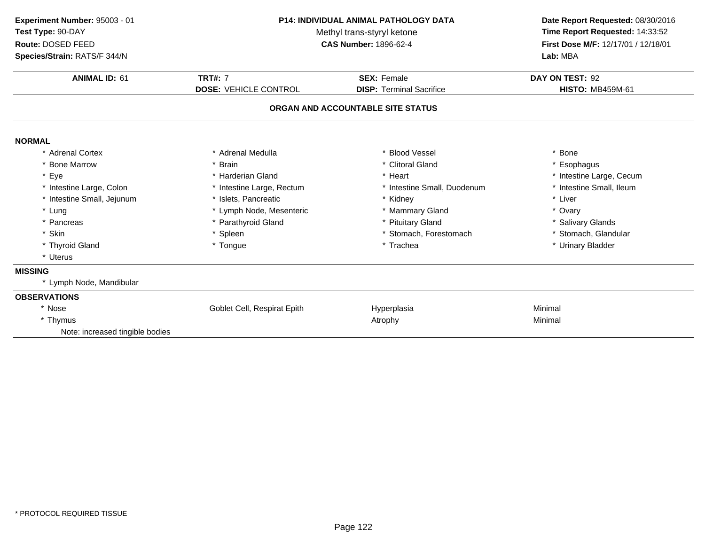| P14: INDIVIDUAL ANIMAL PATHOLOGY DATA<br>Methyl trans-styryl ketone<br><b>CAS Number: 1896-62-4</b> |                                 | Date Report Requested: 08/30/2016   |  |
|-----------------------------------------------------------------------------------------------------|---------------------------------|-------------------------------------|--|
|                                                                                                     |                                 | Time Report Requested: 14:33:52     |  |
|                                                                                                     |                                 | First Dose M/F: 12/17/01 / 12/18/01 |  |
|                                                                                                     |                                 | Lab: MBA                            |  |
| <b>TRT#: 7</b>                                                                                      | <b>SEX: Female</b>              | DAY ON TEST: 92                     |  |
| <b>DOSE: VEHICLE CONTROL</b>                                                                        | <b>DISP: Terminal Sacrifice</b> | <b>HISTO: MB459M-61</b>             |  |
|                                                                                                     |                                 |                                     |  |
|                                                                                                     |                                 |                                     |  |
| * Adrenal Medulla                                                                                   | * Blood Vessel                  | * Bone                              |  |
| <b>Brain</b>                                                                                        | * Clitoral Gland                | * Esophagus                         |  |
| * Harderian Gland                                                                                   | * Heart                         | * Intestine Large, Cecum            |  |
| * Intestine Large, Rectum                                                                           | * Intestine Small, Duodenum     | * Intestine Small, Ileum            |  |
| * Islets, Pancreatic                                                                                | * Kidney                        | * Liver                             |  |
| * Lymph Node, Mesenteric                                                                            | * Mammary Gland                 | * Ovary                             |  |
| * Parathyroid Gland                                                                                 | * Pituitary Gland               | * Salivary Glands                   |  |
| * Spleen                                                                                            | * Stomach, Forestomach          | * Stomach, Glandular                |  |
| * Tongue                                                                                            | * Trachea                       | * Urinary Bladder                   |  |
|                                                                                                     |                                 |                                     |  |
|                                                                                                     |                                 |                                     |  |
|                                                                                                     |                                 |                                     |  |
|                                                                                                     |                                 |                                     |  |
| Goblet Cell, Respirat Epith                                                                         | Hyperplasia                     | Minimal                             |  |
|                                                                                                     | Atrophy                         | Minimal                             |  |
|                                                                                                     |                                 |                                     |  |
|                                                                                                     |                                 | ORGAN AND ACCOUNTABLE SITE STATUS   |  |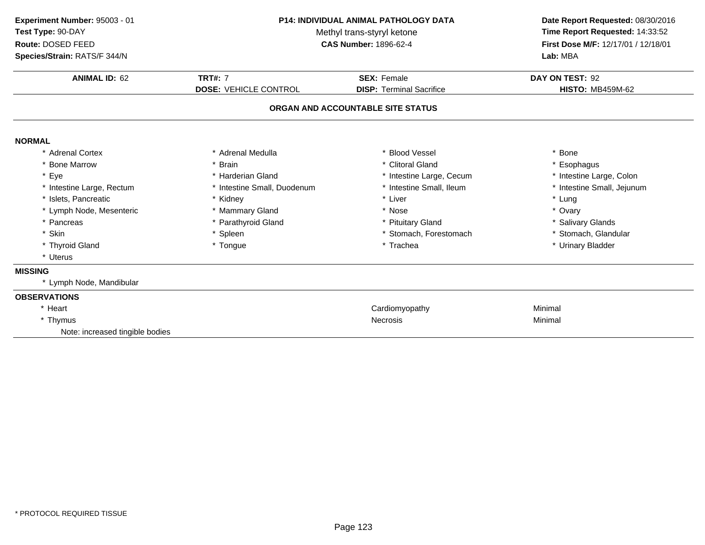| Experiment Number: 95003 - 01<br>Test Type: 90-DAY<br>Route: DOSED FEED<br>Species/Strain: RATS/F 344/N | <b>P14: INDIVIDUAL ANIMAL PATHOLOGY DATA</b><br>Methyl trans-styryl ketone<br><b>CAS Number: 1896-62-4</b> |                                   | Date Report Requested: 08/30/2016<br>Time Report Requested: 14:33:52<br>First Dose M/F: 12/17/01 / 12/18/01<br>Lab: MBA |  |
|---------------------------------------------------------------------------------------------------------|------------------------------------------------------------------------------------------------------------|-----------------------------------|-------------------------------------------------------------------------------------------------------------------------|--|
| <b>ANIMAL ID: 62</b>                                                                                    | <b>TRT#: 7</b>                                                                                             | <b>SEX: Female</b>                | DAY ON TEST: 92                                                                                                         |  |
|                                                                                                         | <b>DOSE: VEHICLE CONTROL</b>                                                                               | <b>DISP: Terminal Sacrifice</b>   | <b>HISTO: MB459M-62</b>                                                                                                 |  |
|                                                                                                         |                                                                                                            | ORGAN AND ACCOUNTABLE SITE STATUS |                                                                                                                         |  |
| <b>NORMAL</b>                                                                                           |                                                                                                            |                                   |                                                                                                                         |  |
| * Adrenal Cortex                                                                                        | * Adrenal Medulla                                                                                          | * Blood Vessel                    | * Bone                                                                                                                  |  |
| * Bone Marrow                                                                                           | * Brain                                                                                                    | * Clitoral Gland                  | * Esophagus                                                                                                             |  |
| * Eye                                                                                                   | * Harderian Gland                                                                                          | * Intestine Large, Cecum          | * Intestine Large, Colon                                                                                                |  |
| * Intestine Large, Rectum                                                                               | * Intestine Small, Duodenum                                                                                | * Intestine Small, Ileum          | * Intestine Small, Jejunum                                                                                              |  |
| * Islets, Pancreatic                                                                                    | * Kidney                                                                                                   | * Liver                           | * Lung                                                                                                                  |  |
| * Lymph Node, Mesenteric                                                                                | * Mammary Gland                                                                                            | * Nose                            | * Ovary                                                                                                                 |  |
| * Pancreas                                                                                              | * Parathyroid Gland                                                                                        | * Pituitary Gland                 | * Salivary Glands                                                                                                       |  |
| * Skin                                                                                                  | * Spleen                                                                                                   | * Stomach, Forestomach            | * Stomach, Glandular                                                                                                    |  |
| * Thyroid Gland                                                                                         | * Tongue                                                                                                   | * Trachea                         | * Urinary Bladder                                                                                                       |  |
| * Uterus                                                                                                |                                                                                                            |                                   |                                                                                                                         |  |
| <b>MISSING</b>                                                                                          |                                                                                                            |                                   |                                                                                                                         |  |
| * Lymph Node, Mandibular                                                                                |                                                                                                            |                                   |                                                                                                                         |  |
| <b>OBSERVATIONS</b>                                                                                     |                                                                                                            |                                   |                                                                                                                         |  |
| * Heart                                                                                                 |                                                                                                            | Cardiomyopathy                    | Minimal                                                                                                                 |  |
| * Thymus                                                                                                |                                                                                                            | <b>Necrosis</b>                   | Minimal                                                                                                                 |  |
| Note: increased tingible bodies                                                                         |                                                                                                            |                                   |                                                                                                                         |  |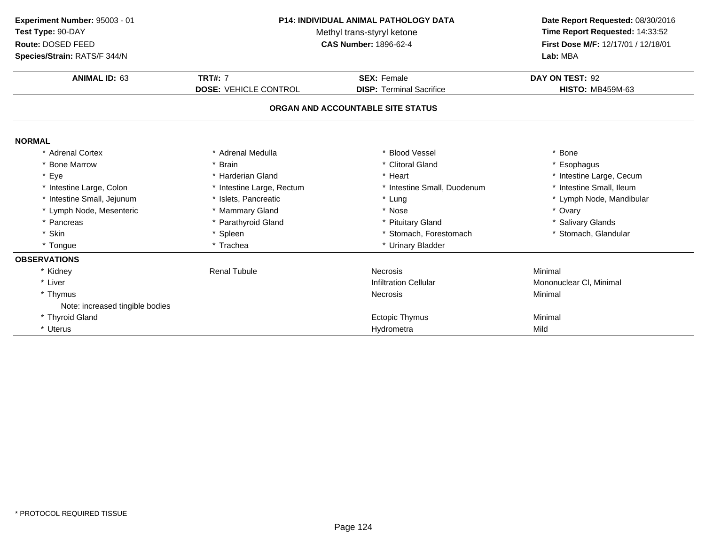| Experiment Number: 95003 - 01<br>Test Type: 90-DAY<br>Route: DOSED FEED<br>Species/Strain: RATS/F 344/N | P14: INDIVIDUAL ANIMAL PATHOLOGY DATA<br>Methyl trans-styryl ketone<br><b>CAS Number: 1896-62-4</b> |                                                       | Date Report Requested: 08/30/2016<br>Time Report Requested: 14:33:52<br>First Dose M/F: 12/17/01 / 12/18/01<br>Lab: MBA |
|---------------------------------------------------------------------------------------------------------|-----------------------------------------------------------------------------------------------------|-------------------------------------------------------|-------------------------------------------------------------------------------------------------------------------------|
| <b>ANIMAL ID: 63</b>                                                                                    | <b>TRT#: 7</b><br><b>DOSE: VEHICLE CONTROL</b>                                                      | <b>SEX: Female</b><br><b>DISP: Terminal Sacrifice</b> | DAY ON TEST: 92<br><b>HISTO: MB459M-63</b>                                                                              |
|                                                                                                         |                                                                                                     | ORGAN AND ACCOUNTABLE SITE STATUS                     |                                                                                                                         |
| <b>NORMAL</b>                                                                                           |                                                                                                     |                                                       |                                                                                                                         |
| * Adrenal Cortex                                                                                        | * Adrenal Medulla                                                                                   | <b>Blood Vessel</b>                                   | * Bone                                                                                                                  |
| * Bone Marrow                                                                                           | * Brain                                                                                             | * Clitoral Gland                                      | * Esophagus                                                                                                             |
| * Eye                                                                                                   | * Harderian Gland                                                                                   | * Heart                                               | * Intestine Large, Cecum                                                                                                |
| * Intestine Large, Colon                                                                                | * Intestine Large, Rectum                                                                           | * Intestine Small, Duodenum                           | * Intestine Small, Ileum                                                                                                |
| * Intestine Small, Jejunum                                                                              | * Islets, Pancreatic                                                                                | * Lung                                                | * Lymph Node, Mandibular                                                                                                |
| * Lymph Node, Mesenteric                                                                                | * Mammary Gland                                                                                     | * Nose                                                | * Ovary                                                                                                                 |
| * Pancreas                                                                                              | * Parathyroid Gland                                                                                 | * Pituitary Gland                                     | * Salivary Glands                                                                                                       |
| * Skin                                                                                                  | * Spleen                                                                                            | * Stomach, Forestomach                                | * Stomach, Glandular                                                                                                    |
| * Tongue                                                                                                | * Trachea                                                                                           | * Urinary Bladder                                     |                                                                                                                         |
| <b>OBSERVATIONS</b>                                                                                     |                                                                                                     |                                                       |                                                                                                                         |
| * Kidney                                                                                                | <b>Renal Tubule</b>                                                                                 | <b>Necrosis</b>                                       | Minimal                                                                                                                 |
| * Liver                                                                                                 |                                                                                                     | <b>Infiltration Cellular</b>                          | Mononuclear CI, Minimal                                                                                                 |
| * Thymus                                                                                                |                                                                                                     | <b>Necrosis</b>                                       | Minimal                                                                                                                 |
| Note: increased tingible bodies                                                                         |                                                                                                     |                                                       |                                                                                                                         |
| * Thyroid Gland                                                                                         |                                                                                                     | <b>Ectopic Thymus</b>                                 | Minimal                                                                                                                 |
| * Uterus                                                                                                |                                                                                                     | Hydrometra                                            | Mild                                                                                                                    |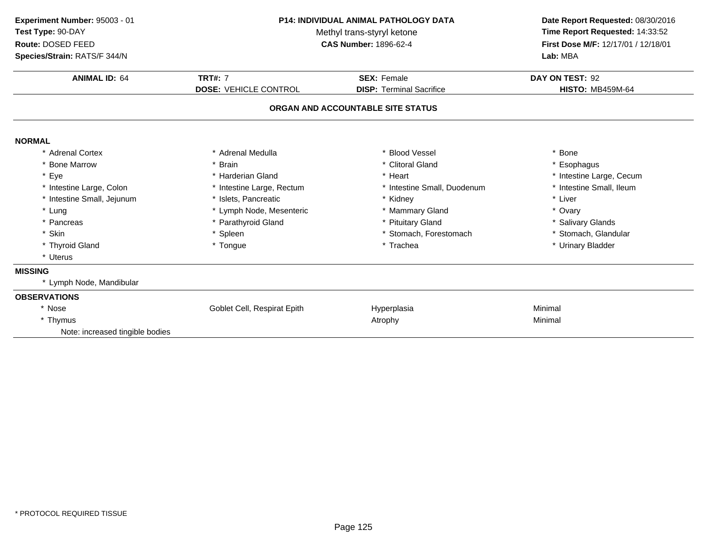| P14: INDIVIDUAL ANIMAL PATHOLOGY DATA<br>Methyl trans-styryl ketone<br><b>CAS Number: 1896-62-4</b> |                              | Date Report Requested: 08/30/2016<br>Time Report Requested: 14:33:52<br>First Dose M/F: 12/17/01 / 12/18/01<br>Lab: MBA |  |
|-----------------------------------------------------------------------------------------------------|------------------------------|-------------------------------------------------------------------------------------------------------------------------|--|
| <b>TRT#: 7</b>                                                                                      | <b>SEX: Female</b>           | DAY ON TEST: 92<br><b>HISTO: MB459M-64</b>                                                                              |  |
|                                                                                                     |                              |                                                                                                                         |  |
|                                                                                                     |                              |                                                                                                                         |  |
| * Adrenal Medulla                                                                                   | * Blood Vessel               | * Bone                                                                                                                  |  |
| * Brain                                                                                             | * Clitoral Gland             | * Esophagus                                                                                                             |  |
| * Harderian Gland                                                                                   | * Heart                      | * Intestine Large, Cecum                                                                                                |  |
| * Intestine Large, Rectum                                                                           | * Intestine Small, Duodenum  | * Intestine Small, Ileum                                                                                                |  |
| * Islets, Pancreatic                                                                                | * Kidney                     | * Liver                                                                                                                 |  |
| * Lymph Node, Mesenteric                                                                            | * Mammary Gland              | * Ovary                                                                                                                 |  |
| * Parathyroid Gland                                                                                 | * Pituitary Gland            | * Salivary Glands                                                                                                       |  |
| * Spleen                                                                                            | * Stomach, Forestomach       | * Stomach, Glandular                                                                                                    |  |
| * Tongue                                                                                            | * Trachea                    | * Urinary Bladder                                                                                                       |  |
|                                                                                                     |                              |                                                                                                                         |  |
|                                                                                                     |                              |                                                                                                                         |  |
|                                                                                                     |                              |                                                                                                                         |  |
|                                                                                                     |                              |                                                                                                                         |  |
| Goblet Cell, Respirat Epith                                                                         |                              | Minimal                                                                                                                 |  |
|                                                                                                     | Atrophy                      | Minimal                                                                                                                 |  |
|                                                                                                     |                              |                                                                                                                         |  |
|                                                                                                     | <b>DOSE: VEHICLE CONTROL</b> | <b>DISP: Terminal Sacrifice</b><br>ORGAN AND ACCOUNTABLE SITE STATUS<br>Hyperplasia                                     |  |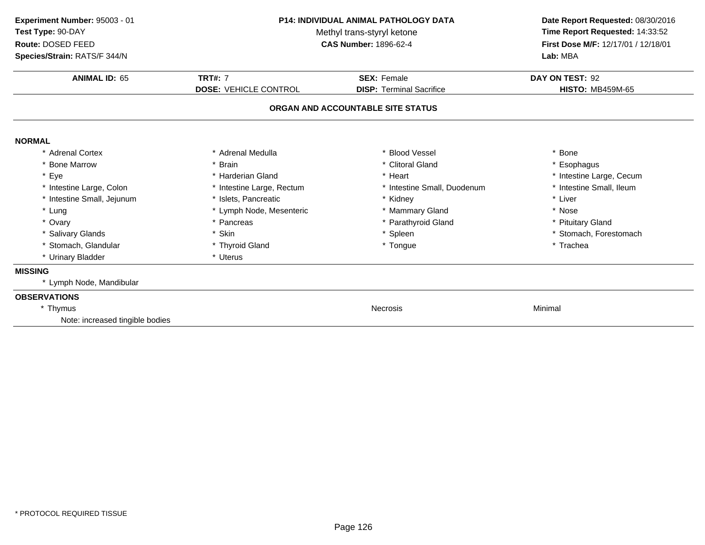| Experiment Number: 95003 - 01<br>Test Type: 90-DAY<br>Route: DOSED FEED<br>Species/Strain: RATS/F 344/N | <b>P14: INDIVIDUAL ANIMAL PATHOLOGY DATA</b><br>Methyl trans-styryl ketone<br><b>CAS Number: 1896-62-4</b> |                                   | Date Report Requested: 08/30/2016<br>Time Report Requested: 14:33:52<br>First Dose M/F: 12/17/01 / 12/18/01<br>Lab: MBA |  |
|---------------------------------------------------------------------------------------------------------|------------------------------------------------------------------------------------------------------------|-----------------------------------|-------------------------------------------------------------------------------------------------------------------------|--|
| <b>ANIMAL ID: 65</b>                                                                                    | <b>TRT#: 7</b>                                                                                             | <b>SEX: Female</b>                | DAY ON TEST: 92                                                                                                         |  |
|                                                                                                         | <b>DOSE: VEHICLE CONTROL</b>                                                                               | <b>DISP: Terminal Sacrifice</b>   | <b>HISTO: MB459M-65</b>                                                                                                 |  |
|                                                                                                         |                                                                                                            | ORGAN AND ACCOUNTABLE SITE STATUS |                                                                                                                         |  |
| <b>NORMAL</b>                                                                                           |                                                                                                            |                                   |                                                                                                                         |  |
| * Adrenal Cortex                                                                                        | * Adrenal Medulla                                                                                          | <b>Blood Vessel</b>               | * Bone                                                                                                                  |  |
| * Bone Marrow                                                                                           | * Brain                                                                                                    | * Clitoral Gland                  | * Esophagus                                                                                                             |  |
| * Eye                                                                                                   | * Harderian Gland                                                                                          | * Heart                           | * Intestine Large, Cecum                                                                                                |  |
| * Intestine Large, Colon                                                                                | * Intestine Large, Rectum                                                                                  | * Intestine Small, Duodenum       | * Intestine Small, Ileum                                                                                                |  |
| * Intestine Small, Jejunum                                                                              | * Islets. Pancreatic                                                                                       | * Kidney                          | * Liver                                                                                                                 |  |
| * Lung                                                                                                  | * Lymph Node, Mesenteric                                                                                   | * Mammary Gland                   | * Nose                                                                                                                  |  |
| * Ovary                                                                                                 | * Pancreas                                                                                                 | * Parathyroid Gland               | * Pituitary Gland                                                                                                       |  |
| * Salivary Glands                                                                                       | * Skin                                                                                                     | * Spleen                          | * Stomach, Forestomach                                                                                                  |  |
| * Stomach, Glandular                                                                                    | * Thyroid Gland                                                                                            | * Tongue                          | * Trachea                                                                                                               |  |
| * Urinary Bladder                                                                                       | * Uterus                                                                                                   |                                   |                                                                                                                         |  |
| <b>MISSING</b>                                                                                          |                                                                                                            |                                   |                                                                                                                         |  |
| * Lymph Node, Mandibular                                                                                |                                                                                                            |                                   |                                                                                                                         |  |
| <b>OBSERVATIONS</b>                                                                                     |                                                                                                            |                                   |                                                                                                                         |  |
| * Thymus                                                                                                |                                                                                                            | <b>Necrosis</b>                   | Minimal                                                                                                                 |  |
| Note: increased tingible bodies                                                                         |                                                                                                            |                                   |                                                                                                                         |  |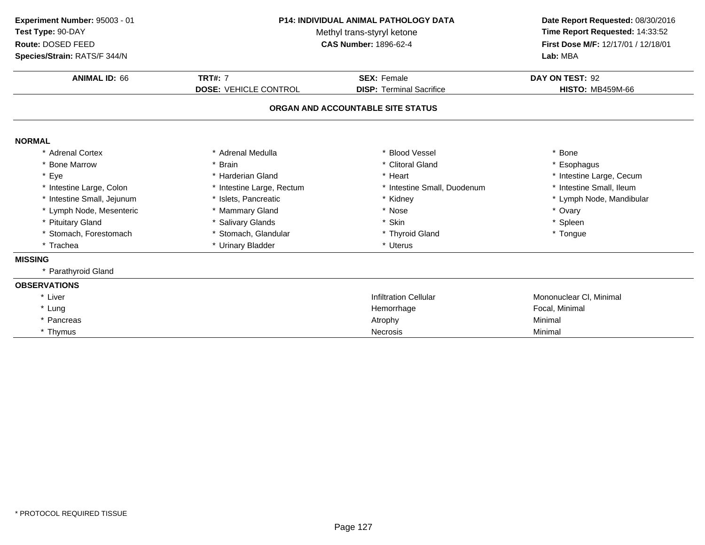| Experiment Number: 95003 - 01<br>Test Type: 90-DAY<br>Route: DOSED FEED<br>Species/Strain: RATS/F 344/N | <b>P14: INDIVIDUAL ANIMAL PATHOLOGY DATA</b><br>Methyl trans-styryl ketone<br><b>CAS Number: 1896-62-4</b> |                                   | Date Report Requested: 08/30/2016<br>Time Report Requested: 14:33:52<br>First Dose M/F: 12/17/01 / 12/18/01<br>Lab: MBA |  |
|---------------------------------------------------------------------------------------------------------|------------------------------------------------------------------------------------------------------------|-----------------------------------|-------------------------------------------------------------------------------------------------------------------------|--|
|                                                                                                         |                                                                                                            |                                   |                                                                                                                         |  |
| <b>ANIMAL ID: 66</b>                                                                                    | <b>TRT#: 7</b>                                                                                             | <b>SEX: Female</b>                | DAY ON TEST: 92                                                                                                         |  |
|                                                                                                         | <b>DOSE: VEHICLE CONTROL</b>                                                                               | <b>DISP: Terminal Sacrifice</b>   | <b>HISTO: MB459M-66</b>                                                                                                 |  |
|                                                                                                         |                                                                                                            | ORGAN AND ACCOUNTABLE SITE STATUS |                                                                                                                         |  |
| <b>NORMAL</b>                                                                                           |                                                                                                            |                                   |                                                                                                                         |  |
| * Adrenal Cortex                                                                                        | * Adrenal Medulla                                                                                          | <b>Blood Vessel</b>               | * Bone                                                                                                                  |  |
| * Bone Marrow                                                                                           | * Brain                                                                                                    | * Clitoral Gland                  | * Esophagus                                                                                                             |  |
| * Eye                                                                                                   | * Harderian Gland                                                                                          | * Heart                           | * Intestine Large, Cecum                                                                                                |  |
| * Intestine Large, Colon                                                                                | * Intestine Large, Rectum                                                                                  | * Intestine Small, Duodenum       | * Intestine Small, Ileum                                                                                                |  |
| * Intestine Small, Jejunum                                                                              | * Islets, Pancreatic                                                                                       | * Kidney                          | * Lymph Node, Mandibular                                                                                                |  |
| * Lymph Node, Mesenteric                                                                                | * Mammary Gland                                                                                            | * Nose                            | * Ovary                                                                                                                 |  |
| * Pituitary Gland                                                                                       | * Salivary Glands                                                                                          | Skin                              | * Spleen                                                                                                                |  |
| * Stomach, Forestomach                                                                                  | * Stomach, Glandular                                                                                       | * Thyroid Gland                   | * Tongue                                                                                                                |  |
| * Trachea                                                                                               | * Urinary Bladder                                                                                          | * Uterus                          |                                                                                                                         |  |
| <b>MISSING</b>                                                                                          |                                                                                                            |                                   |                                                                                                                         |  |
| * Parathyroid Gland                                                                                     |                                                                                                            |                                   |                                                                                                                         |  |
| <b>OBSERVATIONS</b>                                                                                     |                                                                                                            |                                   |                                                                                                                         |  |
| * Liver                                                                                                 |                                                                                                            | <b>Infiltration Cellular</b>      | Mononuclear CI, Minimal                                                                                                 |  |
| * Lung                                                                                                  |                                                                                                            | Hemorrhage                        | Focal, Minimal                                                                                                          |  |
| * Pancreas                                                                                              |                                                                                                            | Atrophy                           | Minimal                                                                                                                 |  |
| * Thymus                                                                                                |                                                                                                            | <b>Necrosis</b>                   | Minimal                                                                                                                 |  |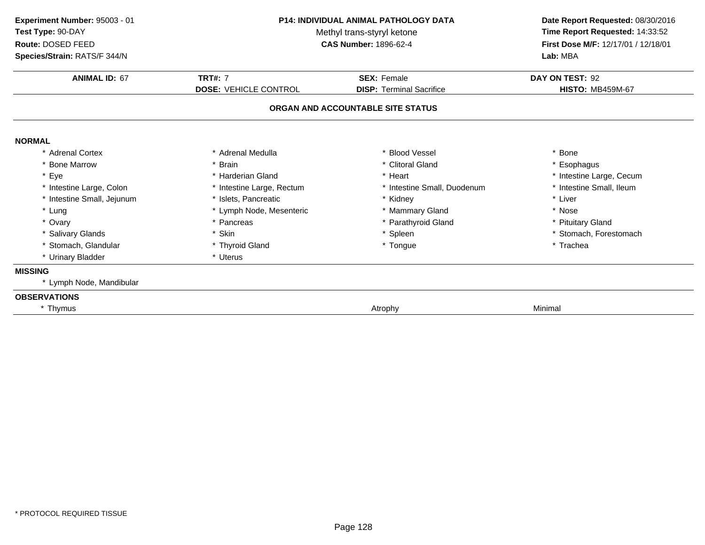| <b>P14: INDIVIDUAL ANIMAL PATHOLOGY DATA</b><br>Experiment Number: 95003 - 01<br>Test Type: 90-DAY<br>Methyl trans-styryl ketone<br><b>CAS Number: 1896-62-4</b><br>Route: DOSED FEED<br>Species/Strain: RATS/F 344/N |                              | Date Report Requested: 08/30/2016<br>Time Report Requested: 14:33:52<br>First Dose M/F: 12/17/01 / 12/18/01<br>Lab: MBA |                          |
|-----------------------------------------------------------------------------------------------------------------------------------------------------------------------------------------------------------------------|------------------------------|-------------------------------------------------------------------------------------------------------------------------|--------------------------|
| <b>ANIMAL ID: 67</b>                                                                                                                                                                                                  | <b>TRT#: 7</b>               | <b>SEX: Female</b>                                                                                                      | DAY ON TEST: 92          |
|                                                                                                                                                                                                                       | <b>DOSE: VEHICLE CONTROL</b> | <b>DISP: Terminal Sacrifice</b>                                                                                         | <b>HISTO: MB459M-67</b>  |
|                                                                                                                                                                                                                       |                              | ORGAN AND ACCOUNTABLE SITE STATUS                                                                                       |                          |
| <b>NORMAL</b>                                                                                                                                                                                                         |                              |                                                                                                                         |                          |
| * Adrenal Cortex                                                                                                                                                                                                      | * Adrenal Medulla            | * Blood Vessel                                                                                                          | * Bone                   |
| * Bone Marrow                                                                                                                                                                                                         | * Brain                      | * Clitoral Gland                                                                                                        | * Esophagus              |
| * Eye                                                                                                                                                                                                                 | * Harderian Gland            | * Heart                                                                                                                 | * Intestine Large, Cecum |
| * Intestine Large, Colon                                                                                                                                                                                              | * Intestine Large, Rectum    | * Intestine Small, Duodenum                                                                                             | * Intestine Small, Ileum |
| * Intestine Small, Jejunum                                                                                                                                                                                            | * Islets, Pancreatic         | * Kidney                                                                                                                | * Liver                  |
| * Lung                                                                                                                                                                                                                | * Lymph Node, Mesenteric     | * Mammary Gland                                                                                                         | * Nose                   |
| * Ovary                                                                                                                                                                                                               | * Pancreas                   | * Parathyroid Gland                                                                                                     | * Pituitary Gland        |
| * Salivary Glands                                                                                                                                                                                                     | * Skin                       | * Spleen                                                                                                                | * Stomach, Forestomach   |
| * Stomach, Glandular                                                                                                                                                                                                  | * Thyroid Gland              | * Tongue                                                                                                                | * Trachea                |
| * Urinary Bladder                                                                                                                                                                                                     | * Uterus                     |                                                                                                                         |                          |
| <b>MISSING</b>                                                                                                                                                                                                        |                              |                                                                                                                         |                          |
| * Lymph Node, Mandibular                                                                                                                                                                                              |                              |                                                                                                                         |                          |
| <b>OBSERVATIONS</b>                                                                                                                                                                                                   |                              |                                                                                                                         |                          |
| * Thymus                                                                                                                                                                                                              |                              | Atrophy                                                                                                                 | Minimal                  |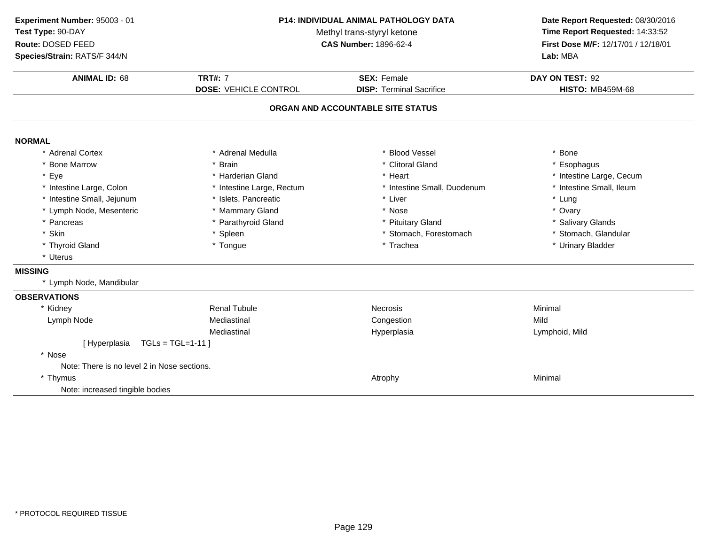| Experiment Number: 95003 - 01               |                              | P14: INDIVIDUAL ANIMAL PATHOLOGY DATA | Date Report Requested: 08/30/2016   |  |
|---------------------------------------------|------------------------------|---------------------------------------|-------------------------------------|--|
| Test Type: 90-DAY                           |                              | Methyl trans-styryl ketone            | Time Report Requested: 14:33:52     |  |
| Route: DOSED FEED                           | <b>CAS Number: 1896-62-4</b> |                                       | First Dose M/F: 12/17/01 / 12/18/01 |  |
| Species/Strain: RATS/F 344/N                |                              |                                       | Lab: MBA                            |  |
| <b>ANIMAL ID: 68</b>                        | <b>TRT#: 7</b>               | <b>SEX: Female</b>                    | DAY ON TEST: 92                     |  |
|                                             | <b>DOSE: VEHICLE CONTROL</b> | <b>DISP: Terminal Sacrifice</b>       | <b>HISTO: MB459M-68</b>             |  |
|                                             |                              | ORGAN AND ACCOUNTABLE SITE STATUS     |                                     |  |
| <b>NORMAL</b>                               |                              |                                       |                                     |  |
| * Adrenal Cortex                            | * Adrenal Medulla            | * Blood Vessel                        | * Bone                              |  |
| * Bone Marrow                               | * Brain                      | * Clitoral Gland                      | * Esophagus                         |  |
| * Eye                                       | * Harderian Gland            | * Heart                               | * Intestine Large, Cecum            |  |
| * Intestine Large, Colon                    | * Intestine Large, Rectum    | * Intestine Small, Duodenum           | * Intestine Small, Ileum            |  |
| * Intestine Small, Jejunum                  | * Islets, Pancreatic         | * Liver                               | * Lung                              |  |
| * Lymph Node, Mesenteric                    | * Mammary Gland              | * Nose                                | * Ovary                             |  |
| * Pancreas                                  | * Parathyroid Gland          | * Pituitary Gland                     | * Salivary Glands                   |  |
| * Skin                                      | * Spleen                     | * Stomach, Forestomach                | * Stomach, Glandular                |  |
| * Thyroid Gland                             | * Tongue                     | * Trachea                             | * Urinary Bladder                   |  |
| * Uterus                                    |                              |                                       |                                     |  |
| <b>MISSING</b>                              |                              |                                       |                                     |  |
| * Lymph Node, Mandibular                    |                              |                                       |                                     |  |
| <b>OBSERVATIONS</b>                         |                              |                                       |                                     |  |
| * Kidney                                    | <b>Renal Tubule</b>          | <b>Necrosis</b>                       | Minimal                             |  |
| Lymph Node                                  | Mediastinal                  | Congestion                            | Mild                                |  |
|                                             | Mediastinal                  | Hyperplasia                           | Lymphoid, Mild                      |  |
| [Hyperplasia                                | $TGLs = TGL=1-11$            |                                       |                                     |  |
| * Nose                                      |                              |                                       |                                     |  |
| Note: There is no level 2 in Nose sections. |                              |                                       |                                     |  |
| * Thymus                                    |                              | Atrophy                               | Minimal                             |  |
| Note: increased tingible bodies             |                              |                                       |                                     |  |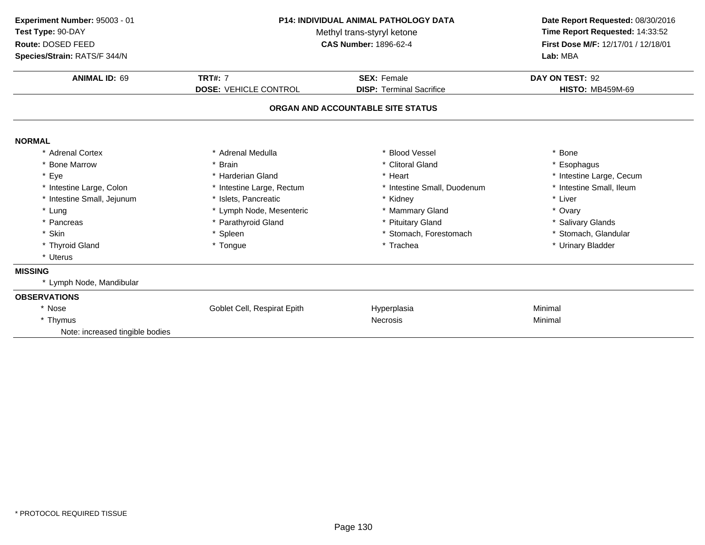| Experiment Number: 95003 - 01<br>Test Type: 90-DAY<br>Route: DOSED FEED<br>Species/Strain: RATS/F 344/N | <b>P14: INDIVIDUAL ANIMAL PATHOLOGY DATA</b><br>Methyl trans-styryl ketone<br><b>CAS Number: 1896-62-4</b> |                                   | Date Report Requested: 08/30/2016<br>Time Report Requested: 14:33:52<br>First Dose M/F: 12/17/01 / 12/18/01<br>Lab: MBA |  |
|---------------------------------------------------------------------------------------------------------|------------------------------------------------------------------------------------------------------------|-----------------------------------|-------------------------------------------------------------------------------------------------------------------------|--|
| <b>ANIMAL ID: 69</b>                                                                                    | <b>TRT#: 7</b>                                                                                             | <b>SEX: Female</b>                | DAY ON TEST: 92                                                                                                         |  |
|                                                                                                         | <b>DOSE: VEHICLE CONTROL</b>                                                                               | <b>DISP: Terminal Sacrifice</b>   | <b>HISTO: MB459M-69</b>                                                                                                 |  |
|                                                                                                         |                                                                                                            | ORGAN AND ACCOUNTABLE SITE STATUS |                                                                                                                         |  |
| <b>NORMAL</b>                                                                                           |                                                                                                            |                                   |                                                                                                                         |  |
| * Adrenal Cortex                                                                                        | * Adrenal Medulla                                                                                          | * Blood Vessel                    | * Bone                                                                                                                  |  |
| <b>Bone Marrow</b>                                                                                      | * Brain                                                                                                    | * Clitoral Gland                  | * Esophagus                                                                                                             |  |
| * Eye                                                                                                   | * Harderian Gland                                                                                          | * Heart                           | * Intestine Large, Cecum                                                                                                |  |
| * Intestine Large, Colon                                                                                | * Intestine Large, Rectum                                                                                  | * Intestine Small, Duodenum       | * Intestine Small, Ileum                                                                                                |  |
| * Intestine Small, Jejunum                                                                              | * Islets, Pancreatic                                                                                       | * Kidney                          | * Liver                                                                                                                 |  |
| * Lung                                                                                                  | * Lymph Node, Mesenteric                                                                                   | * Mammary Gland                   | * Ovary                                                                                                                 |  |
| * Pancreas                                                                                              | * Parathyroid Gland                                                                                        | * Pituitary Gland                 | * Salivary Glands                                                                                                       |  |
| * Skin                                                                                                  | * Spleen                                                                                                   | * Stomach, Forestomach            | * Stomach, Glandular                                                                                                    |  |
| * Thyroid Gland                                                                                         | * Tongue                                                                                                   | * Trachea                         | * Urinary Bladder                                                                                                       |  |
| * Uterus                                                                                                |                                                                                                            |                                   |                                                                                                                         |  |
| <b>MISSING</b>                                                                                          |                                                                                                            |                                   |                                                                                                                         |  |
| * Lymph Node, Mandibular                                                                                |                                                                                                            |                                   |                                                                                                                         |  |
| <b>OBSERVATIONS</b>                                                                                     |                                                                                                            |                                   |                                                                                                                         |  |
| * Nose                                                                                                  | Goblet Cell, Respirat Epith                                                                                | Hyperplasia                       | Minimal                                                                                                                 |  |
| * Thymus                                                                                                |                                                                                                            | Necrosis                          | Minimal                                                                                                                 |  |
| Note: increased tingible bodies                                                                         |                                                                                                            |                                   |                                                                                                                         |  |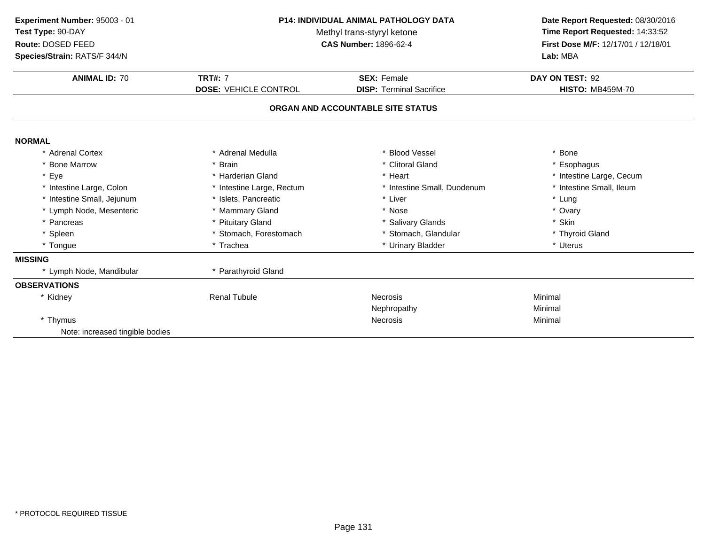| Experiment Number: 95003 - 01<br>Test Type: 90-DAY<br>Route: DOSED FEED | P14: INDIVIDUAL ANIMAL PATHOLOGY DATA<br>Methyl trans-styryl ketone<br><b>CAS Number: 1896-62-4</b> |                                   | Date Report Requested: 08/30/2016<br>Time Report Requested: 14:33:52<br>First Dose M/F: 12/17/01 / 12/18/01 |  |
|-------------------------------------------------------------------------|-----------------------------------------------------------------------------------------------------|-----------------------------------|-------------------------------------------------------------------------------------------------------------|--|
| Species/Strain: RATS/F 344/N                                            |                                                                                                     |                                   | Lab: MBA                                                                                                    |  |
| <b>ANIMAL ID: 70</b>                                                    | <b>TRT#: 7</b>                                                                                      | <b>SEX: Female</b>                | DAY ON TEST: 92                                                                                             |  |
|                                                                         | <b>DOSE: VEHICLE CONTROL</b>                                                                        | <b>DISP: Terminal Sacrifice</b>   | <b>HISTO: MB459M-70</b>                                                                                     |  |
|                                                                         |                                                                                                     | ORGAN AND ACCOUNTABLE SITE STATUS |                                                                                                             |  |
| <b>NORMAL</b>                                                           |                                                                                                     |                                   |                                                                                                             |  |
| * Adrenal Cortex                                                        | * Adrenal Medulla                                                                                   | * Blood Vessel                    | * Bone                                                                                                      |  |
| * Bone Marrow                                                           | * Brain                                                                                             | * Clitoral Gland                  | * Esophagus                                                                                                 |  |
| * Eye                                                                   | * Harderian Gland                                                                                   | * Heart                           | * Intestine Large, Cecum                                                                                    |  |
| * Intestine Large, Colon                                                | * Intestine Large, Rectum                                                                           | * Intestine Small, Duodenum       | * Intestine Small, Ileum                                                                                    |  |
| * Intestine Small, Jejunum                                              | * Islets, Pancreatic                                                                                | * Liver                           | * Lung                                                                                                      |  |
| * Lymph Node, Mesenteric                                                | * Mammary Gland                                                                                     | * Nose                            | * Ovary                                                                                                     |  |
| * Pancreas                                                              | * Pituitary Gland                                                                                   | * Salivary Glands                 | * Skin                                                                                                      |  |
| * Spleen                                                                | * Stomach, Forestomach                                                                              | * Stomach, Glandular              | * Thyroid Gland                                                                                             |  |
| * Tongue                                                                | * Trachea                                                                                           | * Urinary Bladder                 | * Uterus                                                                                                    |  |
| <b>MISSING</b>                                                          |                                                                                                     |                                   |                                                                                                             |  |
| * Lymph Node, Mandibular                                                | * Parathyroid Gland                                                                                 |                                   |                                                                                                             |  |
| <b>OBSERVATIONS</b>                                                     |                                                                                                     |                                   |                                                                                                             |  |
| * Kidney                                                                | <b>Renal Tubule</b>                                                                                 | Necrosis                          | Minimal                                                                                                     |  |
|                                                                         |                                                                                                     | Nephropathy                       | Minimal                                                                                                     |  |
| * Thymus                                                                |                                                                                                     | <b>Necrosis</b>                   | Minimal                                                                                                     |  |
| Note: increased tingible bodies                                         |                                                                                                     |                                   |                                                                                                             |  |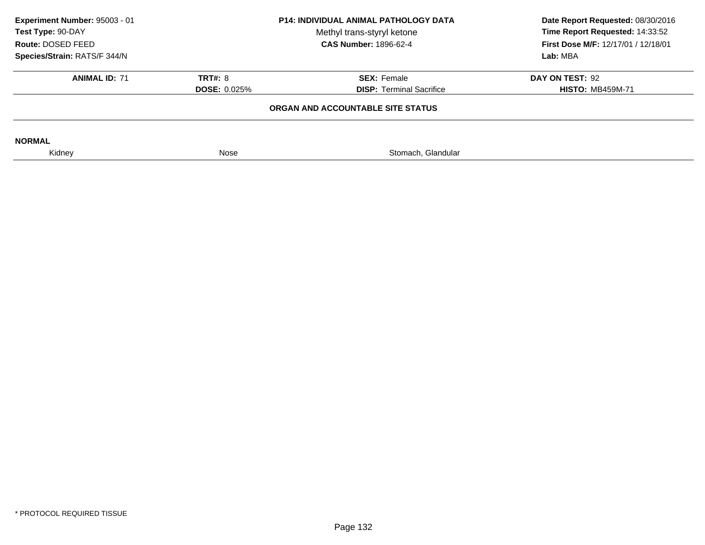| Experiment Number: 95003 - 01<br>Test Type: 90-DAY<br>Route: DOSED FEED<br>Species/Strain: RATS/F 344/N | <b>P14: INDIVIDUAL ANIMAL PATHOLOGY DATA</b><br>Methyl trans-styryl ketone<br><b>CAS Number: 1896-62-4</b> |                                                       | Date Report Requested: 08/30/2016<br>Time Report Requested: 14:33:52<br>First Dose M/F: 12/17/01 / 12/18/01<br>Lab: MBA |  |
|---------------------------------------------------------------------------------------------------------|------------------------------------------------------------------------------------------------------------|-------------------------------------------------------|-------------------------------------------------------------------------------------------------------------------------|--|
| <b>ANIMAL ID: 71</b>                                                                                    | <b>TRT#: 8</b><br><b>DOSE: 0.025%</b>                                                                      | <b>SEX: Female</b><br><b>DISP:</b> Terminal Sacrifice | DAY ON TEST: 92<br><b>HISTO: MB459M-71</b>                                                                              |  |
|                                                                                                         |                                                                                                            | ORGAN AND ACCOUNTABLE SITE STATUS                     |                                                                                                                         |  |
| <b>NORMAL</b>                                                                                           |                                                                                                            |                                                       |                                                                                                                         |  |
| Kidney                                                                                                  | Nose                                                                                                       | Stomach, Glandular                                    |                                                                                                                         |  |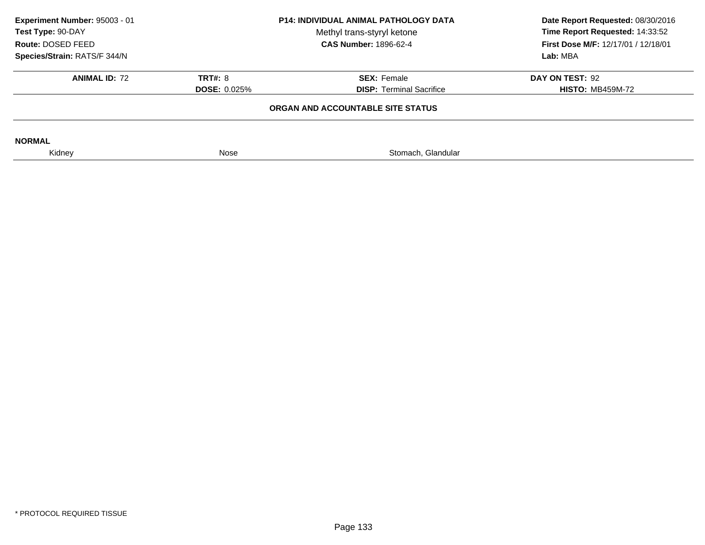| Experiment Number: 95003 - 01<br>Test Type: 90-DAY<br>Route: DOSED FEED<br>Species/Strain: RATS/F 344/N | <b>P14: INDIVIDUAL ANIMAL PATHOLOGY DATA</b><br>Methyl trans-styryl ketone<br><b>CAS Number: 1896-62-4</b> |                                                       | Date Report Requested: 08/30/2016<br>Time Report Requested: 14:33:52<br><b>First Dose M/F: 12/17/01 / 12/18/01</b><br>Lab: MBA |
|---------------------------------------------------------------------------------------------------------|------------------------------------------------------------------------------------------------------------|-------------------------------------------------------|--------------------------------------------------------------------------------------------------------------------------------|
| <b>ANIMAL ID: 72</b>                                                                                    | <b>TRT#: 8</b><br><b>DOSE: 0.025%</b>                                                                      | <b>SEX: Female</b><br><b>DISP: Terminal Sacrifice</b> | DAY ON TEST: 92<br><b>HISTO: MB459M-72</b>                                                                                     |
|                                                                                                         |                                                                                                            | ORGAN AND ACCOUNTABLE SITE STATUS                     |                                                                                                                                |
| <b>NORMAL</b>                                                                                           |                                                                                                            |                                                       |                                                                                                                                |
| Kidney                                                                                                  | Nose                                                                                                       | Stomach, Glandular                                    |                                                                                                                                |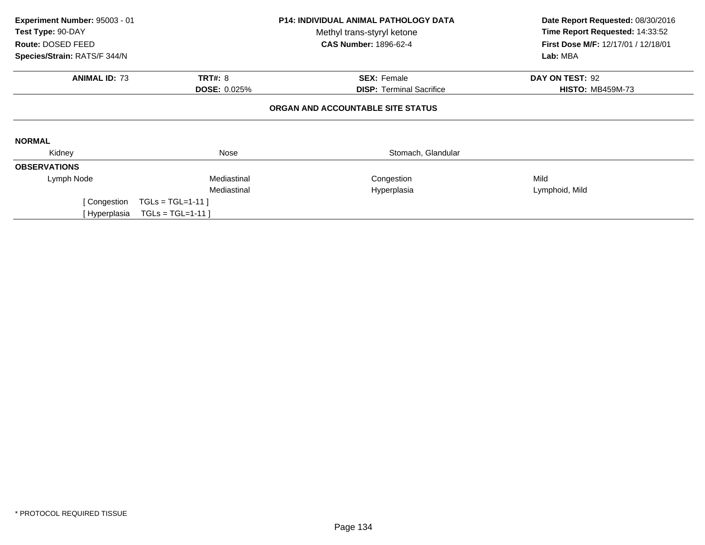| Experiment Number: 95003 - 01 |                                                   | <b>P14: INDIVIDUAL ANIMAL PATHOLOGY DATA</b> | Date Report Requested: 08/30/2016                                             |
|-------------------------------|---------------------------------------------------|----------------------------------------------|-------------------------------------------------------------------------------|
| Test Type: 90-DAY             |                                                   | Methyl trans-styryl ketone                   | Time Report Requested: 14:33:52<br><b>First Dose M/F: 12/17/01 / 12/18/01</b> |
| Species/Strain: RATS/F 344/N  | Route: DOSED FEED<br><b>CAS Number: 1896-62-4</b> |                                              | Lab: MBA                                                                      |
| <b>ANIMAL ID: 73</b>          | <b>TRT#: 8</b>                                    | <b>SEX: Female</b>                           | DAY ON TEST: 92                                                               |
|                               | <b>DOSE: 0.025%</b>                               | <b>DISP:</b> Terminal Sacrifice              | <b>HISTO: MB459M-73</b>                                                       |
|                               |                                                   | ORGAN AND ACCOUNTABLE SITE STATUS            |                                                                               |
| <b>NORMAL</b>                 |                                                   |                                              |                                                                               |
| Kidney                        | Nose                                              | Stomach, Glandular                           |                                                                               |
| <b>OBSERVATIONS</b>           |                                                   |                                              |                                                                               |
| Lymph Node                    | Mediastinal                                       | Congestion                                   | Mild                                                                          |
|                               | Mediastinal                                       | Hyperplasia                                  | Lymphoid, Mild                                                                |
| [ Congestion                  | $TGLs = TGL=1-11$                                 |                                              |                                                                               |
| [ Hyperplasia                 | $TGLs = TGL=1-11$                                 |                                              |                                                                               |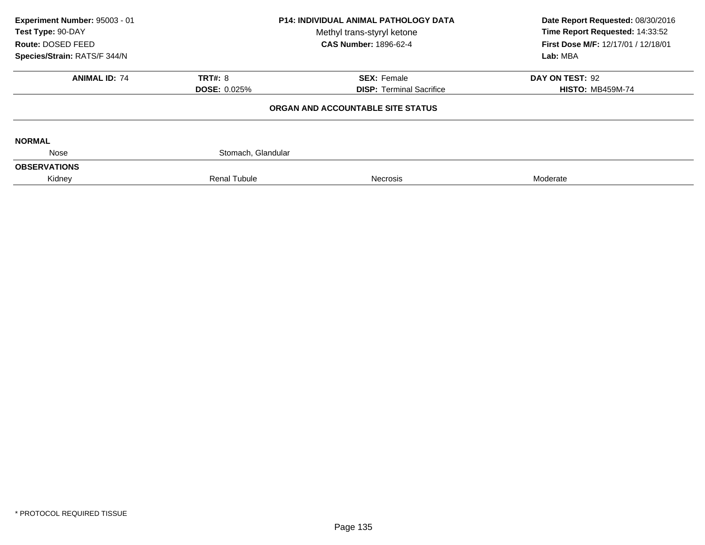| Experiment Number: 95003 - 01<br>Test Type: 90-DAY<br>Route: DOSED FEED | <b>P14: INDIVIDUAL ANIMAL PATHOLOGY DATA</b><br>Methyl trans-styryl ketone<br><b>CAS Number: 1896-62-4</b> |                                   | Date Report Requested: 08/30/2016<br>Time Report Requested: 14:33:52<br>First Dose M/F: 12/17/01 / 12/18/01 |  |
|-------------------------------------------------------------------------|------------------------------------------------------------------------------------------------------------|-----------------------------------|-------------------------------------------------------------------------------------------------------------|--|
| Species/Strain: RATS/F 344/N                                            |                                                                                                            |                                   | Lab: MBA                                                                                                    |  |
| <b>ANIMAL ID: 74</b>                                                    | <b>TRT#: 8</b>                                                                                             | <b>SEX: Female</b>                | DAY ON TEST: 92                                                                                             |  |
|                                                                         | <b>DOSE: 0.025%</b>                                                                                        | <b>DISP:</b> Terminal Sacrifice   | <b>HISTO: MB459M-74</b>                                                                                     |  |
|                                                                         |                                                                                                            | ORGAN AND ACCOUNTABLE SITE STATUS |                                                                                                             |  |
| <b>NORMAL</b>                                                           |                                                                                                            |                                   |                                                                                                             |  |
| Nose                                                                    | Stomach, Glandular                                                                                         |                                   |                                                                                                             |  |
| <b>OBSERVATIONS</b>                                                     |                                                                                                            |                                   |                                                                                                             |  |
| Kidney                                                                  | <b>Renal Tubule</b>                                                                                        | <b>Necrosis</b>                   | Moderate                                                                                                    |  |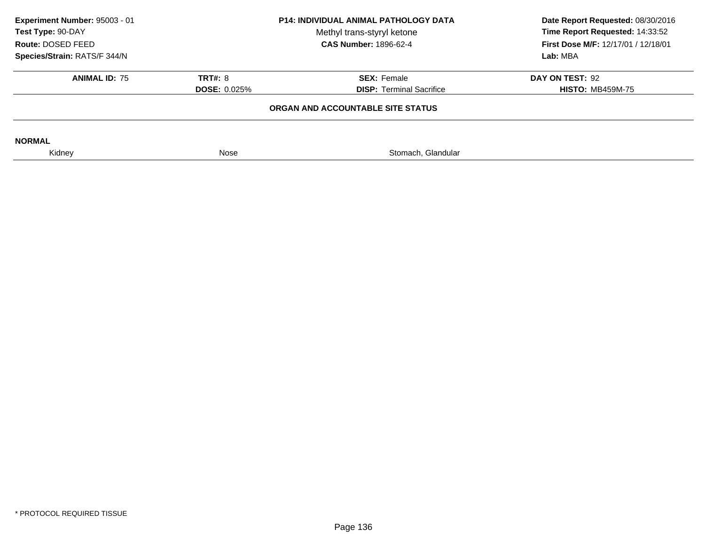| Experiment Number: 95003 - 01<br>Test Type: 90-DAY<br>Route: DOSED FEED<br>Species/Strain: RATS/F 344/N | <b>P14: INDIVIDUAL ANIMAL PATHOLOGY DATA</b><br>Methyl trans-styryl ketone<br><b>CAS Number: 1896-62-4</b> |                                                       | Date Report Requested: 08/30/2016<br>Time Report Requested: 14:33:52<br><b>First Dose M/F: 12/17/01 / 12/18/01</b><br>Lab: MBA |
|---------------------------------------------------------------------------------------------------------|------------------------------------------------------------------------------------------------------------|-------------------------------------------------------|--------------------------------------------------------------------------------------------------------------------------------|
| <b>ANIMAL ID: 75</b>                                                                                    | <b>TRT#: 8</b><br><b>DOSE: 0.025%</b>                                                                      | <b>SEX: Female</b><br><b>DISP: Terminal Sacrifice</b> | DAY ON TEST: 92<br><b>HISTO: MB459M-75</b>                                                                                     |
|                                                                                                         |                                                                                                            | ORGAN AND ACCOUNTABLE SITE STATUS                     |                                                                                                                                |
| <b>NORMAL</b>                                                                                           |                                                                                                            |                                                       |                                                                                                                                |
| Kidney                                                                                                  | Nose                                                                                                       | Stomach, Glandular                                    |                                                                                                                                |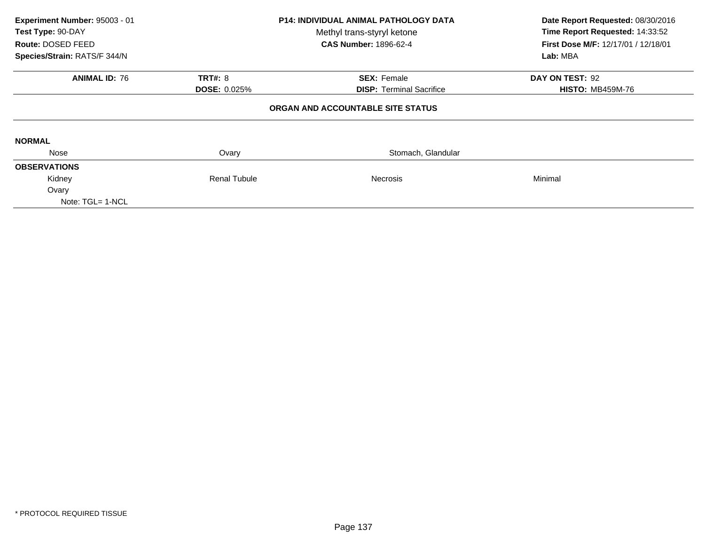| Experiment Number: 95003 - 01<br>Test Type: 90-DAY<br>Route: DOSED FEED<br>Species/Strain: RATS/F 344/N | <b>P14: INDIVIDUAL ANIMAL PATHOLOGY DATA</b><br>Methyl trans-styryl ketone<br><b>CAS Number: 1896-62-4</b> |                                                       | Date Report Requested: 08/30/2016<br>Time Report Requested: 14:33:52<br>First Dose M/F: 12/17/01 / 12/18/01<br>Lab: MBA |
|---------------------------------------------------------------------------------------------------------|------------------------------------------------------------------------------------------------------------|-------------------------------------------------------|-------------------------------------------------------------------------------------------------------------------------|
| <b>ANIMAL ID: 76</b>                                                                                    | <b>TRT#: 8</b><br><b>DOSE: 0.025%</b>                                                                      | <b>SEX: Female</b><br><b>DISP:</b> Terminal Sacrifice | DAY ON TEST: 92<br><b>HISTO: MB459M-76</b>                                                                              |
|                                                                                                         |                                                                                                            | ORGAN AND ACCOUNTABLE SITE STATUS                     |                                                                                                                         |
| <b>NORMAL</b>                                                                                           |                                                                                                            |                                                       |                                                                                                                         |
| Nose                                                                                                    | Ovary                                                                                                      | Stomach, Glandular                                    |                                                                                                                         |
| <b>OBSERVATIONS</b>                                                                                     |                                                                                                            |                                                       |                                                                                                                         |
| Kidney                                                                                                  | <b>Renal Tubule</b>                                                                                        | <b>Necrosis</b>                                       | Minimal                                                                                                                 |
| Ovary<br>Note: TGL= 1-NCL                                                                               |                                                                                                            |                                                       |                                                                                                                         |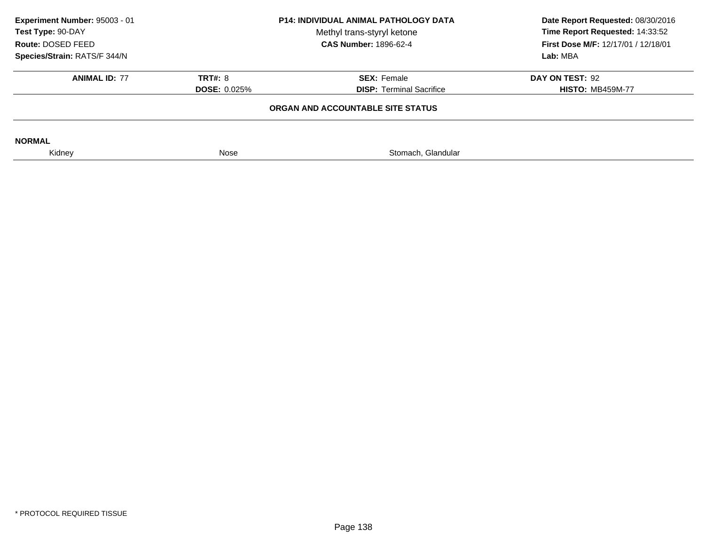| Experiment Number: 95003 - 01<br>Test Type: 90-DAY<br>Route: DOSED FEED<br>Species/Strain: RATS/F 344/N | <b>P14: INDIVIDUAL ANIMAL PATHOLOGY DATA</b><br>Methyl trans-styryl ketone<br><b>CAS Number: 1896-62-4</b> |                                                       | Date Report Requested: 08/30/2016<br>Time Report Requested: 14:33:52<br>First Dose M/F: 12/17/01 / 12/18/01<br>Lab: MBA |
|---------------------------------------------------------------------------------------------------------|------------------------------------------------------------------------------------------------------------|-------------------------------------------------------|-------------------------------------------------------------------------------------------------------------------------|
| <b>ANIMAL ID: 77</b>                                                                                    | <b>TRT#: 8</b><br><b>DOSE: 0.025%</b>                                                                      | <b>SEX: Female</b><br><b>DISP:</b> Terminal Sacrifice | DAY ON TEST: 92<br><b>HISTO: MB459M-77</b>                                                                              |
|                                                                                                         |                                                                                                            | ORGAN AND ACCOUNTABLE SITE STATUS                     |                                                                                                                         |
| <b>NORMAL</b>                                                                                           |                                                                                                            |                                                       |                                                                                                                         |
| Kidney                                                                                                  | Nose                                                                                                       | Stomach, Glandular                                    |                                                                                                                         |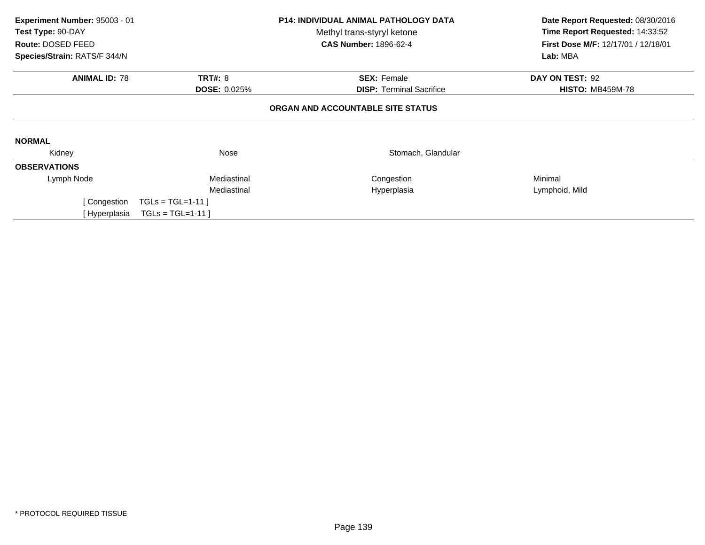| Experiment Number: 95003 - 01<br>Test Type: 90-DAY<br>Route: DOSED FEED<br>Species/Strain: RATS/F 344/N | <b>P14: INDIVIDUAL ANIMAL PATHOLOGY DATA</b><br>Methyl trans-styryl ketone<br><b>CAS Number: 1896-62-4</b> |                                   | Date Report Requested: 08/30/2016<br>Time Report Requested: 14:33:52<br>First Dose M/F: 12/17/01 / 12/18/01<br>Lab: MBA |
|---------------------------------------------------------------------------------------------------------|------------------------------------------------------------------------------------------------------------|-----------------------------------|-------------------------------------------------------------------------------------------------------------------------|
|                                                                                                         |                                                                                                            |                                   |                                                                                                                         |
| <b>ANIMAL ID: 78</b>                                                                                    | <b>TRT#: 8</b>                                                                                             | <b>SEX: Female</b>                | DAY ON TEST: 92                                                                                                         |
|                                                                                                         | <b>DOSE: 0.025%</b>                                                                                        | <b>DISP:</b> Terminal Sacrifice   | <b>HISTO: MB459M-78</b>                                                                                                 |
|                                                                                                         |                                                                                                            | ORGAN AND ACCOUNTABLE SITE STATUS |                                                                                                                         |
| <b>NORMAL</b>                                                                                           |                                                                                                            |                                   |                                                                                                                         |
| Kidney                                                                                                  | Nose                                                                                                       | Stomach, Glandular                |                                                                                                                         |
| <b>OBSERVATIONS</b>                                                                                     |                                                                                                            |                                   |                                                                                                                         |
| Lymph Node                                                                                              | Mediastinal                                                                                                | Congestion                        | Minimal                                                                                                                 |
|                                                                                                         | Mediastinal                                                                                                | Hyperplasia                       | Lymphoid, Mild                                                                                                          |
| Congestion                                                                                              | $TGLs = TGL=1-11$                                                                                          |                                   |                                                                                                                         |
| Hyperplasia                                                                                             | $TGLs = TGL=1-11$                                                                                          |                                   |                                                                                                                         |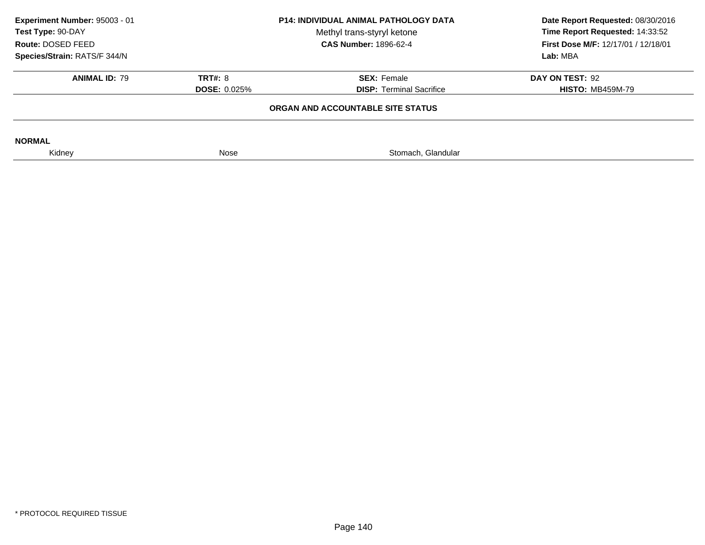| Experiment Number: 95003 - 01<br>Test Type: 90-DAY<br>Route: DOSED FEED<br>Species/Strain: RATS/F 344/N | <b>P14: INDIVIDUAL ANIMAL PATHOLOGY DATA</b><br>Methyl trans-styryl ketone<br><b>CAS Number: 1896-62-4</b> |                                                       | Date Report Requested: 08/30/2016<br>Time Report Requested: 14:33:52<br><b>First Dose M/F: 12/17/01 / 12/18/01</b><br>Lab: MBA |
|---------------------------------------------------------------------------------------------------------|------------------------------------------------------------------------------------------------------------|-------------------------------------------------------|--------------------------------------------------------------------------------------------------------------------------------|
| <b>ANIMAL ID: 79</b>                                                                                    | <b>TRT#: 8</b><br><b>DOSE: 0.025%</b>                                                                      | <b>SEX: Female</b><br><b>DISP:</b> Terminal Sacrifice | DAY ON TEST: 92<br><b>HISTO: MB459M-79</b>                                                                                     |
|                                                                                                         |                                                                                                            | ORGAN AND ACCOUNTABLE SITE STATUS                     |                                                                                                                                |
| <b>NORMAL</b>                                                                                           |                                                                                                            |                                                       |                                                                                                                                |
| Kidney                                                                                                  | Nose                                                                                                       | Stomach, Glandular                                    |                                                                                                                                |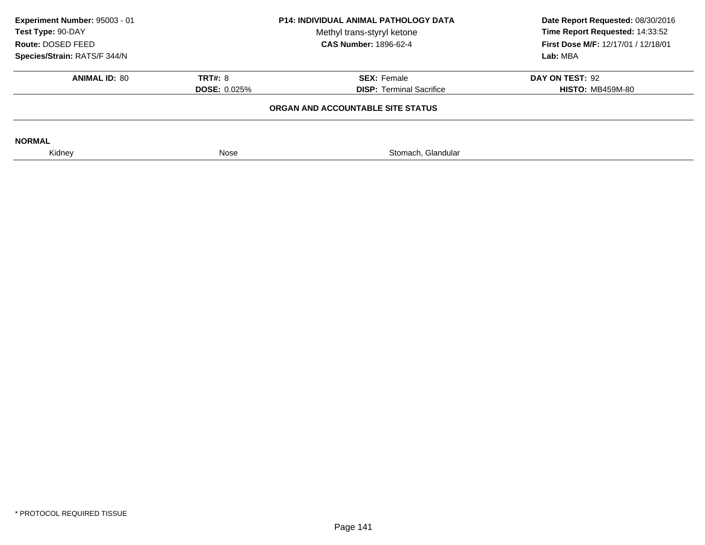| Experiment Number: 95003 - 01<br>Test Type: 90-DAY<br>Route: DOSED FEED<br>Species/Strain: RATS/F 344/N | <b>P14: INDIVIDUAL ANIMAL PATHOLOGY DATA</b><br>Methyl trans-styryl ketone<br><b>CAS Number: 1896-62-4</b> |                                                       | Date Report Requested: 08/30/2016<br>Time Report Requested: 14:33:52<br><b>First Dose M/F: 12/17/01 / 12/18/01</b><br>Lab: MBA |
|---------------------------------------------------------------------------------------------------------|------------------------------------------------------------------------------------------------------------|-------------------------------------------------------|--------------------------------------------------------------------------------------------------------------------------------|
| <b>ANIMAL ID: 80</b>                                                                                    | <b>TRT#: 8</b><br><b>DOSE: 0.025%</b>                                                                      | <b>SEX: Female</b><br><b>DISP:</b> Terminal Sacrifice | DAY ON TEST: 92<br><b>HISTO: MB459M-80</b>                                                                                     |
|                                                                                                         |                                                                                                            | ORGAN AND ACCOUNTABLE SITE STATUS                     |                                                                                                                                |
| <b>NORMAL</b>                                                                                           |                                                                                                            |                                                       |                                                                                                                                |
| Kidney                                                                                                  | Nose                                                                                                       | Stomach, Glandular                                    |                                                                                                                                |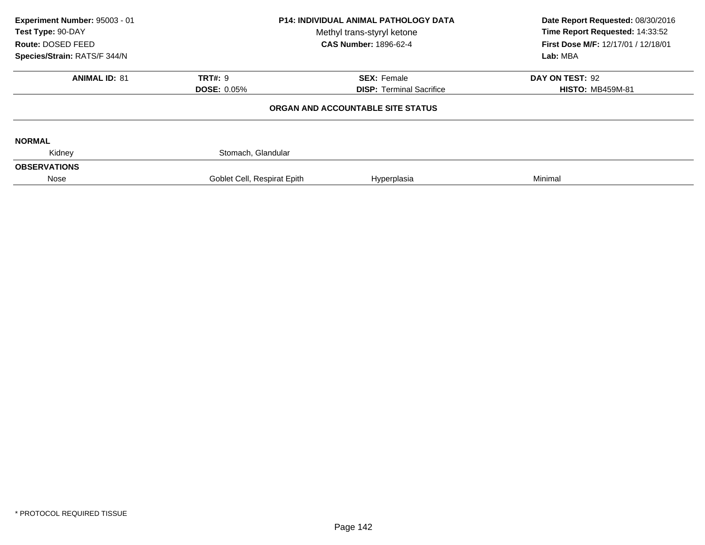| Experiment Number: 95003 - 01<br>Test Type: 90-DAY<br>Route: DOSED FEED<br>Species/Strain: RATS/F 344/N | <b>P14: INDIVIDUAL ANIMAL PATHOLOGY DATA</b><br>Methyl trans-styryl ketone<br><b>CAS Number: 1896-62-4</b> |                                   | Date Report Requested: 08/30/2016<br>Time Report Requested: 14:33:52<br>First Dose M/F: 12/17/01 / 12/18/01<br>Lab: MBA |
|---------------------------------------------------------------------------------------------------------|------------------------------------------------------------------------------------------------------------|-----------------------------------|-------------------------------------------------------------------------------------------------------------------------|
| <b>ANIMAL ID: 81</b>                                                                                    | TRT#: 9                                                                                                    | <b>SEX: Female</b>                | DAY ON TEST: 92                                                                                                         |
|                                                                                                         | <b>DOSE: 0.05%</b>                                                                                         | <b>DISP:</b> Terminal Sacrifice   | <b>HISTO: MB459M-81</b>                                                                                                 |
|                                                                                                         |                                                                                                            | ORGAN AND ACCOUNTABLE SITE STATUS |                                                                                                                         |
| <b>NORMAL</b>                                                                                           |                                                                                                            |                                   |                                                                                                                         |
| Kidney                                                                                                  | Stomach, Glandular                                                                                         |                                   |                                                                                                                         |
| <b>OBSERVATIONS</b>                                                                                     |                                                                                                            |                                   |                                                                                                                         |
| Nose                                                                                                    | Goblet Cell, Respirat Epith                                                                                | Hyperplasia                       | Minimal                                                                                                                 |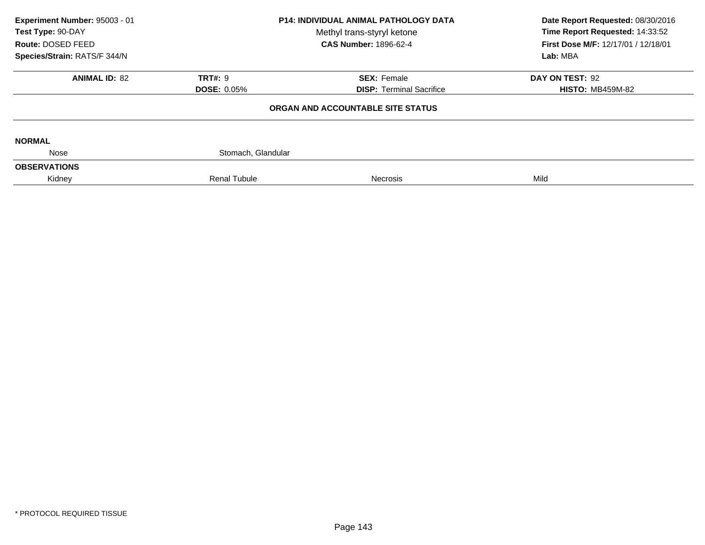| Experiment Number: 95003 - 01<br>Test Type: 90-DAY<br>Route: DOSED FEED<br>Species/Strain: RATS/F 344/N | P14: INDIVIDUAL ANIMAL PATHOLOGY DATA<br>Methyl trans-styryl ketone<br><b>CAS Number: 1896-62-4</b> |                                                       | Date Report Requested: 08/30/2016<br>Time Report Requested: 14:33:52<br>First Dose M/F: 12/17/01 / 12/18/01<br>Lab: MBA |  |
|---------------------------------------------------------------------------------------------------------|-----------------------------------------------------------------------------------------------------|-------------------------------------------------------|-------------------------------------------------------------------------------------------------------------------------|--|
| <b>ANIMAL ID: 82</b>                                                                                    | <b>TRT#: 9</b><br><b>DOSE: 0.05%</b>                                                                | <b>SEX: Female</b><br><b>DISP: Terminal Sacrifice</b> | DAY ON TEST: 92<br><b>HISTO: MB459M-82</b>                                                                              |  |
|                                                                                                         |                                                                                                     | ORGAN AND ACCOUNTABLE SITE STATUS                     |                                                                                                                         |  |
| <b>NORMAL</b>                                                                                           |                                                                                                     |                                                       |                                                                                                                         |  |
| Nose                                                                                                    | Stomach, Glandular                                                                                  |                                                       |                                                                                                                         |  |
| <b>OBSERVATIONS</b>                                                                                     |                                                                                                     |                                                       |                                                                                                                         |  |
| Kidney                                                                                                  | <b>Renal Tubule</b>                                                                                 | <b>Necrosis</b>                                       | Mild                                                                                                                    |  |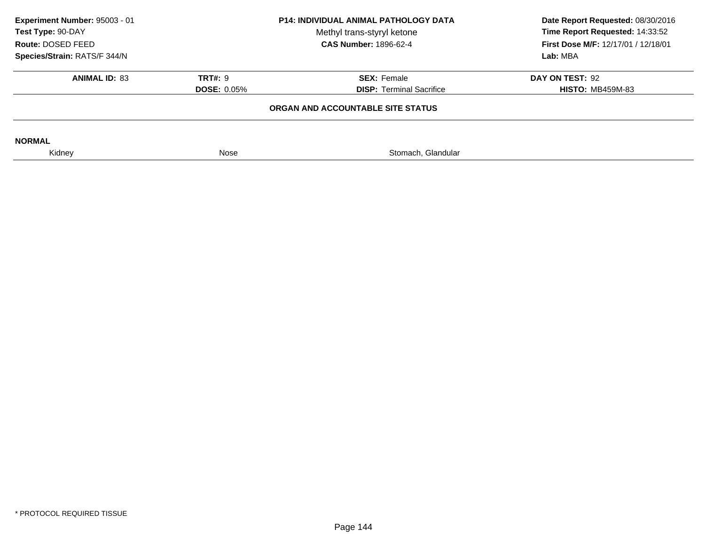| Experiment Number: 95003 - 01<br><b>P14: INDIVIDUAL ANIMAL PATHOLOGY DATA</b><br>Test Type: 90-DAY<br>Methyl trans-styryl ketone<br>Route: DOSED FEED<br><b>CAS Number: 1896-62-4</b> |                    | Date Report Requested: 08/30/2016<br>Time Report Requested: 14:33:52<br><b>First Dose M/F: 12/17/01 / 12/18/01</b> |                         |  |
|---------------------------------------------------------------------------------------------------------------------------------------------------------------------------------------|--------------------|--------------------------------------------------------------------------------------------------------------------|-------------------------|--|
| Species/Strain: RATS/F 344/N                                                                                                                                                          |                    |                                                                                                                    | Lab: MBA                |  |
| <b>ANIMAL ID: 83</b>                                                                                                                                                                  | <b>TRT#: 9</b>     | <b>SEX: Female</b>                                                                                                 | DAY ON TEST: 92         |  |
|                                                                                                                                                                                       | <b>DOSE: 0.05%</b> | <b>DISP: Terminal Sacrifice</b>                                                                                    | <b>HISTO: MB459M-83</b> |  |
|                                                                                                                                                                                       |                    | ORGAN AND ACCOUNTABLE SITE STATUS                                                                                  |                         |  |
| <b>NORMAL</b>                                                                                                                                                                         |                    |                                                                                                                    |                         |  |
| Kidney                                                                                                                                                                                | Nose               | Stomach, Glandular                                                                                                 |                         |  |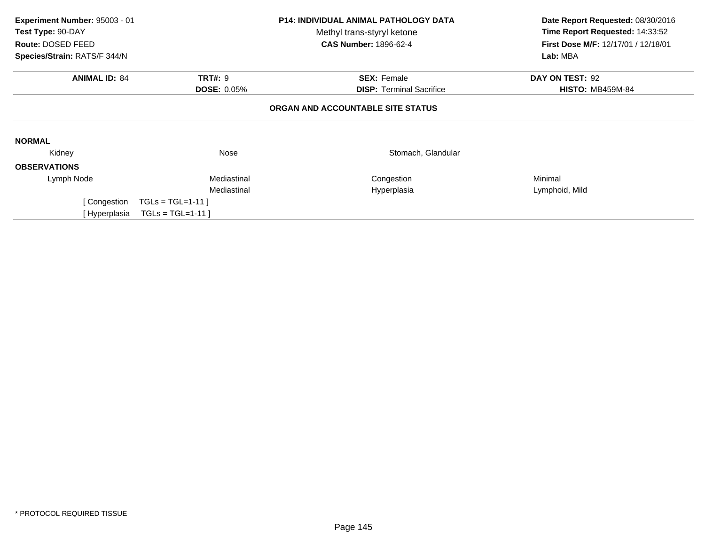| Experiment Number: 95003 - 01<br>Test Type: 90-DAY |                    | <b>P14: INDIVIDUAL ANIMAL PATHOLOGY DATA</b><br>Methyl trans-styryl ketone | Date Report Requested: 08/30/2016<br>Time Report Requested: 14:33:52 |  |
|----------------------------------------------------|--------------------|----------------------------------------------------------------------------|----------------------------------------------------------------------|--|
| Route: DOSED FEED                                  |                    | <b>CAS Number: 1896-62-4</b>                                               | First Dose M/F: 12/17/01 / 12/18/01                                  |  |
| Species/Strain: RATS/F 344/N                       |                    |                                                                            | Lab: MBA                                                             |  |
| <b>ANIMAL ID: 84</b>                               | <b>TRT#: 9</b>     | <b>SEX: Female</b>                                                         | DAY ON TEST: 92                                                      |  |
|                                                    | <b>DOSE: 0.05%</b> | <b>DISP:</b> Terminal Sacrifice                                            | <b>HISTO: MB459M-84</b>                                              |  |
|                                                    |                    | ORGAN AND ACCOUNTABLE SITE STATUS                                          |                                                                      |  |
| <b>NORMAL</b>                                      |                    |                                                                            |                                                                      |  |
| Kidney                                             | Nose               | Stomach, Glandular                                                         |                                                                      |  |
| <b>OBSERVATIONS</b>                                |                    |                                                                            |                                                                      |  |
| Lymph Node                                         | Mediastinal        | Congestion                                                                 | Minimal                                                              |  |
|                                                    | Mediastinal        | Hyperplasia                                                                | Lymphoid, Mild                                                       |  |
| [ Congestion                                       | $TGLs = TGL=1-11$  |                                                                            |                                                                      |  |
| [ Hyperplasia                                      | $TGLs = TGL=1-11$  |                                                                            |                                                                      |  |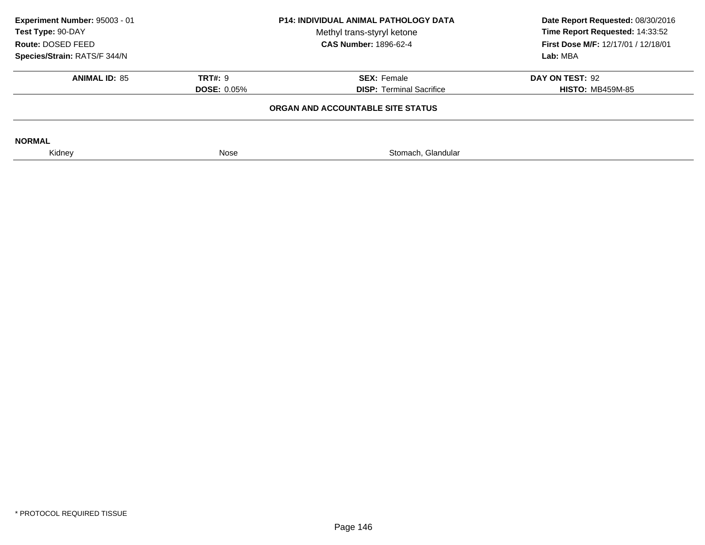| Experiment Number: 95003 - 01<br>Test Type: 90-DAY<br>Route: DOSED FEED |                                                                                               | <b>P14: INDIVIDUAL ANIMAL PATHOLOGY DATA</b><br>Date Report Requested: 08/30/2016<br>Time Report Requested: 14:33:52<br>Methyl trans-styryl ketone<br><b>CAS Number: 1896-62-4</b><br>First Dose M/F: 12/17/01 / 12/18/01 |                                            |  |
|-------------------------------------------------------------------------|-----------------------------------------------------------------------------------------------|---------------------------------------------------------------------------------------------------------------------------------------------------------------------------------------------------------------------------|--------------------------------------------|--|
| Species/Strain: RATS/F 344/N                                            |                                                                                               |                                                                                                                                                                                                                           | Lab: MBA                                   |  |
| <b>ANIMAL ID: 85</b>                                                    | <b>TRT#: 9</b><br><b>SEX: Female</b><br><b>DISP: Terminal Sacrifice</b><br><b>DOSE: 0.05%</b> |                                                                                                                                                                                                                           | DAY ON TEST: 92<br><b>HISTO: MB459M-85</b> |  |
|                                                                         |                                                                                               | ORGAN AND ACCOUNTABLE SITE STATUS                                                                                                                                                                                         |                                            |  |
| <b>NORMAL</b>                                                           |                                                                                               |                                                                                                                                                                                                                           |                                            |  |
| Kidney                                                                  | Nose                                                                                          | Stomach, Glandular                                                                                                                                                                                                        |                                            |  |
|                                                                         |                                                                                               |                                                                                                                                                                                                                           |                                            |  |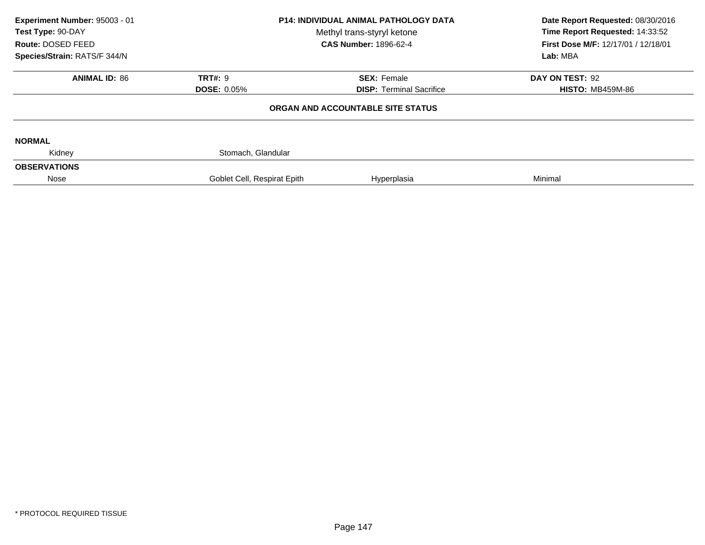| Experiment Number: 95003 - 01<br>Test Type: 90-DAY<br>Route: DOSED FEED<br>Species/Strain: RATS/F 344/N | <b>P14: INDIVIDUAL ANIMAL PATHOLOGY DATA</b><br>Methyl trans-styryl ketone<br><b>CAS Number: 1896-62-4</b> |                                   | Date Report Requested: 08/30/2016<br>Time Report Requested: 14:33:52<br>First Dose M/F: 12/17/01 / 12/18/01<br>Lab: MBA |
|---------------------------------------------------------------------------------------------------------|------------------------------------------------------------------------------------------------------------|-----------------------------------|-------------------------------------------------------------------------------------------------------------------------|
| <b>ANIMAL ID: 86</b>                                                                                    | TRT#: 9                                                                                                    | <b>SEX: Female</b>                | DAY ON TEST: 92                                                                                                         |
|                                                                                                         | <b>DOSE: 0.05%</b>                                                                                         | <b>DISP: Terminal Sacrifice</b>   | <b>HISTO: MB459M-86</b>                                                                                                 |
|                                                                                                         |                                                                                                            | ORGAN AND ACCOUNTABLE SITE STATUS |                                                                                                                         |
| <b>NORMAL</b>                                                                                           |                                                                                                            |                                   |                                                                                                                         |
| Kidney                                                                                                  | Stomach, Glandular                                                                                         |                                   |                                                                                                                         |
| <b>OBSERVATIONS</b>                                                                                     |                                                                                                            |                                   |                                                                                                                         |
| Nose                                                                                                    | Goblet Cell, Respirat Epith                                                                                | Hyperplasia                       | Minimal                                                                                                                 |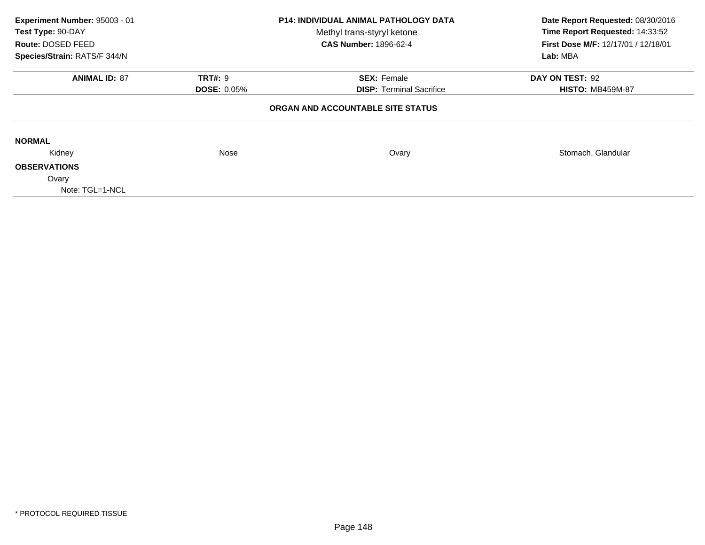| Experiment Number: 95003 - 01<br>Test Type: 90-DAY |                    | <b>P14: INDIVIDUAL ANIMAL PATHOLOGY DATA</b><br>Methyl trans-styryl ketone | Date Report Requested: 08/30/2016<br>Time Report Requested: 14:33:52 |  |
|----------------------------------------------------|--------------------|----------------------------------------------------------------------------|----------------------------------------------------------------------|--|
| Route: DOSED FEED                                  |                    | <b>CAS Number: 1896-62-4</b>                                               | <b>First Dose M/F: 12/17/01 / 12/18/01</b>                           |  |
| Species/Strain: RATS/F 344/N                       |                    |                                                                            | Lab: MBA                                                             |  |
| <b>ANIMAL ID: 87</b>                               | <b>TRT#: 9</b>     | <b>SEX: Female</b>                                                         | DAY ON TEST: 92                                                      |  |
|                                                    | <b>DOSE: 0.05%</b> | <b>DISP: Terminal Sacrifice</b>                                            | <b>HISTO: MB459M-87</b>                                              |  |
|                                                    |                    | ORGAN AND ACCOUNTABLE SITE STATUS                                          |                                                                      |  |
| <b>NORMAL</b>                                      |                    |                                                                            |                                                                      |  |
| Kidney                                             | Nose               | Ovary                                                                      | Stomach, Glandular                                                   |  |
| <b>OBSERVATIONS</b>                                |                    |                                                                            |                                                                      |  |
| Ovary                                              |                    |                                                                            |                                                                      |  |
| Note: TGL=1-NCL                                    |                    |                                                                            |                                                                      |  |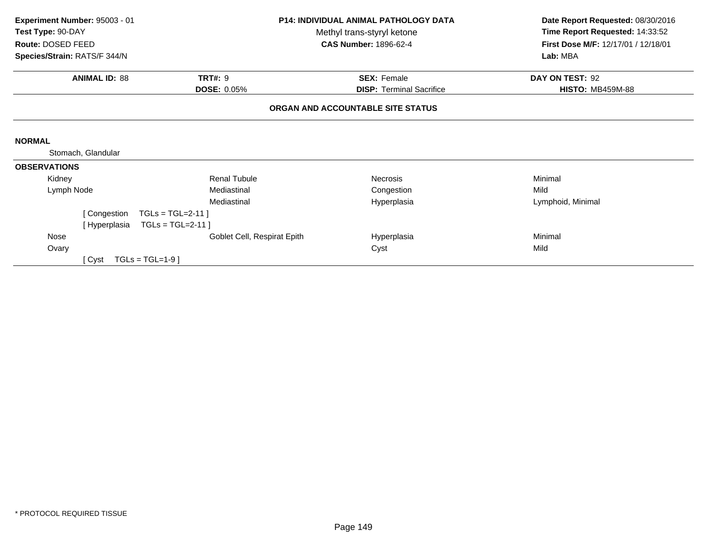| Experiment Number: 95003 - 01 |                             | <b>P14: INDIVIDUAL ANIMAL PATHOLOGY DATA</b> | Date Report Requested: 08/30/2016   |  |
|-------------------------------|-----------------------------|----------------------------------------------|-------------------------------------|--|
| Test Type: 90-DAY             | Methyl trans-styryl ketone  |                                              | Time Report Requested: 14:33:52     |  |
| Route: DOSED FEED             |                             | <b>CAS Number: 1896-62-4</b>                 | First Dose M/F: 12/17/01 / 12/18/01 |  |
| Species/Strain: RATS/F 344/N  |                             |                                              | Lab: MBA                            |  |
| <b>ANIMAL ID: 88</b>          | <b>TRT#: 9</b>              | <b>SEX: Female</b>                           | DAY ON TEST: 92                     |  |
|                               | <b>DOSE: 0.05%</b>          | <b>DISP: Terminal Sacrifice</b>              | <b>HISTO: MB459M-88</b>             |  |
|                               |                             | ORGAN AND ACCOUNTABLE SITE STATUS            |                                     |  |
| <b>NORMAL</b>                 |                             |                                              |                                     |  |
| Stomach, Glandular            |                             |                                              |                                     |  |
| <b>OBSERVATIONS</b>           |                             |                                              |                                     |  |
| Kidney                        | <b>Renal Tubule</b>         | Necrosis                                     | Minimal                             |  |
| Lymph Node                    | Mediastinal                 | Congestion                                   | Mild                                |  |
|                               | Mediastinal                 | Hyperplasia                                  | Lymphoid, Minimal                   |  |
| [ Congestion                  | $TGLs = TGL=2-11$           |                                              |                                     |  |
| [ Hyperplasia                 | $TGLs = TGL=2-11$           |                                              |                                     |  |
| Nose                          | Goblet Cell, Respirat Epith | Hyperplasia                                  | Minimal                             |  |
| Ovary                         |                             | Cyst                                         | Mild                                |  |
| [Cyst                         | $TGLs = TGL=1-9$ ]          |                                              |                                     |  |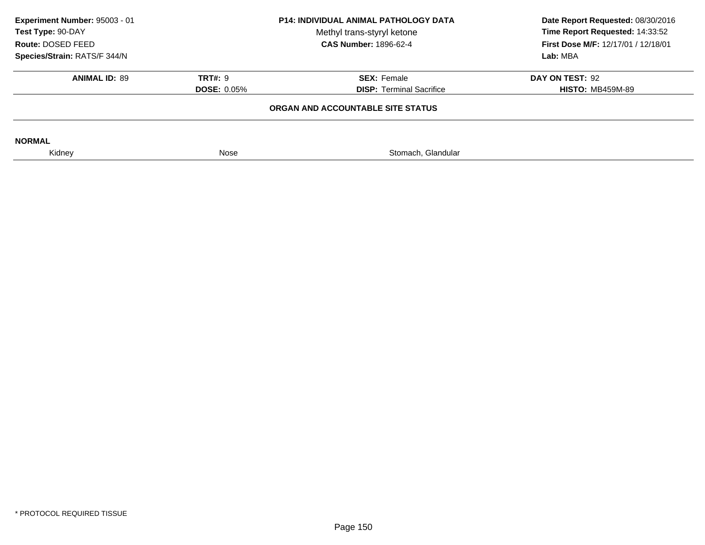| Experiment Number: 95003 - 01<br>Test Type: 90-DAY<br>Route: DOSED FEED |                    | <b>P14: INDIVIDUAL ANIMAL PATHOLOGY DATA</b><br>Date Report Requested: 08/30/2016<br>Time Report Requested: 14:33:52<br>Methyl trans-styryl ketone<br><b>CAS Number: 1896-62-4</b><br>First Dose M/F: 12/17/01 / 12/18/01 |                         |
|-------------------------------------------------------------------------|--------------------|---------------------------------------------------------------------------------------------------------------------------------------------------------------------------------------------------------------------------|-------------------------|
| Species/Strain: RATS/F 344/N                                            |                    |                                                                                                                                                                                                                           | Lab: MBA                |
|                                                                         |                    |                                                                                                                                                                                                                           |                         |
| <b>ANIMAL ID: 89</b>                                                    | <b>TRT#: 9</b>     | <b>SEX: Female</b>                                                                                                                                                                                                        | DAY ON TEST: 92         |
|                                                                         | <b>DOSE: 0.05%</b> | <b>DISP: Terminal Sacrifice</b>                                                                                                                                                                                           | <b>HISTO: MB459M-89</b> |
|                                                                         |                    | ORGAN AND ACCOUNTABLE SITE STATUS                                                                                                                                                                                         |                         |
| <b>NORMAL</b>                                                           |                    |                                                                                                                                                                                                                           |                         |
| Kidney                                                                  | Nose               | Stomach, Glandular                                                                                                                                                                                                        |                         |
|                                                                         |                    |                                                                                                                                                                                                                           |                         |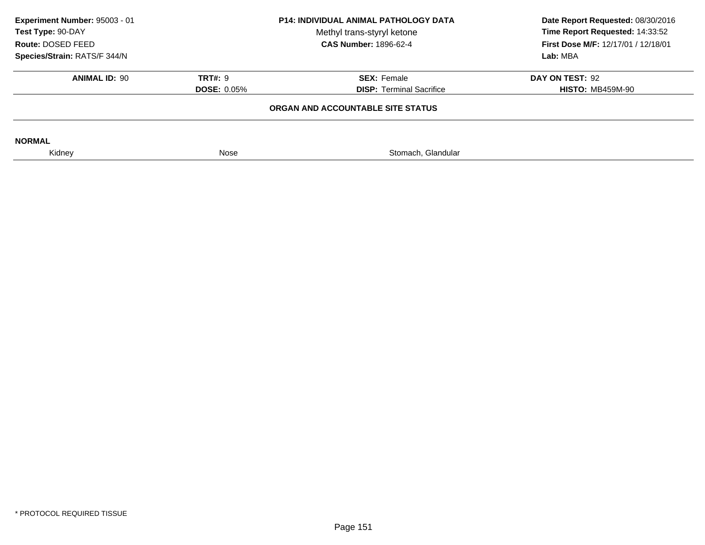|                    | Date Report Requested: 08/30/2016<br>Time Report Requested: 14:33:52<br>Methyl trans-styryl ketone<br>First Dose M/F: 12/17/01 / 12/18/01 |                                                                                                                   |  |
|--------------------|-------------------------------------------------------------------------------------------------------------------------------------------|-------------------------------------------------------------------------------------------------------------------|--|
|                    |                                                                                                                                           |                                                                                                                   |  |
|                    |                                                                                                                                           | Lab: MBA                                                                                                          |  |
| <b>TRT#: 9</b>     | <b>SEX: Female</b>                                                                                                                        | DAY ON TEST: 92                                                                                                   |  |
| <b>DOSE: 0.05%</b> | <b>DISP: Terminal Sacrifice</b>                                                                                                           | <b>HISTO: MB459M-90</b>                                                                                           |  |
|                    |                                                                                                                                           |                                                                                                                   |  |
|                    |                                                                                                                                           |                                                                                                                   |  |
| Nose               | Stomach, Glandular                                                                                                                        |                                                                                                                   |  |
|                    |                                                                                                                                           | <b>P14: INDIVIDUAL ANIMAL PATHOLOGY DATA</b><br><b>CAS Number: 1896-62-4</b><br>ORGAN AND ACCOUNTABLE SITE STATUS |  |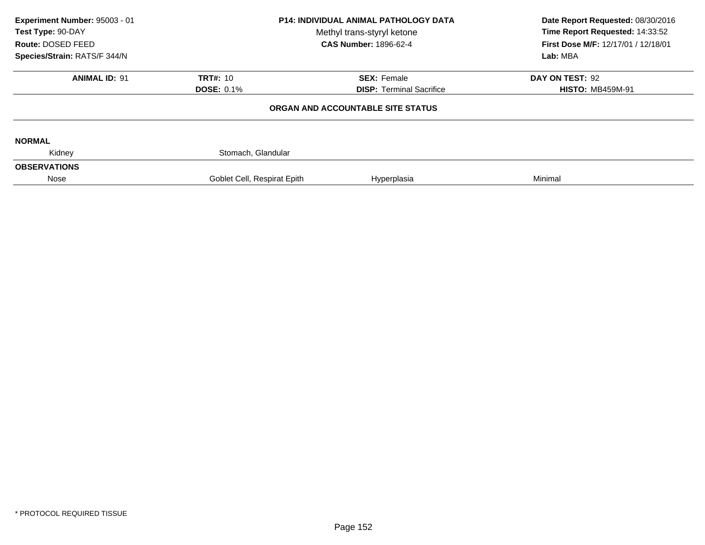| Experiment Number: 95003 - 01<br>Test Type: 90-DAY<br>Route: DOSED FEED |                             | <b>P14: INDIVIDUAL ANIMAL PATHOLOGY DATA</b><br>Methyl trans-styryl ketone<br><b>CAS Number: 1896-62-4</b> | Date Report Requested: 08/30/2016<br>Time Report Requested: 14:33:52<br>First Dose M/F: 12/17/01 / 12/18/01 |
|-------------------------------------------------------------------------|-----------------------------|------------------------------------------------------------------------------------------------------------|-------------------------------------------------------------------------------------------------------------|
| Species/Strain: RATS/F 344/N                                            |                             |                                                                                                            | Lab: MBA                                                                                                    |
| <b>ANIMAL ID: 91</b>                                                    | <b>TRT#: 10</b>             | <b>SEX: Female</b>                                                                                         | DAY ON TEST: 92                                                                                             |
|                                                                         | <b>DOSE: 0.1%</b>           | <b>DISP: Terminal Sacrifice</b>                                                                            | <b>HISTO: MB459M-91</b>                                                                                     |
|                                                                         |                             | ORGAN AND ACCOUNTABLE SITE STATUS                                                                          |                                                                                                             |
| <b>NORMAL</b>                                                           |                             |                                                                                                            |                                                                                                             |
| Kidney                                                                  | Stomach, Glandular          |                                                                                                            |                                                                                                             |
| <b>OBSERVATIONS</b>                                                     |                             |                                                                                                            |                                                                                                             |
| Nose                                                                    | Goblet Cell, Respirat Epith | Hyperplasia                                                                                                | Minimal                                                                                                     |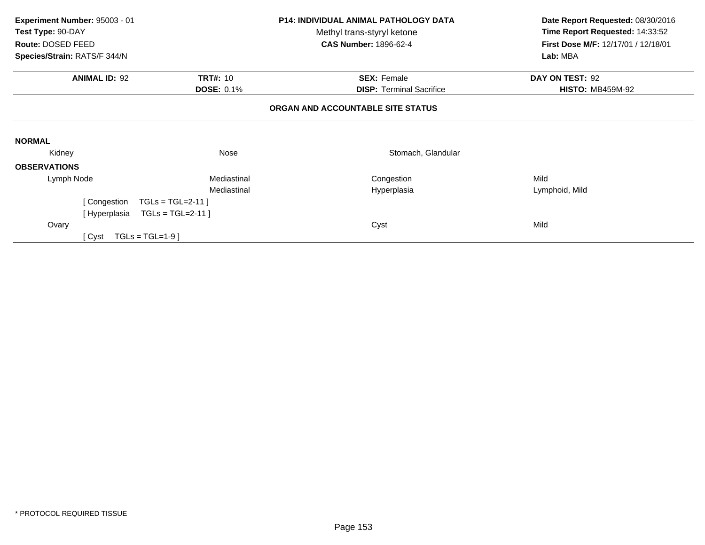| Experiment Number: 95003 - 01<br>Test Type: 90-DAY<br>Route: DOSED FEED<br>Species/Strain: RATS/F 344/N |                                      | <b>P14: INDIVIDUAL ANIMAL PATHOLOGY DATA</b><br>Methyl trans-styryl ketone<br><b>CAS Number: 1896-62-4</b> | Date Report Requested: 08/30/2016<br>Time Report Requested: 14:33:52<br>First Dose M/F: 12/17/01 / 12/18/01<br>Lab: MBA |
|---------------------------------------------------------------------------------------------------------|--------------------------------------|------------------------------------------------------------------------------------------------------------|-------------------------------------------------------------------------------------------------------------------------|
| <b>ANIMAL ID: 92</b>                                                                                    | <b>TRT#: 10</b><br><b>DOSE: 0.1%</b> | <b>SEX: Female</b><br><b>DISP: Terminal Sacrifice</b>                                                      | DAY ON TEST: 92<br><b>HISTO: MB459M-92</b>                                                                              |
|                                                                                                         |                                      | ORGAN AND ACCOUNTABLE SITE STATUS                                                                          |                                                                                                                         |
| <b>NORMAL</b>                                                                                           |                                      |                                                                                                            |                                                                                                                         |
| Kidney                                                                                                  | Nose                                 | Stomach, Glandular                                                                                         |                                                                                                                         |
| <b>OBSERVATIONS</b>                                                                                     |                                      |                                                                                                            |                                                                                                                         |
| Lymph Node                                                                                              | Mediastinal                          | Congestion                                                                                                 | Mild                                                                                                                    |
|                                                                                                         | Mediastinal                          | Hyperplasia                                                                                                | Lymphoid, Mild                                                                                                          |
| [Congestion                                                                                             | $TGLs = TGL=2-11$                    |                                                                                                            |                                                                                                                         |
| [ Hyperplasia                                                                                           | $TGLs = TGL=2-11$                    |                                                                                                            |                                                                                                                         |
| Ovary                                                                                                   |                                      | Cyst                                                                                                       | Mild                                                                                                                    |
| [ Cyst                                                                                                  | $TGLs = TGL=1-9$                     |                                                                                                            |                                                                                                                         |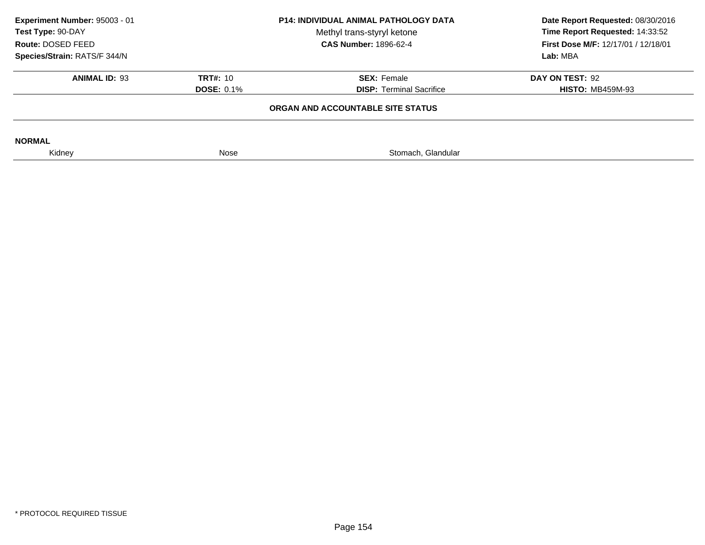| Experiment Number: 95003 - 01<br>Test Type: 90-DAY<br>Route: DOSED FEED |                   | <b>P14: INDIVIDUAL ANIMAL PATHOLOGY DATA</b><br>Date Report Requested: 08/30/2016<br>Time Report Requested: 14:33:52<br>Methyl trans-styryl ketone<br><b>CAS Number: 1896-62-4</b><br><b>First Dose M/F: 12/17/01 / 12/18/01</b> |                         |
|-------------------------------------------------------------------------|-------------------|----------------------------------------------------------------------------------------------------------------------------------------------------------------------------------------------------------------------------------|-------------------------|
| Species/Strain: RATS/F 344/N                                            |                   |                                                                                                                                                                                                                                  | Lab: MBA                |
| <b>ANIMAL ID: 93</b>                                                    | <b>TRT#: 10</b>   | <b>SEX: Female</b>                                                                                                                                                                                                               | DAY ON TEST: 92         |
|                                                                         | <b>DOSE: 0.1%</b> | <b>DISP: Terminal Sacrifice</b>                                                                                                                                                                                                  | <b>HISTO: MB459M-93</b> |
|                                                                         |                   | ORGAN AND ACCOUNTABLE SITE STATUS                                                                                                                                                                                                |                         |
| <b>NORMAL</b>                                                           |                   |                                                                                                                                                                                                                                  |                         |
| Kidney                                                                  | Nose              | Stomach, Glandular                                                                                                                                                                                                               |                         |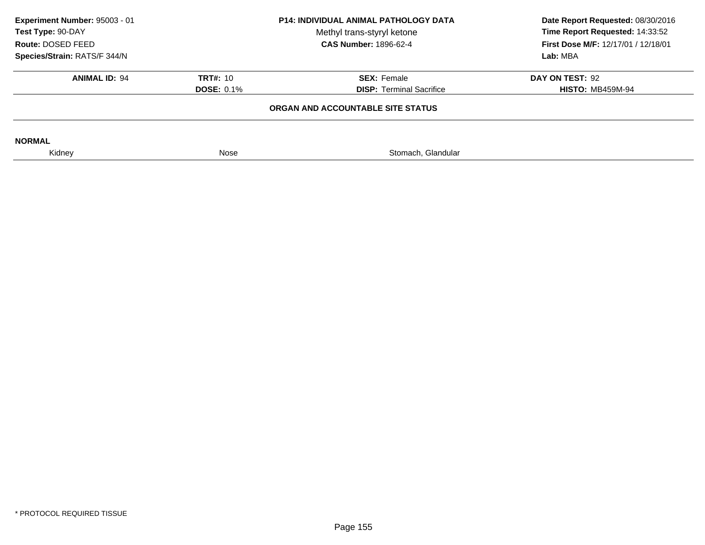|                   | Methyl trans-styryl ketone<br><b>CAS Number: 1896-62-4</b> | Date Report Requested: 08/30/2016<br>Time Report Requested: 14:33:52<br><b>First Dose M/F: 12/17/01 / 12/18/01</b> |  |
|-------------------|------------------------------------------------------------|--------------------------------------------------------------------------------------------------------------------|--|
|                   |                                                            | Lab: MBA                                                                                                           |  |
| <b>TRT#: 10</b>   | <b>SEX: Female</b>                                         | DAY ON TEST: 92                                                                                                    |  |
| <b>DOSE: 0.1%</b> | <b>DISP:</b> Terminal Sacrifice                            | <b>HISTO: MB459M-94</b>                                                                                            |  |
|                   |                                                            |                                                                                                                    |  |
|                   |                                                            |                                                                                                                    |  |
| Nose              | Stomach, Glandular                                         |                                                                                                                    |  |
|                   |                                                            | <b>P14: INDIVIDUAL ANIMAL PATHOLOGY DATA</b><br>ORGAN AND ACCOUNTABLE SITE STATUS                                  |  |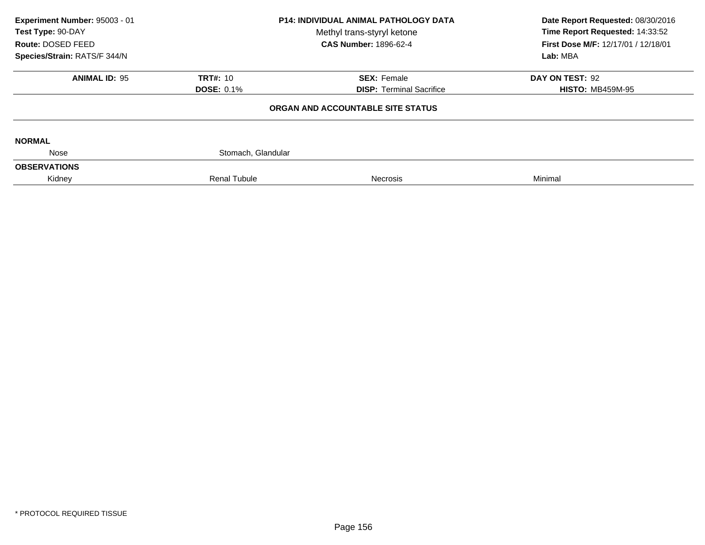| Experiment Number: 95003 - 01<br>Test Type: 90-DAY<br>Route: DOSED FEED |                     | <b>P14: INDIVIDUAL ANIMAL PATHOLOGY DATA</b><br>Methyl trans-styryl ketone<br><b>CAS Number: 1896-62-4</b> | Date Report Requested: 08/30/2016<br>Time Report Requested: 14:33:52<br>First Dose M/F: 12/17/01 / 12/18/01 |  |
|-------------------------------------------------------------------------|---------------------|------------------------------------------------------------------------------------------------------------|-------------------------------------------------------------------------------------------------------------|--|
| Species/Strain: RATS/F 344/N                                            |                     |                                                                                                            | Lab: MBA                                                                                                    |  |
| <b>ANIMAL ID: 95</b>                                                    | <b>TRT#: 10</b>     | <b>SEX: Female</b>                                                                                         | DAY ON TEST: 92                                                                                             |  |
|                                                                         | <b>DOSE: 0.1%</b>   | <b>DISP: Terminal Sacrifice</b>                                                                            | <b>HISTO: MB459M-95</b>                                                                                     |  |
|                                                                         |                     | ORGAN AND ACCOUNTABLE SITE STATUS                                                                          |                                                                                                             |  |
| <b>NORMAL</b>                                                           |                     |                                                                                                            |                                                                                                             |  |
| Nose                                                                    | Stomach, Glandular  |                                                                                                            |                                                                                                             |  |
| <b>OBSERVATIONS</b>                                                     |                     |                                                                                                            |                                                                                                             |  |
| Kidney                                                                  | <b>Renal Tubule</b> | Necrosis                                                                                                   | Minimal                                                                                                     |  |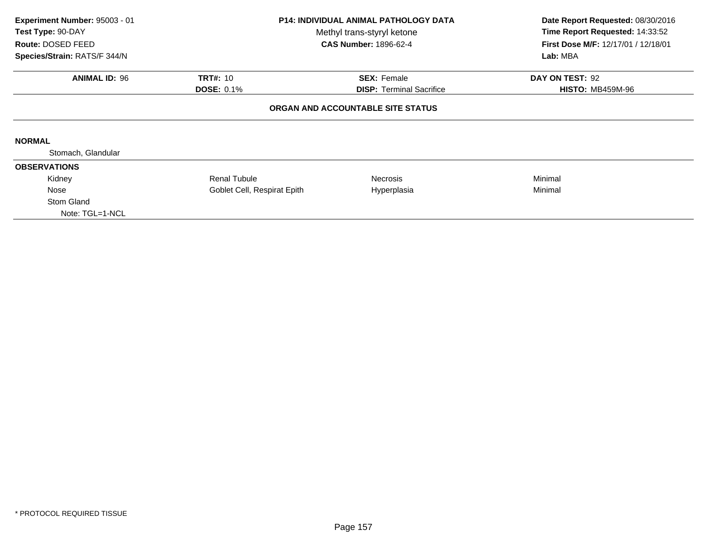| Experiment Number: 95003 - 01<br>Test Type: 90-DAY<br>Route: DOSED FEED<br>Species/Strain: RATS/F 344/N | <b>P14: INDIVIDUAL ANIMAL PATHOLOGY DATA</b><br>Methyl trans-styryl ketone<br><b>CAS Number: 1896-62-4</b> |                                                                      | Date Report Requested: 08/30/2016<br>Time Report Requested: 14:33:52<br>First Dose M/F: 12/17/01 / 12/18/01<br>Lab: MBA |
|---------------------------------------------------------------------------------------------------------|------------------------------------------------------------------------------------------------------------|----------------------------------------------------------------------|-------------------------------------------------------------------------------------------------------------------------|
| <b>ANIMAL ID: 96</b><br><b>TRT#: 10</b><br><b>SEX: Female</b>                                           |                                                                                                            | DAY ON TEST: 92                                                      |                                                                                                                         |
|                                                                                                         | <b>DOSE: 0.1%</b>                                                                                          | <b>DISP: Terminal Sacrifice</b><br>ORGAN AND ACCOUNTABLE SITE STATUS | <b>HISTO: MB459M-96</b>                                                                                                 |
| <b>NORMAL</b>                                                                                           |                                                                                                            |                                                                      |                                                                                                                         |
| Stomach, Glandular                                                                                      |                                                                                                            |                                                                      |                                                                                                                         |
| <b>OBSERVATIONS</b>                                                                                     |                                                                                                            |                                                                      |                                                                                                                         |
| Kidney                                                                                                  | <b>Renal Tubule</b>                                                                                        | Necrosis                                                             | Minimal                                                                                                                 |
| Nose                                                                                                    | Goblet Cell, Respirat Epith                                                                                | Hyperplasia                                                          | Minimal                                                                                                                 |
| Stom Gland<br>Note: TGL=1-NCL                                                                           |                                                                                                            |                                                                      |                                                                                                                         |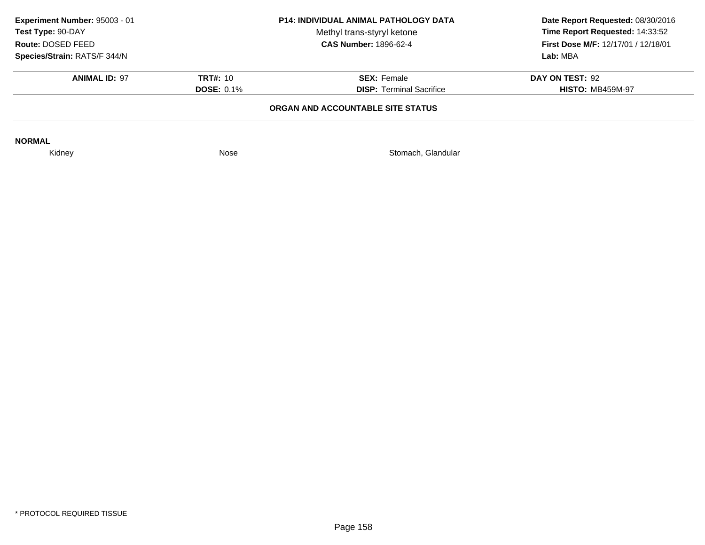| Experiment Number: 95003 - 01<br><b>P14: INDIVIDUAL ANIMAL PATHOLOGY DATA</b><br>Test Type: 90-DAY<br>Methyl trans-styryl ketone<br><b>CAS Number: 1896-62-4</b><br>Route: DOSED FEED<br>Species/Strain: RATS/F 344/N |                   | Date Report Requested: 08/30/2016<br>Time Report Requested: 14:33:52<br><b>First Dose M/F: 12/17/01 / 12/18/01</b> |                         |
|-----------------------------------------------------------------------------------------------------------------------------------------------------------------------------------------------------------------------|-------------------|--------------------------------------------------------------------------------------------------------------------|-------------------------|
|                                                                                                                                                                                                                       |                   | Lab: MBA                                                                                                           |                         |
| <b>ANIMAL ID: 97</b>                                                                                                                                                                                                  | <b>TRT#: 10</b>   | <b>SEX: Female</b>                                                                                                 | DAY ON TEST: 92         |
|                                                                                                                                                                                                                       | <b>DOSE: 0.1%</b> | <b>DISP: Terminal Sacrifice</b>                                                                                    | <b>HISTO: MB459M-97</b> |
| ORGAN AND ACCOUNTABLE SITE STATUS                                                                                                                                                                                     |                   |                                                                                                                    |                         |
| <b>NORMAL</b>                                                                                                                                                                                                         |                   |                                                                                                                    |                         |
| Kidney                                                                                                                                                                                                                | Nose              | Stomach, Glandular                                                                                                 |                         |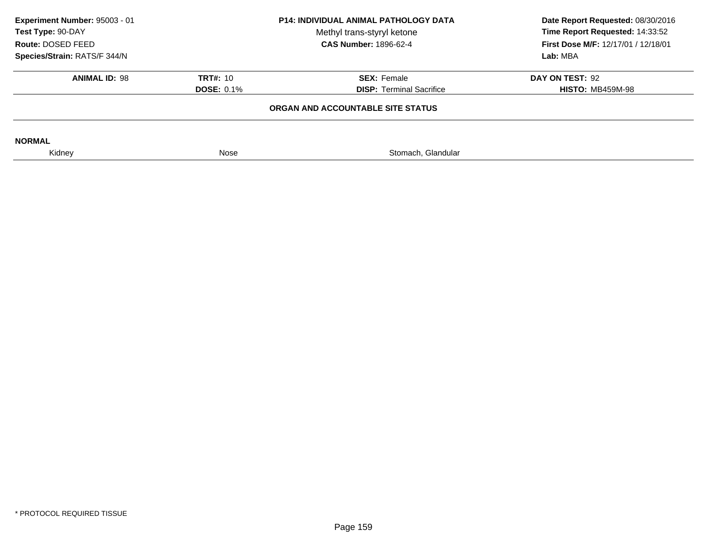| Experiment Number: 95003 - 01<br><b>P14: INDIVIDUAL ANIMAL PATHOLOGY DATA</b><br>Test Type: 90-DAY<br>Methyl trans-styryl ketone<br><b>CAS Number: 1896-62-4</b><br>Route: DOSED FEED<br>Species/Strain: RATS/F 344/N |                   | Date Report Requested: 08/30/2016<br>Time Report Requested: 14:33:52<br><b>First Dose M/F: 12/17/01 / 12/18/01</b> |                         |
|-----------------------------------------------------------------------------------------------------------------------------------------------------------------------------------------------------------------------|-------------------|--------------------------------------------------------------------------------------------------------------------|-------------------------|
|                                                                                                                                                                                                                       |                   | Lab: MBA                                                                                                           |                         |
| <b>ANIMAL ID: 98</b>                                                                                                                                                                                                  | <b>TRT#: 10</b>   | <b>SEX: Female</b>                                                                                                 | DAY ON TEST: 92         |
|                                                                                                                                                                                                                       | <b>DOSE: 0.1%</b> | <b>DISP: Terminal Sacrifice</b>                                                                                    | <b>HISTO: MB459M-98</b> |
| ORGAN AND ACCOUNTABLE SITE STATUS                                                                                                                                                                                     |                   |                                                                                                                    |                         |
| <b>NORMAL</b>                                                                                                                                                                                                         |                   |                                                                                                                    |                         |
| Kidney                                                                                                                                                                                                                | Nose              | Stomach, Glandular                                                                                                 |                         |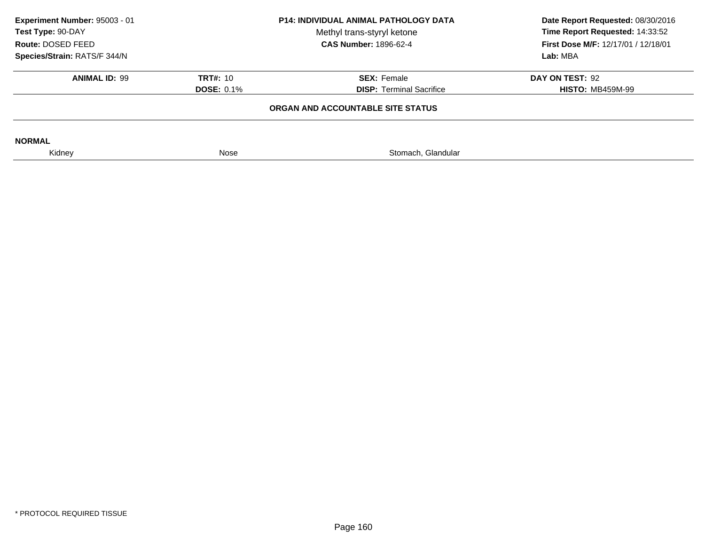| Experiment Number: 95003 - 01<br>Test Type: 90-DAY<br>Route: DOSED FEED | <b>P14: INDIVIDUAL ANIMAL PATHOLOGY DATA</b><br>Methyl trans-styryl ketone<br><b>CAS Number: 1896-62-4</b> |                                   | Date Report Requested: 08/30/2016<br>Time Report Requested: 14:33:52<br><b>First Dose M/F: 12/17/01 / 12/18/01</b> |  |
|-------------------------------------------------------------------------|------------------------------------------------------------------------------------------------------------|-----------------------------------|--------------------------------------------------------------------------------------------------------------------|--|
| Species/Strain: RATS/F 344/N                                            |                                                                                                            |                                   | Lab: MBA                                                                                                           |  |
| <b>ANIMAL ID: 99</b>                                                    | <b>TRT#: 10</b>                                                                                            | <b>SEX: Female</b>                | DAY ON TEST: 92                                                                                                    |  |
|                                                                         | <b>DOSE: 0.1%</b>                                                                                          | <b>DISP:</b> Terminal Sacrifice   | <b>HISTO: MB459M-99</b>                                                                                            |  |
|                                                                         |                                                                                                            | ORGAN AND ACCOUNTABLE SITE STATUS |                                                                                                                    |  |
|                                                                         |                                                                                                            |                                   |                                                                                                                    |  |
| <b>NORMAL</b>                                                           |                                                                                                            |                                   |                                                                                                                    |  |
| Kidney                                                                  | Nose                                                                                                       | Stomach, Glandular                |                                                                                                                    |  |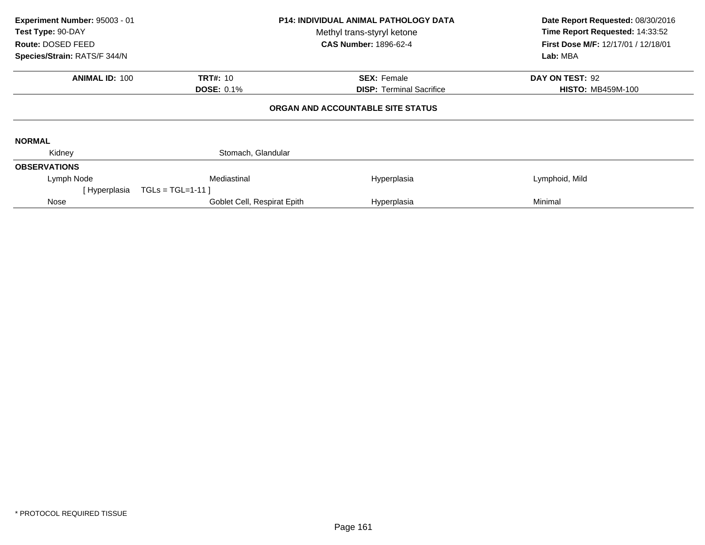| Experiment Number: 95003 - 01<br>Test Type: 90-DAY<br>Route: DOSED FEED<br>Species/Strain: RATS/F 344/N |                                      | <b>P14: INDIVIDUAL ANIMAL PATHOLOGY DATA</b><br>Methyl trans-styryl ketone<br><b>CAS Number: 1896-62-4</b> |                                             |
|---------------------------------------------------------------------------------------------------------|--------------------------------------|------------------------------------------------------------------------------------------------------------|---------------------------------------------|
| <b>ANIMAL ID: 100</b>                                                                                   | <b>TRT#: 10</b><br><b>DOSE: 0.1%</b> | <b>SEX: Female</b><br><b>DISP: Terminal Sacrifice</b>                                                      | DAY ON TEST: 92<br><b>HISTO: MB459M-100</b> |
|                                                                                                         |                                      | ORGAN AND ACCOUNTABLE SITE STATUS                                                                          |                                             |
| <b>NORMAL</b>                                                                                           |                                      |                                                                                                            |                                             |
| Kidney                                                                                                  | Stomach, Glandular                   |                                                                                                            |                                             |
| <b>OBSERVATIONS</b>                                                                                     |                                      |                                                                                                            |                                             |
| Lymph Node                                                                                              | Mediastinal                          | Hyperplasia                                                                                                | Lymphoid, Mild                              |
| [Hyperplasia                                                                                            | $TGLs = TGL=1-11$                    |                                                                                                            |                                             |
| Nose                                                                                                    | Goblet Cell, Respirat Epith          | Hyperplasia                                                                                                | Minimal                                     |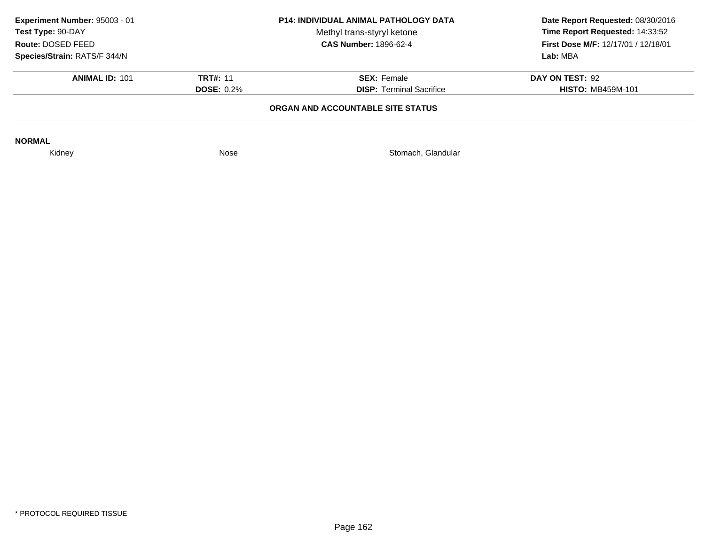| Experiment Number: 95003 - 01<br>Test Type: 90-DAY<br>Route: DOSED FEED | <b>P14: INDIVIDUAL ANIMAL PATHOLOGY DATA</b><br>Methyl trans-styryl ketone<br><b>CAS Number: 1896-62-4</b> |                                   | Date Report Requested: 08/30/2016<br>Time Report Requested: 14:33:52<br><b>First Dose M/F: 12/17/01 / 12/18/01</b> |
|-------------------------------------------------------------------------|------------------------------------------------------------------------------------------------------------|-----------------------------------|--------------------------------------------------------------------------------------------------------------------|
| Species/Strain: RATS/F 344/N                                            |                                                                                                            |                                   | Lab: MBA                                                                                                           |
| <b>ANIMAL ID: 101</b>                                                   | <b>TRT#: 11</b>                                                                                            | <b>SEX: Female</b>                | DAY ON TEST: 92                                                                                                    |
|                                                                         | <b>DOSE: 0.2%</b>                                                                                          | <b>DISP: Terminal Sacrifice</b>   | <b>HISTO: MB459M-101</b>                                                                                           |
|                                                                         |                                                                                                            | ORGAN AND ACCOUNTABLE SITE STATUS |                                                                                                                    |
| <b>NORMAL</b>                                                           |                                                                                                            |                                   |                                                                                                                    |
| Kidney                                                                  | Nose                                                                                                       | Stomach, Glandular                |                                                                                                                    |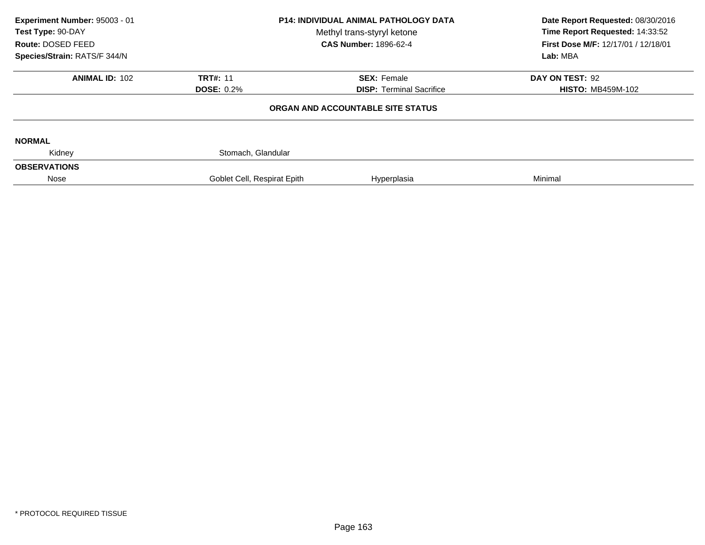| Experiment Number: 95003 - 01<br>Test Type: 90-DAY<br>Route: DOSED FEED<br>Species/Strain: RATS/F 344/N | <b>P14: INDIVIDUAL ANIMAL PATHOLOGY DATA</b><br>Methyl trans-styryl ketone<br><b>CAS Number: 1896-62-4</b> |                                                                                                      | Date Report Requested: 08/30/2016<br>Time Report Requested: 14:33:52<br>First Dose M/F: 12/17/01 / 12/18/01<br>Lab: MBA |  |
|---------------------------------------------------------------------------------------------------------|------------------------------------------------------------------------------------------------------------|------------------------------------------------------------------------------------------------------|-------------------------------------------------------------------------------------------------------------------------|--|
| <b>ANIMAL ID: 102</b>                                                                                   | <b>TRT#: 11</b><br><b>DOSE: 0.2%</b>                                                                       | <b>SEX: Female</b><br>DAY ON TEST: 92<br><b>DISP: Terminal Sacrifice</b><br><b>HISTO: MB459M-102</b> |                                                                                                                         |  |
|                                                                                                         |                                                                                                            | ORGAN AND ACCOUNTABLE SITE STATUS                                                                    |                                                                                                                         |  |
| <b>NORMAL</b>                                                                                           |                                                                                                            |                                                                                                      |                                                                                                                         |  |
| Kidney<br><b>OBSERVATIONS</b>                                                                           | Stomach, Glandular                                                                                         |                                                                                                      |                                                                                                                         |  |
| Nose                                                                                                    | Goblet Cell, Respirat Epith                                                                                | Hyperplasia                                                                                          | Minimal                                                                                                                 |  |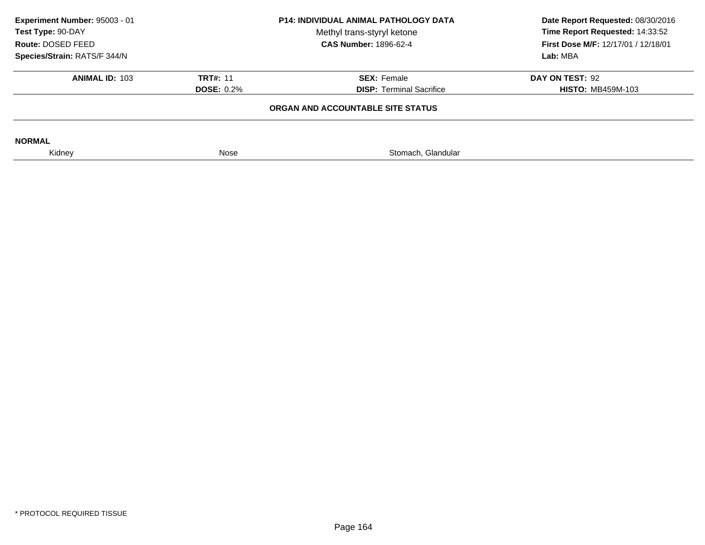| Experiment Number: 95003 - 01<br>Test Type: 90-DAY<br>Route: DOSED FEED | <b>P14: INDIVIDUAL ANIMAL PATHOLOGY DATA</b><br>Methyl trans-styryl ketone<br><b>CAS Number: 1896-62-4</b> |                                   | Date Report Requested: 08/30/2016<br>Time Report Requested: 14:33:52<br><b>First Dose M/F: 12/17/01 / 12/18/01</b> |
|-------------------------------------------------------------------------|------------------------------------------------------------------------------------------------------------|-----------------------------------|--------------------------------------------------------------------------------------------------------------------|
| Species/Strain: RATS/F 344/N                                            |                                                                                                            |                                   | Lab: MBA                                                                                                           |
| <b>ANIMAL ID: 103</b>                                                   | <b>TRT#: 11</b>                                                                                            | <b>SEX: Female</b>                | DAY ON TEST: 92                                                                                                    |
|                                                                         | <b>DOSE: 0.2%</b>                                                                                          | <b>DISP: Terminal Sacrifice</b>   | <b>HISTO: MB459M-103</b>                                                                                           |
|                                                                         |                                                                                                            | ORGAN AND ACCOUNTABLE SITE STATUS |                                                                                                                    |
| <b>NORMAL</b>                                                           |                                                                                                            |                                   |                                                                                                                    |
| Kidney                                                                  | Nose                                                                                                       | Stomach, Glandular                |                                                                                                                    |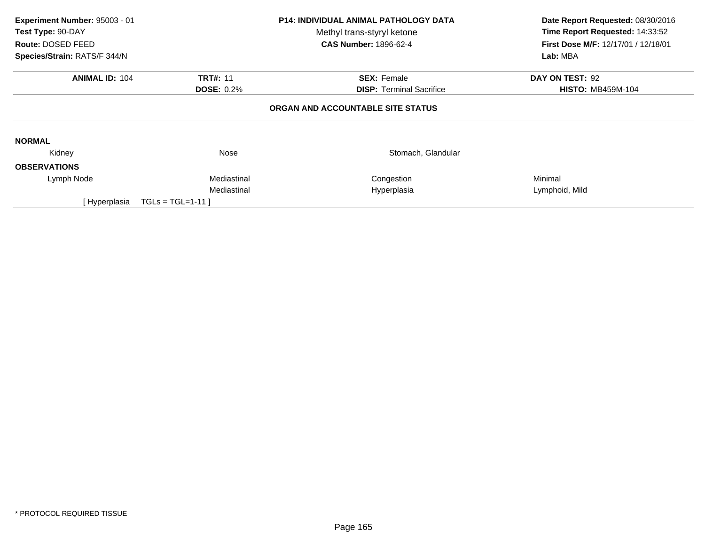| Experiment Number: 95003 - 01<br>Test Type: 90-DAY |                   | <b>P14: INDIVIDUAL ANIMAL PATHOLOGY DATA</b><br>Methyl trans-styryl ketone | Date Report Requested: 08/30/2016<br>Time Report Requested: 14:33:52 |
|----------------------------------------------------|-------------------|----------------------------------------------------------------------------|----------------------------------------------------------------------|
| Route: DOSED FEED                                  |                   | <b>CAS Number: 1896-62-4</b>                                               | First Dose M/F: 12/17/01 / 12/18/01                                  |
| Species/Strain: RATS/F 344/N                       |                   |                                                                            | Lab: MBA                                                             |
| <b>ANIMAL ID: 104</b>                              | <b>TRT#: 11</b>   | <b>SEX: Female</b>                                                         | DAY ON TEST: 92                                                      |
|                                                    | <b>DOSE: 0.2%</b> | <b>DISP:</b> Terminal Sacrifice                                            | <b>HISTO: MB459M-104</b>                                             |
|                                                    |                   | ORGAN AND ACCOUNTABLE SITE STATUS                                          |                                                                      |
| <b>NORMAL</b>                                      |                   |                                                                            |                                                                      |
| Kidney                                             | Nose              | Stomach, Glandular                                                         |                                                                      |
| <b>OBSERVATIONS</b>                                |                   |                                                                            |                                                                      |
| Lymph Node                                         | Mediastinal       | Congestion                                                                 | Minimal                                                              |
|                                                    | Mediastinal       | Hyperplasia                                                                | Lymphoid, Mild                                                       |
| [ Hyperplasia                                      | $TGLs = TGL=1-11$ |                                                                            |                                                                      |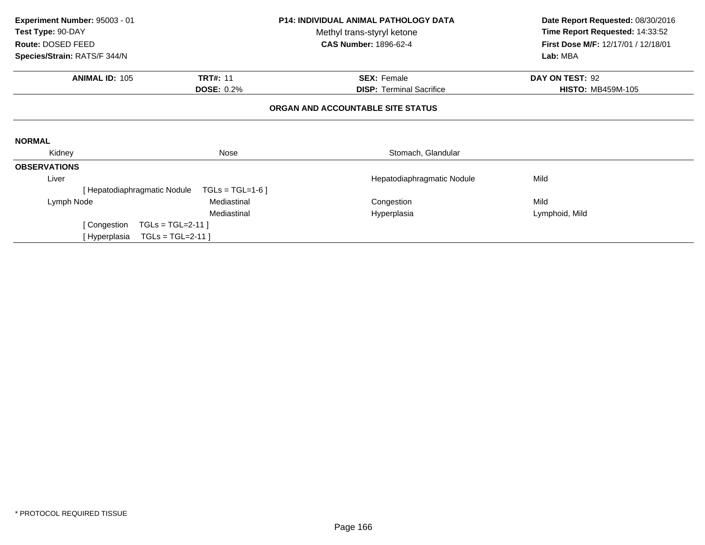| Experiment Number: 95003 - 01 |                   | <b>P14: INDIVIDUAL ANIMAL PATHOLOGY DATA</b> | Date Report Requested: 08/30/2016   |
|-------------------------------|-------------------|----------------------------------------------|-------------------------------------|
| Test Type: 90-DAY             |                   | Methyl trans-styryl ketone                   | Time Report Requested: 14:33:52     |
| Route: DOSED FEED             |                   | <b>CAS Number: 1896-62-4</b>                 | First Dose M/F: 12/17/01 / 12/18/01 |
| Species/Strain: RATS/F 344/N  |                   |                                              | Lab: MBA                            |
| <b>ANIMAL ID: 105</b>         | <b>TRT#: 11</b>   | <b>SEX: Female</b>                           | DAY ON TEST: 92                     |
|                               | <b>DOSE: 0.2%</b> | <b>DISP:</b> Terminal Sacrifice              | <b>HISTO: MB459M-105</b>            |
|                               |                   | ORGAN AND ACCOUNTABLE SITE STATUS            |                                     |
| <b>NORMAL</b>                 |                   |                                              |                                     |
| Kidney                        | Nose              | Stomach, Glandular                           |                                     |
| <b>OBSERVATIONS</b>           |                   |                                              |                                     |
| Liver                         |                   | Hepatodiaphragmatic Nodule                   | Mild                                |
| Hepatodiaphragmatic Nodule    | $TGLs = TGL=1-6$  |                                              |                                     |
| Lymph Node                    | Mediastinal       | Congestion                                   | Mild                                |
|                               | Mediastinal       | Hyperplasia                                  | Lymphoid, Mild                      |
| [ Congestion                  | $TGLs = TGL=2-11$ |                                              |                                     |
| [ Hyperplasia                 | $TGLs = TGL=2-11$ |                                              |                                     |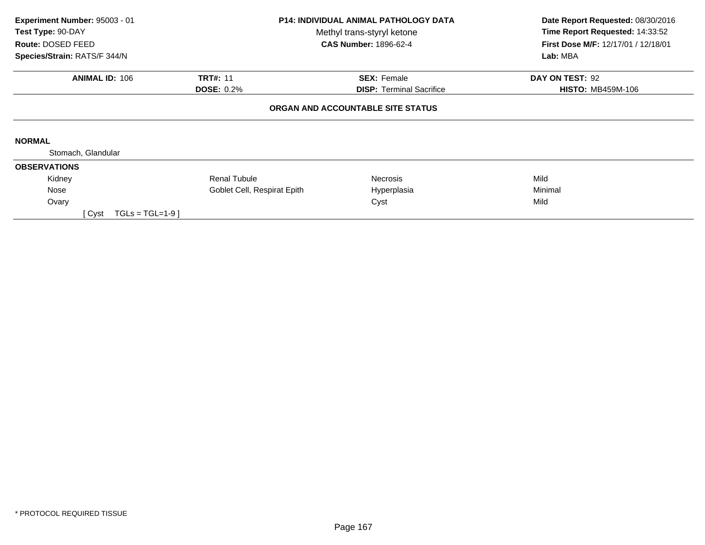| Experiment Number: 95003 - 01<br>Test Type: 90-DAY |                             | <b>P14: INDIVIDUAL ANIMAL PATHOLOGY DATA</b><br>Methyl trans-styryl ketone | Date Report Requested: 08/30/2016<br>Time Report Requested: 14:33:52 |
|----------------------------------------------------|-----------------------------|----------------------------------------------------------------------------|----------------------------------------------------------------------|
| Route: DOSED FEED<br>Species/Strain: RATS/F 344/N  |                             | <b>CAS Number: 1896-62-4</b>                                               | <b>First Dose M/F: 12/17/01 / 12/18/01</b><br>Lab: MBA               |
|                                                    |                             |                                                                            |                                                                      |
| <b>ANIMAL ID: 106</b>                              | <b>TRT#: 11</b>             | <b>SEX: Female</b>                                                         | DAY ON TEST: 92                                                      |
|                                                    | <b>DOSE: 0.2%</b>           | <b>DISP: Terminal Sacrifice</b>                                            | <b>HISTO: MB459M-106</b>                                             |
| <b>NORMAL</b>                                      |                             | ORGAN AND ACCOUNTABLE SITE STATUS                                          |                                                                      |
| Stomach, Glandular                                 |                             |                                                                            |                                                                      |
| <b>OBSERVATIONS</b>                                |                             |                                                                            |                                                                      |
| Kidney                                             | <b>Renal Tubule</b>         | <b>Necrosis</b>                                                            | Mild                                                                 |
| Nose                                               | Goblet Cell, Respirat Epith | Hyperplasia                                                                | Minimal                                                              |
| Ovary                                              |                             | Cyst                                                                       | Mild                                                                 |
| $TGLs = TGL=1-9$<br>[ Cyst                         |                             |                                                                            |                                                                      |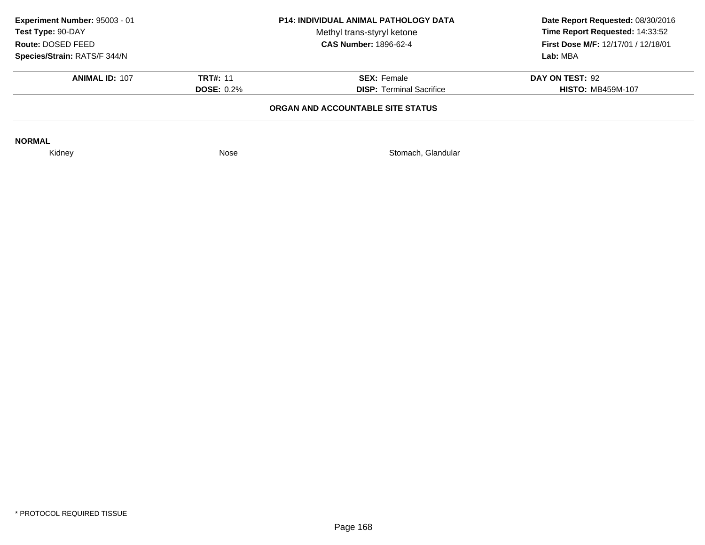| Experiment Number: 95003 - 01<br>Test Type: 90-DAY<br>Route: DOSED FEED | <b>P14: INDIVIDUAL ANIMAL PATHOLOGY DATA</b><br>Methyl trans-styryl ketone<br><b>CAS Number: 1896-62-4</b> |                                   |                          |  |  |  | Date Report Requested: 08/30/2016<br>Time Report Requested: 14:33:52<br><b>First Dose M/F: 12/17/01 / 12/18/01</b> |
|-------------------------------------------------------------------------|------------------------------------------------------------------------------------------------------------|-----------------------------------|--------------------------|--|--|--|--------------------------------------------------------------------------------------------------------------------|
| Species/Strain: RATS/F 344/N                                            |                                                                                                            |                                   | Lab: MBA                 |  |  |  |                                                                                                                    |
| <b>ANIMAL ID: 107</b>                                                   | <b>TRT#: 11</b>                                                                                            | <b>SEX: Female</b>                | DAY ON TEST: 92          |  |  |  |                                                                                                                    |
|                                                                         | <b>DOSE: 0.2%</b>                                                                                          | <b>DISP: Terminal Sacrifice</b>   | <b>HISTO: MB459M-107</b> |  |  |  |                                                                                                                    |
|                                                                         |                                                                                                            | ORGAN AND ACCOUNTABLE SITE STATUS |                          |  |  |  |                                                                                                                    |
| <b>NORMAL</b>                                                           |                                                                                                            |                                   |                          |  |  |  |                                                                                                                    |
| Kidney                                                                  | Nose                                                                                                       | Stomach, Glandular                |                          |  |  |  |                                                                                                                    |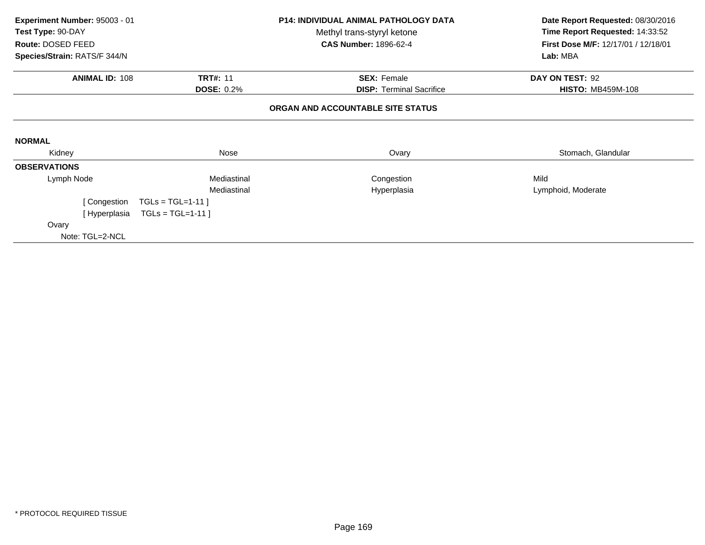| Experiment Number: 95003 - 01<br>Test Type: 90-DAY |                     | <b>P14: INDIVIDUAL ANIMAL PATHOLOGY DATA</b><br>Methyl trans-styryl ketone<br><b>CAS Number: 1896-62-4</b> | Date Report Requested: 08/30/2016<br>Time Report Requested: 14:33:52<br>First Dose M/F: 12/17/01 / 12/18/01 |
|----------------------------------------------------|---------------------|------------------------------------------------------------------------------------------------------------|-------------------------------------------------------------------------------------------------------------|
| Route: DOSED FEED<br>Species/Strain: RATS/F 344/N  |                     |                                                                                                            | Lab: MBA                                                                                                    |
| <b>ANIMAL ID: 108</b>                              | <b>TRT#: 11</b>     | <b>SEX: Female</b>                                                                                         | DAY ON TEST: 92                                                                                             |
|                                                    | <b>DOSE: 0.2%</b>   | <b>DISP:</b> Terminal Sacrifice                                                                            | <b>HISTO: MB459M-108</b>                                                                                    |
|                                                    |                     | ORGAN AND ACCOUNTABLE SITE STATUS                                                                          |                                                                                                             |
| <b>NORMAL</b>                                      |                     |                                                                                                            |                                                                                                             |
| Kidney                                             | Nose                | Ovary                                                                                                      | Stomach, Glandular                                                                                          |
| <b>OBSERVATIONS</b>                                |                     |                                                                                                            |                                                                                                             |
| Lymph Node                                         | Mediastinal         | Congestion                                                                                                 | Mild                                                                                                        |
|                                                    | Mediastinal         | Hyperplasia                                                                                                | Lymphoid, Moderate                                                                                          |
| [ Congestion                                       | $TGLs = TGL=1-11$ ] |                                                                                                            |                                                                                                             |
| [ Hyperplasia                                      | $TGLs = TGL=1-11$   |                                                                                                            |                                                                                                             |
| Ovary                                              |                     |                                                                                                            |                                                                                                             |
| Note: TGL=2-NCL                                    |                     |                                                                                                            |                                                                                                             |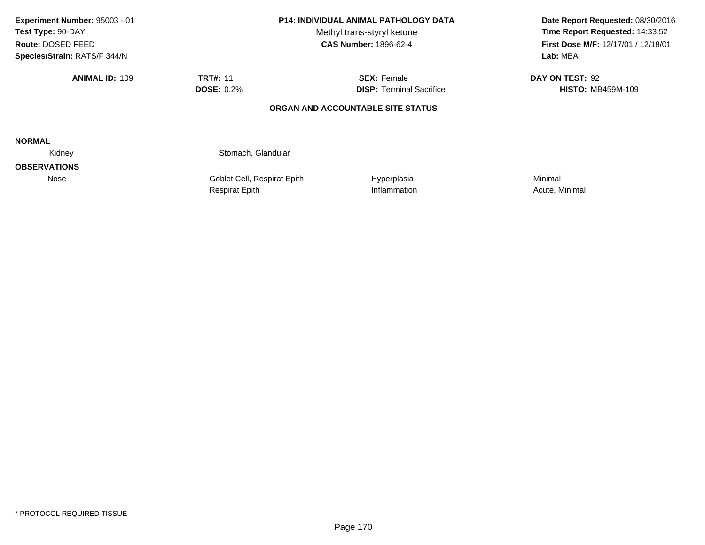| Experiment Number: 95003 - 01<br>Test Type: 90-DAY<br>Route: DOSED FEED<br>Species/Strain: RATS/F 344/N | <b>P14: INDIVIDUAL ANIMAL PATHOLOGY DATA</b><br>Methyl trans-styryl ketone<br><b>CAS Number: 1896-62-4</b> |                                   | Date Report Requested: 08/30/2016<br>Time Report Requested: 14:33:52<br>First Dose M/F: 12/17/01 / 12/18/01<br>Lab: MBA |
|---------------------------------------------------------------------------------------------------------|------------------------------------------------------------------------------------------------------------|-----------------------------------|-------------------------------------------------------------------------------------------------------------------------|
| <b>ANIMAL ID: 109</b>                                                                                   | <b>TRT#: 11</b>                                                                                            | <b>SEX: Female</b>                | DAY ON TEST: 92                                                                                                         |
|                                                                                                         | <b>DOSE: 0.2%</b>                                                                                          | <b>DISP:</b> Terminal Sacrifice   | <b>HISTO: MB459M-109</b>                                                                                                |
|                                                                                                         |                                                                                                            | ORGAN AND ACCOUNTABLE SITE STATUS |                                                                                                                         |
| <b>NORMAL</b>                                                                                           |                                                                                                            |                                   |                                                                                                                         |
| Kidney                                                                                                  | Stomach, Glandular                                                                                         |                                   |                                                                                                                         |
| <b>OBSERVATIONS</b>                                                                                     |                                                                                                            |                                   |                                                                                                                         |
| Nose                                                                                                    | Goblet Cell, Respirat Epith                                                                                | Hyperplasia                       | Minimal                                                                                                                 |
|                                                                                                         | <b>Respirat Epith</b>                                                                                      | Inflammation                      | Acute, Minimal                                                                                                          |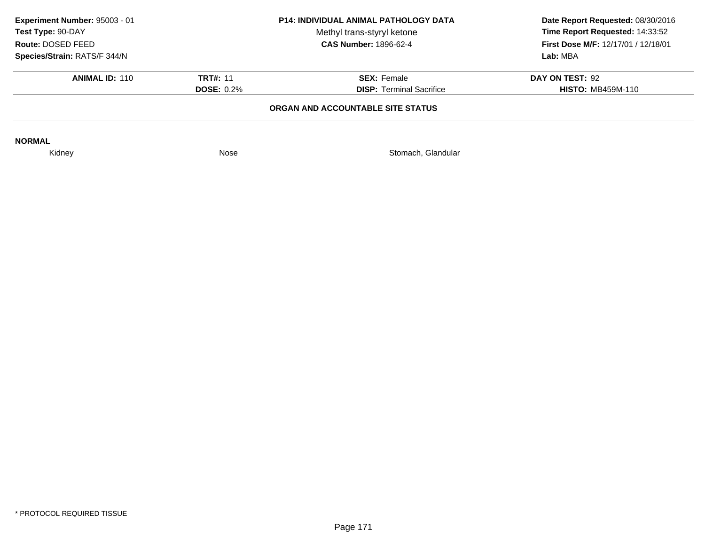| Experiment Number: 95003 - 01<br>Test Type: 90-DAY<br>Route: DOSED FEED | <b>P14: INDIVIDUAL ANIMAL PATHOLOGY DATA</b><br>Methyl trans-styryl ketone<br><b>CAS Number: 1896-62-4</b> |                                 |                          |  | Date Report Requested: 08/30/2016<br>Time Report Requested: 14:33:52<br><b>First Dose M/F: 12/17/01 / 12/18/01</b> |
|-------------------------------------------------------------------------|------------------------------------------------------------------------------------------------------------|---------------------------------|--------------------------|--|--------------------------------------------------------------------------------------------------------------------|
| Species/Strain: RATS/F 344/N                                            |                                                                                                            |                                 | Lab: MBA                 |  |                                                                                                                    |
| <b>ANIMAL ID: 110</b>                                                   | <b>TRT#: 11</b>                                                                                            | <b>SEX: Female</b>              | DAY ON TEST: 92          |  |                                                                                                                    |
|                                                                         | <b>DOSE: 0.2%</b>                                                                                          | <b>DISP: Terminal Sacrifice</b> | <b>HISTO: MB459M-110</b> |  |                                                                                                                    |
|                                                                         |                                                                                                            |                                 |                          |  |                                                                                                                    |
| <b>NORMAL</b>                                                           |                                                                                                            |                                 |                          |  |                                                                                                                    |
| Kidney                                                                  | Nose                                                                                                       | Stomach, Glandular              |                          |  |                                                                                                                    |
|                                                                         |                                                                                                            |                                 |                          |  |                                                                                                                    |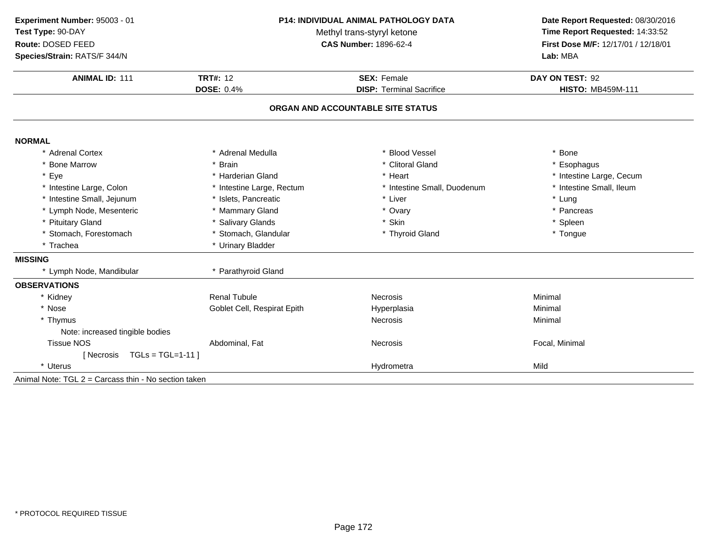| Experiment Number: 95003 - 01                        |                             | P14: INDIVIDUAL ANIMAL PATHOLOGY DATA                      | Date Report Requested: 08/30/2016<br>Time Report Requested: 14:33:52 |  |
|------------------------------------------------------|-----------------------------|------------------------------------------------------------|----------------------------------------------------------------------|--|
| Test Type: 90-DAY<br>Route: DOSED FEED               |                             | Methyl trans-styryl ketone<br><b>CAS Number: 1896-62-4</b> |                                                                      |  |
| Species/Strain: RATS/F 344/N                         |                             |                                                            | First Dose M/F: 12/17/01 / 12/18/01<br>Lab: MBA                      |  |
|                                                      |                             |                                                            |                                                                      |  |
| <b>ANIMAL ID: 111</b>                                | <b>TRT#: 12</b>             | <b>SEX: Female</b>                                         | DAY ON TEST: 92                                                      |  |
|                                                      | <b>DOSE: 0.4%</b>           | <b>DISP: Terminal Sacrifice</b>                            | <b>HISTO: MB459M-111</b>                                             |  |
|                                                      |                             | ORGAN AND ACCOUNTABLE SITE STATUS                          |                                                                      |  |
| <b>NORMAL</b>                                        |                             |                                                            |                                                                      |  |
| * Adrenal Cortex                                     | * Adrenal Medulla           | <b>Blood Vessel</b>                                        | * Bone                                                               |  |
| * Bone Marrow                                        | * Brain                     | * Clitoral Gland                                           | * Esophagus                                                          |  |
| * Eye                                                | * Harderian Gland           | * Heart                                                    | * Intestine Large, Cecum                                             |  |
| * Intestine Large, Colon                             | * Intestine Large, Rectum   | * Intestine Small, Duodenum                                | * Intestine Small, Ileum                                             |  |
| * Intestine Small, Jejunum                           | * Islets, Pancreatic        | * Liver                                                    | * Lung                                                               |  |
| * Lymph Node, Mesenteric                             | * Mammary Gland             | * Ovary                                                    | * Pancreas                                                           |  |
| * Pituitary Gland                                    | * Salivary Glands           | * Skin                                                     | * Spleen                                                             |  |
| * Stomach, Forestomach                               | * Stomach, Glandular        | * Thyroid Gland                                            | * Tongue                                                             |  |
| * Trachea                                            | * Urinary Bladder           |                                                            |                                                                      |  |
| <b>MISSING</b>                                       |                             |                                                            |                                                                      |  |
| * Lymph Node, Mandibular                             | * Parathyroid Gland         |                                                            |                                                                      |  |
| <b>OBSERVATIONS</b>                                  |                             |                                                            |                                                                      |  |
| * Kidney                                             | <b>Renal Tubule</b>         | Necrosis                                                   | Minimal                                                              |  |
| * Nose                                               | Goblet Cell, Respirat Epith | Hyperplasia                                                | Minimal                                                              |  |
| * Thymus                                             |                             | Necrosis                                                   | Minimal                                                              |  |
| Note: increased tingible bodies                      |                             |                                                            |                                                                      |  |
| <b>Tissue NOS</b>                                    | Abdominal, Fat              | Necrosis                                                   | Focal, Minimal                                                       |  |
| $TGLs = TGL=1-11$<br>[ Necrosis                      |                             |                                                            |                                                                      |  |
| * Uterus                                             |                             | Hydrometra                                                 | Mild                                                                 |  |
| Animal Note: TGL 2 = Carcass thin - No section taken |                             |                                                            |                                                                      |  |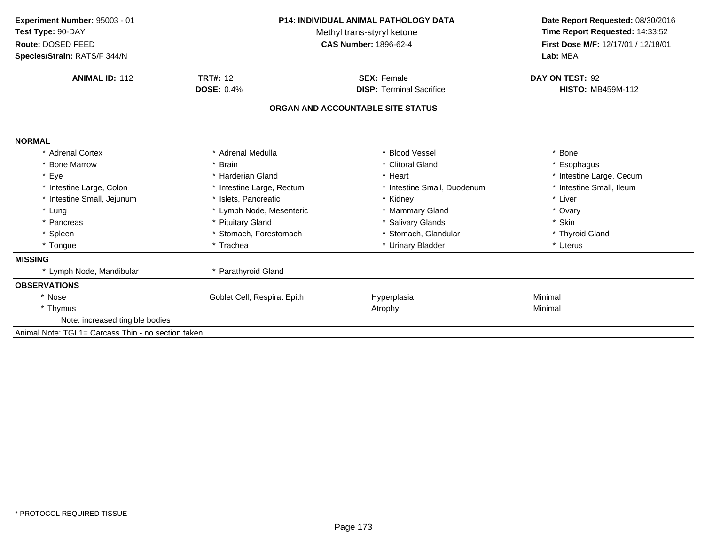| Experiment Number: 95003 - 01<br>Test Type: 90-DAY<br>Route: DOSED FEED<br>Species/Strain: RATS/F 344/N | <b>P14: INDIVIDUAL ANIMAL PATHOLOGY DATA</b><br>Methyl trans-styryl ketone<br><b>CAS Number: 1896-62-4</b> |                                   | Date Report Requested: 08/30/2016<br>Time Report Requested: 14:33:52<br>First Dose M/F: 12/17/01 / 12/18/01<br>Lab: MBA |  |
|---------------------------------------------------------------------------------------------------------|------------------------------------------------------------------------------------------------------------|-----------------------------------|-------------------------------------------------------------------------------------------------------------------------|--|
| <b>ANIMAL ID: 112</b>                                                                                   | <b>TRT#: 12</b><br><b>SEX: Female</b><br><b>DOSE: 0.4%</b><br><b>DISP: Terminal Sacrifice</b>              |                                   | DAY ON TEST: 92<br><b>HISTO: MB459M-112</b>                                                                             |  |
|                                                                                                         |                                                                                                            | ORGAN AND ACCOUNTABLE SITE STATUS |                                                                                                                         |  |
| <b>NORMAL</b>                                                                                           |                                                                                                            |                                   |                                                                                                                         |  |
| * Adrenal Cortex                                                                                        | * Adrenal Medulla                                                                                          | * Blood Vessel                    | * Bone                                                                                                                  |  |
| * Bone Marrow                                                                                           | * Brain                                                                                                    | * Clitoral Gland                  | * Esophagus                                                                                                             |  |
| * Eye                                                                                                   | * Harderian Gland                                                                                          | * Heart                           | * Intestine Large, Cecum                                                                                                |  |
| * Intestine Large, Colon                                                                                | * Intestine Large, Rectum                                                                                  | * Intestine Small, Duodenum       | * Intestine Small, Ileum                                                                                                |  |
| * Intestine Small, Jejunum                                                                              | * Islets. Pancreatic                                                                                       | * Kidney                          | * Liver                                                                                                                 |  |
| * Lung                                                                                                  | * Lymph Node, Mesenteric                                                                                   | * Mammary Gland                   | * Ovary                                                                                                                 |  |
| * Pancreas                                                                                              | * Pituitary Gland                                                                                          | * Salivary Glands                 | * Skin                                                                                                                  |  |
| * Spleen                                                                                                | * Stomach, Forestomach                                                                                     | * Stomach, Glandular              | * Thyroid Gland                                                                                                         |  |
| * Tongue                                                                                                | * Trachea                                                                                                  | * Urinary Bladder                 | * Uterus                                                                                                                |  |
| <b>MISSING</b>                                                                                          |                                                                                                            |                                   |                                                                                                                         |  |
| * Lymph Node, Mandibular                                                                                | * Parathyroid Gland                                                                                        |                                   |                                                                                                                         |  |
| <b>OBSERVATIONS</b>                                                                                     |                                                                                                            |                                   |                                                                                                                         |  |
| * Nose                                                                                                  | Goblet Cell, Respirat Epith                                                                                | Hyperplasia                       | Minimal                                                                                                                 |  |
| * Thymus                                                                                                |                                                                                                            | Atrophy                           | Minimal                                                                                                                 |  |
| Note: increased tingible bodies                                                                         |                                                                                                            |                                   |                                                                                                                         |  |
| Animal Note: TGL1= Carcass Thin - no section taken                                                      |                                                                                                            |                                   |                                                                                                                         |  |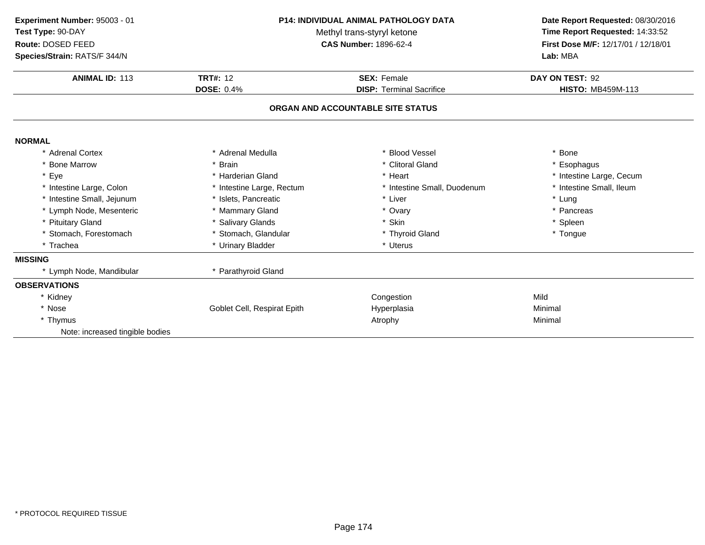| Experiment Number: 95003 - 01<br>Test Type: 90-DAY<br>Route: DOSED FEED<br>Species/Strain: RATS/F 344/N | P14: INDIVIDUAL ANIMAL PATHOLOGY DATA<br>Methyl trans-styryl ketone<br><b>CAS Number: 1896-62-4</b> |                                   | Date Report Requested: 08/30/2016<br>Time Report Requested: 14:33:52<br>First Dose M/F: 12/17/01 / 12/18/01<br>Lab: MBA |  |
|---------------------------------------------------------------------------------------------------------|-----------------------------------------------------------------------------------------------------|-----------------------------------|-------------------------------------------------------------------------------------------------------------------------|--|
|                                                                                                         |                                                                                                     |                                   |                                                                                                                         |  |
| <b>ANIMAL ID: 113</b>                                                                                   | <b>TRT#: 12</b>                                                                                     | <b>SEX: Female</b>                | DAY ON TEST: 92                                                                                                         |  |
|                                                                                                         | <b>DOSE: 0.4%</b>                                                                                   | <b>DISP: Terminal Sacrifice</b>   | <b>HISTO: MB459M-113</b>                                                                                                |  |
|                                                                                                         |                                                                                                     | ORGAN AND ACCOUNTABLE SITE STATUS |                                                                                                                         |  |
| <b>NORMAL</b>                                                                                           |                                                                                                     |                                   |                                                                                                                         |  |
| * Adrenal Cortex                                                                                        | * Adrenal Medulla                                                                                   | <b>Blood Vessel</b>               | * Bone                                                                                                                  |  |
| <b>Bone Marrow</b>                                                                                      | * Brain                                                                                             | * Clitoral Gland                  | * Esophagus                                                                                                             |  |
| * Eye                                                                                                   | * Harderian Gland                                                                                   | * Heart                           | * Intestine Large, Cecum                                                                                                |  |
| * Intestine Large, Colon                                                                                | * Intestine Large, Rectum                                                                           | * Intestine Small, Duodenum       | * Intestine Small, Ileum                                                                                                |  |
| * Intestine Small, Jejunum                                                                              | * Islets. Pancreatic                                                                                | * Liver                           | * Lung                                                                                                                  |  |
| * Lymph Node, Mesenteric                                                                                | * Mammary Gland                                                                                     | * Ovary                           | * Pancreas                                                                                                              |  |
| * Pituitary Gland                                                                                       | * Salivary Glands                                                                                   | * Skin                            | * Spleen                                                                                                                |  |
| * Stomach, Forestomach                                                                                  | * Stomach, Glandular                                                                                | * Thyroid Gland                   | * Tongue                                                                                                                |  |
| * Trachea                                                                                               | * Urinary Bladder                                                                                   | * Uterus                          |                                                                                                                         |  |
| <b>MISSING</b>                                                                                          |                                                                                                     |                                   |                                                                                                                         |  |
| * Lymph Node, Mandibular                                                                                | * Parathyroid Gland                                                                                 |                                   |                                                                                                                         |  |
| <b>OBSERVATIONS</b>                                                                                     |                                                                                                     |                                   |                                                                                                                         |  |
| * Kidney                                                                                                |                                                                                                     | Congestion                        | Mild                                                                                                                    |  |
| * Nose                                                                                                  | Goblet Cell, Respirat Epith                                                                         | Hyperplasia                       | Minimal                                                                                                                 |  |
| * Thymus                                                                                                |                                                                                                     | Atrophy                           | Minimal                                                                                                                 |  |
| Note: increased tingible bodies                                                                         |                                                                                                     |                                   |                                                                                                                         |  |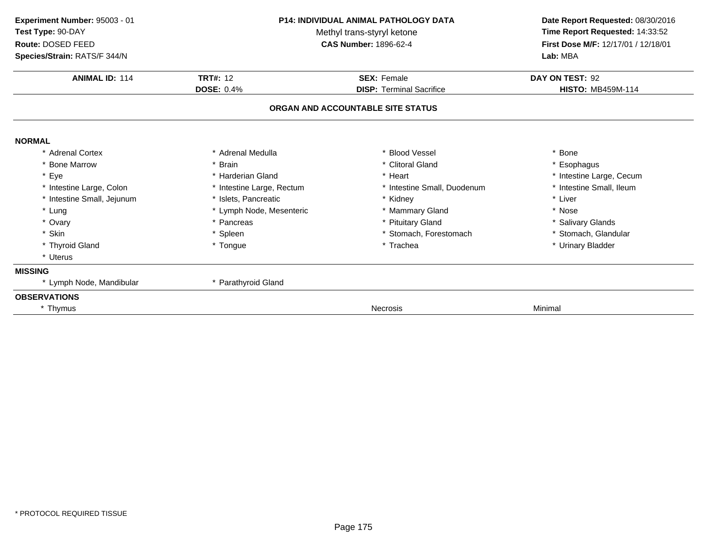| Experiment Number: 95003 - 01<br>Test Type: 90-DAY<br>Route: DOSED FEED<br>Species/Strain: RATS/F 344/N |                           | <b>P14: INDIVIDUAL ANIMAL PATHOLOGY DATA</b><br>Methyl trans-styryl ketone<br><b>CAS Number: 1896-62-4</b> | Date Report Requested: 08/30/2016<br>Time Report Requested: 14:33:52<br>First Dose M/F: 12/17/01 / 12/18/01<br>Lab: MBA |
|---------------------------------------------------------------------------------------------------------|---------------------------|------------------------------------------------------------------------------------------------------------|-------------------------------------------------------------------------------------------------------------------------|
| <b>ANIMAL ID: 114</b>                                                                                   | <b>TRT#: 12</b>           | <b>SEX: Female</b>                                                                                         | DAY ON TEST: 92                                                                                                         |
|                                                                                                         | <b>DOSE: 0.4%</b>         | <b>DISP: Terminal Sacrifice</b><br>ORGAN AND ACCOUNTABLE SITE STATUS                                       | <b>HISTO: MB459M-114</b>                                                                                                |
| <b>NORMAL</b>                                                                                           |                           |                                                                                                            |                                                                                                                         |
| * Adrenal Cortex                                                                                        | * Adrenal Medulla         | * Blood Vessel                                                                                             | * Bone                                                                                                                  |
| * Bone Marrow                                                                                           | * Brain                   | * Clitoral Gland                                                                                           | * Esophagus                                                                                                             |
| * Eye                                                                                                   | * Harderian Gland         | * Heart                                                                                                    | * Intestine Large, Cecum                                                                                                |
| * Intestine Large, Colon                                                                                | * Intestine Large, Rectum | * Intestine Small, Duodenum                                                                                | * Intestine Small, Ileum                                                                                                |
| * Intestine Small, Jejunum                                                                              | * Islets, Pancreatic      | * Kidney                                                                                                   | * Liver                                                                                                                 |
| * Lung                                                                                                  | * Lymph Node, Mesenteric  | * Mammary Gland                                                                                            | * Nose                                                                                                                  |
| * Ovary                                                                                                 | * Pancreas                | * Pituitary Gland                                                                                          | * Salivary Glands                                                                                                       |
| * Skin                                                                                                  | * Spleen                  | * Stomach, Forestomach                                                                                     | * Stomach, Glandular                                                                                                    |
| * Thyroid Gland                                                                                         | * Tongue                  | * Trachea                                                                                                  | * Urinary Bladder                                                                                                       |
| * Uterus                                                                                                |                           |                                                                                                            |                                                                                                                         |
| <b>MISSING</b>                                                                                          |                           |                                                                                                            |                                                                                                                         |
| * Lymph Node, Mandibular                                                                                | * Parathyroid Gland       |                                                                                                            |                                                                                                                         |
| <b>OBSERVATIONS</b>                                                                                     |                           |                                                                                                            |                                                                                                                         |
| * Thymus                                                                                                |                           | Necrosis                                                                                                   | Minimal                                                                                                                 |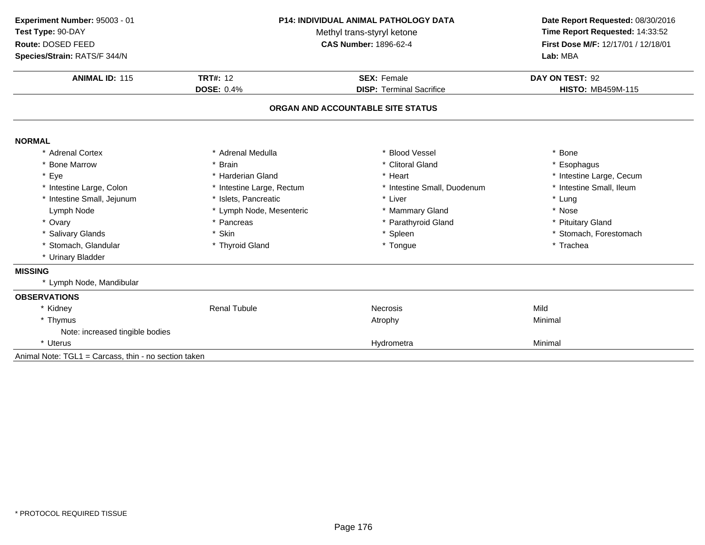| Experiment Number: 95003 - 01                        | <b>P14: INDIVIDUAL ANIMAL PATHOLOGY DATA</b><br>Methyl trans-styryl ketone |                                   | Date Report Requested: 08/30/2016<br>Time Report Requested: 14:33:52 |  |
|------------------------------------------------------|----------------------------------------------------------------------------|-----------------------------------|----------------------------------------------------------------------|--|
| Test Type: 90-DAY                                    |                                                                            |                                   |                                                                      |  |
| Route: DOSED FEED                                    |                                                                            | <b>CAS Number: 1896-62-4</b>      | First Dose M/F: 12/17/01 / 12/18/01                                  |  |
| Species/Strain: RATS/F 344/N                         |                                                                            |                                   | Lab: MBA                                                             |  |
| <b>ANIMAL ID: 115</b>                                | <b>TRT#: 12</b>                                                            | <b>SEX: Female</b>                | DAY ON TEST: 92                                                      |  |
|                                                      | <b>DOSE: 0.4%</b>                                                          | <b>DISP: Terminal Sacrifice</b>   | <b>HISTO: MB459M-115</b>                                             |  |
|                                                      |                                                                            | ORGAN AND ACCOUNTABLE SITE STATUS |                                                                      |  |
| <b>NORMAL</b>                                        |                                                                            |                                   |                                                                      |  |
| * Adrenal Cortex                                     | * Adrenal Medulla                                                          | <b>Blood Vessel</b>               | * Bone                                                               |  |
| * Bone Marrow                                        | * Brain                                                                    | * Clitoral Gland                  | * Esophagus                                                          |  |
| * Eye                                                | * Harderian Gland                                                          | * Heart                           | * Intestine Large, Cecum                                             |  |
| * Intestine Large, Colon                             | * Intestine Large, Rectum                                                  | * Intestine Small, Duodenum       | * Intestine Small, Ileum                                             |  |
| * Intestine Small, Jejunum                           | * Islets, Pancreatic                                                       | * Liver                           | * Lung                                                               |  |
| Lymph Node                                           | * Lymph Node, Mesenteric                                                   | * Mammary Gland                   | * Nose                                                               |  |
| * Ovary                                              | * Pancreas                                                                 | * Parathyroid Gland               | * Pituitary Gland                                                    |  |
| * Salivary Glands                                    | * Skin                                                                     | * Spleen                          | * Stomach, Forestomach                                               |  |
| * Stomach, Glandular                                 | * Thyroid Gland                                                            | * Tongue                          | * Trachea                                                            |  |
| * Urinary Bladder                                    |                                                                            |                                   |                                                                      |  |
| <b>MISSING</b>                                       |                                                                            |                                   |                                                                      |  |
| * Lymph Node, Mandibular                             |                                                                            |                                   |                                                                      |  |
| <b>OBSERVATIONS</b>                                  |                                                                            |                                   |                                                                      |  |
| * Kidney                                             | <b>Renal Tubule</b>                                                        | <b>Necrosis</b>                   | Mild                                                                 |  |
| * Thymus                                             |                                                                            | Atrophy                           | Minimal                                                              |  |
| Note: increased tingible bodies                      |                                                                            |                                   |                                                                      |  |
| * Uterus                                             |                                                                            | Hydrometra                        | Minimal                                                              |  |
| Animal Note: TGL1 = Carcass, thin - no section taken |                                                                            |                                   |                                                                      |  |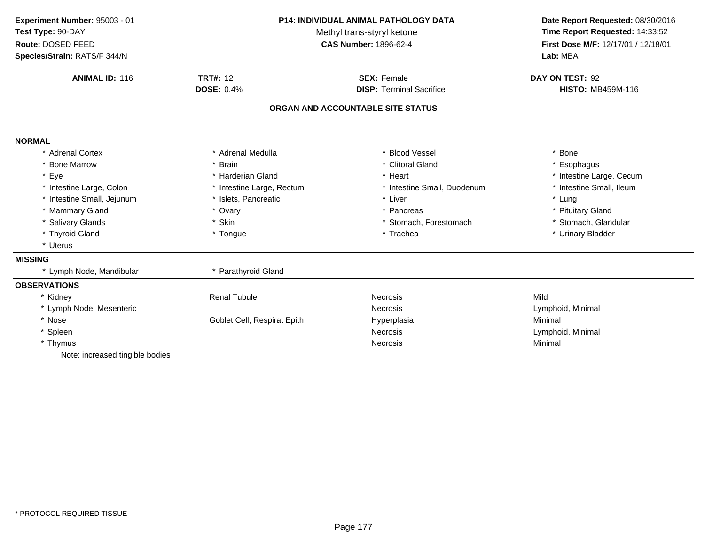| Experiment Number: 95003 - 01<br>Test Type: 90-DAY<br>Route: DOSED FEED<br>Species/Strain: RATS/F 344/N |                             | P14: INDIVIDUAL ANIMAL PATHOLOGY DATA<br>Methyl trans-styryl ketone<br><b>CAS Number: 1896-62-4</b> |                          |
|---------------------------------------------------------------------------------------------------------|-----------------------------|-----------------------------------------------------------------------------------------------------|--------------------------|
| <b>ANIMAL ID: 116</b>                                                                                   | <b>TRT#: 12</b>             | <b>SEX: Female</b>                                                                                  | DAY ON TEST: 92          |
|                                                                                                         | <b>DOSE: 0.4%</b>           | <b>DISP: Terminal Sacrifice</b>                                                                     | <b>HISTO: MB459M-116</b> |
|                                                                                                         |                             | ORGAN AND ACCOUNTABLE SITE STATUS                                                                   |                          |
| <b>NORMAL</b>                                                                                           |                             |                                                                                                     |                          |
| * Adrenal Cortex                                                                                        | * Adrenal Medulla           | * Blood Vessel                                                                                      | * Bone                   |
| * Bone Marrow                                                                                           | * Brain                     | * Clitoral Gland                                                                                    | * Esophagus              |
| * Eye                                                                                                   | * Harderian Gland           | * Heart                                                                                             | * Intestine Large, Cecum |
| * Intestine Large, Colon                                                                                | * Intestine Large, Rectum   | * Intestine Small, Duodenum                                                                         | * Intestine Small, Ileum |
| * Intestine Small, Jejunum                                                                              | * Islets, Pancreatic        | * Liver                                                                                             | * Lung                   |
| * Mammary Gland                                                                                         | * Ovary                     | * Pancreas                                                                                          | * Pituitary Gland        |
| * Salivary Glands                                                                                       | * Skin                      | * Stomach, Forestomach                                                                              | * Stomach, Glandular     |
| * Thyroid Gland                                                                                         | * Tongue                    | * Trachea                                                                                           | * Urinary Bladder        |
| * Uterus                                                                                                |                             |                                                                                                     |                          |
| <b>MISSING</b>                                                                                          |                             |                                                                                                     |                          |
| * Lymph Node, Mandibular                                                                                | * Parathyroid Gland         |                                                                                                     |                          |
| <b>OBSERVATIONS</b>                                                                                     |                             |                                                                                                     |                          |
| * Kidney                                                                                                | <b>Renal Tubule</b>         | <b>Necrosis</b>                                                                                     | Mild                     |
| * Lymph Node, Mesenteric                                                                                |                             | <b>Necrosis</b>                                                                                     | Lymphoid, Minimal        |
| * Nose                                                                                                  | Goblet Cell, Respirat Epith | Hyperplasia                                                                                         | Minimal                  |
| * Spleen                                                                                                |                             | <b>Necrosis</b>                                                                                     | Lymphoid, Minimal        |
| * Thymus                                                                                                |                             | <b>Necrosis</b>                                                                                     | Minimal                  |
| Note: increased tingible bodies                                                                         |                             |                                                                                                     |                          |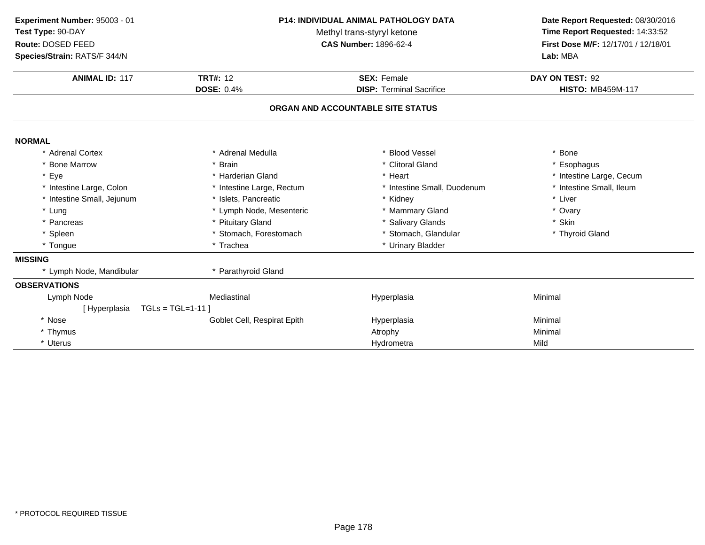| Experiment Number: 95003 - 01 | P14: INDIVIDUAL ANIMAL PATHOLOGY DATA | Date Report Requested: 08/30/2016 |                                     |
|-------------------------------|---------------------------------------|-----------------------------------|-------------------------------------|
| Test Type: 90-DAY             | Methyl trans-styryl ketone            | Time Report Requested: 14:33:52   |                                     |
| Route: DOSED FEED             |                                       | <b>CAS Number: 1896-62-4</b>      | First Dose M/F: 12/17/01 / 12/18/01 |
| Species/Strain: RATS/F 344/N  |                                       |                                   | Lab: MBA                            |
| <b>ANIMAL ID: 117</b>         | <b>TRT#: 12</b>                       | <b>SEX: Female</b>                | DAY ON TEST: 92                     |
|                               | <b>DOSE: 0.4%</b>                     | <b>DISP: Terminal Sacrifice</b>   | <b>HISTO: MB459M-117</b>            |
|                               |                                       | ORGAN AND ACCOUNTABLE SITE STATUS |                                     |
| <b>NORMAL</b>                 |                                       |                                   |                                     |
| * Adrenal Cortex              | * Adrenal Medulla                     | <b>Blood Vessel</b>               | <b>Bone</b>                         |
| * Bone Marrow                 | <b>Brain</b>                          | * Clitoral Gland                  | * Esophagus                         |
| * Eye                         | * Harderian Gland                     | * Heart                           | * Intestine Large, Cecum            |
| * Intestine Large, Colon      | * Intestine Large, Rectum             | * Intestine Small, Duodenum       | * Intestine Small, Ileum            |
| * Intestine Small, Jejunum    | * Islets, Pancreatic                  | * Kidney                          | * Liver                             |
| * Lung                        | * Lymph Node, Mesenteric              | * Mammary Gland                   | * Ovary                             |
| * Pancreas                    | * Pituitary Gland                     | * Salivary Glands                 | * Skin                              |
| * Spleen                      | * Stomach, Forestomach                | * Stomach, Glandular              | * Thyroid Gland                     |
| * Tongue                      | * Trachea                             | * Urinary Bladder                 |                                     |
| <b>MISSING</b>                |                                       |                                   |                                     |
| * Lymph Node, Mandibular      | * Parathyroid Gland                   |                                   |                                     |
| <b>OBSERVATIONS</b>           |                                       |                                   |                                     |
| Lymph Node                    | Mediastinal                           | Hyperplasia                       | Minimal                             |
| [Hyperplasia                  | $TGLs = TGL=1-11$                     |                                   |                                     |
| * Nose                        | Goblet Cell, Respirat Epith           | Hyperplasia                       | Minimal                             |
| * Thymus                      |                                       | Atrophy                           | Minimal                             |
| * Uterus                      |                                       | Hydrometra                        | Mild                                |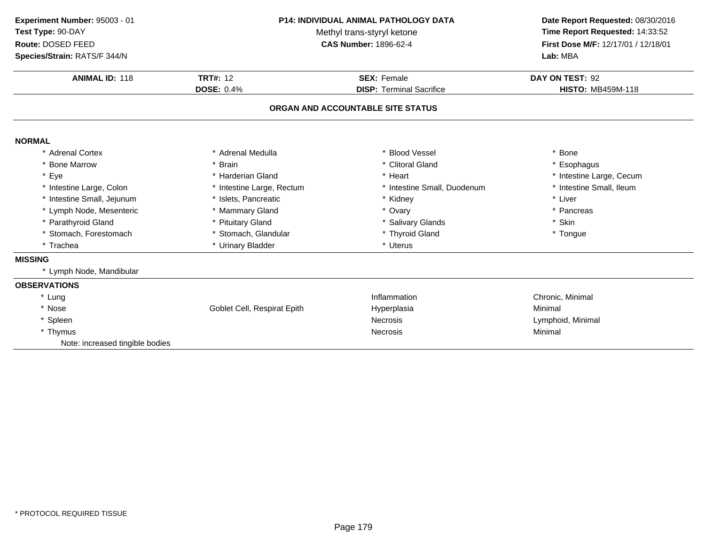| Experiment Number: 95003 - 01<br>Test Type: 90-DAY<br>Route: DOSED FEED<br>Species/Strain: RATS/F 344/N                                                                                                                                      | P14: INDIVIDUAL ANIMAL PATHOLOGY DATA<br>Methyl trans-styryl ketone<br><b>CAS Number: 1896-62-4</b>                                                                                         |                                                                                                                                                         | Date Report Requested: 08/30/2016<br>Time Report Requested: 14:33:52<br>First Dose M/F: 12/17/01 / 12/18/01<br>Lab: MBA      |  |
|----------------------------------------------------------------------------------------------------------------------------------------------------------------------------------------------------------------------------------------------|---------------------------------------------------------------------------------------------------------------------------------------------------------------------------------------------|---------------------------------------------------------------------------------------------------------------------------------------------------------|------------------------------------------------------------------------------------------------------------------------------|--|
| <b>ANIMAL ID: 118</b>                                                                                                                                                                                                                        | <b>TRT#: 12</b><br><b>SEX: Female</b><br><b>DOSE: 0.4%</b><br><b>DISP: Terminal Sacrifice</b><br>ORGAN AND ACCOUNTABLE SITE STATUS                                                          |                                                                                                                                                         | DAY ON TEST: 92<br><b>HISTO: MB459M-118</b>                                                                                  |  |
|                                                                                                                                                                                                                                              |                                                                                                                                                                                             |                                                                                                                                                         |                                                                                                                              |  |
| <b>NORMAL</b>                                                                                                                                                                                                                                |                                                                                                                                                                                             |                                                                                                                                                         |                                                                                                                              |  |
| * Adrenal Cortex<br>* Bone Marrow<br>* Eye<br>* Intestine Large, Colon<br>* Intestine Small, Jejunum<br>* Lymph Node, Mesenteric<br>* Parathyroid Gland<br>* Stomach, Forestomach<br>* Trachea<br><b>MISSING</b><br>* Lymph Node, Mandibular | * Adrenal Medulla<br>* Brain<br>* Harderian Gland<br>* Intestine Large, Rectum<br>* Islets, Pancreatic<br>* Mammary Gland<br>* Pituitary Gland<br>* Stomach, Glandular<br>* Urinary Bladder | * Blood Vessel<br>* Clitoral Gland<br>* Heart<br>* Intestine Small, Duodenum<br>* Kidney<br>* Ovary<br>* Salivary Glands<br>* Thyroid Gland<br>* Uterus | * Bone<br>* Esophagus<br>* Intestine Large, Cecum<br>* Intestine Small, Ileum<br>* Liver<br>* Pancreas<br>* Skin<br>* Tongue |  |
| <b>OBSERVATIONS</b><br>* Lung<br>* Nose<br>* Spleen<br>* Thymus<br>Note: increased tingible bodies                                                                                                                                           | Goblet Cell, Respirat Epith                                                                                                                                                                 | Inflammation<br>Hyperplasia<br><b>Necrosis</b><br><b>Necrosis</b>                                                                                       | Chronic, Minimal<br>Minimal<br>Lymphoid, Minimal<br>Minimal                                                                  |  |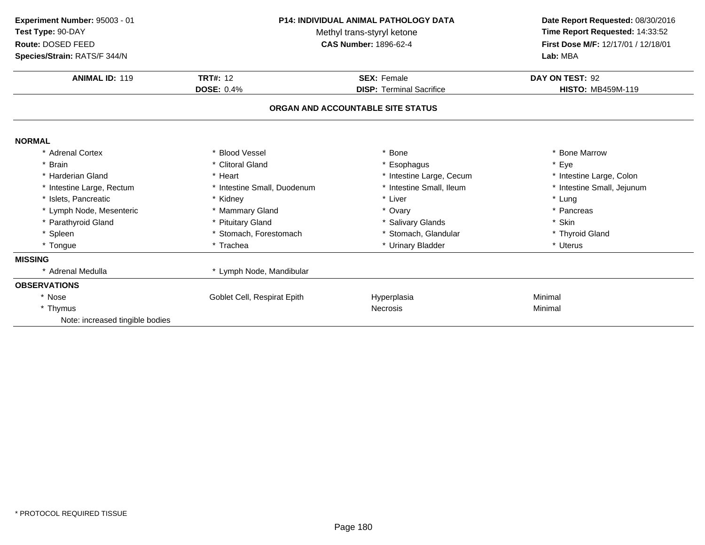| Experiment Number: 95003 - 01<br>Test Type: 90-DAY<br>Route: DOSED FEED<br>Species/Strain: RATS/F 344/N | <b>P14: INDIVIDUAL ANIMAL PATHOLOGY DATA</b><br>Methyl trans-styryl ketone<br><b>CAS Number: 1896-62-4</b> |                                   | Date Report Requested: 08/30/2016<br>Time Report Requested: 14:33:52<br>First Dose M/F: 12/17/01 / 12/18/01<br>Lab: MBA |
|---------------------------------------------------------------------------------------------------------|------------------------------------------------------------------------------------------------------------|-----------------------------------|-------------------------------------------------------------------------------------------------------------------------|
| <b>ANIMAL ID: 119</b>                                                                                   | <b>TRT#: 12</b>                                                                                            | <b>SEX: Female</b>                | DAY ON TEST: 92                                                                                                         |
|                                                                                                         | <b>DOSE: 0.4%</b>                                                                                          | <b>DISP: Terminal Sacrifice</b>   | <b>HISTO: MB459M-119</b>                                                                                                |
|                                                                                                         |                                                                                                            | ORGAN AND ACCOUNTABLE SITE STATUS |                                                                                                                         |
| <b>NORMAL</b>                                                                                           |                                                                                                            |                                   |                                                                                                                         |
| * Adrenal Cortex                                                                                        | * Blood Vessel                                                                                             | <b>Bone</b>                       | * Bone Marrow                                                                                                           |
| * Brain                                                                                                 | * Clitoral Gland                                                                                           | * Esophagus                       | * Eye                                                                                                                   |
| * Harderian Gland                                                                                       | * Heart                                                                                                    | * Intestine Large, Cecum          | * Intestine Large, Colon                                                                                                |
| * Intestine Large, Rectum                                                                               | * Intestine Small, Duodenum                                                                                | * Intestine Small, Ileum          | * Intestine Small, Jejunum                                                                                              |
| * Islets, Pancreatic                                                                                    | * Kidney                                                                                                   | * Liver                           | * Lung                                                                                                                  |
| * Lymph Node, Mesenteric                                                                                | * Mammary Gland                                                                                            | * Ovary                           | * Pancreas                                                                                                              |
| * Parathyroid Gland                                                                                     | * Pituitary Gland                                                                                          | * Salivary Glands                 | * Skin                                                                                                                  |
| * Spleen                                                                                                | * Stomach, Forestomach                                                                                     | * Stomach, Glandular              | * Thyroid Gland                                                                                                         |
| * Tongue                                                                                                | * Trachea                                                                                                  | * Urinary Bladder                 | * Uterus                                                                                                                |
| <b>MISSING</b>                                                                                          |                                                                                                            |                                   |                                                                                                                         |
| * Adrenal Medulla                                                                                       | * Lymph Node, Mandibular                                                                                   |                                   |                                                                                                                         |
| <b>OBSERVATIONS</b>                                                                                     |                                                                                                            |                                   |                                                                                                                         |
| * Nose                                                                                                  | Goblet Cell, Respirat Epith                                                                                | Hyperplasia                       | Minimal                                                                                                                 |
| * Thymus                                                                                                |                                                                                                            | <b>Necrosis</b>                   | Minimal                                                                                                                 |
| Note: increased tingible bodies                                                                         |                                                                                                            |                                   |                                                                                                                         |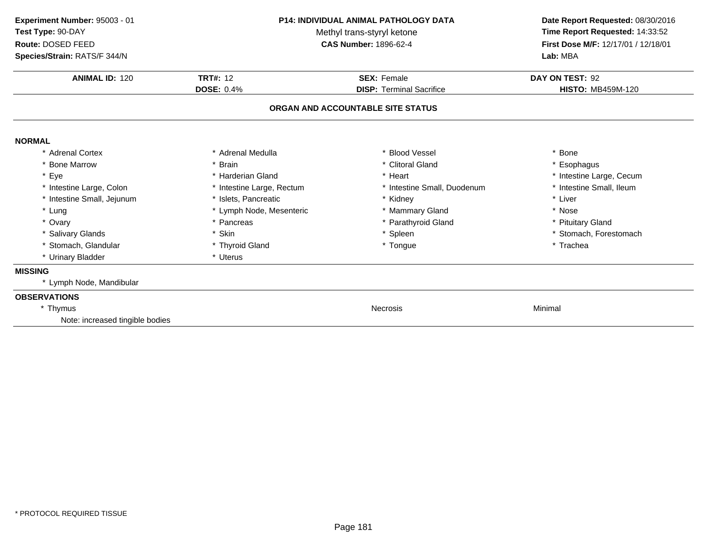| Experiment Number: 95003 - 01<br>Test Type: 90-DAY<br>Route: DOSED FEED<br>Species/Strain: RATS/F 344/N | <b>P14: INDIVIDUAL ANIMAL PATHOLOGY DATA</b><br>Methyl trans-styryl ketone<br><b>CAS Number: 1896-62-4</b> |                                   | Date Report Requested: 08/30/2016<br>Time Report Requested: 14:33:52<br>First Dose M/F: 12/17/01 / 12/18/01<br>Lab: MBA |  |
|---------------------------------------------------------------------------------------------------------|------------------------------------------------------------------------------------------------------------|-----------------------------------|-------------------------------------------------------------------------------------------------------------------------|--|
| <b>ANIMAL ID: 120</b>                                                                                   | <b>TRT#: 12</b>                                                                                            | <b>SEX: Female</b>                | DAY ON TEST: 92                                                                                                         |  |
|                                                                                                         | <b>DOSE: 0.4%</b>                                                                                          | <b>DISP: Terminal Sacrifice</b>   | <b>HISTO: MB459M-120</b>                                                                                                |  |
|                                                                                                         |                                                                                                            | ORGAN AND ACCOUNTABLE SITE STATUS |                                                                                                                         |  |
| <b>NORMAL</b>                                                                                           |                                                                                                            |                                   |                                                                                                                         |  |
| * Adrenal Cortex                                                                                        | * Adrenal Medulla                                                                                          | * Blood Vessel                    | * Bone                                                                                                                  |  |
| * Bone Marrow                                                                                           | <b>Brain</b>                                                                                               | * Clitoral Gland                  | * Esophagus                                                                                                             |  |
| * Eye                                                                                                   | * Harderian Gland                                                                                          | * Heart                           | * Intestine Large, Cecum                                                                                                |  |
| * Intestine Large, Colon                                                                                | * Intestine Large, Rectum                                                                                  | * Intestine Small, Duodenum       | * Intestine Small, Ileum                                                                                                |  |
| * Intestine Small, Jejunum                                                                              | * Islets, Pancreatic                                                                                       | * Kidney                          | * Liver                                                                                                                 |  |
| * Lung                                                                                                  | * Lymph Node, Mesenteric                                                                                   | * Mammary Gland                   | * Nose                                                                                                                  |  |
| * Ovary                                                                                                 | * Pancreas                                                                                                 | * Parathyroid Gland               | * Pituitary Gland                                                                                                       |  |
| * Salivary Glands                                                                                       | * Skin                                                                                                     | * Spleen                          | * Stomach, Forestomach                                                                                                  |  |
| * Stomach, Glandular                                                                                    | * Thyroid Gland                                                                                            | * Tongue                          | * Trachea                                                                                                               |  |
| * Urinary Bladder                                                                                       | * Uterus                                                                                                   |                                   |                                                                                                                         |  |
| <b>MISSING</b>                                                                                          |                                                                                                            |                                   |                                                                                                                         |  |
| * Lymph Node, Mandibular                                                                                |                                                                                                            |                                   |                                                                                                                         |  |
| <b>OBSERVATIONS</b>                                                                                     |                                                                                                            |                                   |                                                                                                                         |  |
| * Thymus                                                                                                |                                                                                                            | <b>Necrosis</b>                   | Minimal                                                                                                                 |  |
| Note: increased tingible bodies                                                                         |                                                                                                            |                                   |                                                                                                                         |  |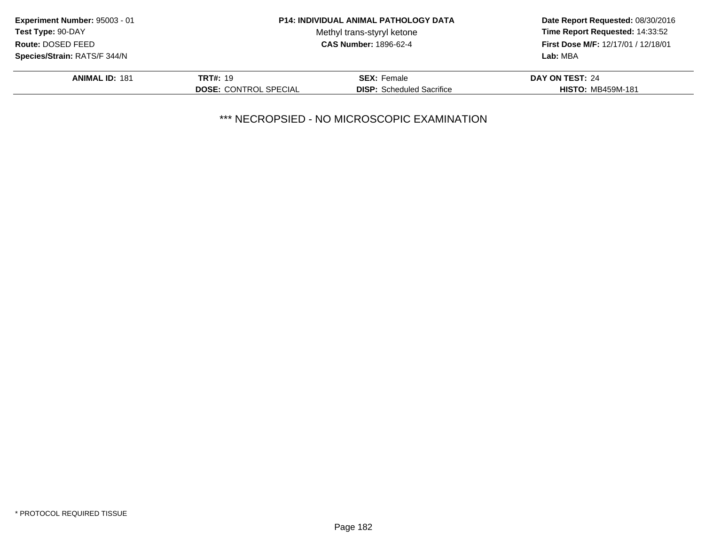| Experiment Number: 95003 - 01<br><b>Test Type: 90-DAY</b><br>Route: DOSED FEED |                              | <b>P14: INDIVIDUAL ANIMAL PATHOLOGY DATA</b> | Date Report Requested: 08/30/2016   |
|--------------------------------------------------------------------------------|------------------------------|----------------------------------------------|-------------------------------------|
|                                                                                |                              | Methyl trans-styryl ketone                   | Time Report Requested: 14:33:52     |
|                                                                                |                              | <b>CAS Number: 1896-62-4</b>                 | First Dose M/F: 12/17/01 / 12/18/01 |
| Species/Strain: RATS/F 344/N                                                   |                              |                                              | Lab: MBA                            |
| <b>ANIMAL ID: 181</b>                                                          | <b>TRT#: 19</b>              | <b>SEX: Female</b>                           | DAY ON TEST: 24                     |
|                                                                                | <b>DOSE: CONTROL SPECIAL</b> | <b>DISP:</b> Scheduled Sacrifice             | <b>HISTO: MB459M-181</b>            |
|                                                                                |                              |                                              |                                     |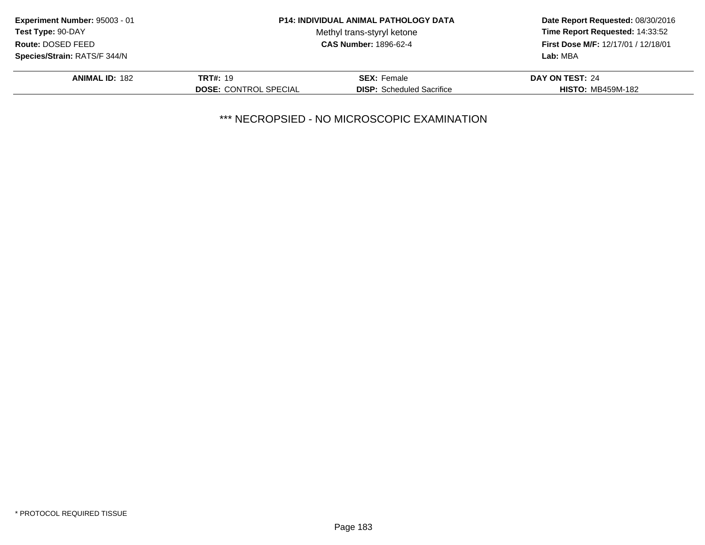| Experiment Number: 95003 - 01 | <b>P14: INDIVIDUAL ANIMAL PATHOLOGY DATA</b> |                                  | Date Report Requested: 08/30/2016   |  |
|-------------------------------|----------------------------------------------|----------------------------------|-------------------------------------|--|
| Test Type: 90-DAY             |                                              | Methyl trans-styryl ketone       | Time Report Requested: 14:33:52     |  |
| Route: DOSED FEED             | <b>CAS Number: 1896-62-4</b>                 |                                  | First Dose M/F: 12/17/01 / 12/18/01 |  |
| Species/Strain: RATS/F 344/N  |                                              |                                  | Lab: MBA                            |  |
| <b>ANIMAL ID: 182</b>         | <b>TRT#: 19</b>                              | <b>SEX: Female</b>               | DAY ON TEST: 24                     |  |
|                               | <b>DOSE: CONTROL SPECIAL</b>                 | <b>DISP:</b> Scheduled Sacrifice | <b>HISTO: MB459M-182</b>            |  |
|                               |                                              |                                  |                                     |  |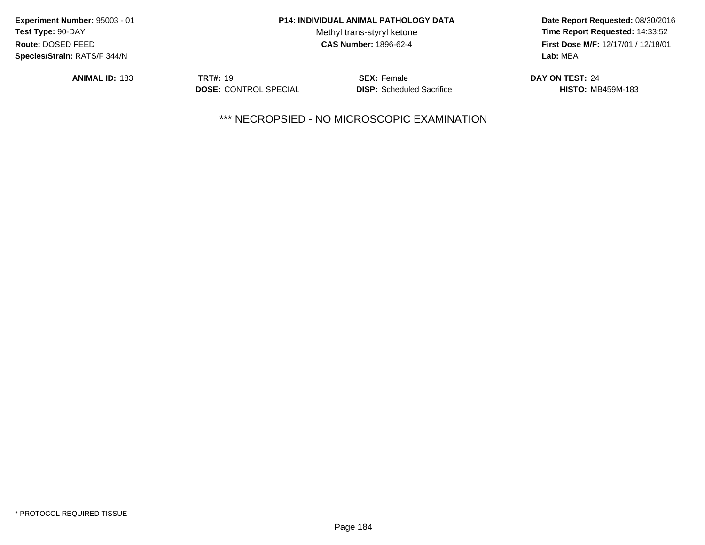| Experiment Number: 95003 - 01       | <b>P14: INDIVIDUAL ANIMAL PATHOLOGY DATA</b> |                                  | Date Report Requested: 08/30/2016          |
|-------------------------------------|----------------------------------------------|----------------------------------|--------------------------------------------|
| Test Type: 90-DAY                   |                                              | Methyl trans-styryl ketone       | Time Report Requested: 14:33:52            |
| Route: DOSED FEED                   | <b>CAS Number: 1896-62-4</b>                 |                                  | <b>First Dose M/F: 12/17/01 / 12/18/01</b> |
| <b>Species/Strain: RATS/F 344/N</b> |                                              |                                  | Lab: MBA                                   |
| <b>ANIMAL ID: 183</b>               | <b>TRT#: 19</b>                              | <b>SEX: Female</b>               | DAY ON TEST: 24                            |
|                                     | <b>DOSE: CONTROL SPECIAL</b>                 | <b>DISP:</b> Scheduled Sacrifice | <b>HISTO: MB459M-183</b>                   |
|                                     |                                              |                                  |                                            |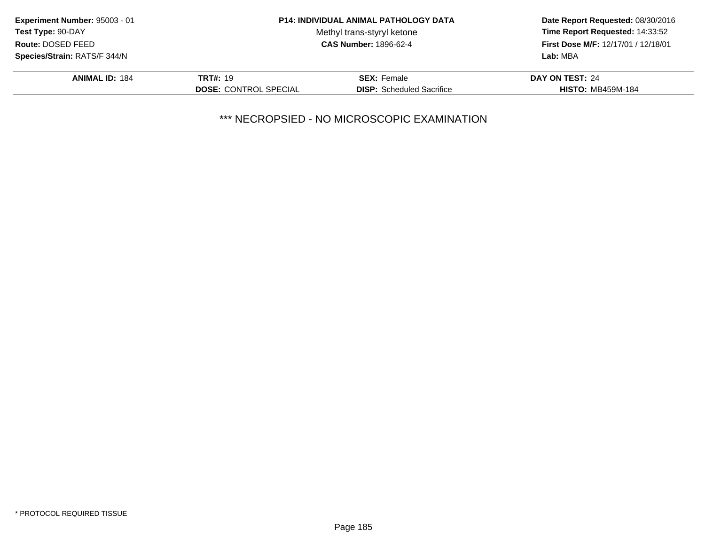| Experiment Number: 95003 - 01<br><b>Test Type: 90-DAY</b><br>Route: DOSED FEED |                              | <b>P14: INDIVIDUAL ANIMAL PATHOLOGY DATA</b> | Date Report Requested: 08/30/2016<br>Time Report Requested: 14:33:52<br>First Dose M/F: 12/17/01 / 12/18/01 |
|--------------------------------------------------------------------------------|------------------------------|----------------------------------------------|-------------------------------------------------------------------------------------------------------------|
|                                                                                |                              | Methyl trans-styryl ketone                   |                                                                                                             |
|                                                                                |                              | <b>CAS Number: 1896-62-4</b>                 |                                                                                                             |
| Species/Strain: RATS/F 344/N                                                   |                              |                                              | Lab: MBA                                                                                                    |
| <b>ANIMAL ID: 184</b>                                                          | <b>TRT#: 19</b>              | <b>SEX: Female</b>                           | DAY ON TEST: 24                                                                                             |
|                                                                                | <b>DOSE: CONTROL SPECIAL</b> | <b>DISP:</b> Scheduled Sacrifice             | <b>HISTO: MB459M-184</b>                                                                                    |
|                                                                                |                              |                                              |                                                                                                             |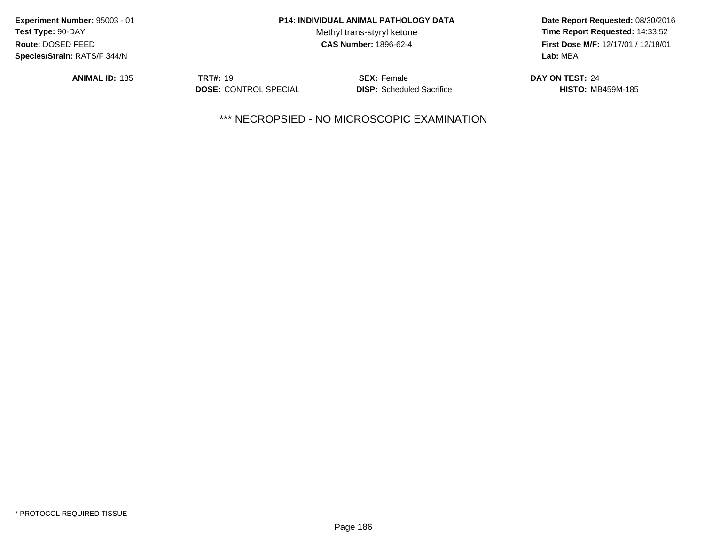| Experiment Number: 95003 - 01                                                                               | <b>P14: INDIVIDUAL ANIMAL PATHOLOGY DATA</b> |                                  | Date Report Requested: 08/30/2016<br>Time Report Requested: 14:33:52<br>First Dose M/F: 12/17/01 / 12/18/01 |
|-------------------------------------------------------------------------------------------------------------|----------------------------------------------|----------------------------------|-------------------------------------------------------------------------------------------------------------|
| <b>Test Type: 90-DAY</b><br>Methyl trans-styryl ketone<br>Route: DOSED FEED<br><b>CAS Number: 1896-62-4</b> |                                              |                                  |                                                                                                             |
|                                                                                                             |                                              |                                  |                                                                                                             |
| <b>Species/Strain: RATS/F 344/N</b>                                                                         |                                              |                                  | Lab: MBA                                                                                                    |
| <b>ANIMAL ID: 185</b>                                                                                       | <b>TRT#: 19</b>                              | <b>SEX: Female</b>               | DAY ON TEST: 24                                                                                             |
|                                                                                                             | <b>DOSE: CONTROL SPECIAL</b>                 | <b>DISP:</b> Scheduled Sacrifice | <b>HISTO: MB459M-185</b>                                                                                    |
|                                                                                                             |                                              |                                  |                                                                                                             |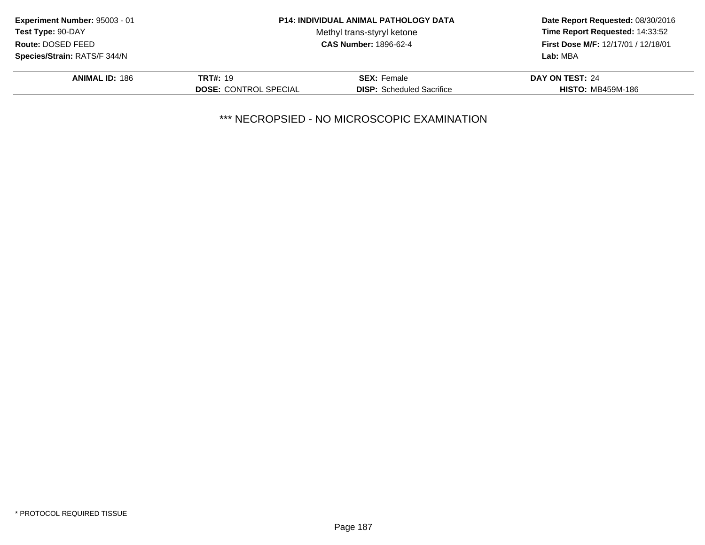| Experiment Number: 95003 - 01<br><b>P14: INDIVIDUAL ANIMAL PATHOLOGY DATA</b><br><b>Test Type: 90-DAY</b><br>Methyl trans-styryl ketone<br>Route: DOSED FEED<br><b>CAS Number: 1896-62-4</b> |                              |                                     | Date Report Requested: 08/30/2016 |  |
|----------------------------------------------------------------------------------------------------------------------------------------------------------------------------------------------|------------------------------|-------------------------------------|-----------------------------------|--|
|                                                                                                                                                                                              |                              |                                     | Time Report Requested: 14:33:52   |  |
|                                                                                                                                                                                              |                              | First Dose M/F: 12/17/01 / 12/18/01 |                                   |  |
| <b>Species/Strain: RATS/F 344/N</b>                                                                                                                                                          |                              |                                     | Lab: MBA                          |  |
| <b>ANIMAL ID: 186</b>                                                                                                                                                                        | <b>TRT#: 19</b>              | <b>SEX: Female</b>                  | DAY ON TEST: 24                   |  |
|                                                                                                                                                                                              | <b>DOSE: CONTROL SPECIAL</b> | <b>DISP:</b> Scheduled Sacrifice    | <b>HISTO: MB459M-186</b>          |  |
|                                                                                                                                                                                              |                              |                                     |                                   |  |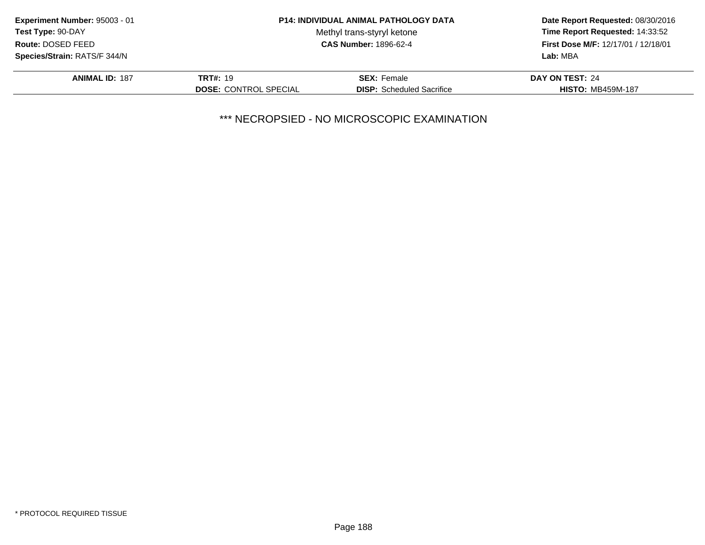| Experiment Number: 95003 - 01<br><b>P14: INDIVIDUAL ANIMAL PATHOLOGY DATA</b><br><b>Test Type: 90-DAY</b><br>Methyl trans-styryl ketone<br>Route: DOSED FEED<br><b>CAS Number: 1896-62-4</b> |                              |                                  | Date Report Requested: 08/30/2016   |
|----------------------------------------------------------------------------------------------------------------------------------------------------------------------------------------------|------------------------------|----------------------------------|-------------------------------------|
|                                                                                                                                                                                              |                              |                                  | Time Report Requested: 14:33:52     |
|                                                                                                                                                                                              |                              |                                  | First Dose M/F: 12/17/01 / 12/18/01 |
| Species/Strain: RATS/F 344/N                                                                                                                                                                 |                              |                                  | Lab: MBA                            |
| <b>ANIMAL ID: 187</b>                                                                                                                                                                        | <b>TRT#: 19</b>              | <b>SEX: Female</b>               | DAY ON TEST: 24                     |
|                                                                                                                                                                                              | <b>DOSE: CONTROL SPECIAL</b> | <b>DISP:</b> Scheduled Sacrifice | <b>HISTO: MB459M-187</b>            |
|                                                                                                                                                                                              |                              |                                  |                                     |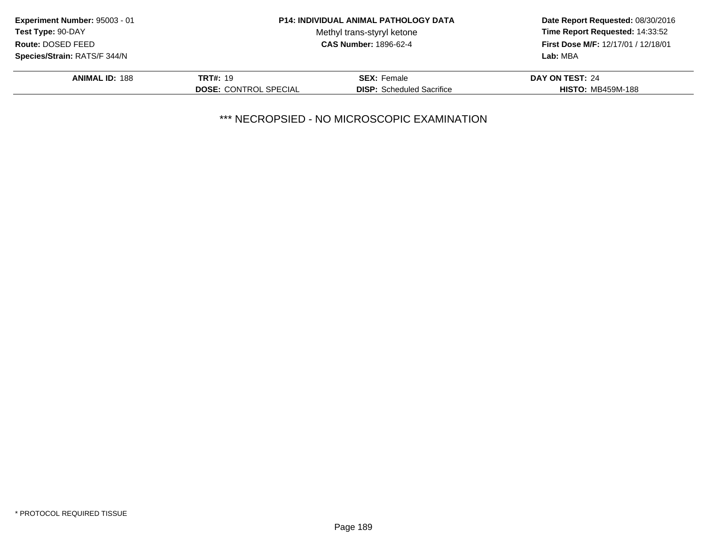| Experiment Number: 95003 - 01                                                                               | <b>P14: INDIVIDUAL ANIMAL PATHOLOGY DATA</b> |                                  | Date Report Requested: 08/30/2016   |  |
|-------------------------------------------------------------------------------------------------------------|----------------------------------------------|----------------------------------|-------------------------------------|--|
| <b>Test Type: 90-DAY</b><br>Methyl trans-styryl ketone<br>Route: DOSED FEED<br><b>CAS Number: 1896-62-4</b> |                                              |                                  | Time Report Requested: 14:33:52     |  |
|                                                                                                             |                                              |                                  | First Dose M/F: 12/17/01 / 12/18/01 |  |
| Species/Strain: RATS/F 344/N                                                                                |                                              |                                  | Lab: MBA                            |  |
| <b>ANIMAL ID: 188</b>                                                                                       | <b>TRT#: 19</b>                              | <b>SEX: Female</b>               | DAY ON TEST: 24                     |  |
|                                                                                                             | <b>DOSE: CONTROL SPECIAL</b>                 | <b>DISP:</b> Scheduled Sacrifice | <b>HISTO: MB459M-188</b>            |  |
|                                                                                                             |                                              |                                  |                                     |  |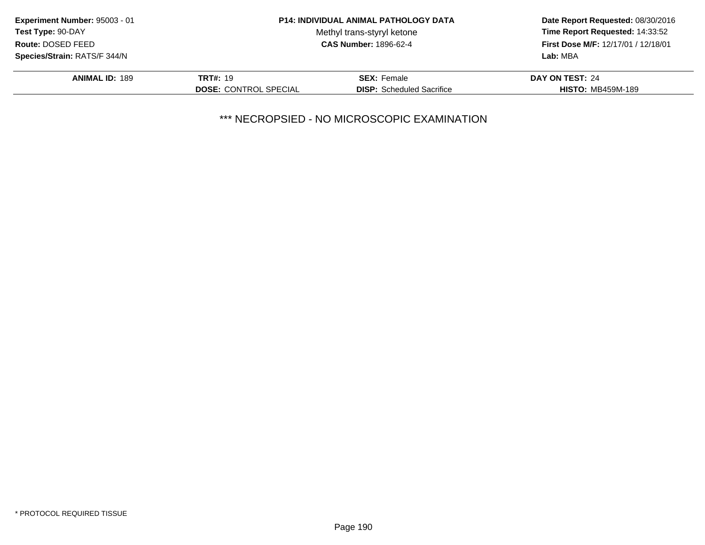| Experiment Number: 95003 - 01                                                                               | <b>P14: INDIVIDUAL ANIMAL PATHOLOGY DATA</b> |                                  | Date Report Requested: 08/30/2016                                      |  |
|-------------------------------------------------------------------------------------------------------------|----------------------------------------------|----------------------------------|------------------------------------------------------------------------|--|
| <b>Test Type: 90-DAY</b><br>Methyl trans-styryl ketone<br>Route: DOSED FEED<br><b>CAS Number: 1896-62-4</b> |                                              |                                  | Time Report Requested: 14:33:52<br>First Dose M/F: 12/17/01 / 12/18/01 |  |
|                                                                                                             |                                              |                                  |                                                                        |  |
| <b>Species/Strain: RATS/F 344/N</b>                                                                         |                                              |                                  | Lab: MBA                                                               |  |
| <b>ANIMAL ID: 189</b>                                                                                       | <b>TRT#: 19</b>                              | <b>SEX: Female</b>               | DAY ON TEST: 24                                                        |  |
|                                                                                                             | <b>DOSE: CONTROL SPECIAL</b>                 | <b>DISP:</b> Scheduled Sacrifice | <b>HISTO: MB459M-189</b>                                               |  |
|                                                                                                             |                                              |                                  |                                                                        |  |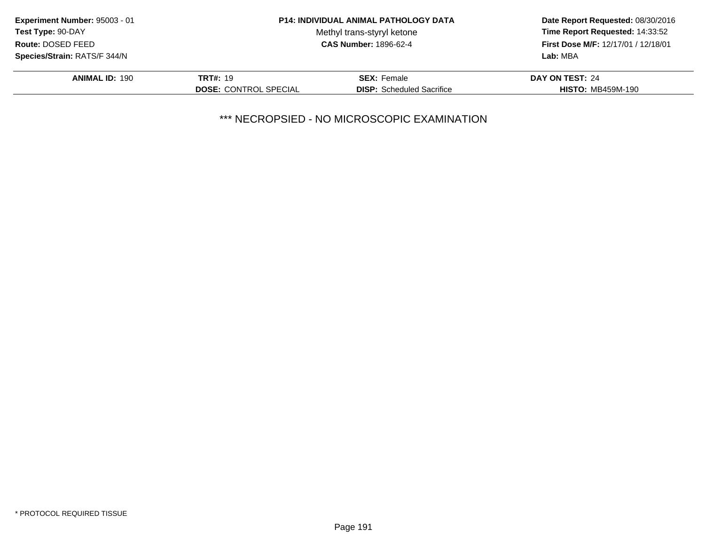| Experiment Number: 95003 - 01<br><b>Test Type: 90-DAY</b><br>Route: DOSED FEED |                              | <b>P14: INDIVIDUAL ANIMAL PATHOLOGY DATA</b> | Date Report Requested: 08/30/2016<br>Time Report Requested: 14:33:52<br>First Dose M/F: 12/17/01 / 12/18/01 |
|--------------------------------------------------------------------------------|------------------------------|----------------------------------------------|-------------------------------------------------------------------------------------------------------------|
|                                                                                |                              | Methyl trans-styryl ketone                   |                                                                                                             |
|                                                                                |                              | <b>CAS Number: 1896-62-4</b>                 |                                                                                                             |
| Species/Strain: RATS/F 344/N                                                   |                              |                                              | Lab: MBA                                                                                                    |
| <b>ANIMAL ID: 190</b>                                                          | <b>TRT#: 19</b>              | <b>SEX: Female</b>                           | DAY ON TEST: 24                                                                                             |
|                                                                                | <b>DOSE: CONTROL SPECIAL</b> | <b>DISP:</b> Scheduled Sacrifice             | <b>HISTO: MB459M-190</b>                                                                                    |
|                                                                                |                              |                                              |                                                                                                             |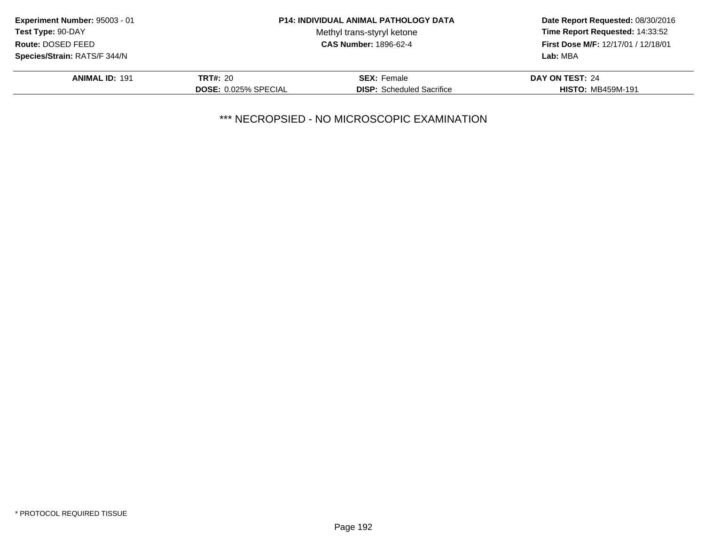| Experiment Number: 95003 - 01                                                                               | <b>P14: INDIVIDUAL ANIMAL PATHOLOGY DATA</b> |                                  | Date Report Requested: 08/30/2016   |  |
|-------------------------------------------------------------------------------------------------------------|----------------------------------------------|----------------------------------|-------------------------------------|--|
| <b>Test Type: 90-DAY</b><br>Methyl trans-styryl ketone<br>Route: DOSED FEED<br><b>CAS Number: 1896-62-4</b> |                                              |                                  | Time Report Requested: 14:33:52     |  |
|                                                                                                             |                                              |                                  | First Dose M/F: 12/17/01 / 12/18/01 |  |
| Species/Strain: RATS/F 344/N                                                                                |                                              |                                  | Lab: MBA                            |  |
| <b>ANIMAL ID: 191</b>                                                                                       | <b>TRT#: 20</b>                              | <b>SEX:</b> Female               | DAY ON TEST: 24                     |  |
|                                                                                                             | <b>DOSE: 0.025% SPECIAL</b>                  | <b>DISP:</b> Scheduled Sacrifice | <b>HISTO: MB459M-191</b>            |  |
|                                                                                                             |                                              |                                  |                                     |  |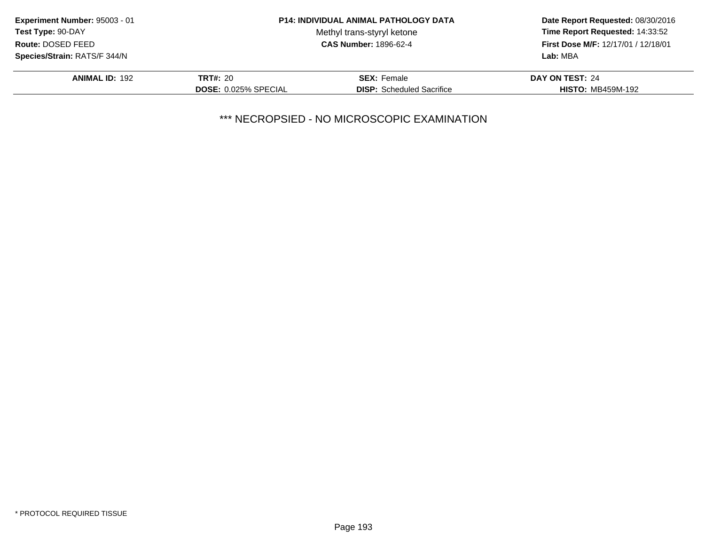| Experiment Number: 95003 - 01 |                             | <b>P14: INDIVIDUAL ANIMAL PATHOLOGY DATA</b> | Date Report Requested: 08/30/2016<br>Time Report Requested: 14:33:52<br>First Dose M/F: 12/17/01 / 12/18/01<br>Lab: MBA |
|-------------------------------|-----------------------------|----------------------------------------------|-------------------------------------------------------------------------------------------------------------------------|
| <b>Test Type: 90-DAY</b>      |                             | Methyl trans-styryl ketone                   |                                                                                                                         |
| Route: DOSED FEED             |                             | <b>CAS Number: 1896-62-4</b>                 |                                                                                                                         |
| Species/Strain: RATS/F 344/N  |                             |                                              |                                                                                                                         |
| <b>ANIMAL ID: 192</b>         | <b>TRT#: 20</b>             | <b>SEX:</b> Female                           | DAY ON TEST: 24                                                                                                         |
|                               | <b>DOSE: 0.025% SPECIAL</b> | <b>DISP:</b> Scheduled Sacrifice             | <b>HISTO: MB459M-192</b>                                                                                                |
|                               |                             |                                              |                                                                                                                         |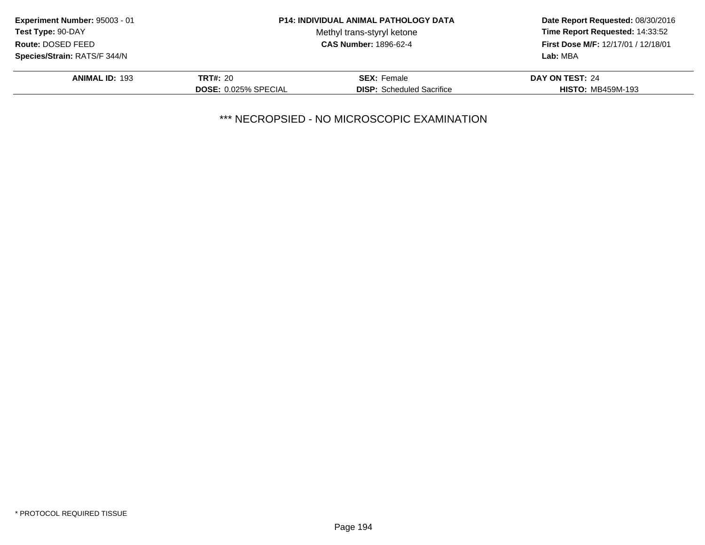| Experiment Number: 95003 - 01 |                             | <b>P14: INDIVIDUAL ANIMAL PATHOLOGY DATA</b> | Date Report Requested: 08/30/2016<br>Time Report Requested: 14:33:52<br>First Dose M/F: 12/17/01 / 12/18/01<br>Lab: MBA |
|-------------------------------|-----------------------------|----------------------------------------------|-------------------------------------------------------------------------------------------------------------------------|
| <b>Test Type: 90-DAY</b>      |                             | Methyl trans-styryl ketone                   |                                                                                                                         |
| Route: DOSED FEED             |                             | <b>CAS Number: 1896-62-4</b>                 |                                                                                                                         |
| Species/Strain: RATS/F 344/N  |                             |                                              |                                                                                                                         |
| <b>ANIMAL ID: 193</b>         | <b>TRT#: 20</b>             | <b>SEX:</b> Female                           | DAY ON TEST: 24                                                                                                         |
|                               | <b>DOSE: 0.025% SPECIAL</b> | <b>DISP:</b> Scheduled Sacrifice             | <b>HISTO: MB459M-193</b>                                                                                                |
|                               |                             |                                              |                                                                                                                         |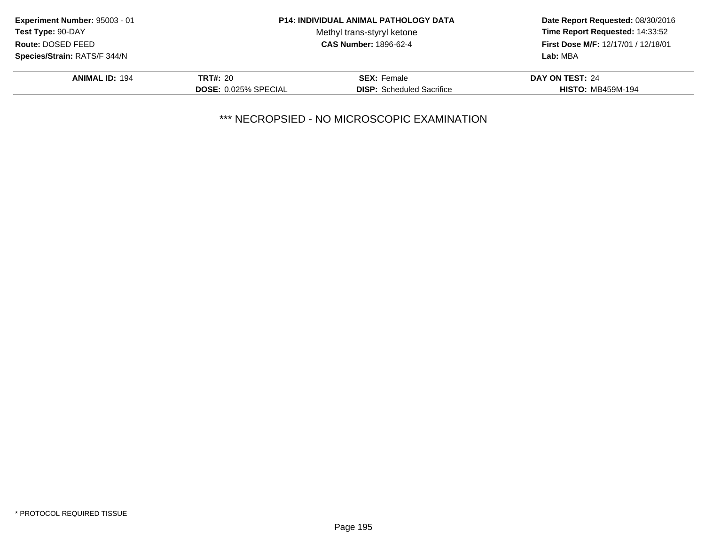| Experiment Number: 95003 - 01 |                             | <b>P14: INDIVIDUAL ANIMAL PATHOLOGY DATA</b> | Date Report Requested: 08/30/2016<br>Time Report Requested: 14:33:52<br>First Dose M/F: 12/17/01 / 12/18/01<br>Lab: MBA |
|-------------------------------|-----------------------------|----------------------------------------------|-------------------------------------------------------------------------------------------------------------------------|
| <b>Test Type: 90-DAY</b>      |                             | Methyl trans-styryl ketone                   |                                                                                                                         |
| Route: DOSED FEED             |                             | <b>CAS Number: 1896-62-4</b>                 |                                                                                                                         |
| Species/Strain: RATS/F 344/N  |                             |                                              |                                                                                                                         |
| <b>ANIMAL ID: 194</b>         | <b>TRT#: 20</b>             | <b>SEX: Female</b>                           | DAY ON TEST: 24                                                                                                         |
|                               | <b>DOSE: 0.025% SPECIAL</b> | <b>DISP:</b> Scheduled Sacrifice             | <b>HISTO: MB459M-194</b>                                                                                                |
|                               |                             |                                              |                                                                                                                         |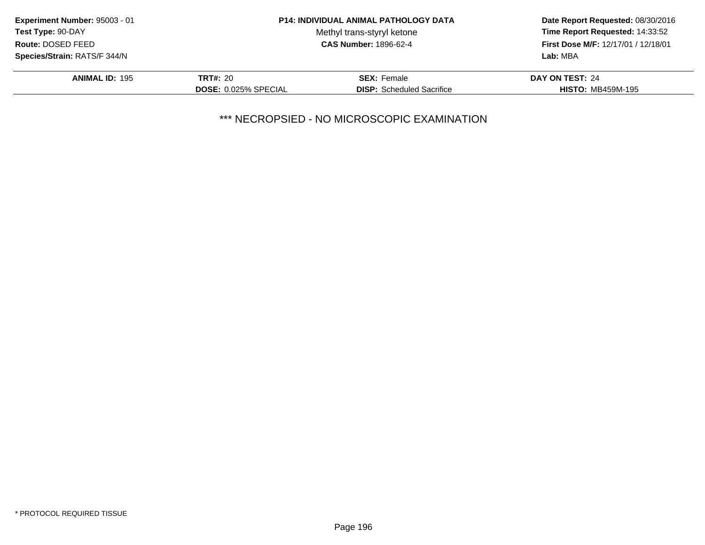| Experiment Number: 95003 - 01 |                             | <b>P14: INDIVIDUAL ANIMAL PATHOLOGY DATA</b> | Date Report Requested: 08/30/2016<br>Time Report Requested: 14:33:52<br>First Dose M/F: 12/17/01 / 12/18/01<br>Lab: MBA |
|-------------------------------|-----------------------------|----------------------------------------------|-------------------------------------------------------------------------------------------------------------------------|
| <b>Test Type: 90-DAY</b>      |                             | Methyl trans-styryl ketone                   |                                                                                                                         |
| Route: DOSED FEED             |                             | <b>CAS Number: 1896-62-4</b>                 |                                                                                                                         |
| Species/Strain: RATS/F 344/N  |                             |                                              |                                                                                                                         |
| <b>ANIMAL ID: 195</b>         | <b>TRT#: 20</b>             | <b>SEX: Female</b>                           | DAY ON TEST: 24                                                                                                         |
|                               | <b>DOSE: 0.025% SPECIAL</b> | <b>DISP:</b> Scheduled Sacrifice             | <b>HISTO: MB459M-195</b>                                                                                                |
|                               |                             |                                              |                                                                                                                         |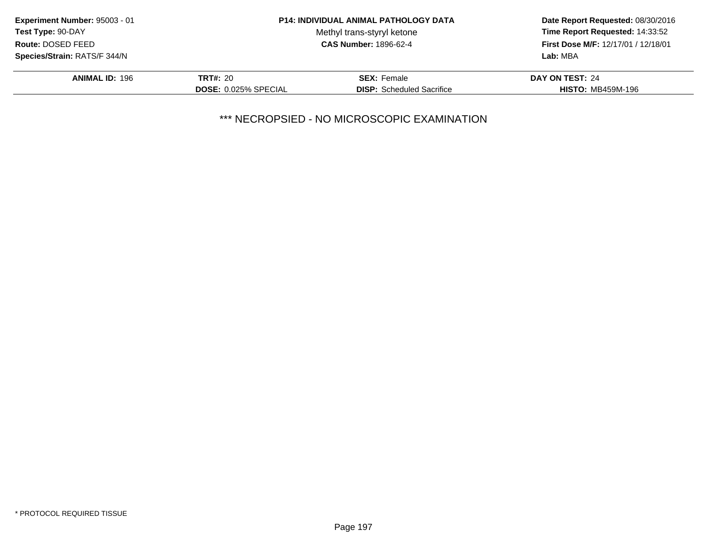| Experiment Number: 95003 - 01 |                             | <b>P14: INDIVIDUAL ANIMAL PATHOLOGY DATA</b> | Date Report Requested: 08/30/2016<br>Time Report Requested: 14:33:52<br>First Dose M/F: 12/17/01 / 12/18/01<br>Lab: MBA |
|-------------------------------|-----------------------------|----------------------------------------------|-------------------------------------------------------------------------------------------------------------------------|
| <b>Test Type: 90-DAY</b>      |                             | Methyl trans-styryl ketone                   |                                                                                                                         |
| Route: DOSED FEED             |                             | <b>CAS Number: 1896-62-4</b>                 |                                                                                                                         |
| Species/Strain: RATS/F 344/N  |                             |                                              |                                                                                                                         |
| <b>ANIMAL ID: 196</b>         | <b>TRT#: 20</b>             | <b>SEX: Female</b>                           | DAY ON TEST: 24                                                                                                         |
|                               | <b>DOSE: 0.025% SPECIAL</b> | <b>DISP:</b> Scheduled Sacrifice             | <b>HISTO: MB459M-196</b>                                                                                                |
|                               |                             |                                              |                                                                                                                         |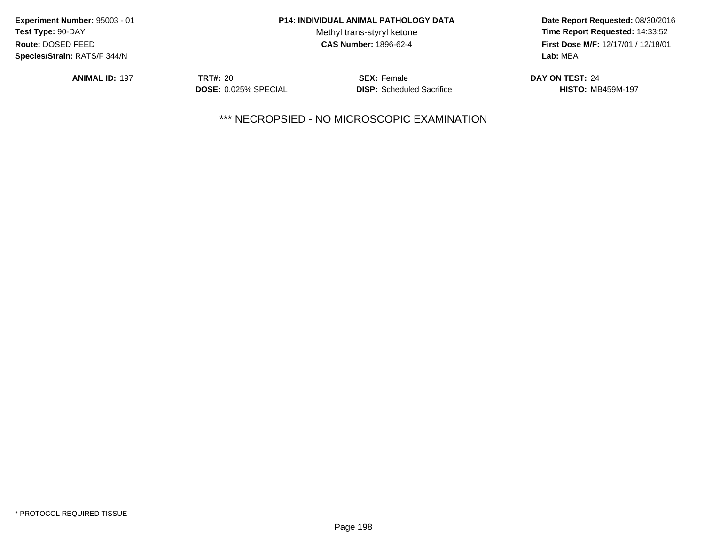| Experiment Number: 95003 - 01 |                             | <b>P14: INDIVIDUAL ANIMAL PATHOLOGY DATA</b> | Date Report Requested: 08/30/2016<br>Time Report Requested: 14:33:52<br>First Dose M/F: 12/17/01 / 12/18/01<br>Lab: MBA |
|-------------------------------|-----------------------------|----------------------------------------------|-------------------------------------------------------------------------------------------------------------------------|
| <b>Test Type: 90-DAY</b>      |                             | Methyl trans-styryl ketone                   |                                                                                                                         |
| Route: DOSED FEED             |                             | <b>CAS Number: 1896-62-4</b>                 |                                                                                                                         |
| Species/Strain: RATS/F 344/N  |                             |                                              |                                                                                                                         |
| <b>ANIMAL ID: 197</b>         | <b>TRT#: 20</b>             | <b>SEX:</b> Female                           | DAY ON TEST: 24                                                                                                         |
|                               | <b>DOSE: 0.025% SPECIAL</b> | <b>DISP:</b> Scheduled Sacrifice             | <b>HISTO: MB459M-197</b>                                                                                                |
|                               |                             |                                              |                                                                                                                         |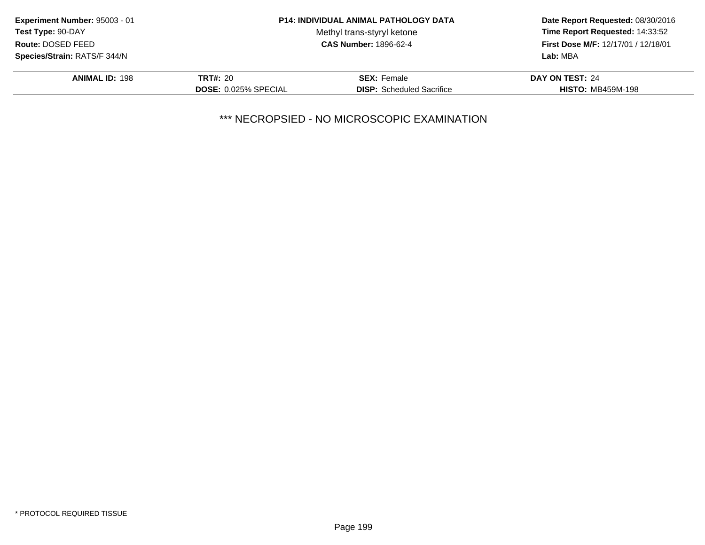| Experiment Number: 95003 - 01 |                             | <b>P14: INDIVIDUAL ANIMAL PATHOLOGY DATA</b> | Date Report Requested: 08/30/2016<br>Time Report Requested: 14:33:52<br>First Dose M/F: 12/17/01 / 12/18/01<br>Lab: MBA |
|-------------------------------|-----------------------------|----------------------------------------------|-------------------------------------------------------------------------------------------------------------------------|
| <b>Test Type: 90-DAY</b>      |                             | Methyl trans-styryl ketone                   |                                                                                                                         |
| Route: DOSED FEED             |                             | <b>CAS Number: 1896-62-4</b>                 |                                                                                                                         |
| Species/Strain: RATS/F 344/N  |                             |                                              |                                                                                                                         |
| <b>ANIMAL ID: 198</b>         | <b>TRT#: 20</b>             | <b>SEX: Female</b>                           | DAY ON TEST: 24                                                                                                         |
|                               | <b>DOSE: 0.025% SPECIAL</b> | <b>DISP:</b> Scheduled Sacrifice             | <b>HISTO: MB459M-198</b>                                                                                                |
|                               |                             |                                              |                                                                                                                         |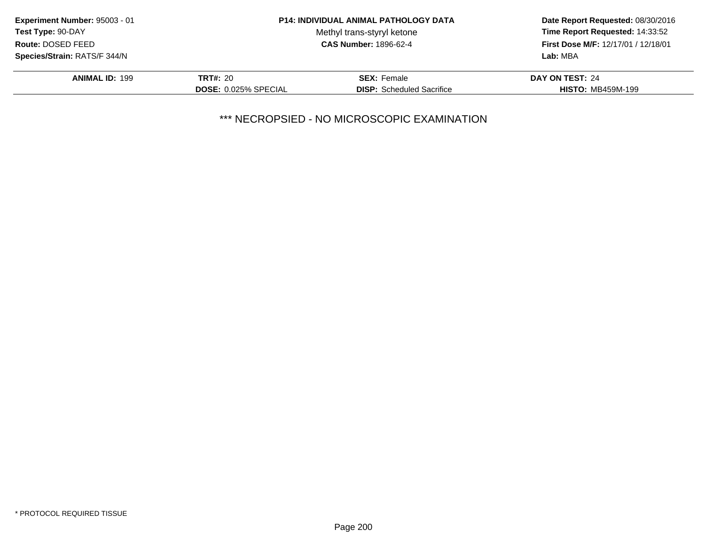| Experiment Number: 95003 - 01 |                             | <b>P14: INDIVIDUAL ANIMAL PATHOLOGY DATA</b> | Date Report Requested: 08/30/2016<br>Time Report Requested: 14:33:52<br>First Dose M/F: 12/17/01 / 12/18/01<br>Lab: MBA |
|-------------------------------|-----------------------------|----------------------------------------------|-------------------------------------------------------------------------------------------------------------------------|
| <b>Test Type: 90-DAY</b>      |                             | Methyl trans-styryl ketone                   |                                                                                                                         |
| Route: DOSED FEED             |                             | <b>CAS Number: 1896-62-4</b>                 |                                                                                                                         |
| Species/Strain: RATS/F 344/N  |                             |                                              |                                                                                                                         |
| <b>ANIMAL ID: 199</b>         | <b>TRT#: 20</b>             | <b>SEX:</b> Female                           | DAY ON TEST: 24                                                                                                         |
|                               | <b>DOSE: 0.025% SPECIAL</b> | <b>DISP:</b> Scheduled Sacrifice             | <b>HISTO: MB459M-199</b>                                                                                                |
|                               |                             |                                              |                                                                                                                         |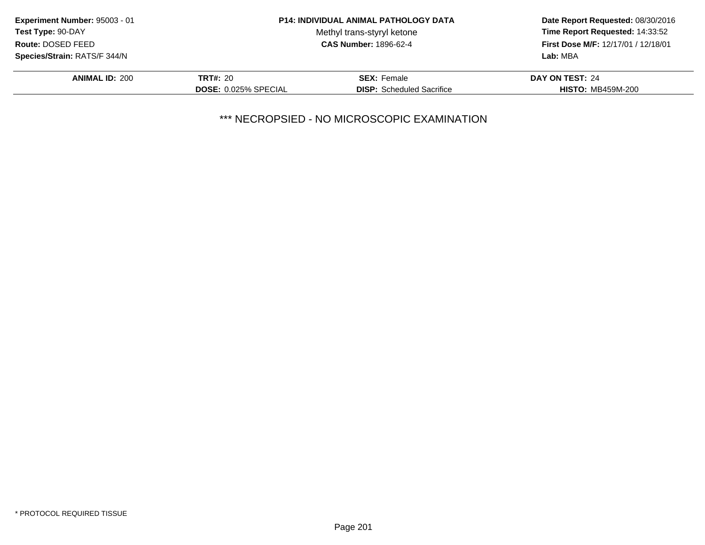| Experiment Number: 95003 - 01 |                             | <b>P14: INDIVIDUAL ANIMAL PATHOLOGY DATA</b> | Date Report Requested: 08/30/2016<br>Time Report Requested: 14:33:52 |
|-------------------------------|-----------------------------|----------------------------------------------|----------------------------------------------------------------------|
| Test Type: 90-DAY             |                             | Methyl trans-styryl ketone                   |                                                                      |
| Route: DOSED FEED             |                             | <b>CAS Number: 1896-62-4</b>                 | First Dose M/F: 12/17/01 / 12/18/01                                  |
| Species/Strain: RATS/F 344/N  |                             |                                              | Lab: MBA                                                             |
| <b>ANIMAL ID: 200</b>         | <b>TRT#: 20</b>             | <b>SEX: Female</b>                           | DAY ON TEST: 24                                                      |
|                               | <b>DOSE: 0.025% SPECIAL</b> | <b>DISP:</b> Scheduled Sacrifice             | <b>HISTO: MB459M-200</b>                                             |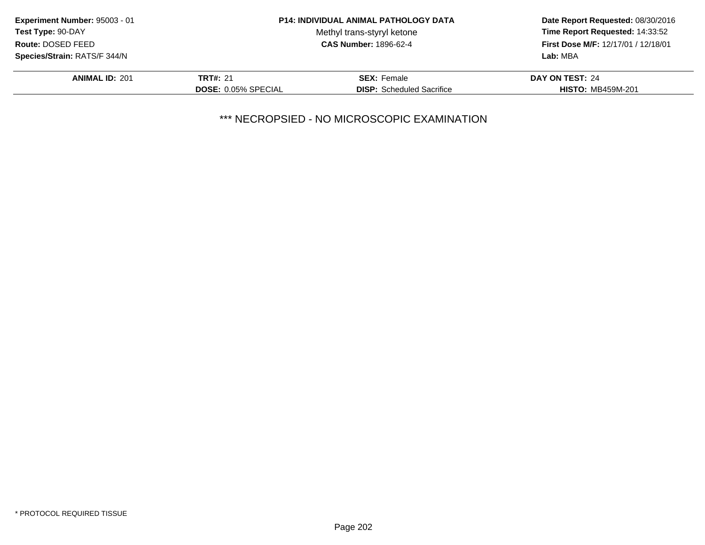| Experiment Number: 95003 - 01       |                            | <b>P14: INDIVIDUAL ANIMAL PATHOLOGY DATA</b> | Date Report Requested: 08/30/2016<br>Time Report Requested: 14:33:52<br><b>First Dose M/F: 12/17/01 / 12/18/01</b> |
|-------------------------------------|----------------------------|----------------------------------------------|--------------------------------------------------------------------------------------------------------------------|
| Test Type: 90-DAY                   |                            | Methyl trans-styryl ketone                   |                                                                                                                    |
| Route: DOSED FEED                   |                            | <b>CAS Number: 1896-62-4</b>                 |                                                                                                                    |
| <b>Species/Strain: RATS/F 344/N</b> |                            |                                              | Lab: MBA                                                                                                           |
| <b>ANIMAL ID: 201</b>               | <b>TRT#: 21</b>            | <b>SEX: Female</b>                           | DAY ON TEST: 24                                                                                                    |
|                                     | <b>DOSE: 0.05% SPECIAL</b> | <b>DISP:</b> Scheduled Sacrifice             | <b>HISTO: MB459M-201</b>                                                                                           |
|                                     |                            |                                              |                                                                                                                    |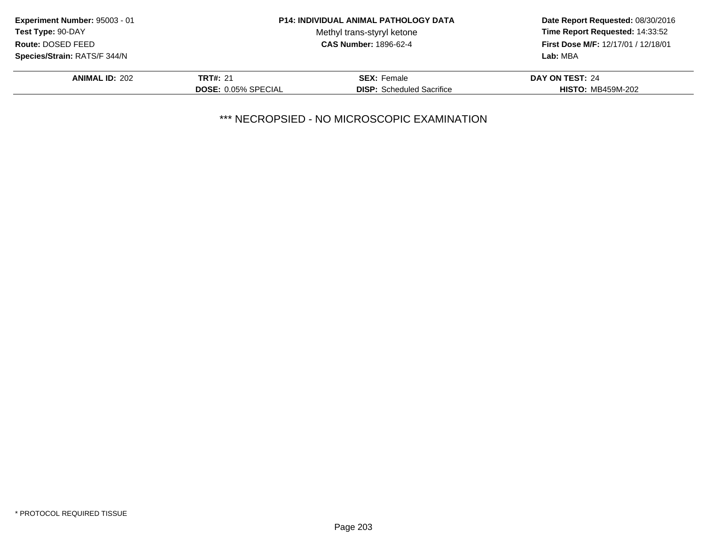| Experiment Number: 95003 - 01 |                            | <b>P14: INDIVIDUAL ANIMAL PATHOLOGY DATA</b> | Date Report Requested: 08/30/2016<br>Time Report Requested: 14:33:52<br>First Dose M/F: 12/17/01 / 12/18/01<br>Lab: MBA |
|-------------------------------|----------------------------|----------------------------------------------|-------------------------------------------------------------------------------------------------------------------------|
| <b>Test Type: 90-DAY</b>      |                            | Methyl trans-styryl ketone                   |                                                                                                                         |
| Route: DOSED FEED             |                            | <b>CAS Number: 1896-62-4</b>                 |                                                                                                                         |
| Species/Strain: RATS/F 344/N  |                            |                                              |                                                                                                                         |
| <b>ANIMAL ID: 202</b>         | <b>TRT#: 21</b>            | <b>SEX:</b> Female                           | DAY ON TEST: 24                                                                                                         |
|                               | <b>DOSE: 0.05% SPECIAL</b> | <b>DISP:</b> Scheduled Sacrifice             | <b>HISTO: MB459M-202</b>                                                                                                |
|                               |                            |                                              |                                                                                                                         |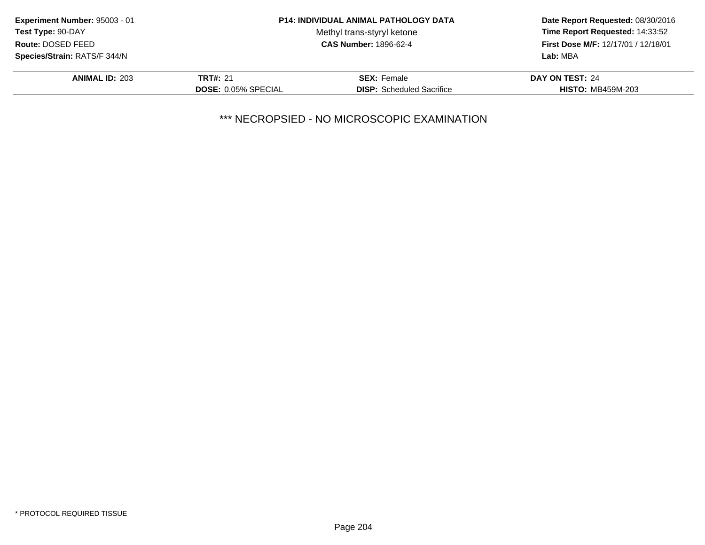| Experiment Number: 95003 - 01 |                            | <b>P14: INDIVIDUAL ANIMAL PATHOLOGY DATA</b> | Date Report Requested: 08/30/2016<br>Time Report Requested: 14:33:52<br>First Dose M/F: 12/17/01 / 12/18/01 |
|-------------------------------|----------------------------|----------------------------------------------|-------------------------------------------------------------------------------------------------------------|
| <b>Test Type: 90-DAY</b>      |                            | Methyl trans-styryl ketone                   |                                                                                                             |
| Route: DOSED FEED             |                            | <b>CAS Number: 1896-62-4</b>                 |                                                                                                             |
| Species/Strain: RATS/F 344/N  |                            |                                              | Lab: MBA                                                                                                    |
| <b>ANIMAL ID: 203</b>         | <b>TRT#: 21</b>            | <b>SEX:</b> Female                           | DAY ON TEST: 24                                                                                             |
|                               | <b>DOSE: 0.05% SPECIAL</b> | <b>DISP:</b> Scheduled Sacrifice             | <b>HISTO: MB459M-203</b>                                                                                    |
|                               |                            |                                              |                                                                                                             |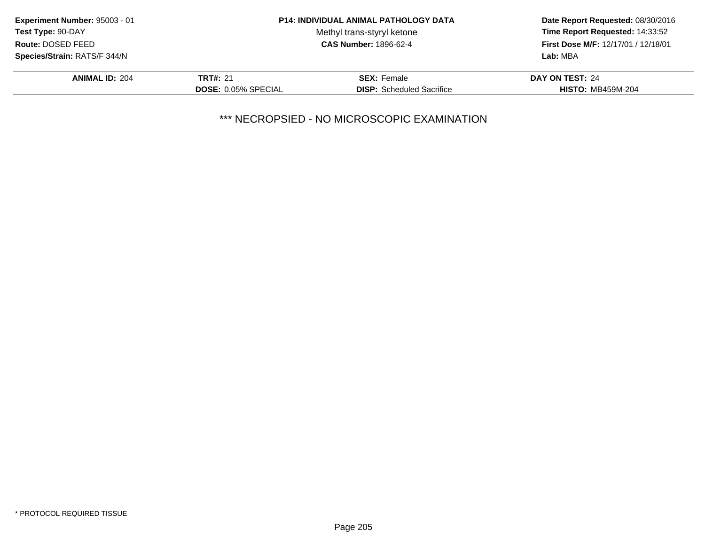| Experiment Number: 95003 - 01 |                            | <b>P14: INDIVIDUAL ANIMAL PATHOLOGY DATA</b> | Date Report Requested: 08/30/2016<br>Time Report Requested: 14:33:52<br>First Dose M/F: 12/17/01 / 12/18/01<br>Lab: MBA |
|-------------------------------|----------------------------|----------------------------------------------|-------------------------------------------------------------------------------------------------------------------------|
| <b>Test Type: 90-DAY</b>      |                            | Methyl trans-styryl ketone                   |                                                                                                                         |
| Route: DOSED FEED             |                            | <b>CAS Number: 1896-62-4</b>                 |                                                                                                                         |
| Species/Strain: RATS/F 344/N  |                            |                                              |                                                                                                                         |
| <b>ANIMAL ID: 204</b>         | <b>TRT#: 21</b>            | <b>SEX:</b> Female                           | DAY ON TEST: 24                                                                                                         |
|                               | <b>DOSE: 0.05% SPECIAL</b> | <b>DISP:</b> Scheduled Sacrifice             | <b>HISTO: MB459M-204</b>                                                                                                |
|                               |                            |                                              |                                                                                                                         |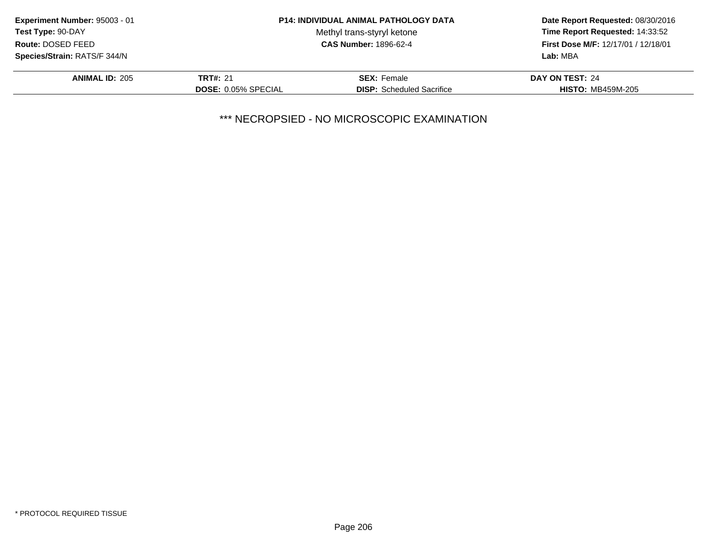| Experiment Number: 95003 - 01 |                            | <b>P14: INDIVIDUAL ANIMAL PATHOLOGY DATA</b> | Date Report Requested: 08/30/2016<br>Time Report Requested: 14:33:52<br>First Dose M/F: 12/17/01 / 12/18/01<br>Lab: MBA |
|-------------------------------|----------------------------|----------------------------------------------|-------------------------------------------------------------------------------------------------------------------------|
| <b>Test Type: 90-DAY</b>      |                            | Methyl trans-styryl ketone                   |                                                                                                                         |
| Route: DOSED FEED             |                            | <b>CAS Number: 1896-62-4</b>                 |                                                                                                                         |
| Species/Strain: RATS/F 344/N  |                            |                                              |                                                                                                                         |
| <b>ANIMAL ID: 205</b>         | <b>TRT#: 21</b>            | <b>SEX:</b> Female                           | DAY ON TEST: 24                                                                                                         |
|                               | <b>DOSE: 0.05% SPECIAL</b> | <b>DISP:</b> Scheduled Sacrifice             | <b>HISTO: MB459M-205</b>                                                                                                |
|                               |                            |                                              |                                                                                                                         |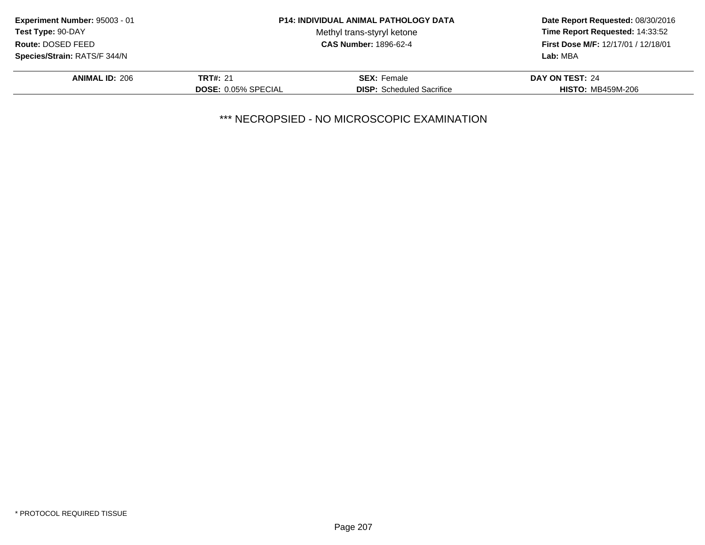| Experiment Number: 95003 - 01 |                            | <b>P14: INDIVIDUAL ANIMAL PATHOLOGY DATA</b> | Date Report Requested: 08/30/2016<br>Time Report Requested: 14:33:52<br>First Dose M/F: 12/17/01 / 12/18/01<br>Lab: MBA |
|-------------------------------|----------------------------|----------------------------------------------|-------------------------------------------------------------------------------------------------------------------------|
| <b>Test Type: 90-DAY</b>      |                            | Methyl trans-styryl ketone                   |                                                                                                                         |
| Route: DOSED FEED             |                            | <b>CAS Number: 1896-62-4</b>                 |                                                                                                                         |
| Species/Strain: RATS/F 344/N  |                            |                                              |                                                                                                                         |
| <b>ANIMAL ID: 206</b>         | <b>TRT#: 21</b>            | <b>SEX: Female</b>                           | DAY ON TEST: 24                                                                                                         |
|                               | <b>DOSE: 0.05% SPECIAL</b> | <b>DISP:</b> Scheduled Sacrifice             | <b>HISTO: MB459M-206</b>                                                                                                |
|                               |                            |                                              |                                                                                                                         |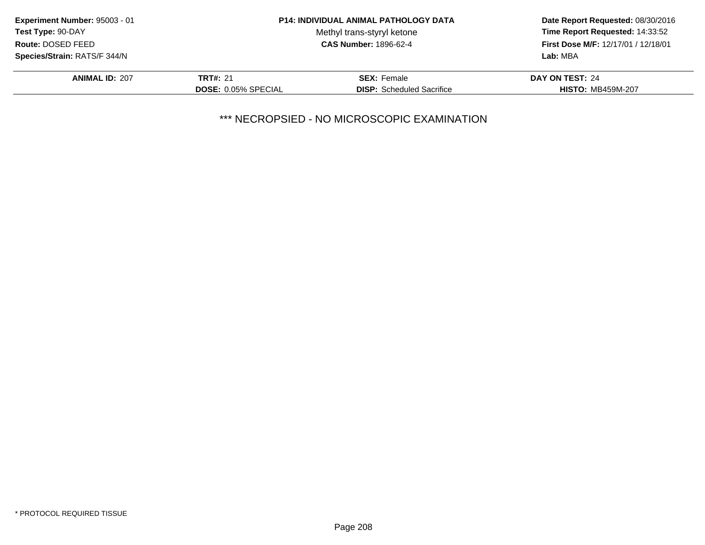| Experiment Number: 95003 - 01 |                            | <b>P14: INDIVIDUAL ANIMAL PATHOLOGY DATA</b> | Date Report Requested: 08/30/2016<br>Time Report Requested: 14:33:52<br><b>First Dose M/F: 12/17/01 / 12/18/01</b> |
|-------------------------------|----------------------------|----------------------------------------------|--------------------------------------------------------------------------------------------------------------------|
| Test Type: 90-DAY             |                            | Methyl trans-styryl ketone                   |                                                                                                                    |
| Route: DOSED FEED             |                            | <b>CAS Number: 1896-62-4</b>                 |                                                                                                                    |
| Species/Strain: RATS/F 344/N  |                            |                                              | Lab: MBA                                                                                                           |
| <b>ANIMAL ID: 207</b>         | <b>TRT#: 21</b>            | <b>SEX: Female</b>                           | DAY ON TEST: 24                                                                                                    |
|                               | <b>DOSE: 0.05% SPECIAL</b> | <b>DISP:</b> Scheduled Sacrifice             | <b>HISTO: MB459M-207</b>                                                                                           |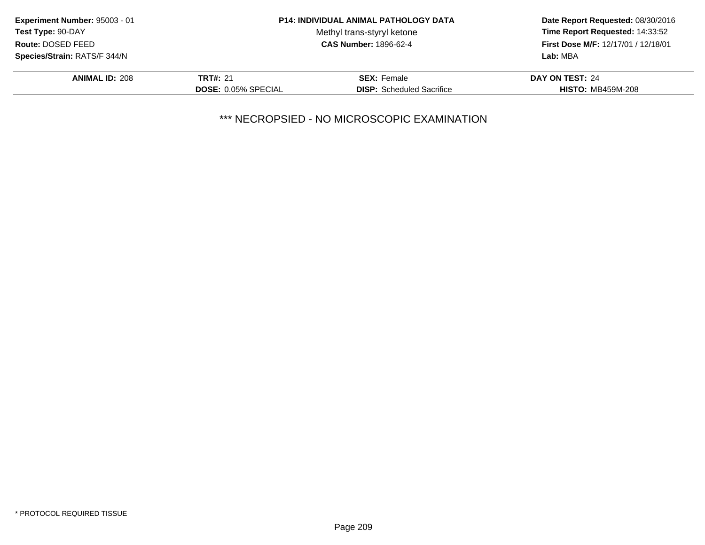| Experiment Number: 95003 - 01 |                            | <b>P14: INDIVIDUAL ANIMAL PATHOLOGY DATA</b> | Date Report Requested: 08/30/2016<br>Time Report Requested: 14:33:52<br>First Dose M/F: 12/17/01 / 12/18/01<br>Lab: MBA |
|-------------------------------|----------------------------|----------------------------------------------|-------------------------------------------------------------------------------------------------------------------------|
| <b>Test Type: 90-DAY</b>      |                            | Methyl trans-styryl ketone                   |                                                                                                                         |
| Route: DOSED FEED             |                            | <b>CAS Number: 1896-62-4</b>                 |                                                                                                                         |
| Species/Strain: RATS/F 344/N  |                            |                                              |                                                                                                                         |
| <b>ANIMAL ID: 208</b>         | <b>TRT#: 21</b>            | <b>SEX:</b> Female                           | DAY ON TEST: 24                                                                                                         |
|                               | <b>DOSE: 0.05% SPECIAL</b> | <b>DISP:</b> Scheduled Sacrifice             | <b>HISTO: MB459M-208</b>                                                                                                |
|                               |                            |                                              |                                                                                                                         |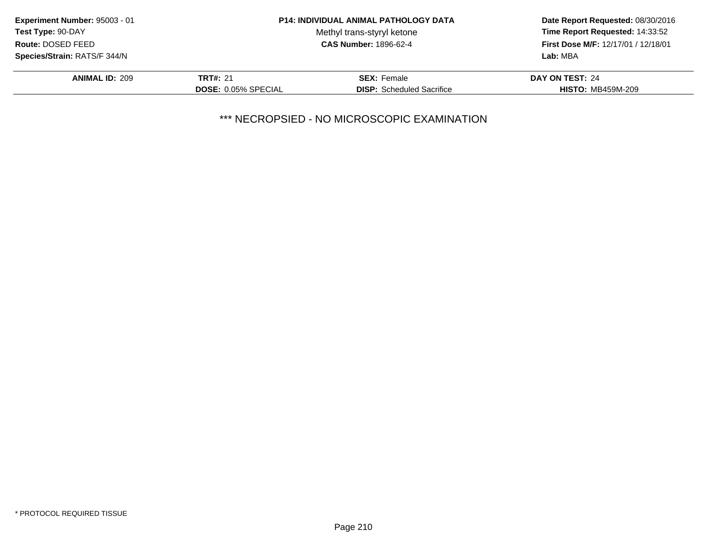| Experiment Number: 95003 - 01 |                            | <b>P14: INDIVIDUAL ANIMAL PATHOLOGY DATA</b> | Date Report Requested: 08/30/2016<br>Time Report Requested: 14:33:52<br>First Dose M/F: 12/17/01 / 12/18/01<br>Lab: MBA |
|-------------------------------|----------------------------|----------------------------------------------|-------------------------------------------------------------------------------------------------------------------------|
| <b>Test Type: 90-DAY</b>      |                            | Methyl trans-styryl ketone                   |                                                                                                                         |
| Route: DOSED FEED             |                            | <b>CAS Number: 1896-62-4</b>                 |                                                                                                                         |
| Species/Strain: RATS/F 344/N  |                            |                                              |                                                                                                                         |
| <b>ANIMAL ID: 209</b>         | <b>TRT#: 21</b>            | <b>SEX:</b> Female                           | DAY ON TEST: 24                                                                                                         |
|                               | <b>DOSE: 0.05% SPECIAL</b> | <b>DISP:</b> Scheduled Sacrifice             | <b>HISTO: MB459M-209</b>                                                                                                |
|                               |                            |                                              |                                                                                                                         |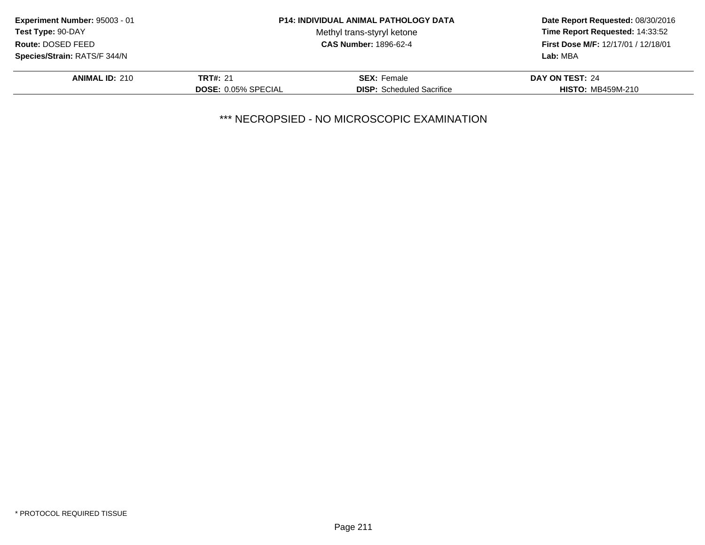| Experiment Number: 95003 - 01 |                            | <b>P14: INDIVIDUAL ANIMAL PATHOLOGY DATA</b> | Date Report Requested: 08/30/2016<br>Time Report Requested: 14:33:52<br><b>First Dose M/F: 12/17/01 / 12/18/01</b> |
|-------------------------------|----------------------------|----------------------------------------------|--------------------------------------------------------------------------------------------------------------------|
| Test Type: 90-DAY             |                            | Methyl trans-styryl ketone                   |                                                                                                                    |
| Route: DOSED FEED             |                            | <b>CAS Number: 1896-62-4</b>                 |                                                                                                                    |
| Species/Strain: RATS/F 344/N  |                            |                                              | Lab: MBA                                                                                                           |
| <b>ANIMAL ID: 210</b>         | <b>TRT#: 21</b>            | <b>SEX: Female</b>                           | DAY ON TEST: 24                                                                                                    |
|                               | <b>DOSE: 0.05% SPECIAL</b> | <b>DISP:</b> Scheduled Sacrifice             | <b>HISTO: MB459M-210</b>                                                                                           |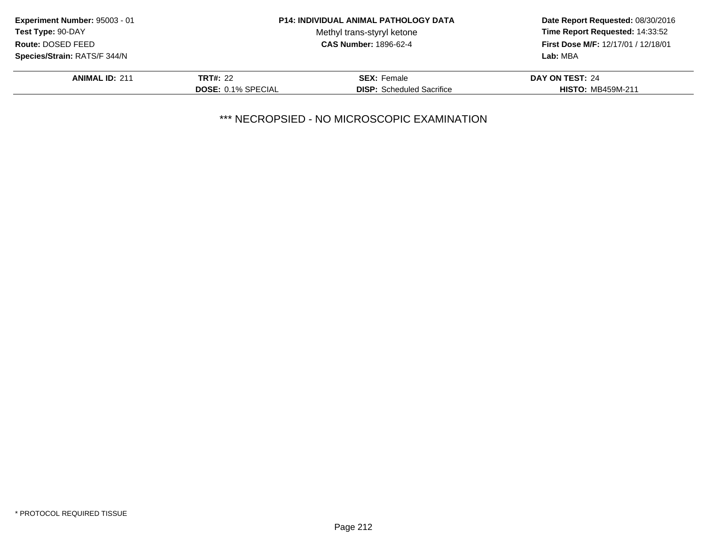| Experiment Number: 95003 - 01 |                           | <b>P14: INDIVIDUAL ANIMAL PATHOLOGY DATA</b> | Date Report Requested: 08/30/2016<br>Time Report Requested: 14:33:52<br>First Dose M/F: 12/17/01 / 12/18/01<br>Lab: MBA |
|-------------------------------|---------------------------|----------------------------------------------|-------------------------------------------------------------------------------------------------------------------------|
| <b>Test Type: 90-DAY</b>      |                           | Methyl trans-styryl ketone                   |                                                                                                                         |
| Route: DOSED FEED             |                           | <b>CAS Number: 1896-62-4</b>                 |                                                                                                                         |
| Species/Strain: RATS/F 344/N  |                           |                                              |                                                                                                                         |
| <b>ANIMAL ID: 211</b>         | TRT#: 22                  | <b>SEX: Female</b>                           | DAY ON TEST: 24                                                                                                         |
|                               | <b>DOSE: 0.1% SPECIAL</b> | <b>DISP:</b> Scheduled Sacrifice             | <b>HISTO: MB459M-211</b>                                                                                                |
|                               |                           |                                              |                                                                                                                         |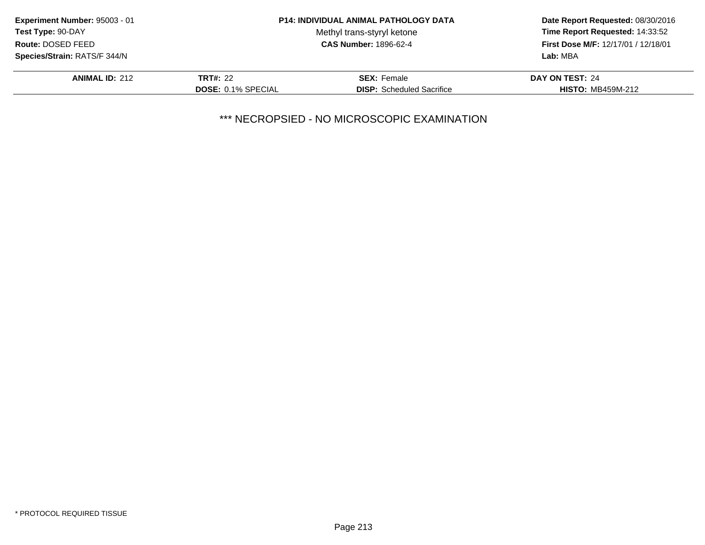| Experiment Number: 95003 - 01 |                           | <b>P14: INDIVIDUAL ANIMAL PATHOLOGY DATA</b> | Date Report Requested: 08/30/2016<br>Time Report Requested: 14:33:52<br>First Dose M/F: 12/17/01 / 12/18/01<br>Lab: MBA |
|-------------------------------|---------------------------|----------------------------------------------|-------------------------------------------------------------------------------------------------------------------------|
| <b>Test Type: 90-DAY</b>      |                           | Methyl trans-styryl ketone                   |                                                                                                                         |
| Route: DOSED FEED             |                           | <b>CAS Number: 1896-62-4</b>                 |                                                                                                                         |
| Species/Strain: RATS/F 344/N  |                           |                                              |                                                                                                                         |
| <b>ANIMAL ID: 212</b>         | <b>TRT#: 22</b>           | <b>SEX:</b> Female                           | DAY ON TEST: 24                                                                                                         |
|                               | <b>DOSE: 0.1% SPECIAL</b> | <b>DISP:</b> Scheduled Sacrifice             | <b>HISTO: MB459M-212</b>                                                                                                |
|                               |                           |                                              |                                                                                                                         |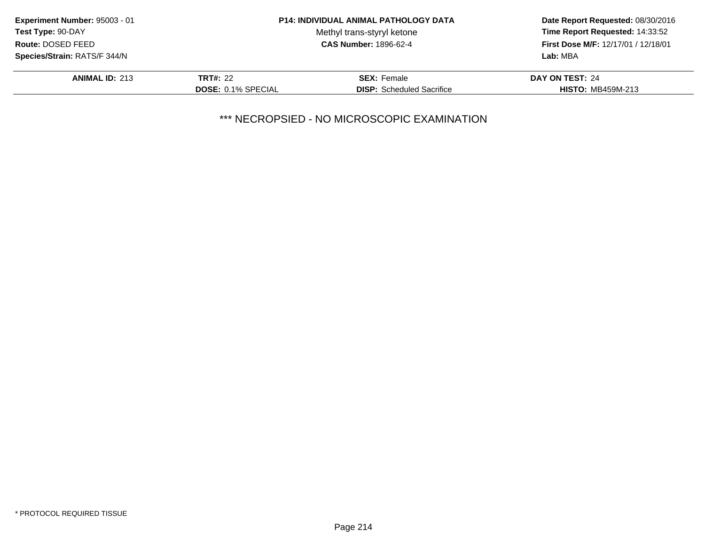| Experiment Number: 95003 - 01 |                           | <b>P14: INDIVIDUAL ANIMAL PATHOLOGY DATA</b> | Date Report Requested: 08/30/2016<br>Time Report Requested: 14:33:52<br>First Dose M/F: 12/17/01 / 12/18/01<br>Lab: MBA |
|-------------------------------|---------------------------|----------------------------------------------|-------------------------------------------------------------------------------------------------------------------------|
| <b>Test Type: 90-DAY</b>      |                           | Methyl trans-styryl ketone                   |                                                                                                                         |
| Route: DOSED FEED             |                           | <b>CAS Number: 1896-62-4</b>                 |                                                                                                                         |
| Species/Strain: RATS/F 344/N  |                           |                                              |                                                                                                                         |
| <b>ANIMAL ID: 213</b>         | <b>TRT#: 22</b>           | <b>SEX:</b> Female                           | DAY ON TEST: 24                                                                                                         |
|                               | <b>DOSE: 0.1% SPECIAL</b> | <b>DISP:</b> Scheduled Sacrifice             | <b>HISTO: MB459M-213</b>                                                                                                |
|                               |                           |                                              |                                                                                                                         |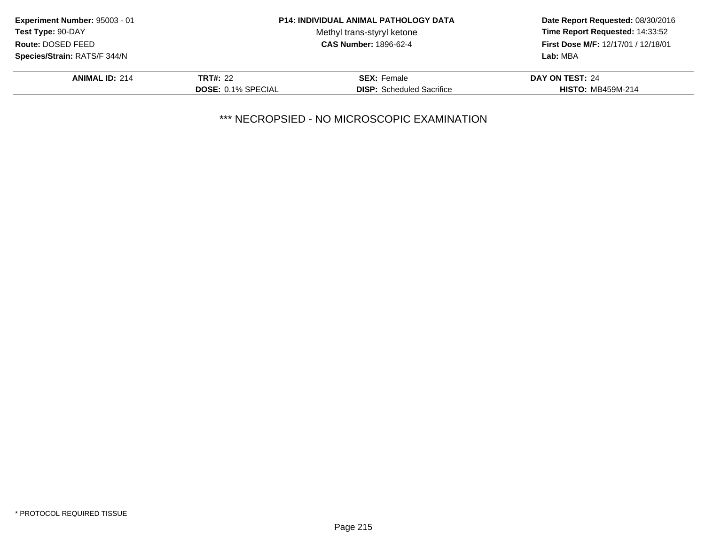| Experiment Number: 95003 - 01 |                           | <b>P14: INDIVIDUAL ANIMAL PATHOLOGY DATA</b> | Date Report Requested: 08/30/2016<br>Time Report Requested: 14:33:52<br>First Dose M/F: 12/17/01 / 12/18/01<br>Lab: MBA |
|-------------------------------|---------------------------|----------------------------------------------|-------------------------------------------------------------------------------------------------------------------------|
| <b>Test Type: 90-DAY</b>      |                           | Methyl trans-styryl ketone                   |                                                                                                                         |
| Route: DOSED FEED             |                           | <b>CAS Number: 1896-62-4</b>                 |                                                                                                                         |
| Species/Strain: RATS/F 344/N  |                           |                                              |                                                                                                                         |
| <b>ANIMAL ID: 214</b>         | <b>TRT#: 22</b>           | <b>SEX: Female</b>                           | DAY ON TEST: 24                                                                                                         |
|                               | <b>DOSE: 0.1% SPECIAL</b> | <b>DISP:</b> Scheduled Sacrifice             | <b>HISTO: MB459M-214</b>                                                                                                |
|                               |                           |                                              |                                                                                                                         |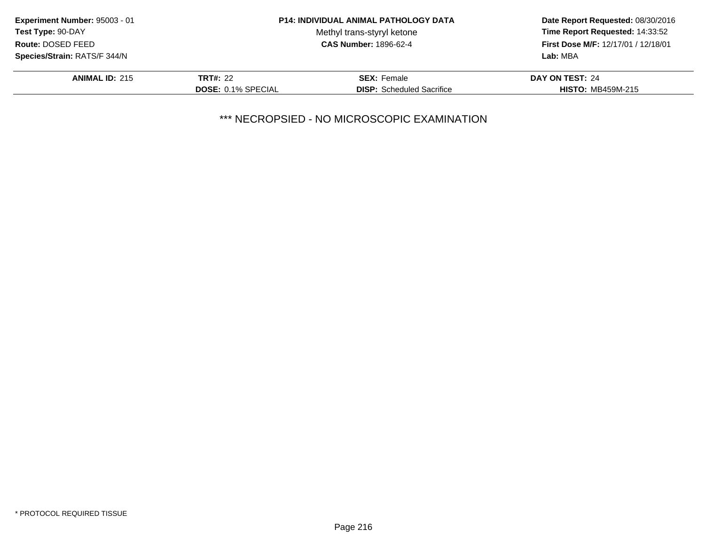| Experiment Number: 95003 - 01 |                           | <b>P14: INDIVIDUAL ANIMAL PATHOLOGY DATA</b> | Date Report Requested: 08/30/2016<br>Time Report Requested: 14:33:52<br>First Dose M/F: 12/17/01 / 12/18/01<br>Lab: MBA |
|-------------------------------|---------------------------|----------------------------------------------|-------------------------------------------------------------------------------------------------------------------------|
| <b>Test Type: 90-DAY</b>      |                           | Methyl trans-styryl ketone                   |                                                                                                                         |
| Route: DOSED FEED             |                           | <b>CAS Number: 1896-62-4</b>                 |                                                                                                                         |
| Species/Strain: RATS/F 344/N  |                           |                                              |                                                                                                                         |
| <b>ANIMAL ID: 215</b>         | <b>TRT#: 22</b>           | <b>SEX:</b> Female                           | DAY ON TEST: 24                                                                                                         |
|                               | <b>DOSE: 0.1% SPECIAL</b> | <b>DISP:</b> Scheduled Sacrifice             | <b>HISTO: MB459M-215</b>                                                                                                |
|                               |                           |                                              |                                                                                                                         |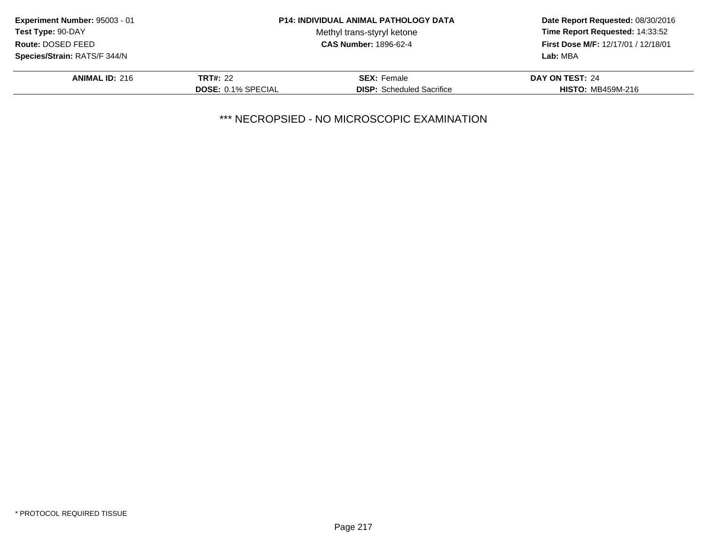| Experiment Number: 95003 - 01 |                           | <b>P14: INDIVIDUAL ANIMAL PATHOLOGY DATA</b> | Date Report Requested: 08/30/2016<br>Time Report Requested: 14:33:52<br>First Dose M/F: 12/17/01 / 12/18/01<br>Lab: MBA |
|-------------------------------|---------------------------|----------------------------------------------|-------------------------------------------------------------------------------------------------------------------------|
| <b>Test Type: 90-DAY</b>      |                           | Methyl trans-styryl ketone                   |                                                                                                                         |
| Route: DOSED FEED             |                           | <b>CAS Number: 1896-62-4</b>                 |                                                                                                                         |
| Species/Strain: RATS/F 344/N  |                           |                                              |                                                                                                                         |
| <b>ANIMAL ID: 216</b>         | <b>TRT#: 22</b>           | <b>SEX: Female</b>                           | DAY ON TEST: 24                                                                                                         |
|                               | <b>DOSE: 0.1% SPECIAL</b> | <b>DISP:</b> Scheduled Sacrifice             | <b>HISTO: MB459M-216</b>                                                                                                |
|                               |                           |                                              |                                                                                                                         |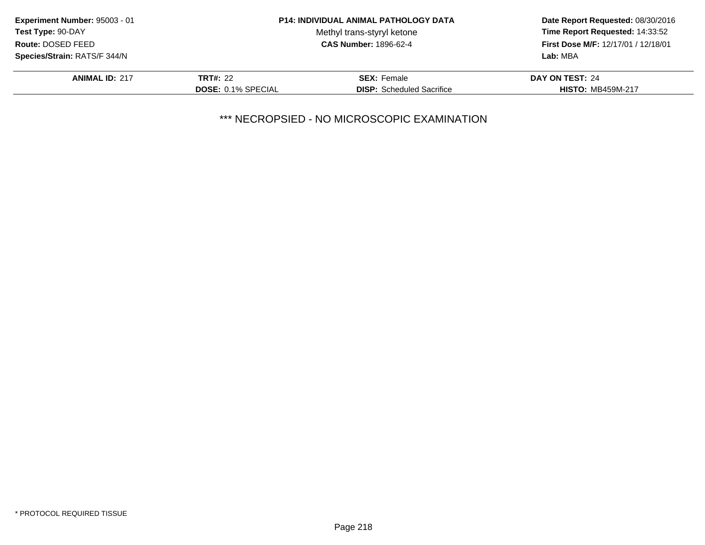| Experiment Number: 95003 - 01 |                           | <b>P14: INDIVIDUAL ANIMAL PATHOLOGY DATA</b> | Date Report Requested: 08/30/2016<br>Time Report Requested: 14:33:52<br>First Dose M/F: 12/17/01 / 12/18/01<br>Lab: MBA |
|-------------------------------|---------------------------|----------------------------------------------|-------------------------------------------------------------------------------------------------------------------------|
| <b>Test Type: 90-DAY</b>      |                           | Methyl trans-styryl ketone                   |                                                                                                                         |
| Route: DOSED FEED             |                           | <b>CAS Number: 1896-62-4</b>                 |                                                                                                                         |
| Species/Strain: RATS/F 344/N  |                           |                                              |                                                                                                                         |
| <b>ANIMAL ID: 217</b>         | <b>TRT#: 22</b>           | <b>SEX:</b> Female                           | DAY ON TEST: 24                                                                                                         |
|                               | <b>DOSE: 0.1% SPECIAL</b> | <b>DISP:</b> Scheduled Sacrifice             | <b>HISTO: MB459M-217</b>                                                                                                |
|                               |                           |                                              |                                                                                                                         |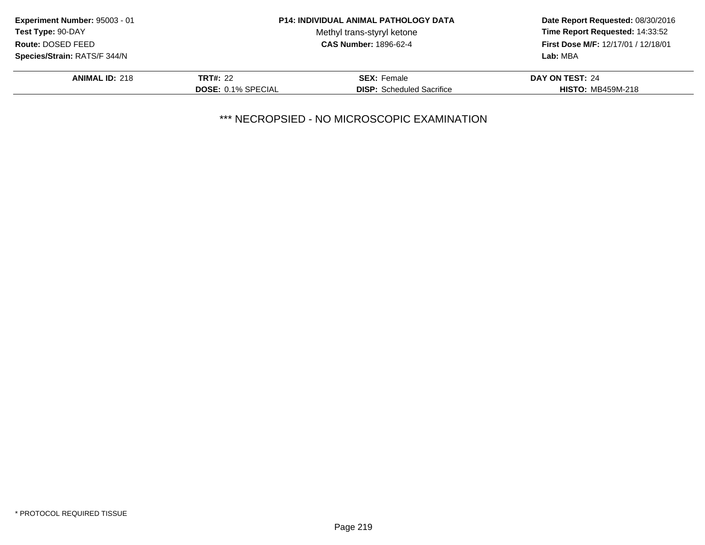| Experiment Number: 95003 - 01 |                           | <b>P14: INDIVIDUAL ANIMAL PATHOLOGY DATA</b> | Date Report Requested: 08/30/2016<br>Time Report Requested: 14:33:52<br>First Dose M/F: 12/17/01 / 12/18/01<br>Lab: MBA |
|-------------------------------|---------------------------|----------------------------------------------|-------------------------------------------------------------------------------------------------------------------------|
| <b>Test Type: 90-DAY</b>      |                           | Methyl trans-styryl ketone                   |                                                                                                                         |
| Route: DOSED FEED             |                           | <b>CAS Number: 1896-62-4</b>                 |                                                                                                                         |
| Species/Strain: RATS/F 344/N  |                           |                                              |                                                                                                                         |
| <b>ANIMAL ID: 218</b>         | <b>TRT#: 22</b>           | <b>SEX:</b> Female                           | DAY ON TEST: 24                                                                                                         |
|                               | <b>DOSE: 0.1% SPECIAL</b> | <b>DISP:</b> Scheduled Sacrifice             | <b>HISTO: MB459M-218</b>                                                                                                |
|                               |                           |                                              |                                                                                                                         |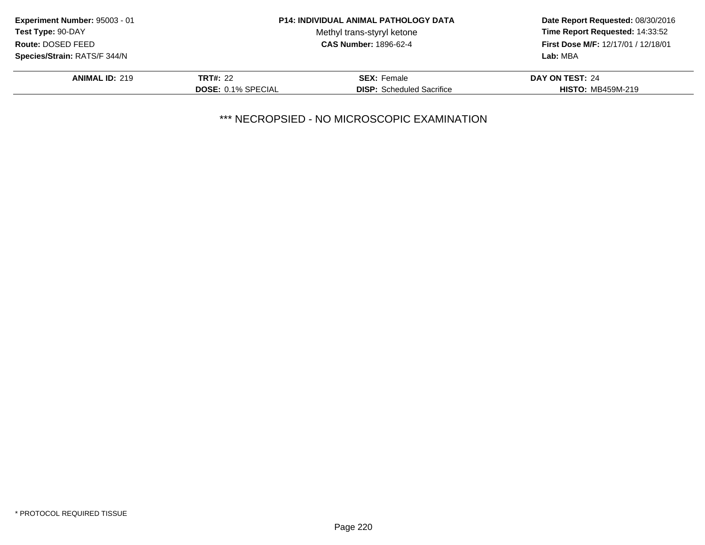| Experiment Number: 95003 - 01 |                           | <b>P14: INDIVIDUAL ANIMAL PATHOLOGY DATA</b> | Date Report Requested: 08/30/2016<br>Time Report Requested: 14:33:52<br>First Dose M/F: 12/17/01 / 12/18/01<br>Lab: MBA |
|-------------------------------|---------------------------|----------------------------------------------|-------------------------------------------------------------------------------------------------------------------------|
| <b>Test Type: 90-DAY</b>      |                           | Methyl trans-styryl ketone                   |                                                                                                                         |
| Route: DOSED FEED             |                           | <b>CAS Number: 1896-62-4</b>                 |                                                                                                                         |
| Species/Strain: RATS/F 344/N  |                           |                                              |                                                                                                                         |
| <b>ANIMAL ID: 219</b>         | <b>TRT#: 22</b>           | <b>SEX:</b> Female                           | DAY ON TEST: 24                                                                                                         |
|                               | <b>DOSE: 0.1% SPECIAL</b> | <b>DISP:</b> Scheduled Sacrifice             | <b>HISTO: MB459M-219</b>                                                                                                |
|                               |                           |                                              |                                                                                                                         |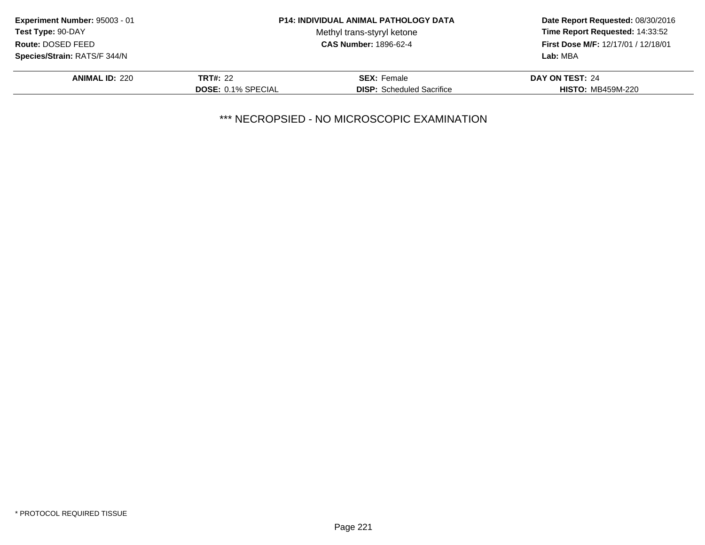| Experiment Number: 95003 - 01 |                           | <b>P14: INDIVIDUAL ANIMAL PATHOLOGY DATA</b> | Date Report Requested: 08/30/2016<br>Time Report Requested: 14:33:52<br>First Dose M/F: 12/17/01 / 12/18/01<br>Lab: MBA |
|-------------------------------|---------------------------|----------------------------------------------|-------------------------------------------------------------------------------------------------------------------------|
| <b>Test Type: 90-DAY</b>      |                           | Methyl trans-styryl ketone                   |                                                                                                                         |
| Route: DOSED FEED             |                           | <b>CAS Number: 1896-62-4</b>                 |                                                                                                                         |
| Species/Strain: RATS/F 344/N  |                           |                                              |                                                                                                                         |
| <b>ANIMAL ID: 220</b>         | <b>TRT#: 22</b>           | <b>SEX:</b> Female                           | DAY ON TEST: 24                                                                                                         |
|                               | <b>DOSE: 0.1% SPECIAL</b> | <b>DISP:</b> Scheduled Sacrifice             | <b>HISTO: MB459M-220</b>                                                                                                |
|                               |                           |                                              |                                                                                                                         |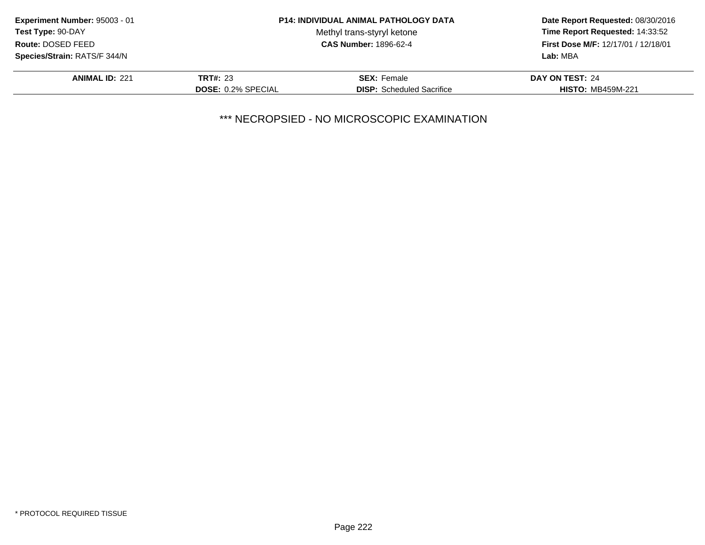| Experiment Number: 95003 - 01 |                           | <b>P14: INDIVIDUAL ANIMAL PATHOLOGY DATA</b> | Date Report Requested: 08/30/2016<br>Time Report Requested: 14:33:52<br>First Dose M/F: 12/17/01 / 12/18/01<br>Lab: MBA |
|-------------------------------|---------------------------|----------------------------------------------|-------------------------------------------------------------------------------------------------------------------------|
| <b>Test Type: 90-DAY</b>      |                           | Methyl trans-styryl ketone                   |                                                                                                                         |
| Route: DOSED FEED             |                           | <b>CAS Number: 1896-62-4</b>                 |                                                                                                                         |
| Species/Strain: RATS/F 344/N  |                           |                                              |                                                                                                                         |
| <b>ANIMAL ID: 221</b>         | <b>TRT#: 23</b>           | <b>SEX:</b> Female                           | DAY ON TEST: 24                                                                                                         |
|                               | <b>DOSE: 0.2% SPECIAL</b> | <b>DISP:</b> Scheduled Sacrifice             | <b>HISTO: MB459M-221</b>                                                                                                |
|                               |                           |                                              |                                                                                                                         |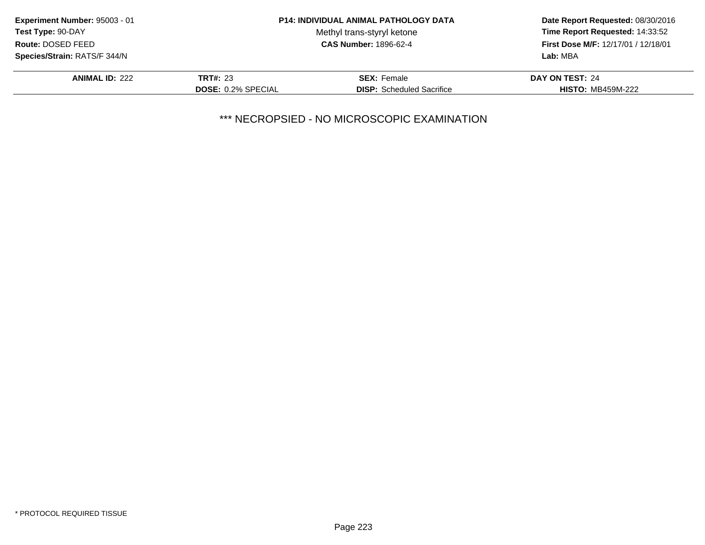| Experiment Number: 95003 - 01 |                           | <b>P14: INDIVIDUAL ANIMAL PATHOLOGY DATA</b> | Date Report Requested: 08/30/2016<br>Time Report Requested: 14:33:52<br>First Dose M/F: 12/17/01 / 12/18/01<br>Lab: MBA |
|-------------------------------|---------------------------|----------------------------------------------|-------------------------------------------------------------------------------------------------------------------------|
| <b>Test Type: 90-DAY</b>      |                           | Methyl trans-styryl ketone                   |                                                                                                                         |
| Route: DOSED FEED             |                           | <b>CAS Number: 1896-62-4</b>                 |                                                                                                                         |
| Species/Strain: RATS/F 344/N  |                           |                                              |                                                                                                                         |
| <b>ANIMAL ID: 222</b>         | <b>TRT#: 23</b>           | <b>SEX:</b> Female                           | DAY ON TEST: 24                                                                                                         |
|                               | <b>DOSE: 0.2% SPECIAL</b> | <b>DISP:</b> Scheduled Sacrifice             | <b>HISTO: MB459M-222</b>                                                                                                |
|                               |                           |                                              |                                                                                                                         |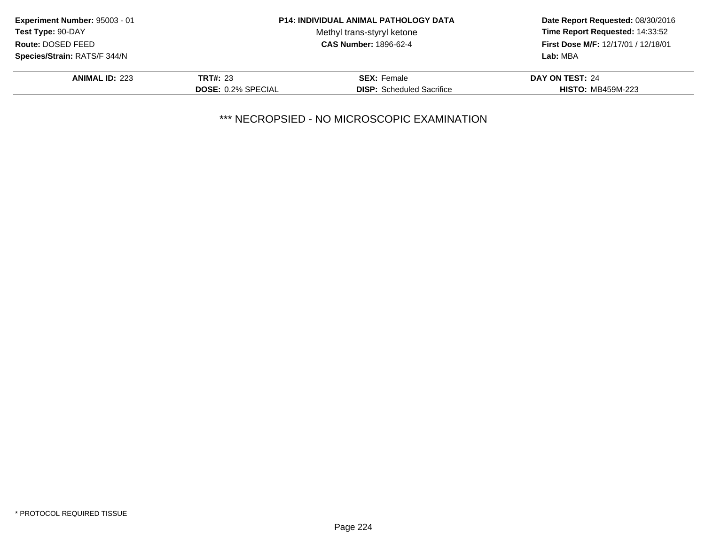| Experiment Number: 95003 - 01 |                           | <b>P14: INDIVIDUAL ANIMAL PATHOLOGY DATA</b> | Date Report Requested: 08/30/2016<br>Time Report Requested: 14:33:52<br>First Dose M/F: 12/17/01 / 12/18/01<br>Lab: MBA |
|-------------------------------|---------------------------|----------------------------------------------|-------------------------------------------------------------------------------------------------------------------------|
| <b>Test Type: 90-DAY</b>      |                           | Methyl trans-styryl ketone                   |                                                                                                                         |
| Route: DOSED FEED             |                           | <b>CAS Number: 1896-62-4</b>                 |                                                                                                                         |
| Species/Strain: RATS/F 344/N  |                           |                                              |                                                                                                                         |
| <b>ANIMAL ID: 223</b>         | <b>TRT#: 23</b>           | <b>SEX:</b> Female                           | DAY ON TEST: 24                                                                                                         |
|                               | <b>DOSE: 0.2% SPECIAL</b> | <b>DISP:</b> Scheduled Sacrifice             | <b>HISTO: MB459M-223</b>                                                                                                |
|                               |                           |                                              |                                                                                                                         |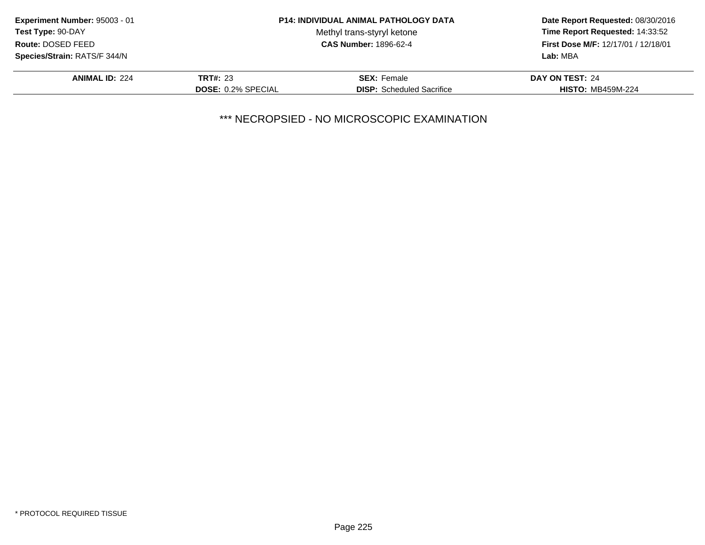| Experiment Number: 95003 - 01 |                           | <b>P14: INDIVIDUAL ANIMAL PATHOLOGY DATA</b> | Date Report Requested: 08/30/2016<br>Time Report Requested: 14:33:52<br>First Dose M/F: 12/17/01 / 12/18/01<br>Lab: MBA |
|-------------------------------|---------------------------|----------------------------------------------|-------------------------------------------------------------------------------------------------------------------------|
| <b>Test Type: 90-DAY</b>      |                           | Methyl trans-styryl ketone                   |                                                                                                                         |
| Route: DOSED FEED             |                           | <b>CAS Number: 1896-62-4</b>                 |                                                                                                                         |
| Species/Strain: RATS/F 344/N  |                           |                                              |                                                                                                                         |
| <b>ANIMAL ID: 224</b>         | <b>TRT#: 23</b>           | <b>SEX: Female</b>                           | DAY ON TEST: 24                                                                                                         |
|                               | <b>DOSE: 0.2% SPECIAL</b> | <b>DISP:</b> Scheduled Sacrifice             | <b>HISTO: MB459M-224</b>                                                                                                |
|                               |                           |                                              |                                                                                                                         |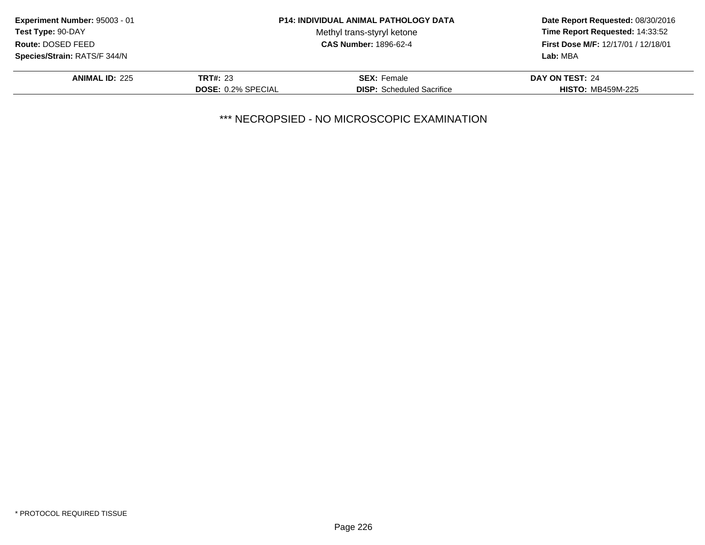| Experiment Number: 95003 - 01 |                           | <b>P14: INDIVIDUAL ANIMAL PATHOLOGY DATA</b> | Date Report Requested: 08/30/2016<br>Time Report Requested: 14:33:52<br>First Dose M/F: 12/17/01 / 12/18/01<br>Lab: MBA |
|-------------------------------|---------------------------|----------------------------------------------|-------------------------------------------------------------------------------------------------------------------------|
| <b>Test Type: 90-DAY</b>      |                           | Methyl trans-styryl ketone                   |                                                                                                                         |
| Route: DOSED FEED             |                           | <b>CAS Number: 1896-62-4</b>                 |                                                                                                                         |
| Species/Strain: RATS/F 344/N  |                           |                                              |                                                                                                                         |
| <b>ANIMAL ID: 225</b>         | <b>TRT#: 23</b>           | <b>SEX:</b> Female                           | DAY ON TEST: 24                                                                                                         |
|                               | <b>DOSE: 0.2% SPECIAL</b> | <b>DISP:</b> Scheduled Sacrifice             | <b>HISTO: MB459M-225</b>                                                                                                |
|                               |                           |                                              |                                                                                                                         |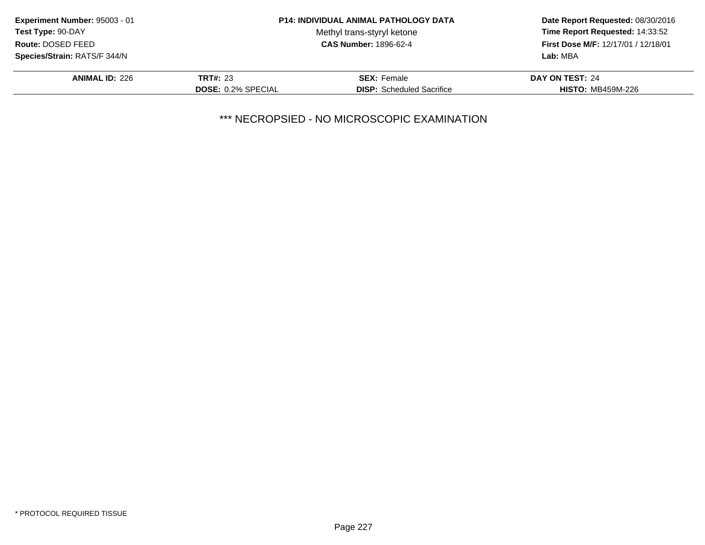| Experiment Number: 95003 - 01 |                           | <b>P14: INDIVIDUAL ANIMAL PATHOLOGY DATA</b> | Date Report Requested: 08/30/2016<br>Time Report Requested: 14:33:52<br><b>First Dose M/F: 12/17/01 / 12/18/01</b><br>Lab: MBA |
|-------------------------------|---------------------------|----------------------------------------------|--------------------------------------------------------------------------------------------------------------------------------|
| Test Type: 90-DAY             |                           | Methyl trans-styryl ketone                   |                                                                                                                                |
| Route: DOSED FEED             |                           | <b>CAS Number: 1896-62-4</b>                 |                                                                                                                                |
| Species/Strain: RATS/F 344/N  |                           |                                              |                                                                                                                                |
| <b>ANIMAL ID: 226</b>         | <b>TRT#: 23</b>           | <b>SEX: Female</b>                           | DAY ON TEST: 24                                                                                                                |
|                               | <b>DOSE: 0.2% SPECIAL</b> | <b>DISP:</b> Scheduled Sacrifice             | <b>HISTO: MB459M-226</b>                                                                                                       |
|                               |                           |                                              |                                                                                                                                |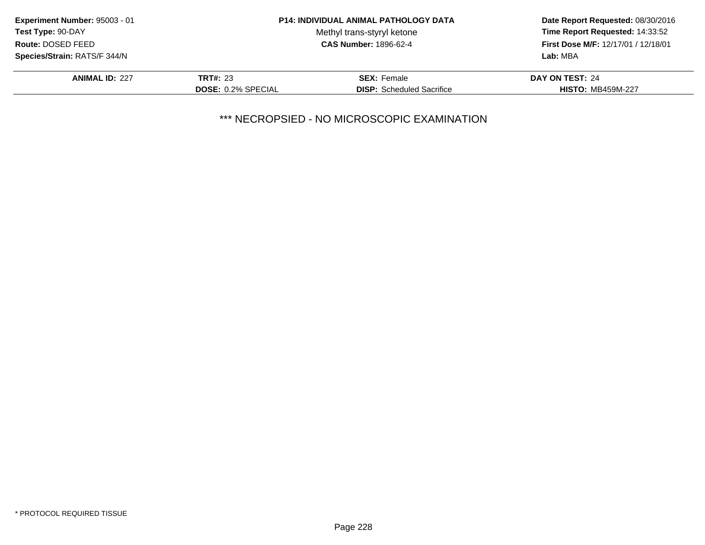| Experiment Number: 95003 - 01 |                           | <b>P14: INDIVIDUAL ANIMAL PATHOLOGY DATA</b> | Date Report Requested: 08/30/2016<br>Time Report Requested: 14:33:52<br>First Dose M/F: 12/17/01 / 12/18/01<br>Lab: MBA |
|-------------------------------|---------------------------|----------------------------------------------|-------------------------------------------------------------------------------------------------------------------------|
| <b>Test Type: 90-DAY</b>      |                           | Methyl trans-styryl ketone                   |                                                                                                                         |
| Route: DOSED FEED             |                           | <b>CAS Number: 1896-62-4</b>                 |                                                                                                                         |
| Species/Strain: RATS/F 344/N  |                           |                                              |                                                                                                                         |
| <b>ANIMAL ID: 227</b>         | <b>TRT#: 23</b>           | <b>SEX:</b> Female                           | DAY ON TEST: 24                                                                                                         |
|                               | <b>DOSE: 0.2% SPECIAL</b> | <b>DISP:</b> Scheduled Sacrifice             | <b>HISTO: MB459M-227</b>                                                                                                |
|                               |                           |                                              |                                                                                                                         |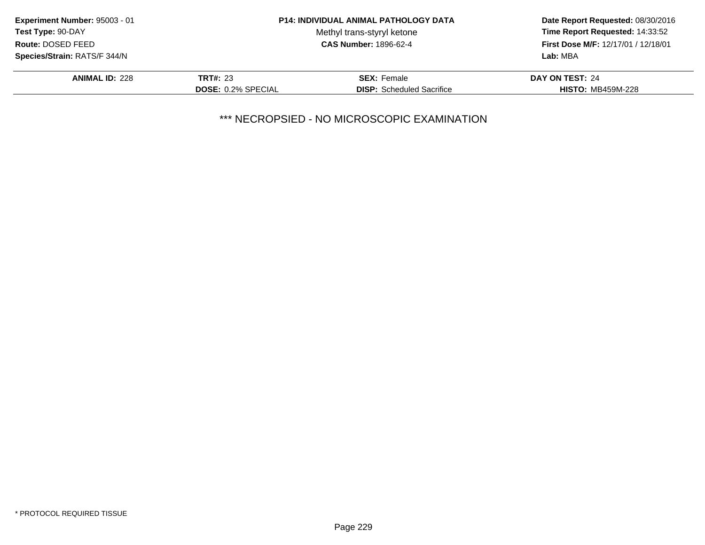| Experiment Number: 95003 - 01 |                           | <b>P14: INDIVIDUAL ANIMAL PATHOLOGY DATA</b> | Date Report Requested: 08/30/2016<br>Time Report Requested: 14:33:52<br>First Dose M/F: 12/17/01 / 12/18/01<br>Lab: MBA |
|-------------------------------|---------------------------|----------------------------------------------|-------------------------------------------------------------------------------------------------------------------------|
| <b>Test Type: 90-DAY</b>      |                           | Methyl trans-styryl ketone                   |                                                                                                                         |
| Route: DOSED FEED             |                           | <b>CAS Number: 1896-62-4</b>                 |                                                                                                                         |
| Species/Strain: RATS/F 344/N  |                           |                                              |                                                                                                                         |
| <b>ANIMAL ID: 228</b>         | <b>TRT#: 23</b>           | <b>SEX: Female</b>                           | DAY ON TEST: 24                                                                                                         |
|                               | <b>DOSE: 0.2% SPECIAL</b> | <b>DISP:</b> Scheduled Sacrifice             | <b>HISTO: MB459M-228</b>                                                                                                |
|                               |                           |                                              |                                                                                                                         |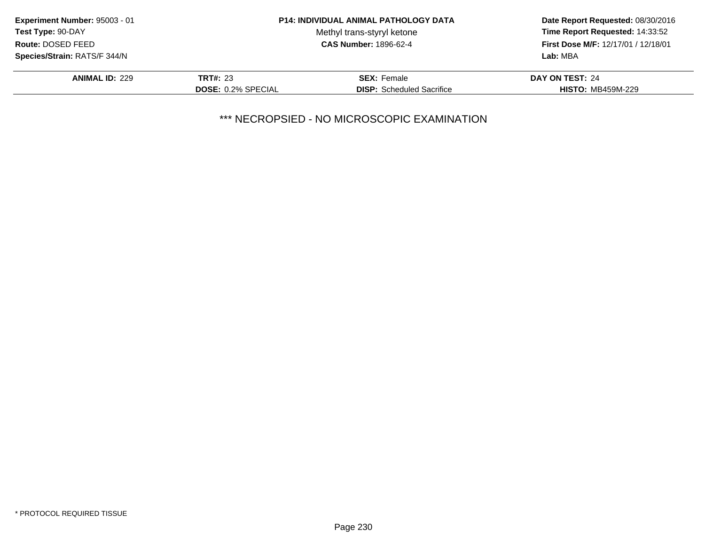| Experiment Number: 95003 - 01 |                           | <b>P14: INDIVIDUAL ANIMAL PATHOLOGY DATA</b> | Date Report Requested: 08/30/2016<br>Time Report Requested: 14:33:52<br>First Dose M/F: 12/17/01 / 12/18/01<br>Lab: MBA |
|-------------------------------|---------------------------|----------------------------------------------|-------------------------------------------------------------------------------------------------------------------------|
| <b>Test Type: 90-DAY</b>      |                           | Methyl trans-styryl ketone                   |                                                                                                                         |
| Route: DOSED FEED             |                           | <b>CAS Number: 1896-62-4</b>                 |                                                                                                                         |
| Species/Strain: RATS/F 344/N  |                           |                                              |                                                                                                                         |
| <b>ANIMAL ID: 229</b>         | <b>TRT#: 23</b>           | <b>SEX:</b> Female                           | DAY ON TEST: 24                                                                                                         |
|                               | <b>DOSE: 0.2% SPECIAL</b> | <b>DISP:</b> Scheduled Sacrifice             | <b>HISTO: MB459M-229</b>                                                                                                |
|                               |                           |                                              |                                                                                                                         |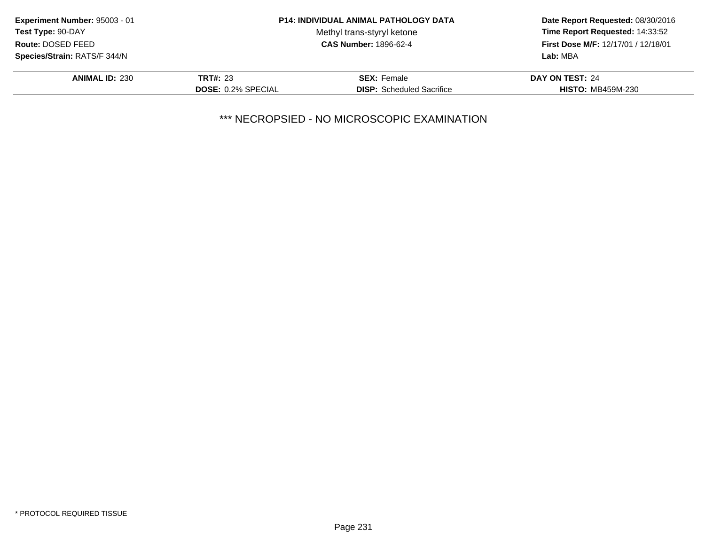| Experiment Number: 95003 - 01 |                           | <b>P14: INDIVIDUAL ANIMAL PATHOLOGY DATA</b> | Date Report Requested: 08/30/2016<br>Time Report Requested: 14:33:52<br>First Dose M/F: 12/17/01 / 12/18/01<br>Lab: MBA |
|-------------------------------|---------------------------|----------------------------------------------|-------------------------------------------------------------------------------------------------------------------------|
| <b>Test Type: 90-DAY</b>      |                           | Methyl trans-styryl ketone                   |                                                                                                                         |
| Route: DOSED FEED             |                           | <b>CAS Number: 1896-62-4</b>                 |                                                                                                                         |
| Species/Strain: RATS/F 344/N  |                           |                                              |                                                                                                                         |
| <b>ANIMAL ID: 230</b>         | <b>TRT#: 23</b>           | <b>SEX:</b> Female                           | DAY ON TEST: 24                                                                                                         |
|                               | <b>DOSE: 0.2% SPECIAL</b> | <b>DISP:</b> Scheduled Sacrifice             | <b>HISTO: MB459M-230</b>                                                                                                |
|                               |                           |                                              |                                                                                                                         |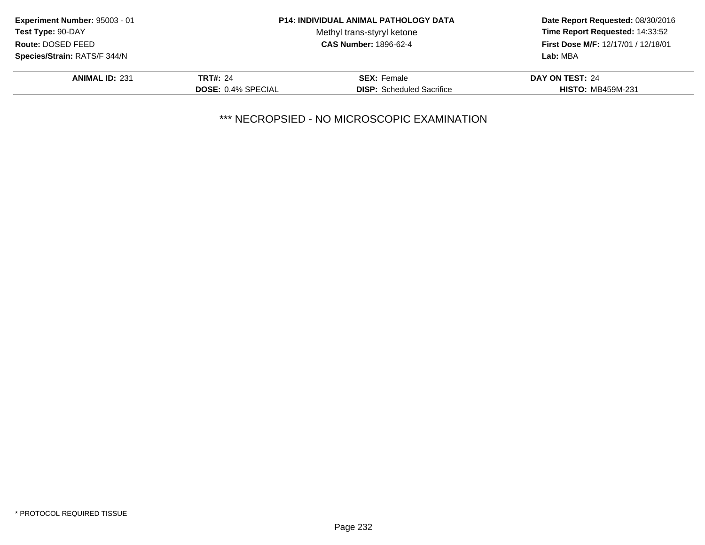| Experiment Number: 95003 - 01 |                           | <b>P14: INDIVIDUAL ANIMAL PATHOLOGY DATA</b> | Date Report Requested: 08/30/2016<br>Time Report Requested: 14:33:52<br>First Dose M/F: 12/17/01 / 12/18/01<br>Lab: MBA |
|-------------------------------|---------------------------|----------------------------------------------|-------------------------------------------------------------------------------------------------------------------------|
| <b>Test Type: 90-DAY</b>      |                           | Methyl trans-styryl ketone                   |                                                                                                                         |
| Route: DOSED FEED             |                           | <b>CAS Number: 1896-62-4</b>                 |                                                                                                                         |
| Species/Strain: RATS/F 344/N  |                           |                                              |                                                                                                                         |
| <b>ANIMAL ID: 231</b>         | <b>TRT#: 24</b>           | <b>SEX: Female</b>                           | DAY ON TEST: 24                                                                                                         |
|                               | <b>DOSE: 0.4% SPECIAL</b> | <b>DISP:</b> Scheduled Sacrifice             | <b>HISTO: MB459M-231</b>                                                                                                |
|                               |                           |                                              |                                                                                                                         |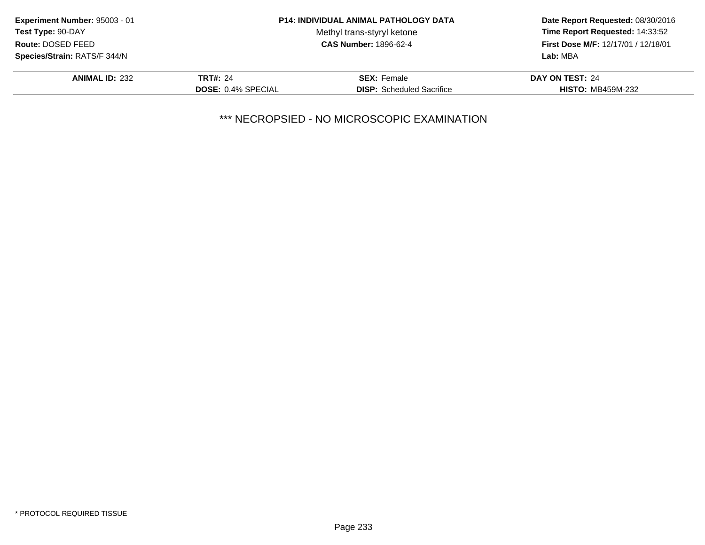| Experiment Number: 95003 - 01 |                           | <b>P14: INDIVIDUAL ANIMAL PATHOLOGY DATA</b> | Date Report Requested: 08/30/2016<br>Time Report Requested: 14:33:52<br>First Dose M/F: 12/17/01 / 12/18/01<br>Lab: MBA |
|-------------------------------|---------------------------|----------------------------------------------|-------------------------------------------------------------------------------------------------------------------------|
| <b>Test Type: 90-DAY</b>      |                           | Methyl trans-styryl ketone                   |                                                                                                                         |
| Route: DOSED FEED             |                           | <b>CAS Number: 1896-62-4</b>                 |                                                                                                                         |
| Species/Strain: RATS/F 344/N  |                           |                                              |                                                                                                                         |
| <b>ANIMAL ID: 232</b>         | <b>TRT#: 24</b>           | <b>SEX: Female</b>                           | DAY ON TEST: 24                                                                                                         |
|                               | <b>DOSE: 0.4% SPECIAL</b> | <b>DISP:</b> Scheduled Sacrifice             | <b>HISTO: MB459M-232</b>                                                                                                |
|                               |                           |                                              |                                                                                                                         |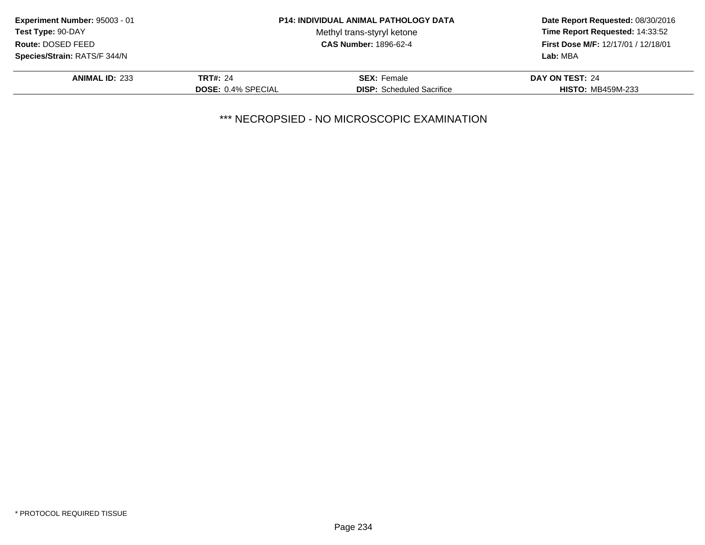| Experiment Number: 95003 - 01 |                           | <b>P14: INDIVIDUAL ANIMAL PATHOLOGY DATA</b> | Date Report Requested: 08/30/2016<br>Time Report Requested: 14:33:52<br>First Dose M/F: 12/17/01 / 12/18/01<br>Lab: MBA |
|-------------------------------|---------------------------|----------------------------------------------|-------------------------------------------------------------------------------------------------------------------------|
| <b>Test Type: 90-DAY</b>      |                           | Methyl trans-styryl ketone                   |                                                                                                                         |
| Route: DOSED FEED             |                           | <b>CAS Number: 1896-62-4</b>                 |                                                                                                                         |
| Species/Strain: RATS/F 344/N  |                           |                                              |                                                                                                                         |
| <b>ANIMAL ID: 233</b>         | <b>TRT#: 24</b>           | <b>SEX: Female</b>                           | DAY ON TEST: 24                                                                                                         |
|                               | <b>DOSE: 0.4% SPECIAL</b> | <b>DISP:</b> Scheduled Sacrifice             | <b>HISTO: MB459M-233</b>                                                                                                |
|                               |                           |                                              |                                                                                                                         |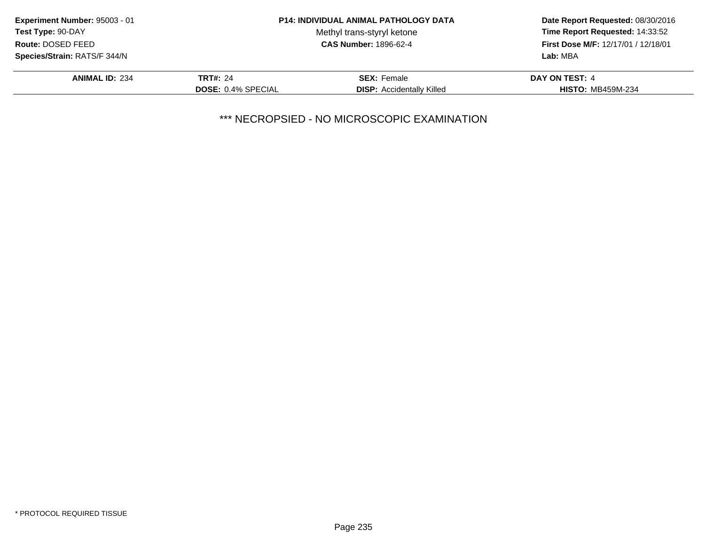| Experiment Number: 95003 - 01 |                           | <b>P14: INDIVIDUAL ANIMAL PATHOLOGY DATA</b> | Date Report Requested: 08/30/2016<br>Time Report Requested: 14:33:52<br>First Dose M/F: 12/17/01 / 12/18/01<br>Lab: MBA |
|-------------------------------|---------------------------|----------------------------------------------|-------------------------------------------------------------------------------------------------------------------------|
| <b>Test Type: 90-DAY</b>      |                           | Methyl trans-styryl ketone                   |                                                                                                                         |
| Route: DOSED FEED             |                           | <b>CAS Number: 1896-62-4</b>                 |                                                                                                                         |
| Species/Strain: RATS/F 344/N  |                           |                                              |                                                                                                                         |
| <b>ANIMAL ID: 234</b>         | <b>TRT#: 24</b>           | <b>SEX: Female</b>                           | DAY ON TEST: 4                                                                                                          |
|                               | <b>DOSE: 0.4% SPECIAL</b> | <b>DISP:</b> Accidentally Killed             | <b>HISTO: MB459M-234</b>                                                                                                |
|                               |                           |                                              |                                                                                                                         |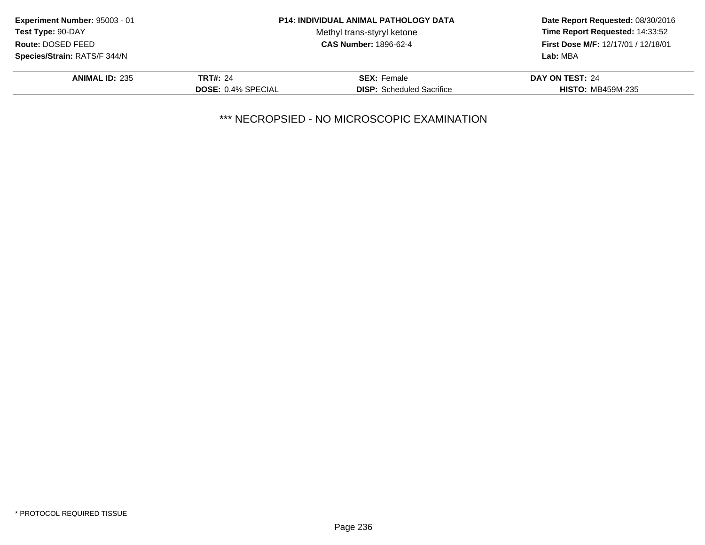| Experiment Number: 95003 - 01 |                           | <b>P14: INDIVIDUAL ANIMAL PATHOLOGY DATA</b> | Date Report Requested: 08/30/2016<br>Time Report Requested: 14:33:52<br>First Dose M/F: 12/17/01 / 12/18/01<br>Lab: MBA |
|-------------------------------|---------------------------|----------------------------------------------|-------------------------------------------------------------------------------------------------------------------------|
| <b>Test Type: 90-DAY</b>      |                           | Methyl trans-styryl ketone                   |                                                                                                                         |
| Route: DOSED FEED             |                           | <b>CAS Number: 1896-62-4</b>                 |                                                                                                                         |
| Species/Strain: RATS/F 344/N  |                           |                                              |                                                                                                                         |
| <b>ANIMAL ID: 235</b>         | <b>TRT#: 24</b>           | <b>SEX:</b> Female                           | DAY ON TEST: 24                                                                                                         |
|                               | <b>DOSE: 0.4% SPECIAL</b> | <b>DISP:</b> Scheduled Sacrifice             | <b>HISTO: MB459M-235</b>                                                                                                |
|                               |                           |                                              |                                                                                                                         |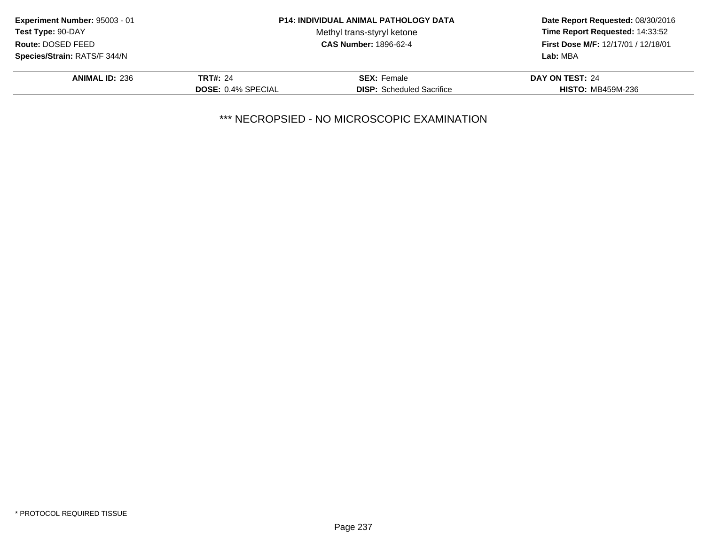| Experiment Number: 95003 - 01 |                           | <b>P14: INDIVIDUAL ANIMAL PATHOLOGY DATA</b> | Date Report Requested: 08/30/2016<br>Time Report Requested: 14:33:52<br>First Dose M/F: 12/17/01 / 12/18/01<br>Lab: MBA |
|-------------------------------|---------------------------|----------------------------------------------|-------------------------------------------------------------------------------------------------------------------------|
| <b>Test Type: 90-DAY</b>      |                           | Methyl trans-styryl ketone                   |                                                                                                                         |
| Route: DOSED FEED             |                           | <b>CAS Number: 1896-62-4</b>                 |                                                                                                                         |
| Species/Strain: RATS/F 344/N  |                           |                                              |                                                                                                                         |
| <b>ANIMAL ID: 236</b>         | <b>TRT#: 24</b>           | <b>SEX: Female</b>                           | DAY ON TEST: 24                                                                                                         |
|                               | <b>DOSE: 0.4% SPECIAL</b> | <b>DISP:</b> Scheduled Sacrifice             | <b>HISTO: MB459M-236</b>                                                                                                |
|                               |                           |                                              |                                                                                                                         |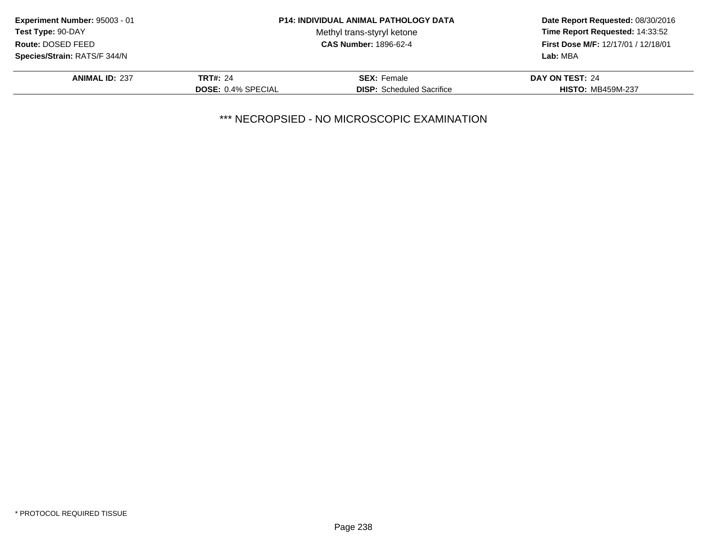| Experiment Number: 95003 - 01 |                           | <b>P14: INDIVIDUAL ANIMAL PATHOLOGY DATA</b> | Date Report Requested: 08/30/2016<br>Time Report Requested: 14:33:52<br>First Dose M/F: 12/17/01 / 12/18/01<br>Lab: MBA |
|-------------------------------|---------------------------|----------------------------------------------|-------------------------------------------------------------------------------------------------------------------------|
| <b>Test Type: 90-DAY</b>      |                           | Methyl trans-styryl ketone                   |                                                                                                                         |
| Route: DOSED FEED             |                           | <b>CAS Number: 1896-62-4</b>                 |                                                                                                                         |
| Species/Strain: RATS/F 344/N  |                           |                                              |                                                                                                                         |
| <b>ANIMAL ID: 237</b>         | <b>TRT#: 24</b>           | <b>SEX:</b> Female                           | DAY ON TEST: 24                                                                                                         |
|                               | <b>DOSE: 0.4% SPECIAL</b> | <b>DISP:</b> Scheduled Sacrifice             | <b>HISTO: MB459M-237</b>                                                                                                |
|                               |                           |                                              |                                                                                                                         |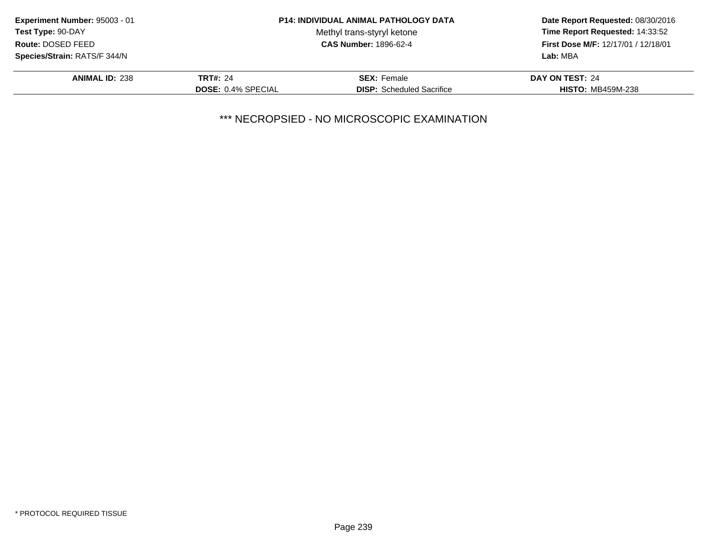| Experiment Number: 95003 - 01 |                           | <b>P14: INDIVIDUAL ANIMAL PATHOLOGY DATA</b> | Date Report Requested: 08/30/2016<br>Time Report Requested: 14:33:52<br>First Dose M/F: 12/17/01 / 12/18/01<br>Lab: MBA |
|-------------------------------|---------------------------|----------------------------------------------|-------------------------------------------------------------------------------------------------------------------------|
| <b>Test Type: 90-DAY</b>      |                           | Methyl trans-styryl ketone                   |                                                                                                                         |
| Route: DOSED FEED             |                           | <b>CAS Number: 1896-62-4</b>                 |                                                                                                                         |
| Species/Strain: RATS/F 344/N  |                           |                                              |                                                                                                                         |
| <b>ANIMAL ID: 238</b>         | <b>TRT#: 24</b>           | <b>SEX: Female</b>                           | DAY ON TEST: 24                                                                                                         |
|                               | <b>DOSE: 0.4% SPECIAL</b> | <b>DISP:</b> Scheduled Sacrifice             | <b>HISTO: MB459M-238</b>                                                                                                |
|                               |                           |                                              |                                                                                                                         |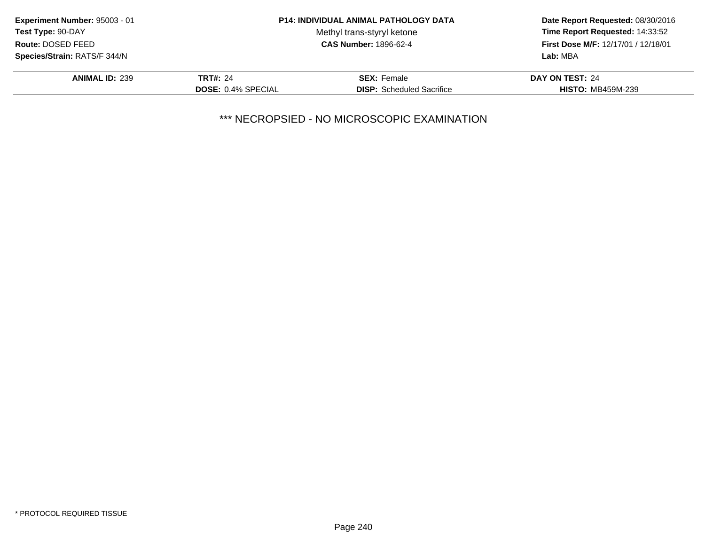| Experiment Number: 95003 - 01 |                           | <b>P14: INDIVIDUAL ANIMAL PATHOLOGY DATA</b> | Date Report Requested: 08/30/2016<br>Time Report Requested: 14:33:52<br>First Dose M/F: 12/17/01 / 12/18/01<br>Lab: MBA |
|-------------------------------|---------------------------|----------------------------------------------|-------------------------------------------------------------------------------------------------------------------------|
| <b>Test Type: 90-DAY</b>      |                           | Methyl trans-styryl ketone                   |                                                                                                                         |
| Route: DOSED FEED             |                           | <b>CAS Number: 1896-62-4</b>                 |                                                                                                                         |
| Species/Strain: RATS/F 344/N  |                           |                                              |                                                                                                                         |
| <b>ANIMAL ID: 239</b>         | <b>TRT#: 24</b>           | <b>SEX: Female</b>                           | DAY ON TEST: 24                                                                                                         |
|                               | <b>DOSE: 0.4% SPECIAL</b> | <b>DISP:</b> Scheduled Sacrifice             | <b>HISTO: MB459M-239</b>                                                                                                |
|                               |                           |                                              |                                                                                                                         |